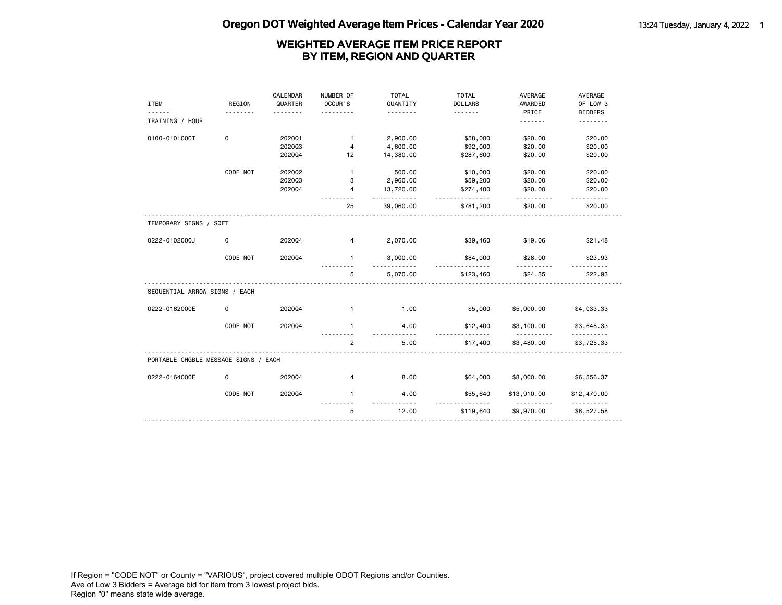|                                      |             | CALENDAR | NUMBER OF      | <b>TOTAL</b> | <b>TOTAL</b>   | AVERAGE                 | AVERAGE                 |
|--------------------------------------|-------------|----------|----------------|--------------|----------------|-------------------------|-------------------------|
| <b>ITEM</b>                          | REGION      | QUARTER  | OCCUR'S        | QUANTITY     | <b>DOLLARS</b> | AWARDED                 | OF LOW 3                |
|                                      |             |          |                | .            | .              | PRICE                   | <b>BIDDERS</b>          |
| TRAINING / HOUR                      |             |          |                |              |                | .                       | .                       |
| 0100-0101000T                        | $\mathbf 0$ | 202001   | $\mathbf{1}$   | 2,900.00     | \$58,000       | \$20.00                 | \$20.00                 |
|                                      |             | 202003   | 4              | 4,600.00     | \$92,000       | \$20.00                 | \$20.00                 |
|                                      |             | 202004   | 12             | 14,380.00    | \$287,600      | \$20.00                 | \$20.00                 |
|                                      | CODE NOT    | 2020Q2   | $\mathbf{1}$   | 500.00       | \$10,000       | \$20.00                 | \$20.00                 |
|                                      |             | 202003   | 3              | 2,960.00     | \$59,200       | \$20.00                 | \$20.00                 |
|                                      |             | 202004   | 4              | 13,720.00    | \$274,400      | \$20.00                 | \$20.00                 |
|                                      |             |          | 25             | 39,060.00    | .<br>\$781,200 | \$20.00                 | \$20.00                 |
| TEMPORARY SIGNS / SQFT               |             |          |                |              |                |                         |                         |
| 0222-0102000J                        | 0           | 202004   | 4              | 2,070.00     | \$39,460       | \$19.06                 | \$21.48                 |
|                                      | CODE NOT    | 202004   | $\mathbf{1}$   | 3,000.00     | \$84,000<br>.  | \$28.00<br><u>.</u>     | \$23.93                 |
|                                      |             |          | 5              | 5,070.00     | \$123,460      | \$24.35                 | \$22.93                 |
| SEQUENTIAL ARROW SIGNS / EACH        |             |          |                |              |                |                         |                         |
| 0222-0162000E                        | $\mathbf 0$ | 202004   | $\mathbf{1}$   | 1.00         | \$5,000        | \$5,000.00              | \$4,033.33              |
|                                      | CODE NOT    | 202004   | $\mathbf{1}$   | 4.00         | \$12,400       | \$3,100.00              | \$3,648.33              |
|                                      |             |          | $\overline{2}$ | 5.00         | \$17,400       | \$3,480.00              | \$3,725.33              |
| PORTABLE CHGBLE MESSAGE SIGNS / EACH |             |          |                |              |                |                         |                         |
| 0222-0164000E                        | 0           | 202004   | 4              | 8.00         | \$64,000       | \$8,000.00              | \$6,556.37              |
|                                      | CODE NOT    | 202004   | $\mathbf{1}$   | 4.00         | \$55,640       | \$13,910.00<br><u>.</u> | \$12,470.00<br><u>.</u> |
|                                      |             |          | 5              | 12.00        | \$119,640      | \$9,970.00              | \$8,527.58              |
|                                      |             |          |                |              |                |                         |                         |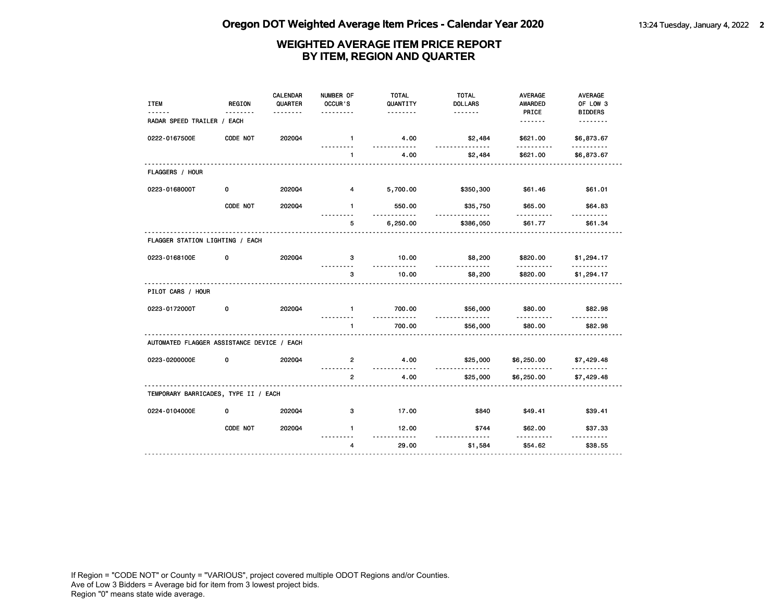| PRICE<br><b>BIDDERS</b><br>.<br>RADAR SPEED TRAILER / EACH<br><u>.</u><br><u>.</u><br>202004<br>0222-0167500E<br>CODE NOT<br>4.00<br>\$2,484<br>\$621.00<br>\$6,873.67<br>$\mathbf{1}$<br>$- - - - -$<br>.<br><u>.</u><br>4.00<br>\$621.00<br>$\mathbf{1}$<br>\$2,484<br>\$6,873.67<br>FLAGGERS / HOUR<br>0223-0168000T<br>0<br>2020Q4<br>4<br>5,700.00<br>\$350,300<br>\$61.46<br>\$61.01<br>CODE NOT<br>202004<br>550.00<br>\$35,750<br>\$65.00<br>\$64.83<br>$\mathbf{1}$<br>.<br>6,250.00<br>\$61.77<br>\$61.34<br>5<br>\$386,050<br>FLAGGER STATION LIGHTING / EACH<br>0223-0168100E<br>2020Q4<br>10.00<br>\$8,200<br>0<br>3<br>\$820.00<br>\$1,294.17<br>.<br>.<br>.<br>10.00<br>3<br>\$8,200<br>\$820.00<br>\$1,294.17<br>PILOT CARS / HOUR<br>0223-0172000T<br>202004<br>700.00<br>\$80.00<br>\$82.98<br>0<br>$\mathbf{1}$<br>\$56,000<br>.<br><u>.</u><br>--------<br>.<br>$\mathbf{1}$<br>700.00<br>\$56,000<br>\$80.00<br>\$82.98<br>AUTOMATED FLAGGER ASSISTANCE DEVICE / EACH<br>0223-0200000E<br>202004<br>4.00<br>0<br>$\overline{2}$<br>\$25,000<br>\$6,250.00<br>\$7,429.48 | <b>ITEM</b> | <b>REGION</b> | <b>CALENDAR</b><br>QUARTER | NUMBER OF<br>OCCUR'S | <b>TOTAL</b><br>QUANTITY | <b>TOTAL</b><br><b>DOLLARS</b> | <b>AVERAGE</b><br><b>AWARDED</b> | <b>AVERAGE</b><br>OF LOW 3 |
|----------------------------------------------------------------------------------------------------------------------------------------------------------------------------------------------------------------------------------------------------------------------------------------------------------------------------------------------------------------------------------------------------------------------------------------------------------------------------------------------------------------------------------------------------------------------------------------------------------------------------------------------------------------------------------------------------------------------------------------------------------------------------------------------------------------------------------------------------------------------------------------------------------------------------------------------------------------------------------------------------------------------------------------------------------------------------------------------|-------------|---------------|----------------------------|----------------------|--------------------------|--------------------------------|----------------------------------|----------------------------|
|                                                                                                                                                                                                                                                                                                                                                                                                                                                                                                                                                                                                                                                                                                                                                                                                                                                                                                                                                                                                                                                                                              |             |               |                            |                      |                          |                                |                                  |                            |
|                                                                                                                                                                                                                                                                                                                                                                                                                                                                                                                                                                                                                                                                                                                                                                                                                                                                                                                                                                                                                                                                                              |             |               |                            |                      |                          |                                |                                  |                            |
|                                                                                                                                                                                                                                                                                                                                                                                                                                                                                                                                                                                                                                                                                                                                                                                                                                                                                                                                                                                                                                                                                              |             |               |                            |                      |                          |                                |                                  |                            |
|                                                                                                                                                                                                                                                                                                                                                                                                                                                                                                                                                                                                                                                                                                                                                                                                                                                                                                                                                                                                                                                                                              |             |               |                            |                      |                          |                                |                                  |                            |
|                                                                                                                                                                                                                                                                                                                                                                                                                                                                                                                                                                                                                                                                                                                                                                                                                                                                                                                                                                                                                                                                                              |             |               |                            |                      |                          |                                |                                  |                            |
|                                                                                                                                                                                                                                                                                                                                                                                                                                                                                                                                                                                                                                                                                                                                                                                                                                                                                                                                                                                                                                                                                              |             |               |                            |                      |                          |                                |                                  |                            |
|                                                                                                                                                                                                                                                                                                                                                                                                                                                                                                                                                                                                                                                                                                                                                                                                                                                                                                                                                                                                                                                                                              |             |               |                            |                      |                          |                                |                                  |                            |
|                                                                                                                                                                                                                                                                                                                                                                                                                                                                                                                                                                                                                                                                                                                                                                                                                                                                                                                                                                                                                                                                                              |             |               |                            |                      |                          |                                |                                  |                            |
|                                                                                                                                                                                                                                                                                                                                                                                                                                                                                                                                                                                                                                                                                                                                                                                                                                                                                                                                                                                                                                                                                              |             |               |                            |                      |                          |                                |                                  |                            |
|                                                                                                                                                                                                                                                                                                                                                                                                                                                                                                                                                                                                                                                                                                                                                                                                                                                                                                                                                                                                                                                                                              |             |               |                            |                      |                          |                                |                                  |                            |
|                                                                                                                                                                                                                                                                                                                                                                                                                                                                                                                                                                                                                                                                                                                                                                                                                                                                                                                                                                                                                                                                                              |             |               |                            |                      |                          |                                |                                  |                            |
|                                                                                                                                                                                                                                                                                                                                                                                                                                                                                                                                                                                                                                                                                                                                                                                                                                                                                                                                                                                                                                                                                              |             |               |                            |                      |                          |                                |                                  |                            |
|                                                                                                                                                                                                                                                                                                                                                                                                                                                                                                                                                                                                                                                                                                                                                                                                                                                                                                                                                                                                                                                                                              |             |               |                            |                      |                          |                                |                                  |                            |
|                                                                                                                                                                                                                                                                                                                                                                                                                                                                                                                                                                                                                                                                                                                                                                                                                                                                                                                                                                                                                                                                                              |             |               |                            |                      |                          |                                |                                  |                            |
|                                                                                                                                                                                                                                                                                                                                                                                                                                                                                                                                                                                                                                                                                                                                                                                                                                                                                                                                                                                                                                                                                              |             |               |                            |                      |                          |                                |                                  |                            |
|                                                                                                                                                                                                                                                                                                                                                                                                                                                                                                                                                                                                                                                                                                                                                                                                                                                                                                                                                                                                                                                                                              |             |               |                            | $\overline{2}$       | 4.00                     | \$25,000                       | \$6,250.00                       | \$7,429.48                 |
| TEMPORARY BARRICADES, TYPE II / EACH                                                                                                                                                                                                                                                                                                                                                                                                                                                                                                                                                                                                                                                                                                                                                                                                                                                                                                                                                                                                                                                         |             |               |                            |                      |                          |                                |                                  |                            |
| 0224-0104000E<br>0<br>2020Q4<br>3<br>17.00<br>\$840<br>\$49.41<br>\$39.41                                                                                                                                                                                                                                                                                                                                                                                                                                                                                                                                                                                                                                                                                                                                                                                                                                                                                                                                                                                                                    |             |               |                            |                      |                          |                                |                                  |                            |
| CODE NOT<br>2020Q4<br>$\mathbf{1}$<br>12.00<br>\$744<br>\$62.00<br>\$37.33<br>$- - - - -$                                                                                                                                                                                                                                                                                                                                                                                                                                                                                                                                                                                                                                                                                                                                                                                                                                                                                                                                                                                                    |             |               |                            |                      |                          |                                |                                  |                            |
| 29.00<br>\$54.62<br>\$38.55<br>$\overline{4}$<br>\$1,584                                                                                                                                                                                                                                                                                                                                                                                                                                                                                                                                                                                                                                                                                                                                                                                                                                                                                                                                                                                                                                     |             |               |                            |                      |                          |                                |                                  |                            |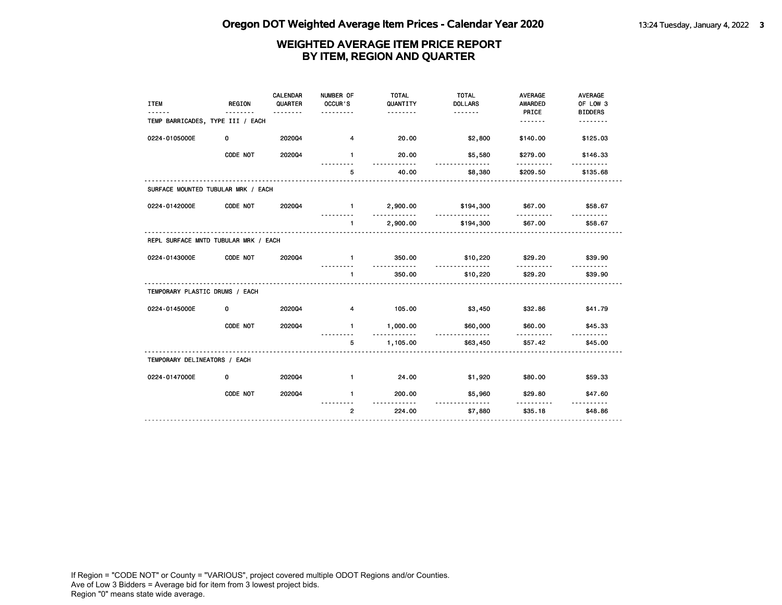| <b>ITEM</b>                          | <b>REGION</b> | CALENDAR<br>QUARTER<br>. | NUMBER OF<br>OCCUR'S<br>. | <b>TOTAL</b><br>QUANTITY<br>. | <b>TOTAL</b><br><b>DOLLARS</b> | <b>AVERAGE</b><br>AWARDED<br>PRICE | <b>AVERAGE</b><br>OF LOW 3<br><b>BIDDERS</b> |
|--------------------------------------|---------------|--------------------------|---------------------------|-------------------------------|--------------------------------|------------------------------------|----------------------------------------------|
| TEMP BARRICADES, TYPE III / EACH     |               |                          |                           |                               |                                | .                                  | .                                            |
| 0224-0105000E                        | 0             | 202004                   | $\overline{4}$            | 20.00                         | \$2,800                        | \$140.00                           | \$125.03                                     |
|                                      | CODE NOT      | 202004                   | $\mathbf{1}$              | 20.00<br>.                    | \$5,580<br><u>.</u>            | \$279.00                           | \$146.33                                     |
|                                      |               |                          | 5                         | 40.00                         | \$8,380                        | \$209.50                           | \$135.68                                     |
| SURFACE MOUNTED TUBULAR MRK / EACH   |               |                          |                           |                               |                                |                                    |                                              |
| 0224-0142000E                        | CODE NOT      | 202004                   | $\blacksquare$            | 2,900.00<br><u>.</u>          | \$194,300<br>.                 | \$67.00<br><u>.</u>                | \$58.67                                      |
|                                      |               |                          | 1.                        | 2,900.00                      | \$194,300                      | \$67.00                            | \$58.67                                      |
| REPL SURFACE MNTD TUBULAR MRK / EACH |               |                          |                           |                               |                                |                                    |                                              |
| 0224-0143000E                        | CODE NOT      | 202004                   | $\mathbf{1}$              | 350.00<br><u>.</u>            | \$10,220<br><u>.</u>           | \$29.20<br><u>.</u>                | \$39.90                                      |
|                                      |               |                          | $\mathbf{1}$              | 350.00                        | \$10,220                       | \$29.20                            | \$39.90                                      |
| TEMPORARY PLASTIC DRUMS / EACH       |               |                          |                           |                               |                                |                                    |                                              |
| 0224-0145000E                        | 0             | 202004                   | $\overline{\mathbf{4}}$   | 105.00                        | \$3,450                        | \$32.86                            | \$41.79                                      |
|                                      | CODE NOT      | 202004                   | $\mathbf{1}$              | 1,000.00                      | \$60,000<br>.                  | \$60.00                            | \$45.33                                      |
|                                      |               |                          | 5                         | 1,105.00                      | \$63,450                       | \$57.42                            | \$45.00                                      |
| TEMPORARY DELINEATORS / EACH         |               |                          |                           |                               |                                |                                    |                                              |
| 0224-0147000E                        | 0             | 202004                   | $\mathbf{1}$              | 24.00                         | \$1,920                        | \$80.00                            | \$59.33                                      |
|                                      | CODE NOT      | 202004                   | $\mathbf{1}$              | 200.00                        | \$5,960<br>.                   | \$29.80<br><u>.</u>                | \$47.60<br><u>.</u>                          |
|                                      |               |                          | $\overline{2}$            | 224.00                        | \$7,880                        | \$35.18                            | \$48.86                                      |
|                                      |               |                          |                           |                               |                                |                                    |                                              |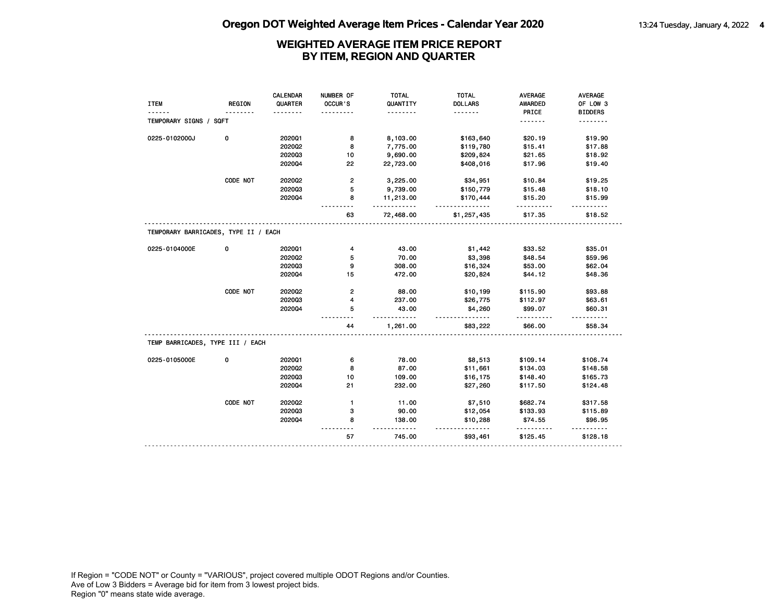|                                      |               | <b>CALENDAR</b> | NUMBER OF               | <b>TOTAL</b>        | <b>TOTAL</b>          | <b>AVERAGE</b> | AVERAGE        |
|--------------------------------------|---------------|-----------------|-------------------------|---------------------|-----------------------|----------------|----------------|
| <b>ITEM</b>                          | <b>REGION</b> | QUARTER         | OCCUR'S                 | QUANTITY            | <b>DOLLARS</b>        | <b>AWARDED</b> | OF LOW 3       |
|                                      |               |                 |                         | .                   | .                     | PRICE          | <b>BIDDERS</b> |
| TEMPORARY SIGNS / SQFT               |               |                 |                         |                     |                       | .              |                |
| 0225-0102000J                        | 0             | 202001          | 8                       | 8,103.00            | \$163,640             | \$20.19        | \$19.90        |
|                                      |               | 2020Q2          | 8                       | 7,775.00            | \$119,780             | \$15.41        | \$17.88        |
|                                      |               | 202003          | 10                      | 9,690.00            | \$209,824             | \$21.65        | \$18.92        |
|                                      |               | 202004          | 22                      | 22,723.00           | \$408,016             | \$17.96        | \$19.40        |
|                                      | CODE NOT      | 202002          | $\overline{\mathbf{c}}$ | 3,225.00            | \$34,951              | \$10.84        | \$19.25        |
|                                      |               | 202003          | 5                       | 9,739.00            | \$150,779             | \$15.48        | \$18.10        |
|                                      |               | 202004          | 8                       | 11,213.00<br>.      | \$170,444<br><u>.</u> | \$15.20        | \$15.99        |
|                                      |               |                 | 63                      | 72,468.00           | \$1,257,435           | \$17.35        | \$18.52        |
| TEMPORARY BARRICADES, TYPE II / EACH |               |                 |                         |                     |                       |                |                |
| 0225-0104000E                        | 0             | 202001          | 4                       | 43.00               | \$1,442               | \$33.52        | \$35.01        |
|                                      |               | 2020Q2          | 5                       | 70.00               | \$3,398               | \$48.54        | \$59.96        |
|                                      |               | 202003          | 9                       | 308.00              | \$16,324              | \$53.00        | \$62.04        |
|                                      |               | 202004          | 15                      | 472.00              | \$20,824              | \$44.12        | \$48.36        |
|                                      | CODE NOT      | 2020Q2          | $\mathbf{2}$            | 88.00               | \$10,199              | \$115.90       | \$93.88        |
|                                      |               | 202003          | 4                       | 237.00              | \$26,775              | \$112.97       | \$63.61        |
|                                      |               | 202004          | 5                       | 43.00               | \$4,260               | \$99.07        | \$60.31        |
|                                      |               |                 | 44                      | - - - -<br>1,261.00 | \$83,222              | .<br>\$66.00   | \$58.34        |
| TEMP BARRICADES, TYPE III / EACH     |               |                 |                         |                     |                       |                |                |
| 0225-0105000E                        | 0             | 202001          | 6                       | 78.00               | \$8,513               | \$109.14       | \$106.74       |
|                                      |               | 2020Q2          | 8                       | 87.00               | \$11,661              | \$134.03       | \$148.58       |
|                                      |               | 202003          | 10                      | 109.00              | \$16,175              | \$148.40       | \$165.73       |
|                                      |               | 202004          | 21                      | 232.00              | \$27,260              | \$117.50       | \$124.48       |
|                                      | CODE NOT      | 2020Q2          | $\mathbf{1}$            | 11.00               | \$7,510               | \$682.74       | \$317.58       |
|                                      |               | 202003          | з                       | 90.00               | \$12,054              | \$133.93       | \$115.89       |
|                                      |               | 202004          | 8                       | 138.00<br>$- - -$   | \$10,288<br><u>.</u>  | \$74.55<br>.   | \$96.95<br>.   |
|                                      |               |                 | 57                      | 745.00              | \$93,461              | \$125.45       | \$128.18       |
|                                      |               |                 |                         |                     |                       |                |                |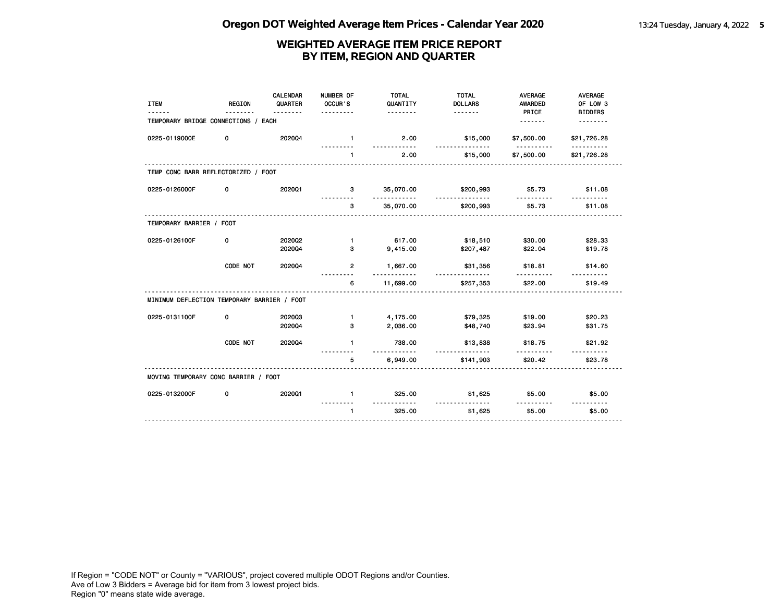| <b>ITEM</b>                                 | <b>REGION</b> | CALENDAR<br>QUARTER<br>. | NUMBER OF<br>OCCUR'S | <b>TOTAL</b><br>QUANTITY<br>. | <b>TOTAL</b><br><b>DOLLARS</b> | <b>AVERAGE</b><br><b>AWARDED</b><br>PRICE | <b>AVERAGE</b><br>OF LOW 3<br><b>BIDDERS</b> |
|---------------------------------------------|---------------|--------------------------|----------------------|-------------------------------|--------------------------------|-------------------------------------------|----------------------------------------------|
| TEMPORARY BRIDGE CONNECTIONS / EACH         |               |                          |                      |                               |                                | .                                         | <u>.</u>                                     |
| 0225-0119000E                               | 0             | 202004                   | $\mathbf{1}$         | 2.00                          | \$15,000                       | \$7,500.00                                | \$21,726.28                                  |
|                                             |               |                          | $\mathbf{1}$         | 2.00                          | \$15,000                       | \$7,500.00                                | \$21,726.28                                  |
| TEMP CONC BARR REFLECTORIZED / FOOT         |               |                          |                      |                               |                                |                                           |                                              |
| 0225-0126000F                               | 0             | 202001                   | 3                    | 35,070.00                     | \$200,993                      | \$5.73                                    | \$11.08                                      |
|                                             |               |                          | 3                    | 35,070.00                     | \$200,993                      | \$5.73                                    | \$11.08                                      |
| TEMPORARY BARRIER / FOOT                    |               |                          |                      |                               |                                |                                           |                                              |
| 0225-0126100F                               | 0             | 2020Q2                   | $\mathbf{1}$         | 617.00                        | \$18,510                       | \$30.00                                   | \$28.33                                      |
|                                             |               | 202004                   | 3                    | 9,415.00                      | \$207,487                      | \$22.04                                   | \$19.78                                      |
|                                             | CODE NOT      | 202004                   | 2                    | 1,667.00<br>.                 | \$31,356<br><u>.</u>           | \$18.81<br><u>.</u>                       | \$14.60                                      |
|                                             |               |                          | 6                    | 11,699.00                     | \$257,353                      | \$22.00                                   | \$19.49                                      |
| MINIMUM DEFLECTION TEMPORARY BARRIER / FOOT |               |                          |                      |                               |                                |                                           |                                              |
| 0225-0131100F                               | 0             | 202003                   | $\mathbf{1}$         | 4,175.00                      | \$79,325                       | \$19.00                                   | \$20.23                                      |
|                                             |               | 202004                   | З                    | 2,036.00                      | \$48,740                       | \$23.94                                   | \$31.75                                      |
|                                             | CODE NOT      | 202004                   | $\blacksquare$       | 738.00                        | \$13,838                       | \$18.75                                   | \$21.92                                      |
|                                             |               |                          | 5                    | <u>.</u><br>6,949.00          | <u>.</u><br>\$141,903          | \$20.42                                   | \$23.78                                      |
| MOVING TEMPORARY CONC BARRIER / FOOT        |               |                          |                      |                               |                                |                                           |                                              |
| 0225-0132000F                               | 0             | 2020Q1                   | $\mathbf{1}$         | 325.00                        | \$1,625                        | \$5.00                                    | \$5.00                                       |
|                                             |               |                          | $\mathbf{1}$         | 325.00                        | \$1,625                        | \$5.00                                    | \$5.00                                       |
|                                             |               |                          |                      |                               |                                |                                           |                                              |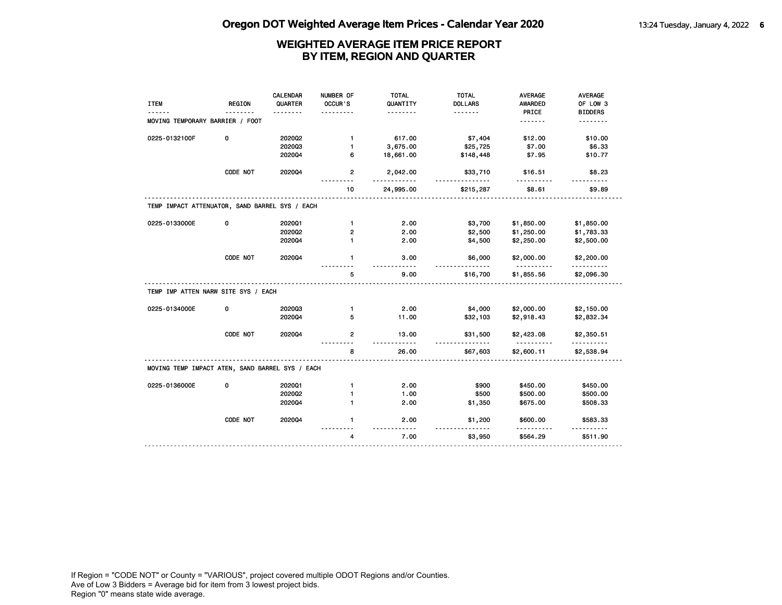|                                                 |          | <b>CALENDAR</b> | NUMBER OF      | <b>TOTAL</b>         | <b>TOTAL</b>        | <b>AVERAGE</b>                  | AVERAGE         |
|-------------------------------------------------|----------|-----------------|----------------|----------------------|---------------------|---------------------------------|-----------------|
| <b>ITEM</b>                                     | REGION   | QUARTER         | OCCUR'S        | QUANTITY             | <b>DOLLARS</b>      | AWARDED                         | OF LOW 3        |
|                                                 |          |                 |                |                      | .                   | PRICE                           | <b>BIDDERS</b>  |
| MOVING TEMPORARY BARRIER / FOOT                 |          |                 |                |                      |                     | .                               | .               |
| 0225-0132100F                                   | 0        | 2020Q2          | $\mathbf{1}$   | 617.00               | \$7,404             | \$12.00                         | \$10.00         |
|                                                 |          | 202003          | $\mathbf{1}$   | 3,675.00             | \$25,725            | \$7.00                          | \$6.33          |
|                                                 |          | 202004          | 6              | 18,661.00            | \$148,448           | \$7.95                          | \$10.77         |
|                                                 | CODE NOT | 2020Q4          | $\overline{2}$ | 2,042.00             | \$33,710            | \$16.51                         | \$8.23          |
|                                                 |          |                 | 10             | 24,995.00            | \$215,287           | \$8.61                          | \$9.89          |
| TEMP IMPACT ATTENUATOR, SAND BARREL SYS / EACH  |          |                 |                |                      |                     |                                 |                 |
| 0225-0133000E                                   | 0        | 202001          | $\mathbf{1}$   | 2.00                 | \$3,700             | \$1,850.00                      | \$1,850.00      |
|                                                 |          | 2020Q2          | $\mathbf{2}$   | 2.00                 | \$2,500             | \$1,250.00                      | \$1,783.33      |
|                                                 |          | 202004          | $\mathbf{1}$   | 2.00                 | \$4,500             | \$2,250.00                      | \$2,500.00      |
|                                                 | CODE NOT | 202004          | $\mathbf{1}$   | 3.00<br>$- - - -$    | \$6,000             | \$2,000.00<br><u>----------</u> | \$2,200.00<br>. |
|                                                 |          |                 | 5              | 9.00                 | \$16,700            | \$1,855.56                      | \$2,096.30      |
| TEMP IMP ATTEN NARW SITE SYS / EACH             |          |                 |                |                      |                     |                                 |                 |
| 0225-0134000E                                   | 0        | 202003          | $\mathbf{1}$   | 2.00                 | \$4,000             | \$2,000.00                      | \$2,150.00      |
|                                                 |          | 202004          | 5              | 11.00                | \$32,103            | \$2,918.43                      | \$2,832.34      |
|                                                 | CODE NOT | 2020Q4          | $\overline{2}$ | 13.00<br>$- - - - -$ | \$31,500            | \$2,423.08                      | \$2,350.51      |
|                                                 |          |                 | 8              | 26.00                | \$67,603            | \$2,600.11                      | \$2,538.94      |
|                                                 |          |                 |                |                      |                     |                                 |                 |
| MOVING TEMP IMPACT ATEN, SAND BARREL SYS / EACH |          |                 |                |                      |                     |                                 |                 |
| 0225-0136000E                                   | 0        | 202001          | $\mathbf{1}$   | 2.00                 | \$900               | \$450.00                        | \$450.00        |
|                                                 |          | 2020Q2          | $\mathbf{1}$   | 1.00                 | \$500               | \$500.00                        | \$500.00        |
|                                                 |          | 2020Q4          | $\blacksquare$ | 2.00                 | \$1,350             | \$675.00                        | \$508.33        |
|                                                 | CODE NOT | 202004          | $\mathbf{1}$   | 2.00<br>$- - - -$    | \$1,200<br><u>.</u> | \$600.00                        | \$583.33        |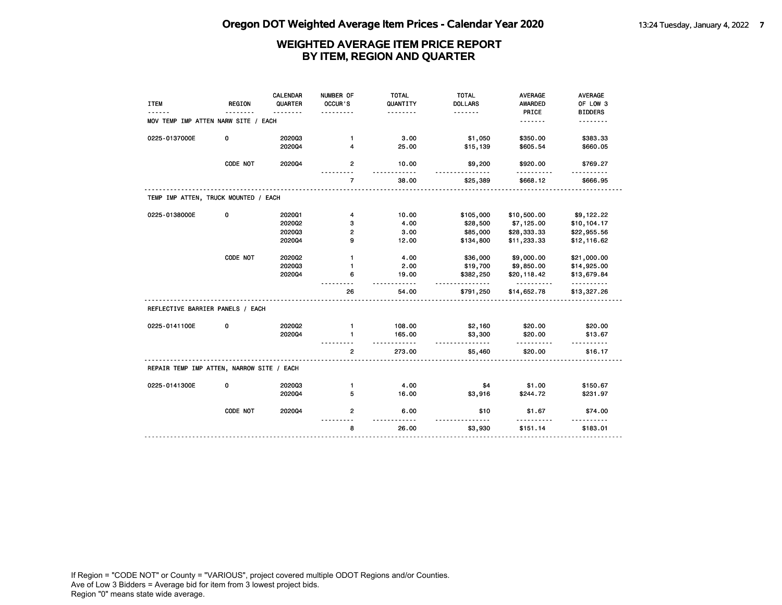|                                           |               | <b>CALENDAR</b> | NUMBER OF      | <b>TOTAL</b>           | <b>TOTAL</b>        | <b>AVERAGE</b>          | AVERAGE              |
|-------------------------------------------|---------------|-----------------|----------------|------------------------|---------------------|-------------------------|----------------------|
| <b>ITEM</b>                               | <b>REGION</b> | QUARTER         | OCCUR'S        | QUANTITY               | <b>DOLLARS</b>      | <b>AWARDED</b>          | OF LOW 3             |
|                                           |               |                 |                | .                      | <u>.</u>            | PRICE                   | <b>BIDDERS</b>       |
| MOV TEMP IMP ATTEN NARW SITE / EACH       |               |                 |                |                        |                     | <u>.</u>                | .                    |
| 0225-0137000E                             | 0             | 202003          | $\mathbf{1}$   | 3.00                   | \$1,050             | \$350.00                | \$383.33             |
|                                           |               | 202004          | 4              | 25.00                  | \$15,139            | \$605.54                | \$660.05             |
|                                           | CODE NOT      | 202004          | $\mathbf{2}$   | 10.00<br>$- - - - - -$ | \$9,200             | \$920.00<br>.           | \$769.27             |
|                                           |               |                 | $\overline{7}$ | 38.00                  | \$25,389            | \$668.12                | <u>.</u><br>\$666.95 |
| TEMP IMP ATTEN, TRUCK MOUNTED / EACH      |               |                 |                |                        |                     |                         |                      |
| 0225-0138000E                             | 0             | 202001          | 4              | 10.00                  | \$105,000           | \$10,500.00             | \$9,122.22           |
|                                           |               | 202002          | з              | 4.00                   | \$28,500            | \$7,125.00              | \$10,104.17          |
|                                           |               | 202003          | $\overline{2}$ | 3.00                   | \$85,000            | \$28,333.33             | \$22,955.56          |
|                                           |               | 202004          | 9              | 12.00                  | \$134,800           | \$11,233.33             | \$12,116.62          |
|                                           | CODE NOT      | 202002          | $\mathbf{1}$   | 4.00                   | \$36,000            | \$9,000.00              | \$21,000.00          |
|                                           |               | 202003          | $\mathbf{1}$   | 2.00                   | \$19,700            | \$9,850.00              | \$14,925.00          |
|                                           |               | 202004          | 6              | 19.00                  | \$382,250           | \$20,118.42             | \$13,679.84          |
|                                           |               |                 | 26             | $- - - - -$<br>54.00   | \$791,250           | <u>.</u><br>\$14,652.78 | .<br>\$13,327.26     |
| REFLECTIVE BARRIER PANELS / EACH          |               |                 |                |                        |                     |                         |                      |
| 0225-0141100E                             | 0             | 2020Q2          | $\mathbf{1}$   | 108.00                 | \$2,160             | \$20.00                 | \$20.00              |
|                                           |               | 202004          | 1              | 165.00                 | \$3,300             | \$20.00                 | \$13.67              |
|                                           |               |                 | $\overline{2}$ | $- - - -$<br>273.00    | <u>.</u><br>\$5,460 | \$20.00                 | \$16.17              |
| REPAIR TEMP IMP ATTEN, NARROW SITE / EACH |               |                 |                |                        |                     |                         |                      |
| 0225-0141300E                             | 0             | 202003          | $\mathbf{1}$   | 4.00                   | \$4                 | \$1.00                  | \$150.67             |
|                                           |               | 202004          | 5              | 16.00                  | \$3,916             | \$244.72                | \$231.97             |
|                                           | CODE NOT      | 202004          | $\overline{2}$ | 6.00                   | \$10                | \$1.67                  | \$74.00              |
|                                           |               |                 | 8              | 26.00                  | \$3,930             | \$151.14                | \$183.01             |
|                                           |               |                 |                |                        |                     |                         |                      |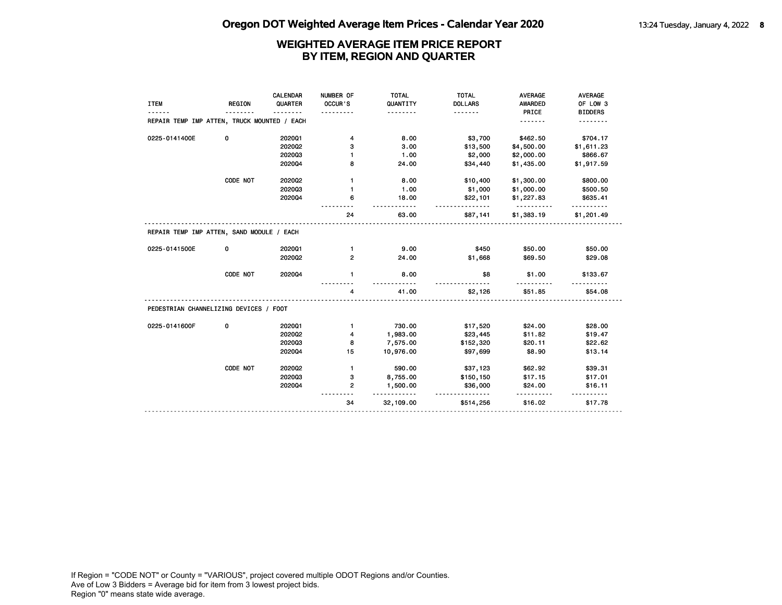| <b>ITEM</b>                                 | <b>REGION</b> | CALENDAR<br>QUARTER | NUMBER OF<br>OCCUR'S | <b>TOTAL</b><br>QUANTITY<br><u>.</u> | <b>TOTAL</b><br><b>DOLLARS</b><br><u>.</u> | <b>AVERAGE</b><br>AWARDED<br>PRICE | <b>AVERAGE</b><br>OF LOW 3<br><b>BIDDERS</b> |
|---------------------------------------------|---------------|---------------------|----------------------|--------------------------------------|--------------------------------------------|------------------------------------|----------------------------------------------|
| REPAIR TEMP IMP ATTEN, TRUCK MOUNTED / EACH |               |                     |                      |                                      |                                            | <u>.</u>                           |                                              |
| 0225-0141400E                               | 0             | 202001              | 4                    | 8.00                                 | \$3,700                                    | \$462.50                           | \$704.17                                     |
|                                             |               | 2020Q2              | 3                    | 3.00                                 | \$13,500                                   | \$4,500.00                         | \$1,611.23                                   |
|                                             |               | 202003              | 1                    | 1.00                                 | \$2,000                                    | \$2,000.00                         | \$866.67                                     |
|                                             |               | 202004              | 8                    | 24.00                                | \$34,440                                   | \$1,435.00                         | \$1,917.59                                   |
|                                             | CODE NOT      | 2020Q2              | 1                    | 8.00                                 | \$10,400                                   | \$1,300.00                         | \$800.00                                     |
|                                             |               | 202003              | $\mathbf{1}$         | 1.00                                 | \$1,000                                    | \$1,000.00                         | \$500.50                                     |
|                                             |               | 202004              | 6                    | 18.00                                | \$22,101<br><u>.</u>                       | \$1,227.83                         | \$635.41                                     |
|                                             |               |                     | 24                   | 63.00                                | \$87,141                                   | \$1,383.19                         | \$1,201.49                                   |
| REPAIR TEMP IMP ATTEN, SAND MODULE / EACH   |               |                     |                      |                                      |                                            |                                    |                                              |
| 0225-0141500E                               | 0             | 202001              | $\mathbf{1}$         | 9.00                                 | \$450                                      | \$50.00                            | \$50.00                                      |
|                                             |               | 202002              | $\overline{2}$       | 24.00                                | \$1,668                                    | \$69.50                            | \$29.08                                      |
|                                             | CODE NOT      | 202004              | $\mathbf{1}$         | 8.00                                 | \$8                                        | \$1.00                             | \$133.67                                     |
|                                             |               |                     | 4                    | 41.00                                | \$2,126                                    | \$51.85                            | \$54.08                                      |
| PEDESTRIAN CHANNELIZING DEVICES / FOOT      |               |                     |                      |                                      |                                            |                                    |                                              |
| 0225-0141600F                               | 0             | 202001              | $\mathbf{1}$         | 730.00                               | \$17,520                                   | \$24.00                            | \$28.00                                      |
|                                             |               | 2020Q2              | 4                    | 1,983.00                             | \$23,445                                   | \$11.82                            | \$19.47                                      |
|                                             |               | 202003              | 8                    | 7,575.00                             | \$152,320                                  | \$20.11                            | \$22.62                                      |
|                                             |               | 202004              | 15                   | 10,976.00                            | \$97,699                                   | \$8.90                             | \$13.14                                      |
|                                             | CODE NOT      | 2020Q2              | $\mathbf{1}$         | 590.00                               | \$37,123                                   | \$62.92                            | \$39.31                                      |
|                                             |               | 202003              | з                    | 8,755.00                             | \$150,150                                  | \$17.15                            | \$17.01                                      |
|                                             |               | 202004              | $\mathbf{2}$         | 1,500.00<br><u>---------</u>         | \$36,000<br>--------                       | \$24.00                            | \$16.11                                      |
|                                             |               |                     | 34                   | 32,109.00                            | \$514,256                                  | \$16.02                            | \$17.78                                      |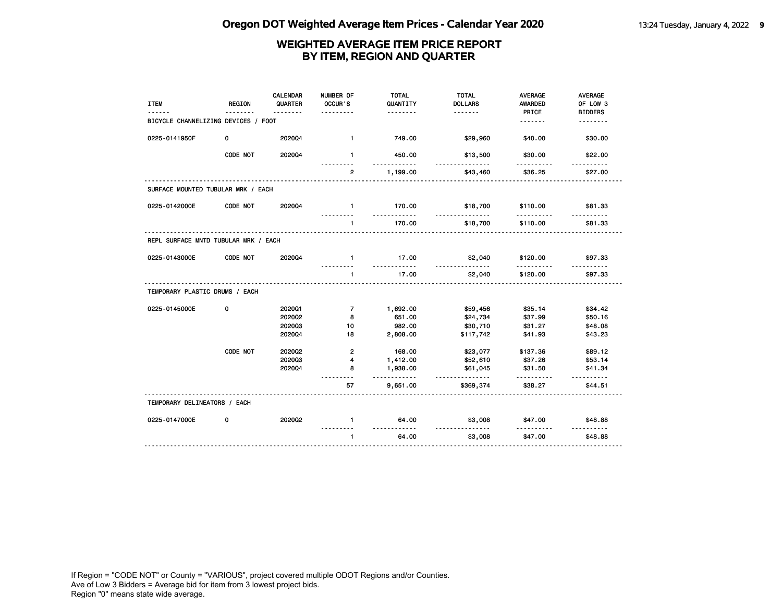| <b>ITEM</b>                          | <b>REGION</b> | <b>CALENDAR</b><br>QUARTER | NUMBER OF<br>OCCUR'S | <b>TOTAL</b><br>QUANTITY<br>. | <b>TOTAL</b><br><b>DOLLARS</b><br><u>.</u> | <b>AVERAGE</b><br>AWARDED<br>PRICE | <b>AVERAGE</b><br>OF LOW 3<br><b>BIDDERS</b> |
|--------------------------------------|---------------|----------------------------|----------------------|-------------------------------|--------------------------------------------|------------------------------------|----------------------------------------------|
| BICYCLE CHANNELIZING DEVICES / FOOT  |               |                            |                      |                               |                                            | <u>.</u>                           | .                                            |
| 0225-0141950F                        | 0             | 202004                     | $\mathbf{1}$         | 749.00                        | \$29,960                                   | \$40.00                            | \$30.00                                      |
|                                      | CODE NOT      | 202004                     | $\mathbf{1}$         | 450.00<br><u>.</u>            | \$13,500<br>.                              | \$30.00<br>.                       | \$22.00                                      |
|                                      |               |                            | $\overline{2}$       | 1,199.00                      | \$43,460                                   | \$36.25                            | \$27.00                                      |
| SURFACE MOUNTED TUBULAR MRK / EACH   |               |                            |                      |                               |                                            |                                    |                                              |
| 0225-0142000E                        | CODE NOT      | 202004                     | $\mathbf{1}$         | 170.00<br><u>----------</u>   | \$18,700<br>.                              | \$110.00<br>.                      | \$81.33                                      |
|                                      |               |                            | $\mathbf{1}$         | 170.00                        | \$18,700                                   | \$110.00                           | \$81.33                                      |
| REPL SURFACE MNTD TUBULAR MRK / EACH |               |                            |                      |                               |                                            |                                    |                                              |
| 0225-0143000E                        | CODE NOT      | 202004                     | $\blacksquare$       | 17.00                         | \$2,040<br><u>.</u>                        | \$120.00                           | \$97.33                                      |
|                                      |               |                            | $\mathbf{1}$         | 17.00                         | \$2,040                                    | \$120.00                           | \$97.33                                      |
| TEMPORARY PLASTIC DRUMS / EACH       |               |                            |                      |                               |                                            |                                    |                                              |
| 0225-0145000E                        | 0             | 202001                     | $\overline{7}$       | 1,692.00                      | \$59,456                                   | \$35.14                            | \$34.42                                      |
|                                      |               | 202002                     | 8                    | 651.00                        | \$24,734                                   | \$37.99                            | \$50.16                                      |
|                                      |               | 202003                     | 10                   | 982.00                        | \$30,710                                   | \$31.27                            | \$48.08                                      |
|                                      |               | 202004                     | 18                   | 2,808.00                      | \$117,742                                  | \$41.93                            | \$43.23                                      |
|                                      | CODE NOT      | 202002                     | $\mathbf{2}$         | 168.00                        | \$23,077                                   | \$137.36                           | \$89.12                                      |
|                                      |               | 202003                     | 4                    | 1,412.00                      | \$52,610                                   | \$37.26                            | \$53.14                                      |
|                                      |               | 202004                     | 8                    | 1,938.00<br>.                 | \$61,045<br>.                              | \$31.50                            | \$41.34<br><u>.</u>                          |
|                                      |               |                            | 57                   | 9,651.00                      | \$369,374                                  | \$38.27                            | \$44.51                                      |
| TEMPORARY DELINEATORS / EACH         |               |                            |                      |                               |                                            |                                    |                                              |
| 0225-0147000E                        | 0             | 2020Q2                     | $\mathbf{1}$         | 64.00<br>.                    | \$3,008<br><u> - - - - - - - - - - -</u>   | \$47.00                            | \$48.88<br>.                                 |
|                                      |               |                            | $\mathbf{1}$         | 64.00                         | \$3,008                                    | \$47.00                            | \$48.88                                      |
|                                      |               |                            |                      |                               |                                            |                                    |                                              |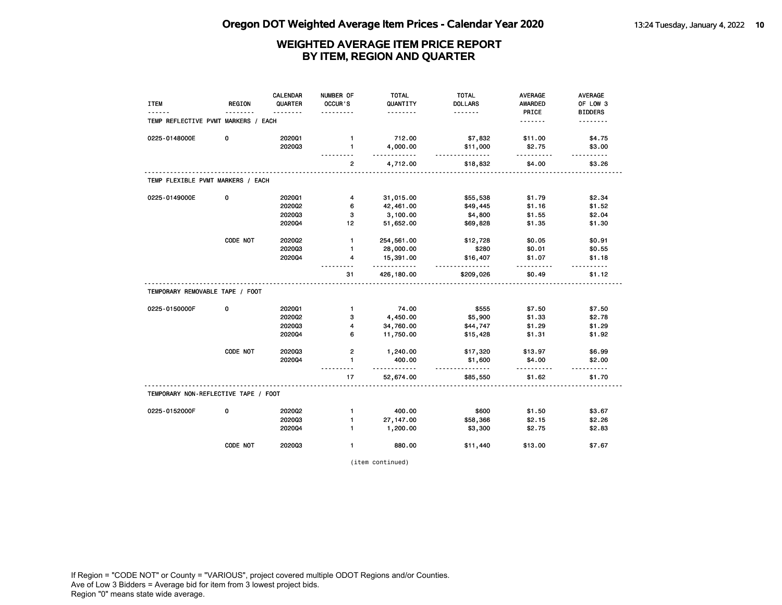| <b>ITEM</b>                          | <b>REGION</b> | <b>CALENDAR</b><br>QUARTER | NUMBER OF<br>OCCUR'S         | <b>TOTAL</b><br>QUANTITY | <b>TOTAL</b><br><b>DOLLARS</b> | <b>AVERAGE</b><br><b>AWARDED</b> | <b>AVERAGE</b><br>OF LOW 3 |
|--------------------------------------|---------------|----------------------------|------------------------------|--------------------------|--------------------------------|----------------------------------|----------------------------|
| TEMP REFLECTIVE PVMT MARKERS / EACH  |               |                            |                              | .                        | <u>.</u>                       | PRICE<br>.                       | <b>BIDDERS</b><br><u>.</u> |
| 0225-0148000E                        | 0             | 202001<br>202003           | $\mathbf{1}$<br>$\mathbf{1}$ | 712.00<br>4,000.00       | \$7,832<br>\$11,000            | \$11.00<br>\$2.75                | \$4.75<br>\$3.00           |
|                                      |               |                            | $\overline{2}$               | .<br>4,712.00            | .<br>\$18,832                  | <u>.</u><br>\$4.00               | \$3.26                     |
| TEMP FLEXIBLE PVMT MARKERS / EACH    |               |                            |                              |                          |                                |                                  |                            |
| 0225-0149000E                        | 0             | 202001                     | $\overline{4}$               | 31,015.00                | \$55,538                       | \$1.79                           | \$2.34                     |
|                                      |               | 2020Q2                     | 6                            | 42,461.00                | \$49,445                       | \$1.16                           | \$1.52                     |
|                                      |               | 202003                     | 3                            | 3,100.00                 | \$4,800                        | \$1.55                           | \$2.04                     |
|                                      |               | 202004                     | 12                           | 51,652.00                | \$69,828                       | \$1.35                           | \$1.30                     |
|                                      | CODE NOT      | 2020Q2                     | $\mathbf{1}$                 | 254,561.00               | \$12,728                       | \$0.05                           | \$0.91                     |
|                                      |               | 202003                     | $\mathbf{1}$                 | 28,000.00                | \$280                          | \$0.01                           | \$0.55                     |
|                                      |               | 202004                     | 4                            | 15,391.00<br><u>.</u>    | \$16,407<br>.                  | \$1.07<br><u>.</u>               | \$1.18                     |
|                                      |               |                            | 31                           | 426,180.00               | \$209,026                      | \$0.49                           | \$1.12                     |
| TEMPORARY REMOVABLE TAPE / FOOT      |               |                            |                              |                          |                                |                                  |                            |
| 0225-0150000F                        | 0             | 202001                     | $\mathbf{1}$                 | 74.00                    | \$555                          | \$7.50                           | \$7.50                     |
|                                      |               | 202002                     | з                            | 4,450.00                 | \$5,900                        | \$1.33                           | \$2.78                     |
|                                      |               | 202003                     | 4                            | 34,760.00                | \$44,747                       | \$1.29                           | \$1.29                     |
|                                      |               | 202004                     | 6                            | 11,750.00                | \$15,428                       | \$1.31                           | \$1.92                     |
|                                      | CODE NOT      | 202003                     | $\mathbf{2}$                 | 1,240.00                 | \$17,320                       | \$13.97                          | \$6.99                     |
|                                      |               | 2020Q4                     | $\mathbf{1}$<br>------       | 400.00<br>.              | \$1,600<br>.                   | \$4.00<br>.                      | \$2.00                     |
|                                      |               |                            | 17                           | 52,674.00                | \$85,550                       | \$1.62                           | \$1.70                     |
| TEMPORARY NON-REFLECTIVE TAPE / FOOT |               |                            |                              |                          |                                |                                  |                            |
| 0225-0152000F                        | 0             | 2020Q2                     | $\mathbf{1}$                 | 400.00                   | \$600                          | \$1.50                           | \$3.67                     |
|                                      |               | 202003                     | $\mathbf{1}$                 | 27, 147.00               | \$58,366                       | \$2.15                           | \$2.26                     |
|                                      |               | 2020Q4                     | $\mathbf{1}$                 | 1,200.00                 | \$3,300                        | \$2.75                           | \$2.83                     |
|                                      | CODE NOT      | 202003                     | $\mathbf{1}$                 | 880.00                   | \$11,440                       | \$13.00                          | \$7.67                     |

(item continued)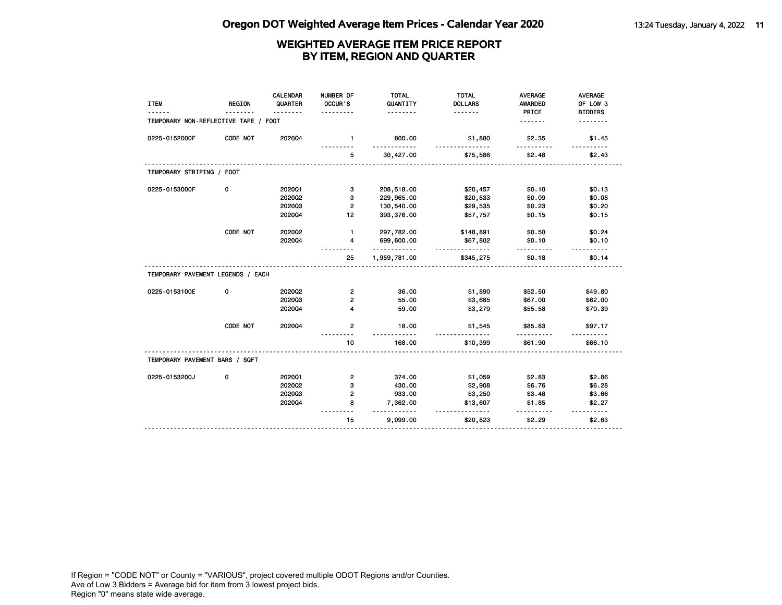| <b>ITEM</b>                          | <b>REGION</b> | <b>CALENDAR</b><br>QUARTER | NUMBER OF<br>OCCUR'S    | <b>TOTAL</b><br>QUANTITY<br>. | <b>TOTAL</b><br><b>DOLLARS</b><br><u>.</u> | <b>AVERAGE</b><br><b>AWARDED</b><br>PRICE | AVERAGE<br>OF LOW 3        |
|--------------------------------------|---------------|----------------------------|-------------------------|-------------------------------|--------------------------------------------|-------------------------------------------|----------------------------|
| TEMPORARY NON-REFLECTIVE TAPE / FOOT |               |                            |                         |                               |                                            | .                                         | <b>BIDDERS</b><br><u>.</u> |
| 0225-0152000F                        | CODE NOT      | 202004                     | $\mathbf{1}$            | 800.00<br>.                   | \$1,880                                    | \$2.35                                    | \$1.45                     |
|                                      |               |                            | 5                       | 30,427.00                     | \$75,586                                   | \$2.48                                    | \$2.43                     |
| TEMPORARY STRIPING / FOOT            |               |                            |                         |                               |                                            |                                           |                            |
| 0225-0153000F                        | 0             | 202001                     | 3                       | 208,518.00                    | \$20,457                                   | \$0.10                                    | \$0.13                     |
|                                      |               | 202002                     | з                       | 229,965.00                    | \$20,833                                   | \$0.09                                    | \$0.08                     |
|                                      |               | 202003                     | $\overline{2}$          | 130,540.00                    | \$29,535                                   | \$0.23                                    | \$0.20                     |
|                                      |               | 202004                     | 12                      | 393,376.00                    | \$57,757                                   | \$0.15                                    | \$0.15                     |
|                                      | CODE NOT      | 2020Q2                     | $\mathbf{1}$            | 297,782.00                    | \$148,891                                  | \$0.50                                    | \$0.24                     |
|                                      |               | 202004                     | 4                       | 699,600.00                    | \$67,802<br><u>.</u>                       | \$0.10                                    | \$0.10                     |
|                                      |               |                            | 25                      | .<br>1,959,781.00             | \$345,275                                  | \$0.18                                    | \$0.14                     |
| TEMPORARY PAVEMENT LEGENDS / EACH    |               |                            |                         |                               |                                            |                                           |                            |
| 0225-0153100E                        | 0             | 2020Q2                     | $\overline{2}$          | 36.00                         | \$1,890                                    | \$52.50                                   | \$49.80                    |
|                                      |               | 202003                     | $\overline{2}$          | 55.00                         | \$3,685                                    | \$67.00                                   | \$62.00                    |
|                                      |               | 202004                     | 4                       | 59.00                         | \$3,279                                    | \$55.58                                   | \$70.39                    |
|                                      | CODE NOT      | 202004                     | $\overline{2}$          | 18.00<br><u>.</u>             | \$1,545                                    | \$85.83<br>----------                     | \$97.17                    |
|                                      |               |                            | 10                      | 168.00                        | \$10,399                                   | \$61.90                                   | \$66.10                    |
| TEMPORARY PAVEMENT BARS / SQFT       |               |                            |                         |                               |                                            |                                           |                            |
| 0225-0153200J                        | 0             | 202001                     | $\overline{\mathbf{c}}$ | 374.00                        | \$1,059                                    | \$2.83                                    | \$2.86                     |
|                                      |               | 2020Q2                     | 3                       | 430.00                        | \$2,908                                    | \$6.76                                    | \$6.28                     |
|                                      |               | 202003                     | $\overline{2}$          | 933.00                        | \$3,250                                    | \$3.48                                    | \$3.66                     |
|                                      |               | 202004                     | 8                       | 7,362.00<br><u>.</u>          | \$13,607                                   | \$1.85                                    | \$2.27                     |
|                                      |               |                            | 15                      | 9,099.00                      | <u>.</u><br>\$20,823                       | .<br>\$2.29                               | \$2.63                     |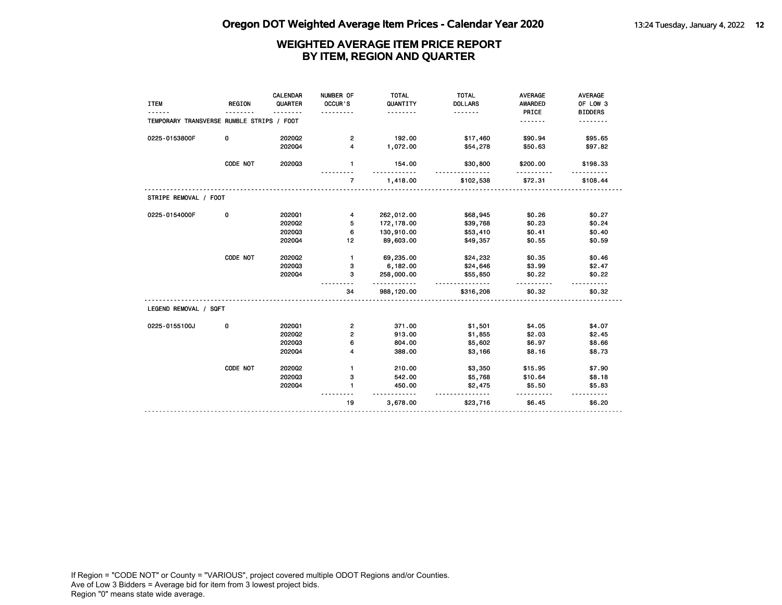| <b>ITEM</b>                               | <b>REGION</b> | <b>CALENDAR</b><br>QUARTER | NUMBER OF<br>OCCUR'S    | <b>TOTAL</b><br>QUANTITY<br>. | <b>TOTAL</b><br><b>DOLLARS</b><br><u>.</u> | <b>AVERAGE</b><br><b>AWARDED</b><br>PRICE | AVERAGE<br>OF LOW 3<br><b>BIDDERS</b> |
|-------------------------------------------|---------------|----------------------------|-------------------------|-------------------------------|--------------------------------------------|-------------------------------------------|---------------------------------------|
| TEMPORARY TRANSVERSE RUMBLE STRIPS / FOOT |               |                            |                         |                               |                                            | .                                         |                                       |
| 0225-0153800F                             | 0             | 2020Q2                     | $\overline{\mathbf{c}}$ | 192.00                        | \$17,460                                   | \$90.94                                   | \$95.65                               |
|                                           |               | 202004                     | $\overline{\mathbf{4}}$ | 1,072.00                      | \$54,278                                   | \$50.63                                   | \$97.82                               |
|                                           | CODE NOT      | 202003                     | $\mathbf{1}$            | 154.00                        | \$30,800                                   | \$200.00                                  | \$198.33                              |
|                                           |               |                            | $\overline{7}$          | 1,418.00                      | \$102,538                                  | \$72.31                                   | \$108.44                              |
| STRIPE REMOVAL / FOOT                     |               |                            |                         |                               |                                            |                                           |                                       |
| 0225-0154000F                             | 0             | 202001                     | 4                       | 262,012.00                    | \$68,945                                   | \$0.26                                    | \$0.27                                |
|                                           |               | 2020Q2                     | 5                       | 172, 178.00                   | \$39,768                                   | \$0.23                                    | \$0.24                                |
|                                           |               | 202003                     | 6                       | 130,910.00                    | \$53,410                                   | \$0.41                                    | \$0.40                                |
|                                           |               | 202004                     | 12                      | 89,603.00                     | \$49,357                                   | \$0.55                                    | \$0.59                                |
|                                           | CODE NOT      | 2020Q2                     | $\mathbf{1}$            | 69,235.00                     | \$24,232                                   | \$0.35                                    | \$0.46                                |
|                                           |               | 202003                     | з                       | 6,182.00                      | \$24,646                                   | \$3.99                                    | \$2.47                                |
|                                           |               | 202004                     | з                       | 258,000.00<br>.               | \$55,850<br><u>.</u>                       | \$0.22                                    | \$0.22                                |
|                                           |               |                            | 34                      | 988,120.00                    | \$316,208                                  | \$0.32                                    | \$0.32                                |
| LEGEND REMOVAL / SQFT                     |               |                            |                         |                               |                                            |                                           |                                       |
| 0225-0155100J                             | 0             | 202001                     | $\overline{\mathbf{c}}$ | 371.00                        | \$1,501                                    | \$4.05                                    | \$4.07                                |
|                                           |               | 2020Q2                     | $\mathbf{2}$            | 913.00                        | \$1,855                                    | \$2.03                                    | \$2.45                                |
|                                           |               | 202003                     | 6                       | 804.00                        | \$5,602                                    | \$6.97                                    | \$8.66                                |
|                                           |               | 202004                     | 4                       | 388.00                        | \$3,166                                    | \$8.16                                    | \$8.73                                |
|                                           | CODE NOT      | 2020Q2                     | $\mathbf{1}$            | 210.00                        | \$3,350                                    | \$15.95                                   | \$7.90                                |
|                                           |               | 202003                     | 3                       | 542.00                        | \$5,768                                    | \$10.64                                   | \$8.18                                |
|                                           |               | 202004                     | $\mathbf{1}$            | 450.00                        | \$2,475                                    | \$5.50                                    | \$5.83                                |
|                                           |               |                            | 19                      | 3,678.00                      | \$23,716                                   | \$6.45                                    | \$6.20                                |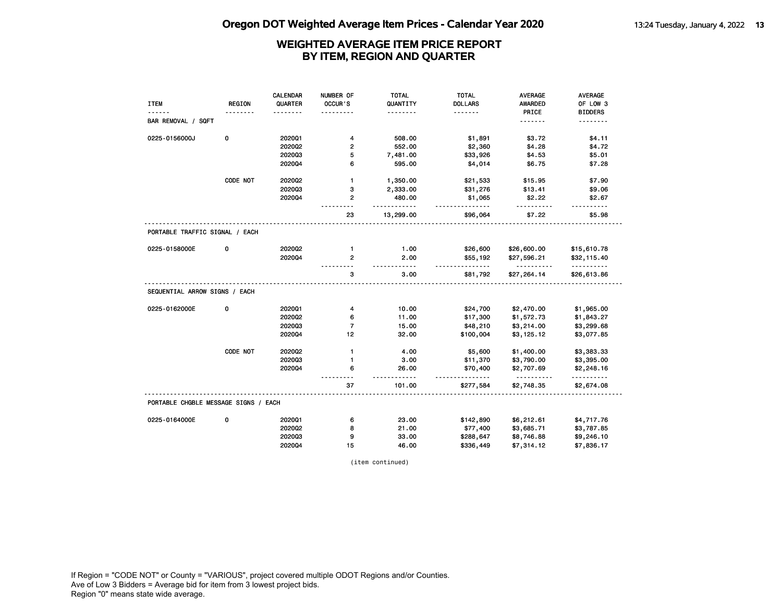| <b>REGION</b><br>QUARTER<br>OCCUR'S<br>QUANTITY<br><b>DOLLARS</b><br>AWARDED<br>OF LOW 3<br><b>ITEM</b><br>PRICE<br><b>BIDDERS</b><br><u>.</u><br>BAR REMOVAL / SQFT<br><u>.</u><br>.<br>0<br>202001<br>508.00<br>0225-0156000J<br>4<br>\$1,891<br>\$3.72<br>\$4.11<br>2020Q2<br>$\overline{2}$<br>552.00<br>\$2,360<br>\$4.28<br>\$4.72<br>202003<br>5<br>7,481.00<br>\$4.53<br>\$5.01<br>\$33,926<br>202004<br>6<br>\$6.75<br>595.00<br>\$4,014<br>\$7.28<br>CODE NOT<br>2020Q2<br>1,350.00<br>\$15.95<br>\$7.90<br>$\mathbf{1}$<br>\$21,533<br>202003<br>\$13.41<br>з<br>2,333.00<br>\$31,276<br>\$9.06<br>202004<br>$\mathbf{2}$<br>480.00<br>\$1,065<br>\$2.22<br>\$2.67<br>.<br><u>.</u><br>.<br>13,299.00<br>\$7.22<br>23<br>\$96,064<br>\$5.98<br>PORTABLE TRAFFIC SIGNAL / EACH<br>0<br>2020Q2<br>1.00<br>0225-0158000E<br>$\mathbf{1}$<br>\$26,600<br>\$26,600.00<br>\$15,610.78<br>202004<br>$\overline{2}$<br>2.00<br>\$55,192<br>\$27,596.21<br>\$32,115.40<br>- - - - -<br><u>.</u><br><u>.</u><br>.<br>3<br>3.00<br>\$81,792<br>\$27,264.14<br>\$26,613.86<br>SEQUENTIAL ARROW SIGNS / EACH<br>0225-0162000E<br>0<br>202001<br>10.00<br>\$24,700<br>\$2,470.00<br>\$1,965.00<br>4<br>202002<br>11.00<br>\$1,572.73<br>6<br>\$17,300<br>\$1,843.27<br>$\overline{7}$<br>202003<br>15.00<br>\$48,210<br>\$3,214.00<br>\$3,299.68<br>2020Q4<br>12<br>32.00<br>\$100,004<br>\$3,125.12<br>\$3,077.85<br>CODE NOT<br>2020Q2<br>$\mathbf{1}$<br>4.00<br>\$5,600<br>\$1,400.00<br>\$3,383.33<br>202003<br>3.00<br>\$11,370<br>\$3,790.00<br>\$3,395.00<br>1<br>202004<br>6<br>26.00<br>\$70,400<br>\$2,707.69<br>\$2,248.16<br><u>.</u><br>.<br><u>.</u><br>$- - -$<br><u>.</u><br>37<br>101.00<br>\$2,748.35<br>\$2,674.08<br>\$277,584<br>PORTABLE CHGBLE MESSAGE SIGNS / EACH<br>0225-0164000E<br>0<br>202001<br>23.00<br>\$142,890<br>\$6,212.61<br>\$4,717.76<br>6<br>2020Q2<br>8<br>21.00<br>\$77,400<br>\$3,685.71<br>\$3,787.85<br>202003<br>9<br>\$8,746.88<br>33.00<br>\$288,647<br>\$9,246.10<br>202004<br>15<br>46.00<br>\$7,314.12<br>\$7,836.17<br>\$336,449 |  | <b>CALENDAR</b> | NUMBER OF | <b>TOTAL</b> | <b>TOTAL</b> | <b>AVERAGE</b> | <b>AVERAGE</b> |
|------------------------------------------------------------------------------------------------------------------------------------------------------------------------------------------------------------------------------------------------------------------------------------------------------------------------------------------------------------------------------------------------------------------------------------------------------------------------------------------------------------------------------------------------------------------------------------------------------------------------------------------------------------------------------------------------------------------------------------------------------------------------------------------------------------------------------------------------------------------------------------------------------------------------------------------------------------------------------------------------------------------------------------------------------------------------------------------------------------------------------------------------------------------------------------------------------------------------------------------------------------------------------------------------------------------------------------------------------------------------------------------------------------------------------------------------------------------------------------------------------------------------------------------------------------------------------------------------------------------------------------------------------------------------------------------------------------------------------------------------------------------------------------------------------------------------------------------------------------------------------------------------------------------------------------------------------------------------------------------------------------------------------------------------------------------------------------|--|-----------------|-----------|--------------|--------------|----------------|----------------|
|                                                                                                                                                                                                                                                                                                                                                                                                                                                                                                                                                                                                                                                                                                                                                                                                                                                                                                                                                                                                                                                                                                                                                                                                                                                                                                                                                                                                                                                                                                                                                                                                                                                                                                                                                                                                                                                                                                                                                                                                                                                                                    |  |                 |           |              |              |                |                |
|                                                                                                                                                                                                                                                                                                                                                                                                                                                                                                                                                                                                                                                                                                                                                                                                                                                                                                                                                                                                                                                                                                                                                                                                                                                                                                                                                                                                                                                                                                                                                                                                                                                                                                                                                                                                                                                                                                                                                                                                                                                                                    |  |                 |           |              |              |                |                |
|                                                                                                                                                                                                                                                                                                                                                                                                                                                                                                                                                                                                                                                                                                                                                                                                                                                                                                                                                                                                                                                                                                                                                                                                                                                                                                                                                                                                                                                                                                                                                                                                                                                                                                                                                                                                                                                                                                                                                                                                                                                                                    |  |                 |           |              |              |                |                |
|                                                                                                                                                                                                                                                                                                                                                                                                                                                                                                                                                                                                                                                                                                                                                                                                                                                                                                                                                                                                                                                                                                                                                                                                                                                                                                                                                                                                                                                                                                                                                                                                                                                                                                                                                                                                                                                                                                                                                                                                                                                                                    |  |                 |           |              |              |                |                |
|                                                                                                                                                                                                                                                                                                                                                                                                                                                                                                                                                                                                                                                                                                                                                                                                                                                                                                                                                                                                                                                                                                                                                                                                                                                                                                                                                                                                                                                                                                                                                                                                                                                                                                                                                                                                                                                                                                                                                                                                                                                                                    |  |                 |           |              |              |                |                |
|                                                                                                                                                                                                                                                                                                                                                                                                                                                                                                                                                                                                                                                                                                                                                                                                                                                                                                                                                                                                                                                                                                                                                                                                                                                                                                                                                                                                                                                                                                                                                                                                                                                                                                                                                                                                                                                                                                                                                                                                                                                                                    |  |                 |           |              |              |                |                |
|                                                                                                                                                                                                                                                                                                                                                                                                                                                                                                                                                                                                                                                                                                                                                                                                                                                                                                                                                                                                                                                                                                                                                                                                                                                                                                                                                                                                                                                                                                                                                                                                                                                                                                                                                                                                                                                                                                                                                                                                                                                                                    |  |                 |           |              |              |                |                |
|                                                                                                                                                                                                                                                                                                                                                                                                                                                                                                                                                                                                                                                                                                                                                                                                                                                                                                                                                                                                                                                                                                                                                                                                                                                                                                                                                                                                                                                                                                                                                                                                                                                                                                                                                                                                                                                                                                                                                                                                                                                                                    |  |                 |           |              |              |                |                |
|                                                                                                                                                                                                                                                                                                                                                                                                                                                                                                                                                                                                                                                                                                                                                                                                                                                                                                                                                                                                                                                                                                                                                                                                                                                                                                                                                                                                                                                                                                                                                                                                                                                                                                                                                                                                                                                                                                                                                                                                                                                                                    |  |                 |           |              |              |                |                |
|                                                                                                                                                                                                                                                                                                                                                                                                                                                                                                                                                                                                                                                                                                                                                                                                                                                                                                                                                                                                                                                                                                                                                                                                                                                                                                                                                                                                                                                                                                                                                                                                                                                                                                                                                                                                                                                                                                                                                                                                                                                                                    |  |                 |           |              |              |                |                |
|                                                                                                                                                                                                                                                                                                                                                                                                                                                                                                                                                                                                                                                                                                                                                                                                                                                                                                                                                                                                                                                                                                                                                                                                                                                                                                                                                                                                                                                                                                                                                                                                                                                                                                                                                                                                                                                                                                                                                                                                                                                                                    |  |                 |           |              |              |                |                |
|                                                                                                                                                                                                                                                                                                                                                                                                                                                                                                                                                                                                                                                                                                                                                                                                                                                                                                                                                                                                                                                                                                                                                                                                                                                                                                                                                                                                                                                                                                                                                                                                                                                                                                                                                                                                                                                                                                                                                                                                                                                                                    |  |                 |           |              |              |                |                |
|                                                                                                                                                                                                                                                                                                                                                                                                                                                                                                                                                                                                                                                                                                                                                                                                                                                                                                                                                                                                                                                                                                                                                                                                                                                                                                                                                                                                                                                                                                                                                                                                                                                                                                                                                                                                                                                                                                                                                                                                                                                                                    |  |                 |           |              |              |                |                |
|                                                                                                                                                                                                                                                                                                                                                                                                                                                                                                                                                                                                                                                                                                                                                                                                                                                                                                                                                                                                                                                                                                                                                                                                                                                                                                                                                                                                                                                                                                                                                                                                                                                                                                                                                                                                                                                                                                                                                                                                                                                                                    |  |                 |           |              |              |                |                |
|                                                                                                                                                                                                                                                                                                                                                                                                                                                                                                                                                                                                                                                                                                                                                                                                                                                                                                                                                                                                                                                                                                                                                                                                                                                                                                                                                                                                                                                                                                                                                                                                                                                                                                                                                                                                                                                                                                                                                                                                                                                                                    |  |                 |           |              |              |                |                |
|                                                                                                                                                                                                                                                                                                                                                                                                                                                                                                                                                                                                                                                                                                                                                                                                                                                                                                                                                                                                                                                                                                                                                                                                                                                                                                                                                                                                                                                                                                                                                                                                                                                                                                                                                                                                                                                                                                                                                                                                                                                                                    |  |                 |           |              |              |                |                |
|                                                                                                                                                                                                                                                                                                                                                                                                                                                                                                                                                                                                                                                                                                                                                                                                                                                                                                                                                                                                                                                                                                                                                                                                                                                                                                                                                                                                                                                                                                                                                                                                                                                                                                                                                                                                                                                                                                                                                                                                                                                                                    |  |                 |           |              |              |                |                |
|                                                                                                                                                                                                                                                                                                                                                                                                                                                                                                                                                                                                                                                                                                                                                                                                                                                                                                                                                                                                                                                                                                                                                                                                                                                                                                                                                                                                                                                                                                                                                                                                                                                                                                                                                                                                                                                                                                                                                                                                                                                                                    |  |                 |           |              |              |                |                |
|                                                                                                                                                                                                                                                                                                                                                                                                                                                                                                                                                                                                                                                                                                                                                                                                                                                                                                                                                                                                                                                                                                                                                                                                                                                                                                                                                                                                                                                                                                                                                                                                                                                                                                                                                                                                                                                                                                                                                                                                                                                                                    |  |                 |           |              |              |                |                |
|                                                                                                                                                                                                                                                                                                                                                                                                                                                                                                                                                                                                                                                                                                                                                                                                                                                                                                                                                                                                                                                                                                                                                                                                                                                                                                                                                                                                                                                                                                                                                                                                                                                                                                                                                                                                                                                                                                                                                                                                                                                                                    |  |                 |           |              |              |                |                |
|                                                                                                                                                                                                                                                                                                                                                                                                                                                                                                                                                                                                                                                                                                                                                                                                                                                                                                                                                                                                                                                                                                                                                                                                                                                                                                                                                                                                                                                                                                                                                                                                                                                                                                                                                                                                                                                                                                                                                                                                                                                                                    |  |                 |           |              |              |                |                |
|                                                                                                                                                                                                                                                                                                                                                                                                                                                                                                                                                                                                                                                                                                                                                                                                                                                                                                                                                                                                                                                                                                                                                                                                                                                                                                                                                                                                                                                                                                                                                                                                                                                                                                                                                                                                                                                                                                                                                                                                                                                                                    |  |                 |           |              |              |                |                |
|                                                                                                                                                                                                                                                                                                                                                                                                                                                                                                                                                                                                                                                                                                                                                                                                                                                                                                                                                                                                                                                                                                                                                                                                                                                                                                                                                                                                                                                                                                                                                                                                                                                                                                                                                                                                                                                                                                                                                                                                                                                                                    |  |                 |           |              |              |                |                |
|                                                                                                                                                                                                                                                                                                                                                                                                                                                                                                                                                                                                                                                                                                                                                                                                                                                                                                                                                                                                                                                                                                                                                                                                                                                                                                                                                                                                                                                                                                                                                                                                                                                                                                                                                                                                                                                                                                                                                                                                                                                                                    |  |                 |           |              |              |                |                |
|                                                                                                                                                                                                                                                                                                                                                                                                                                                                                                                                                                                                                                                                                                                                                                                                                                                                                                                                                                                                                                                                                                                                                                                                                                                                                                                                                                                                                                                                                                                                                                                                                                                                                                                                                                                                                                                                                                                                                                                                                                                                                    |  |                 |           |              |              |                |                |
|                                                                                                                                                                                                                                                                                                                                                                                                                                                                                                                                                                                                                                                                                                                                                                                                                                                                                                                                                                                                                                                                                                                                                                                                                                                                                                                                                                                                                                                                                                                                                                                                                                                                                                                                                                                                                                                                                                                                                                                                                                                                                    |  |                 |           |              |              |                |                |
|                                                                                                                                                                                                                                                                                                                                                                                                                                                                                                                                                                                                                                                                                                                                                                                                                                                                                                                                                                                                                                                                                                                                                                                                                                                                                                                                                                                                                                                                                                                                                                                                                                                                                                                                                                                                                                                                                                                                                                                                                                                                                    |  |                 |           |              |              |                |                |
|                                                                                                                                                                                                                                                                                                                                                                                                                                                                                                                                                                                                                                                                                                                                                                                                                                                                                                                                                                                                                                                                                                                                                                                                                                                                                                                                                                                                                                                                                                                                                                                                                                                                                                                                                                                                                                                                                                                                                                                                                                                                                    |  |                 |           |              |              |                |                |
|                                                                                                                                                                                                                                                                                                                                                                                                                                                                                                                                                                                                                                                                                                                                                                                                                                                                                                                                                                                                                                                                                                                                                                                                                                                                                                                                                                                                                                                                                                                                                                                                                                                                                                                                                                                                                                                                                                                                                                                                                                                                                    |  |                 |           |              |              |                |                |

(item continued)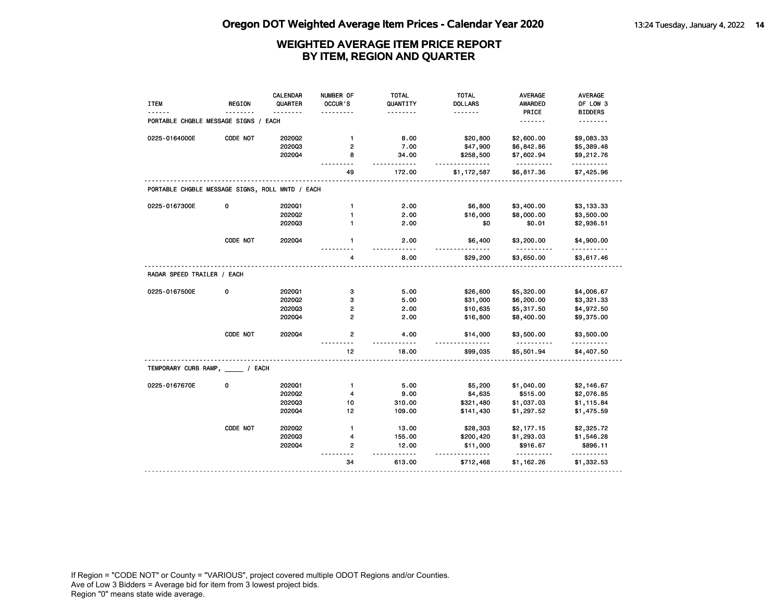| <b>ITEM</b>                                     | <b>REGION</b> | <b>CALENDAR</b><br>QUARTER | NUMBER OF<br><b>OCCUR</b> 'S | <b>TOTAL</b><br>QUANTITY | <b>TOTAL</b><br><b>DOLLARS</b> | <b>AVERAGE</b><br><b>AWARDED</b> | <b>AVERAGE</b><br>OF LOW 3 |
|-------------------------------------------------|---------------|----------------------------|------------------------------|--------------------------|--------------------------------|----------------------------------|----------------------------|
|                                                 |               |                            |                              | .                        | .                              | PRICE                            | <b>BIDDERS</b>             |
| PORTABLE CHGBLE MESSAGE SIGNS                   |               | EACH                       |                              |                          |                                | .                                | <u>.</u>                   |
| 0225-0164000E                                   | CODE NOT      | 2020Q2                     | $\mathbf{1}$                 | 8.00                     | \$20,800                       | \$2,600.00                       | \$9,083.33                 |
|                                                 |               | 202003                     | 2                            | 7.00                     | \$47,900                       | \$6,842.86                       | \$5,389.48                 |
|                                                 |               | 202004                     | 8                            | 34.00<br>.               | \$258,500<br>.                 | \$7,602.94<br>.                  | \$9,212.76<br>.            |
|                                                 |               |                            | 49                           | 172.00                   | \$1,172,587                    | \$6,817.36                       | \$7,425.96                 |
| PORTABLE CHGBLE MESSAGE SIGNS, ROLL MNTD / EACH |               |                            |                              |                          |                                |                                  |                            |
| 0225-0167300E                                   | 0             | 2020Q1                     | $\mathbf{1}$                 | 2.00                     | \$6,800                        | \$3,400.00                       | \$3,133.33                 |
|                                                 |               | 202002                     | 1                            | 2.00                     | \$16,000                       | \$8,000.00                       | \$3,500.00                 |
|                                                 |               | 202003                     | 1                            | 2.00                     | \$0                            | \$0.01                           | \$2,936.51                 |
|                                                 | CODE NOT      | 2020Q4                     | $\mathbf{1}$                 | 2.00                     | \$6,400                        | \$3,200.00                       | \$4,900.00                 |
|                                                 |               |                            | 4                            | 8.00                     | \$29,200                       | \$3,650.00                       | \$3,617.46                 |
| RADAR SPEED TRAILER / EACH                      |               |                            |                              |                          |                                |                                  |                            |
| 0225-0167500E                                   | 0             | 2020Q1                     | з                            | 5.00                     | \$26,600                       | \$5,320.00                       | \$4,006.67                 |
|                                                 |               | 202002                     | 3                            | 5.00                     | \$31,000                       | \$6,200.00                       | \$3,321.33                 |
|                                                 |               | 202003                     | 2                            | 2.00                     | \$10,635                       | \$5,317.50                       | \$4,972.50                 |
|                                                 |               | 202004                     | $\mathbf{2}$                 | 2.00                     | \$16,800                       | \$8,400.00                       | \$9,375.00                 |
|                                                 | CODE NOT      | 202004                     | 2<br>$\sim$ $\sim$           | 4.00                     | \$14,000                       | \$3,500.00<br><u>.</u>           | \$3,500.00<br>.            |
|                                                 |               |                            | 12                           | 18.00                    | \$99,035                       | \$5,501.94                       | \$4,407.50                 |
| TEMPORARY CURB RAMP, / EACH                     |               |                            |                              |                          |                                |                                  |                            |
| 0225-0167670E                                   | 0             | 202001                     | $\mathbf{1}$                 | 5.00                     | \$5,200                        | \$1,040.00                       | \$2,146.67                 |
|                                                 |               | 202002                     | 4                            | 9.00                     | \$4,635                        | \$515.00                         | \$2,076.85                 |
|                                                 |               | 202003                     | 10                           | 310.00                   | \$321,480                      | \$1,037.03                       | \$1,115.84                 |
|                                                 |               | 202004                     | 12                           | 109.00                   | \$141,430                      | \$1,297.52                       | \$1,475.59                 |
|                                                 | CODE NOT      | 2020Q2                     | $\mathbf{1}$                 | 13.00                    | \$28,303                       | \$2,177.15                       | \$2,325.72                 |
|                                                 |               | 202003                     | 4                            | 155.00                   | \$200,420                      | \$1,293.03                       | \$1,546.28                 |
|                                                 |               | 2020Q4                     | $\mathbf{2}$                 | 12.00                    | \$11,000                       | \$916.67                         | \$896.11                   |
|                                                 |               |                            |                              |                          | $- - - -$                      | .                                | .                          |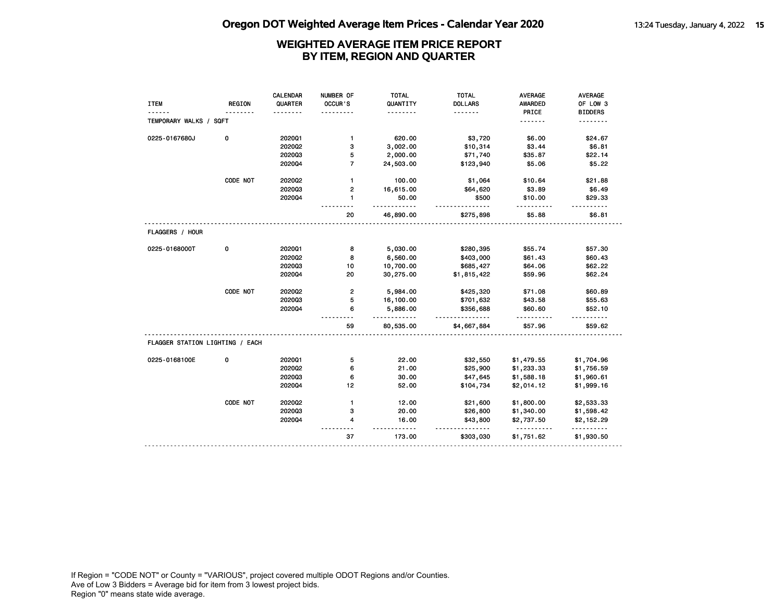# **Oregon DOT Weighted Average Item Prices - Calendar Year 2020** 13:24 Tuesday, January 4, 2022 15

# **WEIGHTED AVERAGE ITEM PRICE REPORT BY ITEM, REGION AND QUARTER**

|                                 |               | <b>CALENDAR</b> | NUMBER OF      | <b>TOTAL</b>         | <b>TOTAL</b>   | <b>AVERAGE</b>         | AVERAGE         |
|---------------------------------|---------------|-----------------|----------------|----------------------|----------------|------------------------|-----------------|
| <b>ITEM</b>                     | <b>REGION</b> | QUARTER         | OCCUR'S        | QUANTITY             | <b>DOLLARS</b> | AWARDED                | OF LOW 3        |
|                                 |               |                 |                | .                    | .              | PRICE                  | <b>BIDDERS</b>  |
| TEMPORARY WALKS / SQFT          |               |                 |                |                      |                | .                      | .               |
| 0225-0167680J                   | 0             | 202001          | $\mathbf{1}$   | 620.00               | \$3,720        | \$6.00                 | \$24.67         |
|                                 |               | 2020Q2          | 3              | 3,002.00             | \$10,314       | \$3.44                 | \$6.81          |
|                                 |               | 202003          | 5              | 2,000.00             | \$71,740       | \$35.87                | \$22.14         |
|                                 |               | 202004          | $\overline{7}$ | 24,503.00            | \$123,940      | \$5.06                 | \$5.22          |
|                                 | CODE NOT      | 202002          | $\mathbf{1}$   | 100.00               | \$1,064        | \$10.64                | \$21.88         |
|                                 |               | 202003          | 2              | 16,615.00            | \$64,620       | \$3.89                 | \$6.49          |
|                                 |               | 202004          | $\mathbf{1}$   | 50.00<br>.           | \$500          | \$10.00                | \$29.33         |
|                                 |               |                 | 20             | 46,890.00            | \$275,898      | \$5.88                 | \$6.81          |
| FLAGGERS / HOUR                 |               |                 |                |                      |                |                        |                 |
| 0225-0168000T                   | 0             | 202001          | 8              | 5,030.00             | \$280,395      | \$55.74                | \$57.30         |
|                                 |               | 2020Q2          | 8              | 6,560.00             | \$403,000      | \$61.43                | \$60.43         |
|                                 |               | 202003          | 10             | 10,700.00            | \$685,427      | \$64.06                | \$62.22         |
|                                 |               | 202004          | 20             | 30,275.00            | \$1,815,422    | \$59.96                | \$62.24         |
|                                 | CODE NOT      | 2020Q2          | $\mathbf{2}$   | 5,984.00             | \$425,320      | \$71.08                | \$60.89         |
|                                 |               | 202003          | 5              | 16,100.00            | \$701,632      | \$43.58                | \$55.63         |
|                                 |               | 202004          | 6              | 5,886.00<br>.        | \$356,688      | \$60.60<br>.           | \$52.10         |
|                                 |               |                 | 59             | 80,535.00            | \$4,667,884    | \$57.96                | \$59.62         |
| FLAGGER STATION LIGHTING / EACH |               |                 |                |                      |                |                        |                 |
| 0225-0168100E                   | 0             | 202001          | 5              | 22.00                | \$32,550       | \$1,479.55             | \$1,704.96      |
|                                 |               | 2020Q2          | 6              | 21.00                | \$25,900       | \$1,233.33             | \$1,756.59      |
|                                 |               | 202003          | 6              | 30.00                | \$47,645       | \$1,588.18             | \$1,960.61      |
|                                 |               | 202004          | 12             | 52.00                | \$104,734      | \$2,014.12             | \$1,999.16      |
|                                 | CODE NOT      | 2020Q2          | $\mathbf{1}$   | 12.00                | \$21,600       | \$1,800.00             | \$2,533.33      |
|                                 |               | 202003          | з              | 20.00                | \$26,800       | \$1,340.00             | \$1,598.42      |
|                                 |               | 202004          | 4              | 16.00<br>$- - - - -$ | \$43,800<br>.  | \$2,737.50<br><u>.</u> | \$2,152.29<br>. |
|                                 |               |                 |                |                      |                |                        |                 |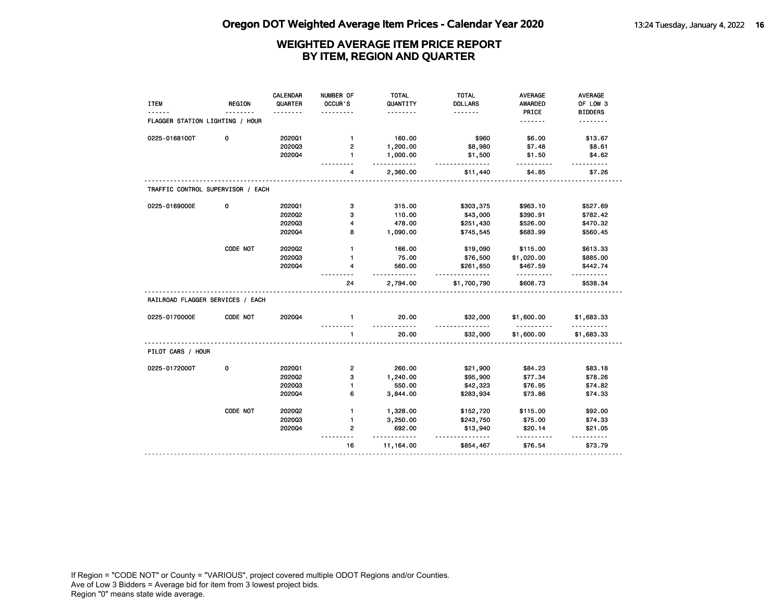|                                   |               | CALENDAR | NUMBER OF       | <b>TOTAL</b>         | <b>TOTAL</b>         | <b>AVERAGE</b>         | <b>AVERAGE</b>      |
|-----------------------------------|---------------|----------|-----------------|----------------------|----------------------|------------------------|---------------------|
| <b>ITEM</b>                       | <b>REGION</b> | QUARTER  | <b>OCCUR</b> 'S | QUANTITY             | <b>DOLLARS</b>       | <b>AWARDED</b>         | OF LOW 3            |
|                                   |               |          |                 | .                    | <u>.</u>             | PRICE                  | <b>BIDDERS</b>      |
| FLAGGER STATION LIGHTING / HOUR   |               |          |                 |                      |                      | <u>.</u>               | .                   |
| 0225-0168100T                     | 0             | 2020Q1   | $\mathbf{1}$    | 160.00               | \$960                | \$6.00                 | \$13.67             |
|                                   |               | 202003   | 2               | 1,200.00             | \$8,980              | \$7.48                 | \$8.61              |
|                                   |               | 202004   | $\mathbf{1}$    | 1,000.00<br><u>.</u> | \$1,500<br><u>.</u>  | \$1.50                 | \$4.62              |
|                                   |               |          | 4               | 2,360.00             | \$11,440             | \$4.85                 | \$7.26              |
| TRAFFIC CONTROL SUPERVISOR / EACH |               |          |                 |                      |                      |                        |                     |
| 0225-0169000E                     | 0             | 2020Q1   | 3               | 315.00               | \$303,375            | \$963.10               | \$527.69            |
|                                   |               | 2020Q2   | 3               | 110.00               | \$43,000             | \$390.91               | \$782.42            |
|                                   |               | 202003   | 4               | 478.00               | \$251,430            | \$526.00               | \$470.32            |
|                                   |               | 202004   | 8               | 1,090.00             | \$745,545            | \$683.99               | \$560.45            |
|                                   | CODE NOT      | 2020Q2   | $\mathbf{1}$    | 166.00               | \$19,090             | \$115.00               | \$613.33            |
|                                   |               | 202003   | $\mathbf{1}$    | 75.00                | \$76,500             | \$1,020.00             | \$885.00            |
|                                   |               | 202004   | 4               | 560.00               | \$261,850            | \$467.59               | \$442.74            |
|                                   |               |          | 24              | <u>.</u><br>2,794.00 | .<br>\$1,700,790     | .<br>\$608.73          | \$538.34            |
| RAILROAD FLAGGER SERVICES / EACH  |               |          |                 |                      |                      |                        |                     |
| 0225-0170000E                     | CODE NOT      | 202004   | $\mathbf{1}$    | 20.00<br><u>.</u>    | \$32,000             | \$1,600.00<br><u>.</u> | \$1,683.33<br>.     |
|                                   |               |          | 1               | 20.00                | \$32,000             | \$1,600.00             | \$1,683.33          |
| PILOT CARS / HOUR                 |               |          |                 |                      |                      |                        |                     |
| 0225-0172000T                     | 0             | 202001   | $\overline{2}$  | 260.00               | \$21,900             | \$84.23                | \$83.18             |
|                                   |               | 202002   | 3               | 1,240.00             | \$95,900             | \$77.34                | \$78.26             |
|                                   |               | 202003   | $\mathbf{1}$    | 550.00               | \$42,323             | \$76.95                | \$74.82             |
|                                   |               | 2020Q4   | 6               | 3,844.00             | \$283,934            | \$73.86                | \$74.33             |
|                                   | CODE NOT      | 2020Q2   | $\mathbf{1}$    | 1,328.00             | \$152,720            | \$115.00               | \$92.00             |
|                                   |               | 202003   | $\mathbf{1}$    | 3,250.00             | \$243,750            | \$75.00                | \$74.33             |
|                                   |               | 2020Q4   | 2               | 692.00<br>.          | \$13,940<br><u>.</u> | \$20.14                | \$21.05<br><u>.</u> |
|                                   |               |          | 16              | 11,164.00            | \$854,467            | \$76.54                | \$73.79             |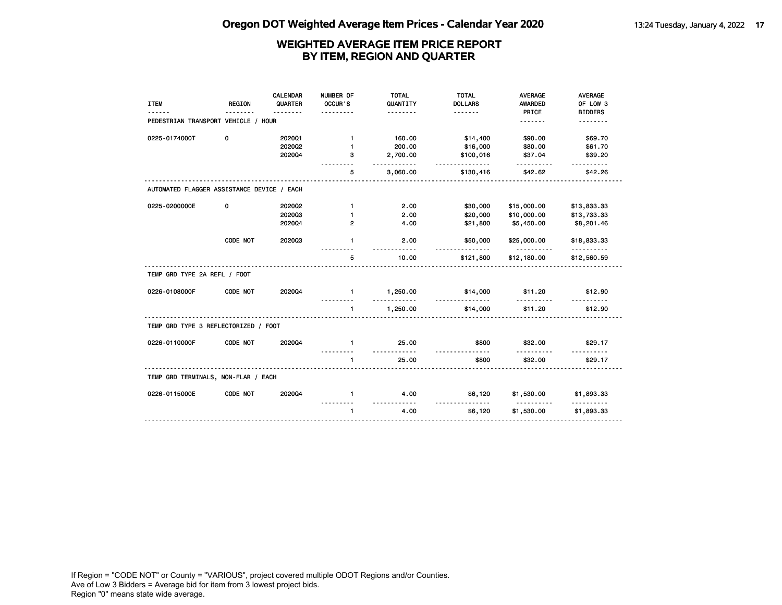| <b>ITEM</b>                                | <b>REGION</b> | <b>CALENDAR</b><br>QUARTER | NUMBER OF<br>OCCUR'S | <b>TOTAL</b><br>QUANTITY | <b>TOTAL</b><br><b>DOLLARS</b> | <b>AVERAGE</b><br><b>AWARDED</b>           | <b>AVERAGE</b><br>OF LOW 3 |
|--------------------------------------------|---------------|----------------------------|----------------------|--------------------------|--------------------------------|--------------------------------------------|----------------------------|
|                                            |               |                            |                      | .                        | <u>.</u>                       | PRICE                                      | <b>BIDDERS</b>             |
| PEDESTRIAN TRANSPORT VEHICLE / HOUR        |               |                            |                      |                          |                                | .                                          | .                          |
| 0225-0174000T                              | 0             | 202001                     | $\mathbf{1}$         | 160.00                   | \$14,400                       | \$90.00                                    | \$69.70                    |
|                                            |               | 202002                     | 1                    | 200.00                   | \$16,000                       | \$80.00                                    | \$61.70                    |
|                                            |               | 202004                     | 3                    | 2,700.00<br>.            | \$100,016<br><u>.</u>          | \$37.04<br>.                               | \$39.20<br><u>.</u>        |
|                                            |               |                            | 5                    | 3,060.00                 | \$130,416                      | \$42.62                                    | \$42.26                    |
| AUTOMATED FLAGGER ASSISTANCE DEVICE / EACH |               |                            |                      |                          |                                |                                            |                            |
| 0225-0200000E                              | 0             | 2020Q2                     | $\mathbf{1}$         | 2.00                     | \$30,000                       | \$15,000.00                                | \$13,833.33                |
|                                            |               | 202003                     | 1                    | 2.00                     | \$20,000                       | \$10,000.00                                | \$13,733.33                |
|                                            |               | 202004                     | 2                    | 4.00                     | \$21,800                       | \$5,450.00                                 | \$8,201.46                 |
|                                            | CODE NOT      | 202003                     | $\mathbf{1}$         | 2.00                     | \$50,000                       | \$25,000.00                                | \$18,833.33                |
|                                            |               |                            | 5                    | 10.00                    | .<br>\$121,800                 | <u> - - - - - - - - - -</u><br>\$12,180.00 | <u>.</u><br>\$12,560.59    |
| TEMP GRD TYPE 2A REFL / FOOT               |               |                            |                      |                          |                                |                                            |                            |
| 0226-0108000F                              | CODE NOT      | 202004                     | $\mathbf{1}$         | 1,250.00<br>. . <b>.</b> | \$14,000<br><u>.</u>           | \$11.20                                    | \$12.90                    |
|                                            |               |                            | $\mathbf{1}$         | 1,250.00                 | \$14,000                       | . <i>.</i><br>\$11.20                      | \$12.90                    |
| TEMP GRD TYPE 3 REFLECTORIZED / FOOT       |               |                            |                      |                          |                                |                                            |                            |
| 0226-0110000F                              | CODE NOT      | 202004                     | $\blacksquare$       | 25.00<br>.               | \$800                          | \$32.00                                    | \$29.17                    |
|                                            |               |                            | $\blacksquare$       | 25.00                    | \$800                          | \$32.00                                    | \$29.17                    |
| TEMP GRD TERMINALS, NON-FLAR / EACH        |               |                            |                      |                          |                                |                                            |                            |
| 0226-0115000E                              | CODE NOT      | 202004                     | $\mathbf{1}$         | 4.00                     | \$6,120                        | \$1,530.00                                 | \$1,893.33                 |
|                                            |               |                            | $\mathbf{1}$         | <u>.</u><br>4.00         | <u>.</u><br>\$6,120            | <u>.</u><br>\$1,530.00                     | .<br>\$1,893.33            |
|                                            |               |                            |                      |                          |                                |                                            |                            |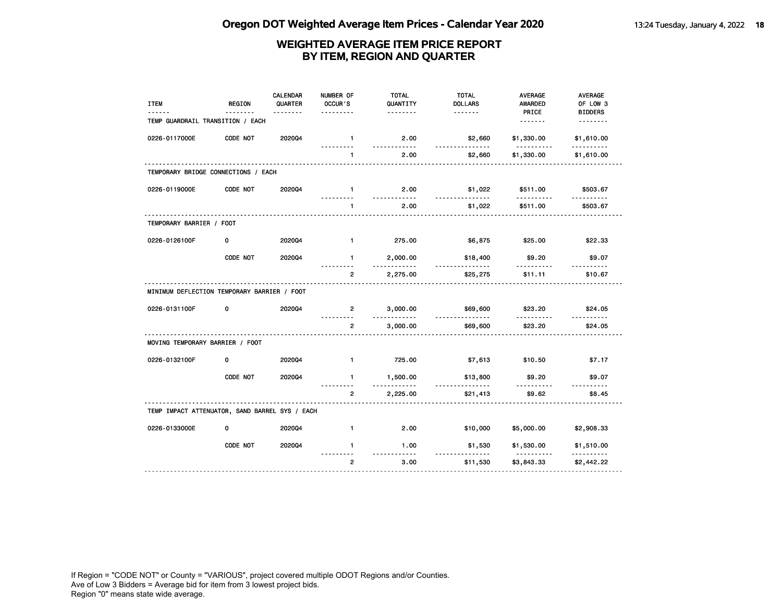| <b>ITEM</b>                                    | <b>REGION</b> | <b>CALENDAR</b><br>QUARTER | NUMBER OF<br>OCCUR'S     | <b>TOTAL</b><br>QUANTITY | <b>TOTAL</b><br><b>DOLLARS</b> | <b>AVERAGE</b><br><b>AWARDED</b> | <b>AVERAGE</b><br>OF LOW 3 |
|------------------------------------------------|---------------|----------------------------|--------------------------|--------------------------|--------------------------------|----------------------------------|----------------------------|
| TEMP GUARDRAIL TRANSITION / EACH               |               | <u>.</u>                   |                          | .                        | .                              | PRICE<br><u>.</u>                | <b>BIDDERS</b><br>.        |
| 0226-0117000E                                  | CODE NOT      | 202004                     | $\mathbf{1}$             | 2.00                     | \$2,660                        | \$1,330.00                       | \$1,610.00                 |
|                                                |               |                            | $\mathbf{1}$             | 2.00                     | \$2,660                        | \$1,330.00                       | \$1,610.00                 |
| TEMPORARY BRIDGE CONNECTIONS / EACH            |               |                            |                          |                          |                                |                                  |                            |
| 0226-0119000E                                  | CODE NOT      | 2020Q4                     | $\mathbf{1}$             | 2.00                     | \$1,022                        | \$511.00                         | \$503.67                   |
|                                                |               |                            | $\mathbf{1}$             | 2.00                     | \$1,022                        | \$511.00                         | \$503.67                   |
| TEMPORARY BARRIER / FOOT                       |               |                            |                          |                          |                                |                                  |                            |
| 0226-0126100F                                  | 0             | 202004                     | $\blacksquare$           | 275.00                   | \$6,875                        | \$25.00                          | \$22.33                    |
|                                                | CODE NOT      | 202004                     | $\mathbf{1}$             | 2,000.00<br>.            | \$18,400                       | \$9.20                           | \$9.07                     |
|                                                |               |                            | $\overline{2}$           | 2,275.00                 | \$25,275                       | \$11.11                          | \$10.67                    |
| MINIMUM DEFLECTION TEMPORARY BARRIER / FOOT    |               |                            |                          |                          |                                |                                  |                            |
| 0226-0131100F                                  | 0             | 202004                     | $\overline{2}$           | 3,000.00                 | \$69,600<br>.                  | \$23.20                          | \$24.05<br>$- - - - - -$   |
|                                                |               |                            | $\overline{2}$           | 3,000.00                 | \$69,600                       | \$23.20                          | \$24.05                    |
| MOVING TEMPORARY BARRIER / FOOT                |               |                            |                          |                          |                                |                                  |                            |
| 0226-0132100F                                  | 0             | 202004                     | $\mathbf{1}$             | 725.00                   | \$7,613                        | \$10.50                          | \$7.17                     |
|                                                | CODE NOT      | 2020Q4                     | $\mathbf{1}$<br><u>.</u> | 1,500.00<br><u>.</u>     | \$13,800<br><u>.</u>           | \$9.20<br>.                      | \$9.07<br>.                |
|                                                |               |                            | $\overline{2}$           | 2,225.00                 | \$21,413                       | \$9.62                           | \$8.45                     |
| TEMP IMPACT ATTENUATOR, SAND BARREL SYS / EACH |               |                            |                          |                          |                                |                                  |                            |
| 0226-0133000E                                  | 0             | 2020Q4                     | $\mathbf{1}$             | 2.00                     | \$10,000                       | \$5,000.00                       | \$2,908.33                 |
|                                                | CODE NOT      | 202004                     | $\blacksquare$           | 1.00<br>$- - -$          | \$1,530                        | \$1,530.00<br>$- - - - -$        | \$1,510.00                 |
|                                                |               |                            | $\overline{2}$           | 3.00                     | \$11,530                       | \$3,843.33                       | \$2,442.22                 |
|                                                |               |                            |                          |                          |                                |                                  |                            |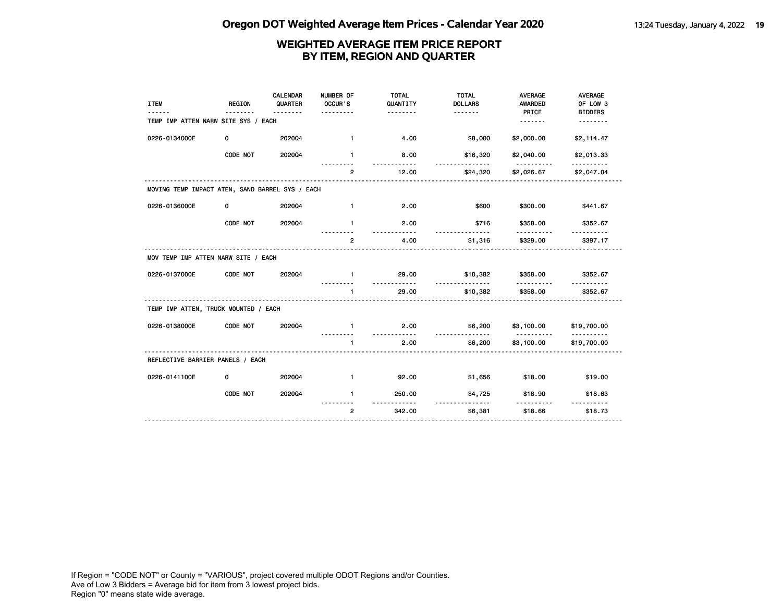| <b>ITEM</b>                                     | <b>REGION</b> | <b>CALENDAR</b><br>QUARTER<br>. | NUMBER OF<br>OCCUR'S<br>. | <b>TOTAL</b><br>QUANTITY<br>. | <b>TOTAL</b><br><b>DOLLARS</b><br><u>.</u> | <b>AVERAGE</b><br><b>AWARDED</b><br>PRICE | <b>AVERAGE</b><br>OF LOW 3<br><b>BIDDERS</b> |
|-------------------------------------------------|---------------|---------------------------------|---------------------------|-------------------------------|--------------------------------------------|-------------------------------------------|----------------------------------------------|
| TEMP IMP ATTEN NARW SITE SYS / EACH             |               |                                 |                           |                               |                                            | <u>.</u>                                  | <u>.</u>                                     |
| 0226-0134000E                                   | 0             | 202004                          | $\mathbf{1}$              | 4.00                          | \$8,000                                    | \$2,000.00                                | \$2,114.47                                   |
|                                                 | CODE NOT      | 202004                          | $\mathbf{1}$              | 8.00                          | \$16,320                                   | \$2,040.00                                | \$2,013.33                                   |
|                                                 |               |                                 | $\overline{2}$            | 12.00                         | \$24,320                                   | \$2,026.67                                | \$2,047.04                                   |
| MOVING TEMP IMPACT ATEN, SAND BARREL SYS / EACH |               |                                 |                           |                               |                                            |                                           |                                              |
| 0226-0136000E                                   | 0             | 202004                          | $\mathbf{1}$              | 2.00                          | \$600                                      | \$300.00                                  | \$441.67                                     |
|                                                 | CODE NOT      | 202004                          | $\mathbf{1}$              | 2.00<br><u>----------</u>     | \$716                                      | \$358.00<br>.                             | \$352.67                                     |
|                                                 |               |                                 | $\overline{2}$            | 4.00                          | \$1,316                                    | \$329.00                                  | \$397.17                                     |
| MOV TEMP IMP ATTEN NARW SITE / EACH             |               |                                 |                           |                               |                                            |                                           |                                              |
| 0226-0137000E                                   | CODE NOT      | 202004                          | $\mathbf{1}$<br>.         | 29.00<br><u>.</u>             | \$10,382<br><u>.</u>                       | \$358.00<br><u>.</u>                      | \$352.67                                     |
|                                                 |               |                                 | 1                         | 29.00                         | \$10,382                                   | \$358.00                                  | \$352.67                                     |
| TEMP IMP ATTEN, TRUCK MOUNTED / EACH            |               |                                 |                           |                               |                                            |                                           |                                              |
| 0226-0138000E                                   | CODE NOT      | 202004                          | $\blacksquare$            | 2.00                          | \$6,200<br><u> - - - - - - - - - - - -</u> | \$3,100.00<br><u>.</u>                    | \$19,700.00<br>----------                    |
|                                                 |               |                                 | $\mathbf{1}$              | 2.00                          | \$6,200                                    | \$3,100.00                                | \$19,700.00                                  |
| REFLECTIVE BARRIER PANELS / EACH                |               |                                 |                           |                               |                                            |                                           |                                              |
| 0226-0141100E                                   | 0             | 202004                          | $\mathbf{1}$              | 92.00                         | \$1,656                                    | \$18.00                                   | \$19.00                                      |
|                                                 | CODE NOT      | 202004                          | $\mathbf{1}$              | 250.00                        | \$4,725<br><u>.</u>                        | \$18.90<br>.                              | \$18.63                                      |
|                                                 |               |                                 | $\overline{2}$            | 342.00                        | \$6,381                                    | \$18.66                                   | \$18.73                                      |
|                                                 |               |                                 |                           |                               |                                            |                                           |                                              |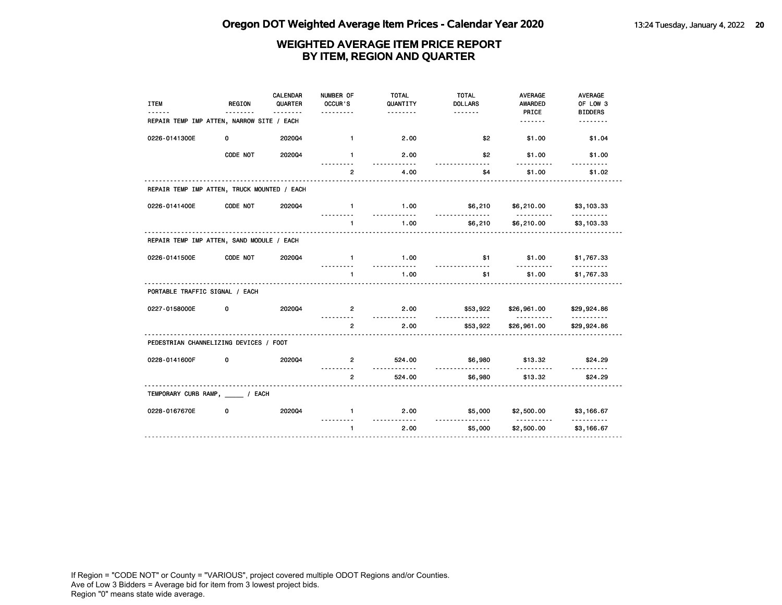| <b>ITEM</b>                                 | <b>REGION</b> | CALENDAR<br>QUARTER | NUMBER OF<br>OCCUR'S<br>. | <b>TOTAL</b><br>QUANTITY<br>. | <b>TOTAL</b><br><b>DOLLARS</b> | <b>AVERAGE</b><br><b>AWARDED</b><br>PRICE | <b>AVERAGE</b><br>OF LOW 3<br><b>BIDDERS</b> |
|---------------------------------------------|---------------|---------------------|---------------------------|-------------------------------|--------------------------------|-------------------------------------------|----------------------------------------------|
| REPAIR TEMP IMP ATTEN, NARROW SITE / EACH   |               |                     |                           |                               |                                | .                                         | <u>.</u>                                     |
| 0226-0141300E                               | 0             | 202004              | $\mathbf{1}$              | 2.00                          | \$2                            | \$1.00                                    | \$1.04                                       |
|                                             | CODE NOT      | 202004              | $\mathbf{1}$              | 2.00<br>.                     | \$2<br>$- - -$                 | \$1.00<br>.                               | \$1.00                                       |
|                                             |               |                     | $\overline{2}$            | 4.00                          | \$4                            | \$1.00                                    | \$1.02                                       |
| REPAIR TEMP IMP ATTEN, TRUCK MOUNTED / EACH |               |                     |                           |                               |                                |                                           |                                              |
| 0226-0141400E                               | CODE NOT      | 202004              | $\mathbf{1}$              | 1.00                          | \$6,210<br><u>.</u>            | \$6,210.00                                | \$3,103.33                                   |
|                                             |               |                     | $\mathbf{1}$              | 1.00                          | \$6,210                        | \$6,210.00                                | \$3,103.33                                   |
| REPAIR TEMP IMP ATTEN, SAND MODULE / EACH   |               |                     |                           |                               |                                |                                           |                                              |
| 0226-0141500E                               | CODE NOT      | 202004              | $\mathbf{1}$<br>.         | 1.00<br><u></u>               | \$1<br>.                       | \$1.00<br><u>.</u>                        | \$1,767.33<br><u>.</u>                       |
|                                             |               |                     | $\blacksquare$            | 1.00                          | \$1                            | \$1.00                                    | \$1,767.33                                   |
| PORTABLE TRAFFIC SIGNAL / EACH              |               |                     |                           |                               |                                |                                           |                                              |
| 0227-0158000E                               | 0             | 202004              | $\overline{2}$            | 2.00<br><u>.</u>              | \$53,922<br><u>.</u>           | \$26,961.00<br><u>.</u>                   | \$29,924.86<br>.                             |
|                                             |               |                     | $\overline{2}$            | 2.00                          | \$53,922                       | \$26,961.00                               | \$29,924.86                                  |
| PEDESTRIAN CHANNELIZING DEVICES / FOOT      |               |                     |                           |                               |                                |                                           |                                              |
| 0228-0141600F                               | 0             | 202004              | $\overline{2}$<br>.       | 524.00<br><u>.</u>            | \$6,980<br><u>.</u>            | \$13.32<br>.                              | \$24.29<br><u>.</u>                          |
|                                             |               |                     | $\overline{2}$<br>.       | 524.00                        | \$6,980                        | \$13.32                                   | \$24.29                                      |
| TEMPORARY CURB RAMP, / EACH                 |               |                     |                           |                               |                                |                                           |                                              |
| 0228-0167670E                               | 0             | 202004              | $\mathbf{1}$              | 2.00<br>.                     | \$5,000                        | \$2,500.00<br><u>.</u>                    | \$3,166.67                                   |
|                                             |               |                     | $\mathbf{1}$              | 2.00                          | \$5,000                        | \$2,500.00                                | \$3,166.67                                   |
|                                             |               |                     |                           |                               |                                |                                           |                                              |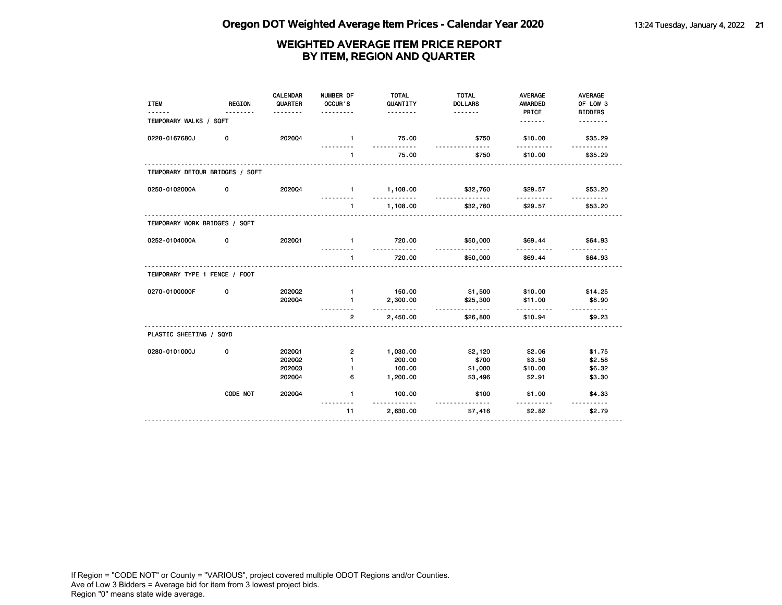| <b>ITEM</b>                     | <b>REGION</b> | CALENDAR<br>QUARTER | NUMBER OF<br>OCCUR'S<br>. | <b>TOTAL</b><br>QUANTITY<br><u>.</u> | <b>TOTAL</b><br><b>DOLLARS</b> | <b>AVERAGE</b><br><b>AWARDED</b><br>PRICE | <b>AVERAGE</b><br>OF LOW 3<br><b>BIDDERS</b> |
|---------------------------------|---------------|---------------------|---------------------------|--------------------------------------|--------------------------------|-------------------------------------------|----------------------------------------------|
| TEMPORARY WALKS / SQFT          |               |                     |                           |                                      |                                | .                                         |                                              |
| 0228-0167680J                   | 0             | 202004              | $\mathbf{1}$              | 75.00                                | \$750                          | \$10.00                                   | \$35.29                                      |
|                                 |               |                     | $\mathbf{1}$              | 75.00                                | \$750                          | \$10.00                                   | \$35.29                                      |
| TEMPORARY DETOUR BRIDGES / SQFT |               |                     |                           |                                      |                                |                                           |                                              |
| 0250-0102000A                   | 0             | 202004              | $\blacksquare$            | 1,108.00<br>.                        | \$32,760<br><u>.</u>           | \$29.57<br>.                              | \$53.20<br><u>.</u>                          |
|                                 |               |                     | $\blacksquare$            | 1,108.00                             | \$32,760                       | \$29.57                                   | \$53.20                                      |
| TEMPORARY WORK BRIDGES / SQFT   |               |                     |                           |                                      |                                |                                           |                                              |
| 0252-0104000A                   | 0             | 2020Q1              | $\mathbf{1}$              | 720.00<br>.                          | \$50,000<br>.                  | \$69.44<br><u>.</u>                       | \$64.93                                      |
|                                 |               |                     | $\mathbf{1}$              | 720.00                               | \$50,000                       | \$69.44                                   | \$64.93                                      |
| TEMPORARY TYPE 1 FENCE / FOOT   |               |                     |                           |                                      |                                |                                           |                                              |
| 0270-0100000F                   | 0             | 202002              | $\mathbf{1}$              | 150.00                               | \$1,500                        | \$10.00                                   | \$14.25                                      |
|                                 |               | 2020Q4              | $\mathbf{1}$              | 2,300.00                             | \$25,300                       | \$11.00                                   | \$8.90                                       |
|                                 |               |                     | $\overline{2}$            | .<br>2,450.00                        | <u>.</u><br>\$26,800           | \$10.94                                   | \$9.23                                       |
| PLASTIC SHEETING / SQYD         |               |                     |                           |                                      |                                |                                           |                                              |
| 0280-0101000J                   | 0             | 202001              | $\overline{2}$            | 1,030.00                             | \$2,120                        | \$2.06                                    | \$1.75                                       |
|                                 |               | 202002              | $\mathbf{1}$              | 200.00                               | \$700                          | \$3.50                                    | \$2.58                                       |
|                                 |               | 202003              | -1                        | 100.00                               | \$1,000                        | \$10.00                                   | \$6.32                                       |
|                                 |               | 202004              | 6                         | 1,200.00                             | \$3,496                        | \$2.91                                    | \$3.30                                       |
|                                 | CODE NOT      | 202004              | $\mathbf{1}$              | 100.00<br><u>.</u>                   | \$100<br><u>.</u>              | \$1.00                                    | \$4.33<br><u>.</u>                           |
|                                 |               | .                   | 11                        | 2,630.00                             | \$7,416                        | \$2.82                                    | \$2.79                                       |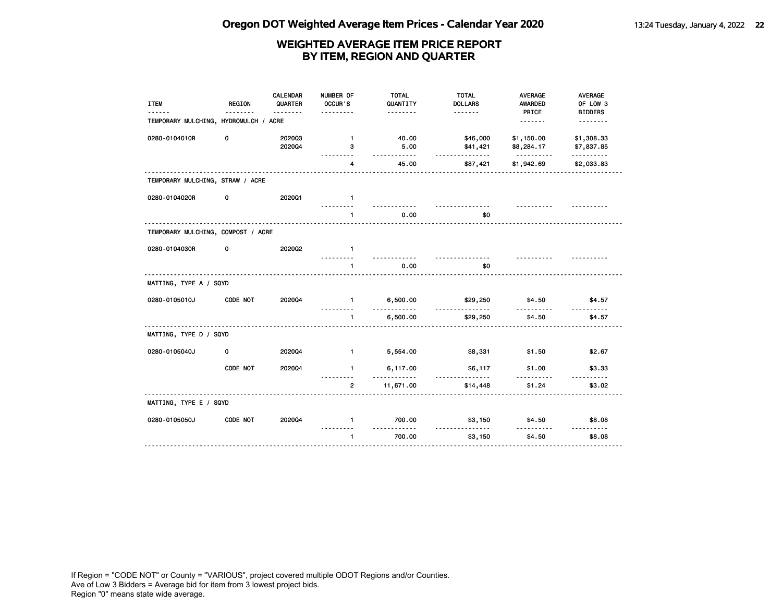| <b>ITEM</b>                           | <b>REGION</b> | <b>CALENDAR</b><br>QUARTER<br>. | NUMBER OF<br>OCCUR'S | <b>TOTAL</b><br>QUANTITY<br>. | <b>TOTAL</b><br><b>DOLLARS</b><br>. <b>.</b> | <b>AVERAGE</b><br>AWARDED<br>PRICE   | <b>AVERAGE</b><br>OF LOW 3<br><b>BIDDERS</b> |
|---------------------------------------|---------------|---------------------------------|----------------------|-------------------------------|----------------------------------------------|--------------------------------------|----------------------------------------------|
| TEMPORARY MULCHING, HYDROMULCH / ACRE |               |                                 |                      |                               |                                              |                                      | <u>.</u>                                     |
| 0280-0104010R                         | 0             | 202003<br>202004                | $\mathbf{1}$<br>3    | 40.00<br>5.00<br>$- - - - -$  | \$46,000<br>\$41,421<br>$- - - -$            | \$1,150.00<br>\$8,284.17<br><u>.</u> | \$1,308.33<br>\$7,837.85<br>.                |
|                                       |               |                                 | 4                    | 45.00                         | \$87,421                                     | \$1,942.69                           | \$2,033.83                                   |
| TEMPORARY MULCHING, STRAW / ACRE      |               |                                 |                      |                               |                                              |                                      |                                              |
| 0280-0104020R                         | 0             | 2020Q1                          | $\mathbf{1}$         |                               |                                              |                                      |                                              |
|                                       |               |                                 | $\mathbf{1}$         | 0.00                          | <u>.</u><br>\$0                              |                                      |                                              |
| TEMPORARY MULCHING, COMPOST / ACRE    |               |                                 |                      |                               |                                              |                                      |                                              |
| 0280-0104030R                         | 0             | 2020Q2                          | $\mathbf{1}$         |                               |                                              |                                      |                                              |
|                                       |               |                                 | $\mathbf{1}$         | 0.00                          | \$0                                          |                                      |                                              |
| MATTING, TYPE A / SQYD                |               |                                 |                      |                               |                                              |                                      |                                              |
| 0280-0105010J                         | CODE NOT      | 2020Q4                          | $\mathbf{1}$<br>.    | 6,500.00<br>$- - - -$         | \$29,250<br>$- - -$                          | \$4.50<br><u>.</u>                   | \$4.57                                       |
|                                       |               |                                 | $\mathbf{1}$         | 6,500.00                      | \$29,250                                     | \$4.50                               | \$4.57                                       |
| MATTING, TYPE D / SQYD                |               |                                 |                      |                               |                                              |                                      |                                              |
| 0280-0105040J                         | 0             | 202004                          | $\blacksquare$       | 5,554.00                      | \$8,331                                      | \$1.50                               | \$2.67                                       |
|                                       | CODE NOT      | 202004                          | $\mathbf{1}$         | 6,117.00                      | \$6,117                                      | \$1.00                               | \$3.33                                       |
|                                       |               |                                 | $\overline{2}$       | 11,671.00                     | \$14,448                                     | \$1.24                               | \$3.02                                       |
| MATTING, TYPE E / SQYD                |               |                                 |                      |                               |                                              |                                      |                                              |
| 0280-0105050J                         | CODE NOT      | 2020Q4                          | $\mathbf{1}$         | 700.00<br><u>.</u>            | \$3,150<br>$\sim$ $\sim$                     | \$4.50                               | \$8.08<br><u>.</u>                           |
|                                       |               |                                 | $\mathbf{1}$         | 700.00                        | \$3,150                                      | \$4.50                               | \$8.08                                       |
|                                       |               |                                 |                      |                               |                                              |                                      |                                              |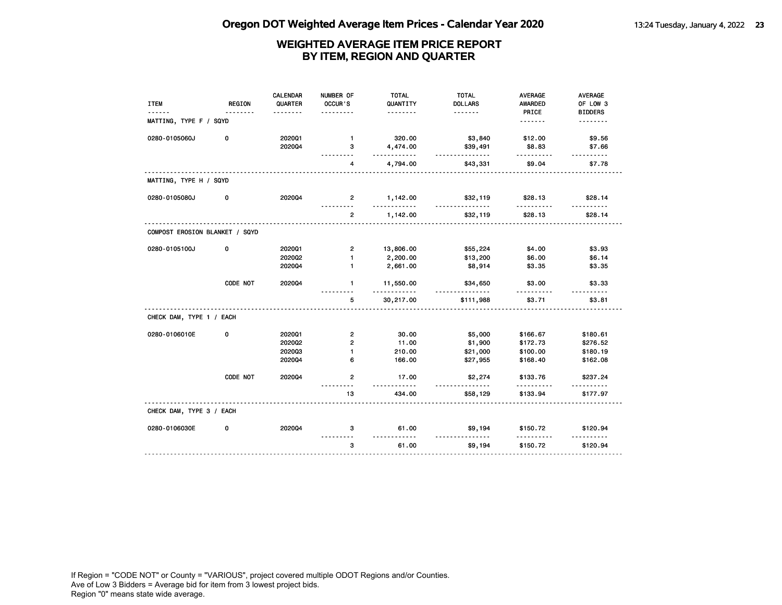| <b>ITEM</b>                    | <b>REGION</b> | <b>CALENDAR</b><br>QUARTER | NUMBER OF<br>OCCUR'S | <b>TOTAL</b><br>QUANTITY | <b>TOTAL</b><br><b>DOLLARS</b> | <b>AVERAGE</b><br>AWARDED | AVERAGE<br>OF LOW 3 |
|--------------------------------|---------------|----------------------------|----------------------|--------------------------|--------------------------------|---------------------------|---------------------|
|                                | .             |                            |                      | .                        |                                | PRICE                     | <b>BIDDERS</b>      |
| MATTING, TYPE F / SQYD         |               |                            |                      |                          |                                | <u>.</u>                  | <u>.</u>            |
| 0280-0105060J                  | 0             | 2020Q1                     | $\mathbf{1}$         | 320.00                   | \$3,840                        | \$12.00                   | \$9.56              |
|                                |               | 202004                     | з<br><u>.</u>        | 4,474.00<br>.            | \$39,491<br><u>.</u>           | \$8.83<br>.               | \$7.66<br><u>.</u>  |
|                                |               |                            | 4                    | 4,794.00                 | \$43,331                       | \$9.04                    | \$7.78              |
| MATTING, TYPE H / SQYD         |               |                            |                      |                          |                                |                           |                     |
| 0280-0105080J                  | 0             | 2020Q4                     | $\mathbf{2}$<br>.    | 1,142.00<br><u>.</u>     | \$32,119<br>.                  | \$28.13<br>.              | \$28.14<br>.        |
|                                |               |                            | $\overline{2}$       | 1,142.00                 | \$32,119                       | \$28.13                   | \$28.14             |
| COMPOST EROSION BLANKET / SQYD |               |                            |                      |                          |                                |                           |                     |
| 0280-0105100J                  | 0             | 202001                     | $\overline{2}$       | 13,806.00                | \$55,224                       | \$4.00                    | \$3.93              |
|                                |               | 2020Q2                     | $\mathbf{1}$         | 2,200.00                 | \$13,200                       | \$6.00                    | \$6.14              |
|                                |               | 2020Q4                     | $\mathbf{1}$         | 2,661.00                 | \$8,914                        | \$3.35                    | \$3.35              |
|                                | CODE NOT      | 2020Q4                     | $\mathbf{1}$         | 11,550.00<br>.           | \$34,650<br>.                  | \$3.00                    | \$3.33              |
|                                |               | .                          | 5                    | 30,217.00                | \$111,988                      | \$3.71                    | \$3.81              |
| CHECK DAM, TYPE 1 / EACH       |               |                            |                      |                          |                                |                           |                     |
| 0280-0106010E                  | 0             | 2020Q1                     | $\mathbf{2}$         | 30.00                    | \$5,000                        | \$166.67                  | \$180.61            |
|                                |               | 202002                     | $\overline{2}$       | 11.00                    | \$1,900                        | \$172.73                  | \$276.52            |
|                                |               | 202003                     | $\mathbf{1}$         | 210.00                   | \$21,000                       | \$100.00                  | \$180.19            |
|                                |               | 2020Q4                     | 6                    | 166.00                   | \$27,955                       | \$168.40                  | \$162.08            |
|                                | CODE NOT      | 202004                     | $\overline{2}$       | 17.00<br><u>.</u>        | \$2,274<br>.                   | \$133.76<br>.             | \$237.24<br>.       |
|                                |               |                            | 13                   | 434.00                   | \$58,129                       | \$133.94                  | \$177.97            |
| CHECK DAM, TYPE 3 / EACH       |               |                            |                      |                          |                                |                           |                     |
| 0280-0106030E                  | 0             | 2020Q4                     | 3                    | 61.00<br><u>.</u>        | \$9,194                        | \$150.72                  | \$120.94            |
|                                |               |                            | 3                    | 61.00                    | \$9,194                        | \$150.72                  | \$120.94            |
|                                |               |                            |                      |                          |                                |                           |                     |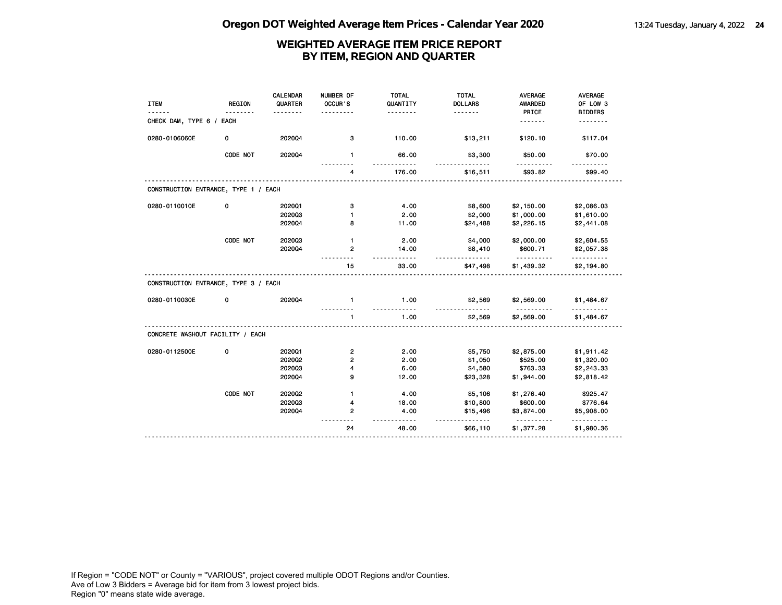| <b>ITEM</b>                          | <b>REGION</b> | <b>CALENDAR</b><br>QUARTER<br>$- - - - - - - -$ | NUMBER OF<br>OCCUR'S<br>. | <b>TOTAL</b><br>QUANTITY<br>. | <b>TOTAL</b><br><b>DOLLARS</b><br>. | <b>AVERAGE</b><br><b>AWARDED</b><br>PRICE | AVERAGE<br>OF LOW 3<br><b>BIDDERS</b> |
|--------------------------------------|---------------|-------------------------------------------------|---------------------------|-------------------------------|-------------------------------------|-------------------------------------------|---------------------------------------|
| CHECK DAM, TYPE 6 / EACH             |               |                                                 |                           |                               |                                     | .                                         | .                                     |
| 0280-0106060E                        | 0             | 202004                                          | з                         | 110.00                        | \$13,211                            | \$120.10                                  | \$117.04                              |
|                                      | CODE NOT      | 202004                                          | $\mathbf{1}$              | 66.00                         | \$3,300                             | \$50.00                                   | \$70.00                               |
|                                      |               |                                                 | 4                         | 176.00                        | \$16,511                            | \$93.82                                   | \$99.40                               |
| CONSTRUCTION ENTRANCE, TYPE 1 / EACH |               |                                                 |                           |                               |                                     |                                           |                                       |
| 0280-0110010E                        | 0             | 202001                                          | з                         | 4.00                          | \$8,600                             | \$2,150.00                                | \$2,086.03                            |
|                                      |               | 202003                                          | 1                         | 2.00                          | \$2,000                             | \$1,000.00                                | \$1,610.00                            |
|                                      |               | 202004                                          | 8                         | 11.00                         | \$24,488                            | \$2,226.15                                | \$2,441.08                            |
|                                      | CODE NOT      | 202003                                          | $\mathbf{1}$              | 2.00                          | \$4,000                             | \$2,000.00                                | \$2,604.55                            |
|                                      |               | 202004                                          | $\overline{2}$            | 14.00<br>.                    | \$8,410<br><u>.</u>                 | \$600.71<br><u>.</u>                      | \$2,057.38<br><u>.</u>                |
|                                      |               |                                                 | 15                        | 33.00                         | \$47,498                            | \$1,439.32                                | \$2,194.80                            |
| CONSTRUCTION ENTRANCE, TYPE 3 / EACH |               |                                                 |                           |                               |                                     |                                           |                                       |
| 0280-0110030E                        | 0             | 202004                                          | $\mathbf{1}$              | 1.00                          | \$2,569                             | \$2,569.00                                | \$1,484.67                            |
|                                      |               |                                                 | $\mathbf{1}$              | 1.00                          | \$2,569                             | \$2,569.00                                | \$1,484.67                            |
| CONCRETE WASHOUT FACILITY / EACH     |               |                                                 |                           |                               |                                     |                                           |                                       |
| 0280-0112500E                        | 0             | 202001                                          | $\overline{\mathbf{c}}$   | 2.00                          | \$5,750                             | \$2,875.00                                | \$1,911.42                            |
|                                      |               | 2020Q2                                          | $\overline{2}$            | 2.00                          | \$1,050                             | \$525.00                                  | \$1,320.00                            |
|                                      |               | 202003                                          | 4                         | 6.00                          | \$4,580                             | \$763.33                                  | \$2,243.33                            |
|                                      |               | 202004                                          | 9                         | 12.00                         | \$23,328                            | \$1,944.00                                | \$2,818.42                            |
|                                      | CODE NOT      | 2020Q2                                          | $\mathbf{1}$              | 4.00                          | \$5,106                             | \$1,276.40                                | \$925.47                              |
|                                      |               | 202003                                          | 4                         | 18.00                         | \$10,800                            | \$600.00                                  | \$776.64                              |
|                                      |               | 202004                                          | 2                         | 4.00                          | \$15,496                            | \$3,874.00                                | \$5,908.00                            |
|                                      |               |                                                 | 24                        | 48.00                         | \$66,110                            | <u>.</u><br>\$1,377.28                    | .<br>\$1,980.36                       |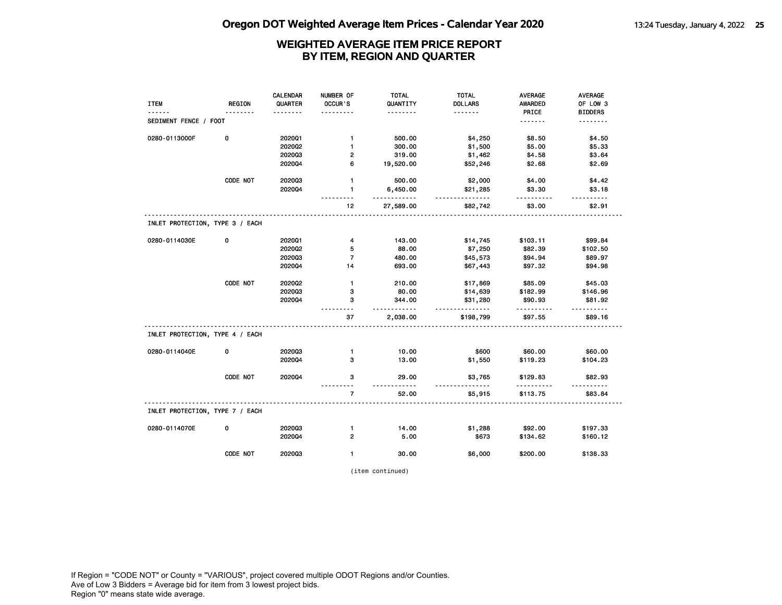|                                 |               | <b>CALENDAR</b> | NUMBER OF      | <b>TOTAL</b>  | <b>TOTAL</b>   | AVERAGE        | AVERAGE        |
|---------------------------------|---------------|-----------------|----------------|---------------|----------------|----------------|----------------|
| <b>ITEM</b>                     | <b>REGION</b> | QUARTER         | OCCUR'S        | QUANTITY      | <b>DOLLARS</b> | <b>AWARDED</b> | OF LOW 3       |
|                                 |               |                 |                | .             | .              | PRICE          | <b>BIDDERS</b> |
| SEDIMENT FENCE / FOOT           |               |                 |                |               |                | <u>.</u>       | <u>.</u>       |
| 0280-0113000F                   | $\mathbf 0$   | 2020Q1          | $\mathbf{1}$   | 500.00        | \$4,250        | \$8.50         | \$4.50         |
|                                 |               | 202002          | $\mathbf{1}$   | 300.00        | \$1,500        | \$5.00         | \$5.33         |
|                                 |               | 202003          | 2              | 319.00        | \$1,462        | \$4.58         | \$3.64         |
|                                 |               | 2020Q4          | 6              | 19,520.00     | \$52,246       | \$2.68         | \$2.69         |
|                                 | CODE NOT      | 202003          | $\mathbf{1}$   | 500.00        | \$2,000        | \$4.00         | \$4.42         |
|                                 |               | 202004          | $\mathbf{1}$   | 6,450.00<br>. | \$21,285<br>.  | \$3.30<br>.    | \$3.18         |
|                                 |               |                 | 12             | 27,589.00     | \$82,742       | \$3.00         | \$2.91         |
| INLET PROTECTION, TYPE 3 / EACH |               |                 |                |               |                |                |                |
| 0280-0114030E                   | 0             | 202001          | $\overline{4}$ | 143.00        | \$14,745       | \$103.11       | \$99.84        |
|                                 |               | 202002          | 5              | 88.00         | \$7,250        | \$82.39        | \$102.50       |
|                                 |               | 202003          | $\overline{7}$ | 480.00        | \$45,573       | \$94.94        | \$89.97        |
|                                 |               | 202004          | 14             | 693.00        | \$67,443       | \$97.32        | \$94.98        |
|                                 | CODE NOT      | 202002          | $\mathbf{1}$   | 210.00        | \$17,869       | \$85.09        | \$45.03        |
|                                 |               | 202003          | з              | 80.00         | \$14,639       | \$182.99       | \$146.96       |
|                                 |               | 2020Q4          | з              | 344.00<br>.   | \$31,280<br>.  | \$90.93<br>.   | \$81.92        |
|                                 |               |                 | 37             | 2,038.00      | \$198,799      | \$97.55        | \$89.16        |
| INLET PROTECTION, TYPE 4 / EACH |               |                 |                |               |                |                |                |
| 0280-0114040E                   | 0             | 202003          | $\mathbf{1}$   | 10.00         | \$600          | \$60.00        | \$60.00        |
|                                 |               | 202004          | 3              | 13.00         | \$1,550        | \$119.23       | \$104.23       |
|                                 | CODE NOT      | 202004          | 3              | 29.00<br>.    | \$3,765        | \$129.83       | \$82.93        |
|                                 |               |                 | $\overline{7}$ | 52.00         | \$5,915        | \$113.75       | \$83.84        |
| INLET PROTECTION, TYPE 7 / EACH |               |                 |                |               |                |                |                |
| 0280-0114070E                   | 0             | 202003          | $\mathbf{1}$   | 14.00         | \$1,288        | \$92.00        | \$197.33       |
|                                 |               | 202004          | $\overline{2}$ | 5.00          | \$673          | \$134.62       | \$160.12       |
|                                 |               |                 |                |               |                |                |                |
|                                 | CODE NOT      | 202003          | $\mathbf{1}$   | 30.00         | \$6,000        | \$200.00       | \$138.33       |

(item continued)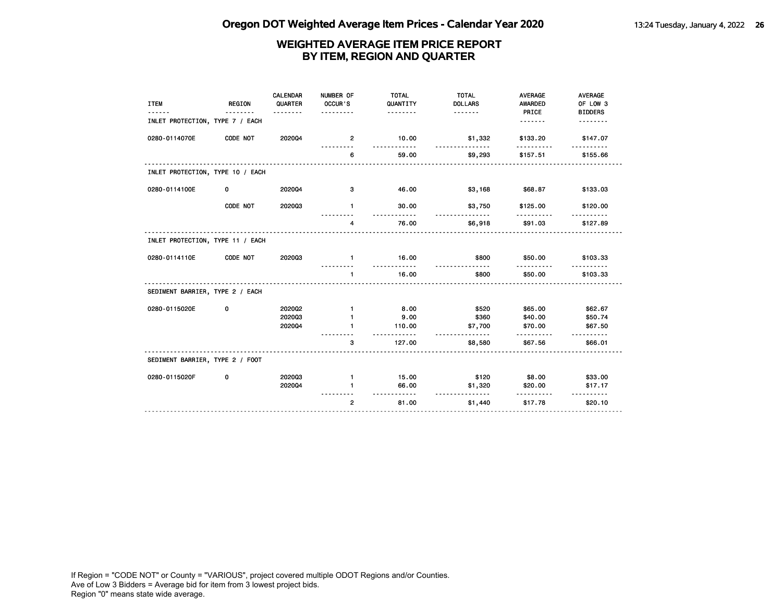| <b>ITEM</b>                      | <b>REGION</b> | CALENDAR<br>QUARTER<br>. | NUMBER OF<br>OCCUR'S<br>. | <b>TOTAL</b><br>QUANTITY<br>. | <b>TOTAL</b><br><b>DOLLARS</b><br>. | <b>AVERAGE</b><br>AWARDED<br>PRICE | <b>AVERAGE</b><br>OF LOW 3<br><b>BIDDERS</b> |
|----------------------------------|---------------|--------------------------|---------------------------|-------------------------------|-------------------------------------|------------------------------------|----------------------------------------------|
| INLET PROTECTION, TYPE 7 / EACH  |               |                          |                           |                               |                                     | <u>.</u>                           | .                                            |
| 0280-0114070E                    | CODE NOT      | 202004                   | $\overline{2}$            | 10.00                         | \$1,332<br><u>.</u>                 | \$133.20                           | \$147.07                                     |
|                                  |               |                          | 6                         | 59.00                         | \$9,293                             | \$157.51                           | \$155.66                                     |
| INLET PROTECTION, TYPE 10 / EACH |               |                          |                           |                               |                                     |                                    |                                              |
| 0280-0114100E                    | 0             | 202004                   | з                         | 46.00                         | \$3,168                             | \$68.87                            | \$133.03                                     |
|                                  | CODE NOT      | 202003                   | $\mathbf{1}$              | 30.00                         | \$3,750                             | \$125.00                           | \$120.00                                     |
|                                  |               |                          | 4                         | 76.00                         | \$6,918                             | \$91.03                            | \$127.89                                     |
| INLET PROTECTION, TYPE 11 / EACH |               |                          |                           |                               |                                     |                                    |                                              |
| 0280-0114110E                    | CODE NOT      | 202003                   | $\mathbf{1}$              | 16.00                         | \$800                               | \$50.00                            | \$103.33                                     |
|                                  |               |                          | $\mathbf{1}$              | 16.00                         | \$800                               | \$50.00                            | \$103.33                                     |
| SEDIMENT BARRIER, TYPE 2 / EACH  |               |                          |                           |                               |                                     |                                    |                                              |
| 0280-0115020E                    | 0             | 2020Q2                   | $\mathbf{1}$              | 8.00                          | \$520                               | \$65.00                            | \$62.67                                      |
|                                  |               | 202003                   |                           | 9.00                          | \$360                               | \$40.00                            | \$50.74                                      |
|                                  |               | 202004                   |                           | 110.00                        | \$7,700                             | \$70.00                            | \$67.50                                      |
|                                  |               |                          | 3                         | 127.00                        | \$8,580                             | \$67.56                            | \$66.01                                      |
| SEDIMENT BARRIER, TYPE 2 / FOOT  |               |                          |                           |                               |                                     |                                    |                                              |
| 0280-0115020F                    | 0             | 202003                   | $\mathbf{1}$              | 15.00                         | \$120                               | \$8.00                             | \$33.00                                      |
|                                  |               | 202004                   | 1                         | 66.00<br><u>.</u>             | \$1,320                             | \$20.00                            | \$17.17                                      |
|                                  |               |                          | $\overline{2}$            | 81.00                         | <u>.</u><br>\$1,440                 | \$17.78                            | \$20.10                                      |
|                                  |               |                          |                           |                               |                                     |                                    |                                              |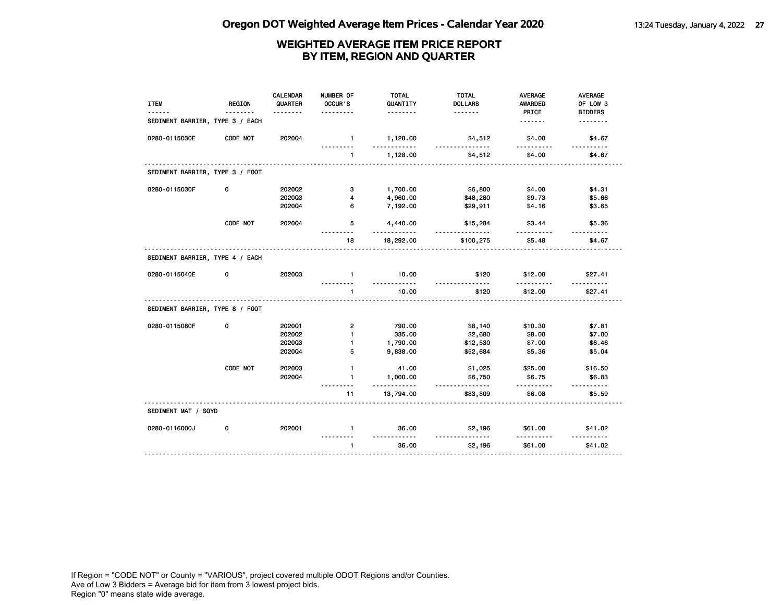| <b>ITEM</b>                     | <b>REGION</b> | <b>CALENDAR</b><br>QUARTER | NUMBER OF<br>OCCUR'S    | <b>TOTAL</b><br>QUANTITY | <b>TOTAL</b><br><b>DOLLARS</b> | <b>AVERAGE</b><br>AWARDED | AVERAGE<br>OF LOW 3 |
|---------------------------------|---------------|----------------------------|-------------------------|--------------------------|--------------------------------|---------------------------|---------------------|
|                                 |               | <u>.</u>                   |                         | .                        | <u>.</u>                       | PRICE                     | <b>BIDDERS</b>      |
| SEDIMENT BARRIER, TYPE 3 / EACH |               |                            |                         |                          |                                | <u>.</u>                  | <u>.</u>            |
| 0280-0115030E                   | CODE NOT      | 202004                     | $\mathbf{1}$<br>.       | 1,128.00<br>.            | \$4,512<br>.                   | \$4.00<br>.               | \$4.67<br><u>.</u>  |
|                                 |               |                            | $\mathbf{1}$            | 1,128.00                 | \$4,512                        | \$4.00                    | \$4.67              |
| SEDIMENT BARRIER, TYPE 3 / FOOT |               |                            |                         |                          |                                |                           |                     |
| 0280-0115030F                   | 0             | 2020Q2                     | 3                       | 1,700.00                 | \$6,800                        | \$4.00                    | \$4.31              |
|                                 |               | 202003                     | $\overline{4}$          | 4,960.00                 | \$48,280                       | \$9.73                    | \$5.66              |
|                                 |               | 2020Q4                     | 6                       | 7,192.00                 | \$29,911                       | \$4.16                    | \$3.65              |
|                                 | CODE NOT      | 2020Q4                     | 5                       | 4,440.00                 | \$15,284                       | \$3.44                    | \$5.36              |
|                                 |               |                            | 18                      | 18,292.00                | \$100,275                      | \$5.48                    | \$4.67              |
| SEDIMENT BARRIER, TYPE 4 / EACH |               |                            |                         |                          |                                |                           |                     |
| 0280-0115040E                   | 0             | 202003                     | $\mathbf{1}$            | 10.00<br><u>.</u>        | \$120                          | \$12.00                   | \$27.41             |
|                                 |               |                            | $\mathbf{1}$            | 10.00                    | \$120                          | \$12.00                   | \$27.41             |
| SEDIMENT BARRIER, TYPE 8 / FOOT |               |                            |                         |                          |                                |                           |                     |
| 0280-0115080F                   | 0             | 202001                     | $\overline{\mathbf{c}}$ | 790.00                   | \$8,140                        | \$10.30                   | \$7.81              |
|                                 |               | 2020Q2                     | $\mathbf{1}$            | 335.00                   | \$2,680                        | \$8.00                    | \$7.00              |
|                                 |               | 202003                     | $\blacksquare$          | 1,790.00                 | \$12,530                       | \$7.00                    | \$6.46              |
|                                 |               | 202004                     | 5                       | 9,838.00                 | \$52,684                       | \$5.36                    | \$5.04              |
|                                 | CODE NOT      | 202003                     | $\mathbf{1}$            | 41.00                    | \$1,025                        | \$25.00                   | \$16.50             |
|                                 |               | 202004                     | 1                       | 1,000.00<br>.            | \$6,750<br><u>.</u>            | \$6.75<br>.               | \$6.83              |
|                                 |               |                            | 11                      | 13,794.00                | \$83,809                       | \$6.08                    | \$5.59              |
| SEDIMENT MAT / SQYD             |               |                            |                         |                          |                                |                           |                     |
| 0280-0116000J                   | 0             | 2020Q1                     | $\mathbf{1}$            | 36.00<br><u>.</u>        | \$2,196                        | \$61.00                   | \$41.02             |
|                                 |               |                            | $\mathbf{1}$            | 36.00                    | \$2,196                        | \$61.00                   | \$41.02             |
|                                 |               |                            |                         |                          |                                |                           |                     |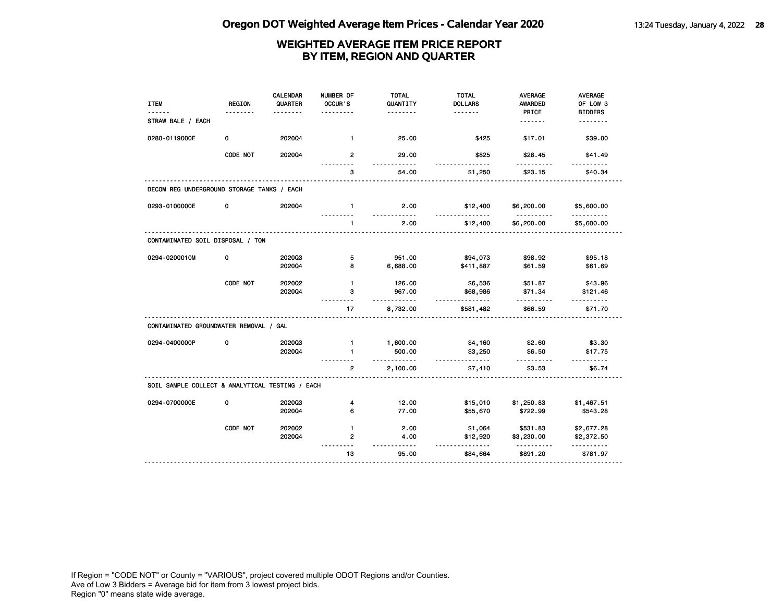| <b>ITEM</b>                                     | <b>REGION</b> | <b>CALENDAR</b><br>QUARTER | NUMBER OF<br>OCCUR'S | <b>TOTAL</b><br>QUANTITY | <b>TOTAL</b><br><b>DOLLARS</b> | <b>AVERAGE</b><br>AWARDED | <b>AVERAGE</b><br>OF LOW 3 |
|-------------------------------------------------|---------------|----------------------------|----------------------|--------------------------|--------------------------------|---------------------------|----------------------------|
| STRAW BALE / EACH                               |               |                            |                      | .                        | <u>.</u>                       | PRICE<br>.                | <b>BIDDERS</b><br>.        |
| 0280-0119000E                                   | 0             | 202004                     | $\mathbf{1}$         | 25.00                    | \$425                          | \$17.01                   | \$39.00                    |
|                                                 | CODE NOT      | 2020Q4                     | $\overline{2}$       | 29.00                    | \$825                          | \$28.45                   | \$41.49                    |
|                                                 |               |                            | 3                    | 54.00                    | \$1,250                        | \$23.15                   | \$40.34                    |
| DECOM REG UNDERGROUND STORAGE TANKS / EACH      |               |                            |                      |                          |                                |                           |                            |
| 0293-0100000E                                   | 0             | 202004                     | $\mathbf{1}$         | 2.00                     | \$12,400                       | \$6,200.00                | \$5,600.00                 |
|                                                 |               |                            | $\mathbf{1}$         | 2.00                     | \$12,400                       | \$6,200.00                | \$5,600.00                 |
| CONTAMINATED SOIL DISPOSAL / TON                |               |                            |                      |                          |                                |                           |                            |
| 0294-0200010M                                   | 0             | 202003<br>202004           | 5<br>8               | 951.00<br>6,688.00       | \$94,073                       | \$98.92<br>\$61.59        | \$95.18<br>\$61.69         |
|                                                 |               |                            |                      |                          | \$411,887                      |                           |                            |
|                                                 | CODE NOT      | 2020Q2                     | $\mathbf{1}$         | 126.00                   | \$6,536                        | \$51.87                   | \$43.96                    |
|                                                 |               | 202004                     | 3                    | 967.00<br>$- - - - -$    | \$68,986<br><u>.</u>           | \$71.34<br>.              | \$121.46                   |
|                                                 |               |                            | 17                   | 8,732.00                 | \$581,482                      | \$66.59                   | \$71.70                    |
| CONTAMINATED GROUNDWATER REMOVAL / GAL          |               |                            |                      |                          |                                |                           |                            |
| 0294-0400000P                                   | 0             | 202003                     | $\mathbf{1}$         | 1,600.00                 | \$4,160                        | \$2.60                    | \$3.30                     |
|                                                 |               | 2020Q4                     | $\mathbf{1}$         | 500.00<br><u>.</u>       | \$3,250<br><u>.</u>            | \$6.50<br>.               | \$17.75<br>$- - - - - -$   |
|                                                 |               |                            | $\mathbf{2}$         | 2,100.00                 | \$7,410                        | \$3.53                    | \$6.74                     |
| SOIL SAMPLE COLLECT & ANALYTICAL TESTING / EACH |               |                            |                      |                          |                                |                           |                            |
| 0294-0700000E                                   | 0             | 202003                     | 4                    | 12.00                    | \$15,010                       | \$1,250.83                | \$1,467.51                 |
|                                                 |               | 2020Q4                     | 6                    | 77.00                    | \$55,670                       | \$722.99                  | \$543.28                   |
|                                                 | CODE NOT      | 2020Q2                     | $\mathbf{1}$         | 2.00                     | \$1,064                        | \$531.83                  | \$2,677.28                 |
|                                                 |               | 202004                     | 2                    | 4.00                     | \$12,920                       | \$3,230.00                | \$2,372.50                 |
|                                                 |               |                            | 13                   | $- - -$<br>95.00         | <u>.</u><br>\$84,664           | \$891.20                  | .<br>\$781.97              |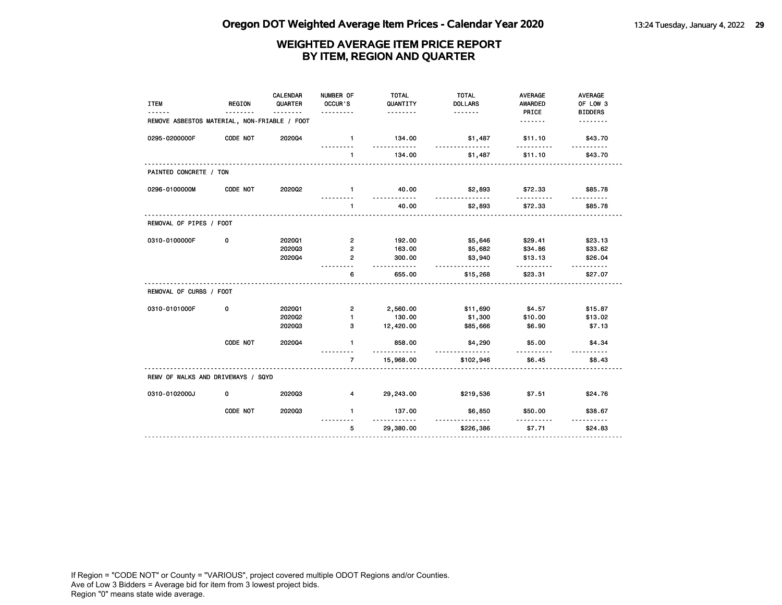| <b>ITEM</b>                                  | <b>REGION</b> | CALENDAR<br>QUARTER | NUMBER OF<br>OCCUR'S<br>. | <b>TOTAL</b><br>QUANTITY<br>. | <b>TOTAL</b><br><b>DOLLARS</b><br>. <b>.</b> | <b>AVERAGE</b><br><b>AWARDED</b><br>PRICE | <b>AVERAGE</b><br>OF LOW 3<br><b>BIDDERS</b> |
|----------------------------------------------|---------------|---------------------|---------------------------|-------------------------------|----------------------------------------------|-------------------------------------------|----------------------------------------------|
| REMOVE ASBESTOS MATERIAL, NON-FRIABLE / FOOT |               |                     |                           |                               |                                              | .                                         | .                                            |
| 0295-0200000F                                | CODE NOT      | 202004              | $\mathbf{1}$              | 134.00<br>.                   | \$1,487                                      | \$11.10                                   | \$43.70                                      |
|                                              |               |                     | $\mathbf{1}$              | 134.00                        | \$1,487                                      | \$11.10                                   | \$43.70                                      |
| PAINTED CONCRETE / TON                       |               |                     |                           |                               |                                              |                                           |                                              |
| 0296-0100000M                                | CODE NOT      | 2020Q2              | $\mathbf{1}$              | 40.00                         | \$2,893<br><u>.</u>                          | \$72.33                                   | \$85.78                                      |
|                                              |               |                     | $\mathbf{1}$              | 40.00                         | \$2,893                                      | \$72.33                                   | \$85.78                                      |
| REMOVAL OF PIPES / FOOT                      |               |                     |                           |                               |                                              |                                           |                                              |
| 0310-0100000F                                | 0             | 202001              | $\overline{2}$            | 192.00                        | \$5,646                                      | \$29.41                                   | \$23.13                                      |
|                                              |               | 202003              | $\mathbf{2}$              | 163.00                        | \$5,682                                      | \$34.86                                   | \$33.62                                      |
|                                              |               | 202004              | $\overline{2}$            | 300.00<br>.                   | \$3,940<br>.                                 | \$13.13<br>.                              | \$26.04                                      |
|                                              |               |                     | 6                         | 655.00                        | \$15,268                                     | \$23.31                                   | $- - - - - -$<br>\$27.07                     |
| REMOVAL OF CURBS / FOOT                      |               |                     |                           |                               |                                              |                                           |                                              |
| 0310-0101000F                                | 0             | 202001              | $\overline{2}$            | 2,560.00                      | \$11,690                                     | \$4.57                                    | \$15.87                                      |
|                                              |               | 2020Q2              | $\mathbf{1}$              | 130.00                        | \$1,300                                      | \$10.00                                   | \$13.02                                      |
|                                              |               | 202003              | 3                         | 12,420.00                     | \$85,666                                     | \$6.90                                    | \$7.13                                       |
|                                              | CODE NOT      | 202004              | $\mathbf{1}$              | 858.00                        | \$4,290                                      | \$5.00                                    | \$4.34                                       |
|                                              |               |                     | 7                         | 15,968.00                     | \$102,946                                    | \$6.45                                    | \$8.43                                       |
| REMV OF WALKS AND DRIVEWAYS / SQYD           |               |                     |                           |                               |                                              |                                           |                                              |
| 0310-0102000J                                | 0             | 202003              | $\overline{\mathbf{4}}$   | 29,243.00                     | \$219,536                                    | \$7.51                                    | \$24.76                                      |
|                                              | CODE NOT      | 202003              | $\mathbf{1}$              | 137.00                        | \$6,850                                      | \$50.00                                   | \$38.67                                      |
|                                              |               |                     | 5                         | 29,380.00                     | \$226,386                                    | \$7.71                                    | \$24.83                                      |
|                                              |               |                     |                           |                               |                                              |                                           |                                              |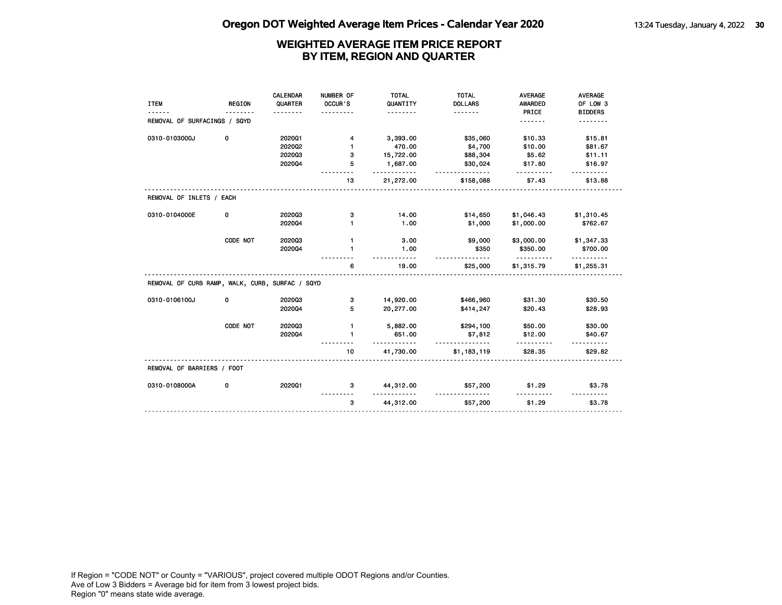|                                                 |               | CALENDAR | NUMBER OF    | <b>TOTAL</b>        | <b>TOTAL</b>            | <b>AVERAGE</b>         | <b>AVERAGE</b> |
|-------------------------------------------------|---------------|----------|--------------|---------------------|-------------------------|------------------------|----------------|
| <b>ITEM</b>                                     | <b>REGION</b> | QUARTER  | OCCUR'S      | QUANTITY            | <b>DOLLARS</b>          | AWARDED                | OF LOW 3       |
| REMOVAL OF SURFACINGS / SQYD                    |               | .        |              | <u>.</u>            | <u>.</u>                | PRICE<br>.             | <b>BIDDERS</b> |
|                                                 |               |          |              |                     |                         |                        |                |
| 0310-0103000J                                   | 0             | 202001   | 4            | 3,393.00            | \$35,060                | \$10.33                | \$15.81        |
|                                                 |               | 2020Q2   | 1            | 470.00              | \$4,700                 | \$10.00                | \$81.67        |
|                                                 |               | 202003   | з            | 15,722.00           | \$88,304                | \$5.62                 | \$11.11        |
|                                                 |               | 202004   | 5            | 1,687.00<br><u></u> | \$30,024<br><u>.</u>    | \$17.80                | \$16.97        |
|                                                 |               |          | 13           | 21,272.00           | \$158,088               | \$7.43                 | \$13.88        |
| REMOVAL OF INLETS / EACH                        |               |          |              |                     |                         |                        |                |
| 0310-0104000E                                   | 0             | 202003   | з            | 14.00               | \$14,650                | \$1,046.43             | \$1,310.45     |
|                                                 |               | 202004   | 1            | 1.00                | \$1,000                 | \$1,000.00             | \$762.67       |
|                                                 | CODE NOT      | 202003   | $\mathbf{1}$ | 3.00                | \$9,000                 | \$3,000.00             | \$1,347.33     |
|                                                 |               | 202004   | $\mathbf{1}$ | 1.00                | \$350                   | \$350.00               | \$700.00       |
|                                                 |               |          | 6            | 19.00               | \$25,000                | <u>.</u><br>\$1,315.79 | \$1,255.31     |
| REMOVAL OF CURB RAMP, WALK, CURB, SURFAC / SQYD |               |          |              |                     |                         |                        |                |
| 0310-0106100J                                   | 0             | 202003   | з            | 14,920.00           | \$466,960               | \$31.30                | \$30.50        |
|                                                 |               | 202004   | 5            | 20,277.00           | \$414,247               | \$20.43                | \$28.93        |
|                                                 | CODE NOT      | 202003   | $\mathbf{1}$ | 5,882.00            | \$294,100               | \$50.00                | \$30.00        |
|                                                 |               | 202004   | $\mathbf{1}$ | 651.00              | \$7,812                 | \$12.00                | \$40.67        |
|                                                 |               |          | 10           | .<br>41,730.00      | <u>.</u><br>\$1,183,119 | \$28.35                | \$29.82        |
| REMOVAL OF BARRIERS / FOOT                      |               |          |              |                     |                         |                        |                |
| 0310-0108000A                                   | 0             | 202001   | 3            | 44,312.00           | \$57,200                | \$1.29                 | \$3.78         |
|                                                 |               |          | 3            | 44,312.00           | \$57,200                | \$1.29                 | \$3.78         |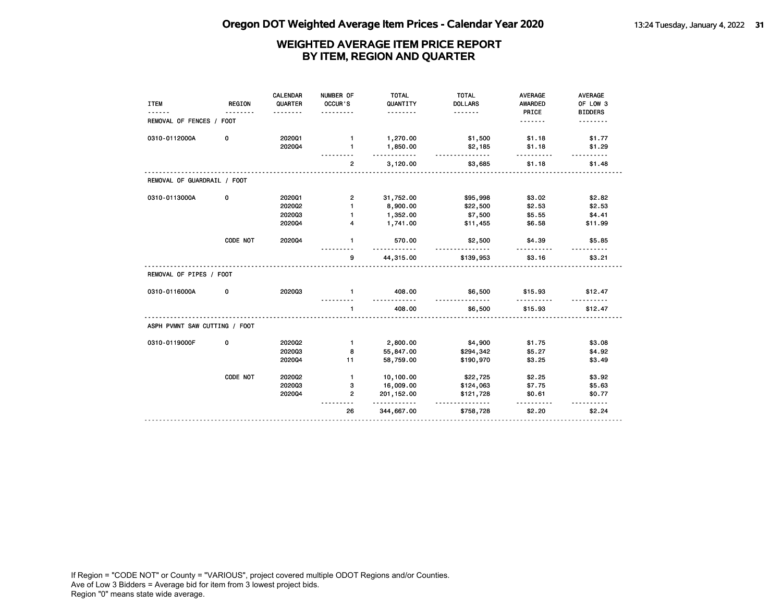| <b>ITEM</b>                   | <b>REGION</b> | <b>CALENDAR</b><br>QUARTER<br>. | NUMBER OF<br>OCCUR'S<br>. | <b>TOTAL</b><br>QUANTITY<br>. | <b>TOTAL</b><br><b>DOLLARS</b><br><u>.</u> | <b>AVERAGE</b><br><b>AWARDED</b><br>PRICE | <b>AVERAGE</b><br>OF LOW 3<br><b>BIDDERS</b> |
|-------------------------------|---------------|---------------------------------|---------------------------|-------------------------------|--------------------------------------------|-------------------------------------------|----------------------------------------------|
| REMOVAL OF FENCES / FOOT      |               |                                 |                           |                               |                                            | .                                         |                                              |
| 0310-0112000A                 | 0             | 202001                          | $\mathbf{1}$              | 1,270.00                      | \$1,500                                    | \$1.18                                    | \$1.77                                       |
|                               |               | 202004                          | $\mathbf{1}$              | 1,850.00<br><u>.</u>          | \$2,185<br><u>.</u>                        | \$1.18                                    | \$1.29                                       |
|                               |               |                                 | $\overline{2}$            | 3,120.00                      | \$3,685                                    | \$1.18                                    | \$1.48                                       |
| REMOVAL OF GUARDRAIL / FOOT   |               |                                 |                           |                               |                                            |                                           |                                              |
| 0310-0113000A                 | 0             | 202001                          | $\mathbf{2}$              | 31,752.00                     | \$95,998                                   | \$3.02                                    | \$2.82                                       |
|                               |               | 202002                          | $\mathbf{1}$              | 8,900.00                      | \$22,500                                   | \$2.53                                    | \$2.53                                       |
|                               |               | 202003                          | $\mathbf{1}$              | 1,352.00                      | \$7,500                                    | \$5.55                                    | \$4.41                                       |
|                               |               | 202004                          | 4                         | 1,741.00                      | \$11,455                                   | \$6.58                                    | \$11.99                                      |
|                               | CODE NOT      | 202004                          | $\mathbf{1}$              | 570.00<br>.                   | \$2,500<br><u>.</u>                        | \$4.39<br>.                               | \$5.85                                       |
|                               |               |                                 | 9                         | 44,315.00                     | \$139,953                                  | \$3.16                                    | \$3.21                                       |
| REMOVAL OF PIPES / FOOT       |               |                                 |                           |                               |                                            |                                           |                                              |
| 0310-0116000A                 | 0             | 202003                          | $\mathbf{1}$              | 408.00<br>.                   | \$6,500<br>.                               | \$15.93<br>.                              | \$12.47                                      |
|                               |               |                                 | 1                         | 408.00                        | \$6,500                                    | \$15.93                                   | \$12.47                                      |
| ASPH PVMNT SAW CUTTING / FOOT |               |                                 |                           |                               |                                            |                                           |                                              |
| 0310-0119000F                 | 0             | 2020Q2                          | $\mathbf{1}$              | 2,800.00                      | \$4,900                                    | \$1.75                                    | \$3.08                                       |
|                               |               | 202003                          | 8                         | 55,847.00                     | \$294,342                                  | \$5.27                                    | \$4.92                                       |
|                               |               | 202004                          | 11                        | 58,759.00                     | \$190,970                                  | \$3.25                                    | \$3.49                                       |
|                               | CODE NOT      | 2020Q2                          | $\mathbf{1}$              | 10,100.00                     | \$22,725                                   | \$2.25                                    | \$3.92                                       |
|                               |               | 202003                          | з                         | 16,009.00                     | \$124,063                                  | \$7.75                                    | \$5.63                                       |
|                               |               | 202004                          | $\overline{2}$            | 201, 152.00<br><u>.</u>       | \$121,728                                  | \$0.61<br>.                               | \$0.77                                       |
|                               |               |                                 | 26                        | 344,667.00                    | \$758,728                                  | \$2.20                                    | \$2.24                                       |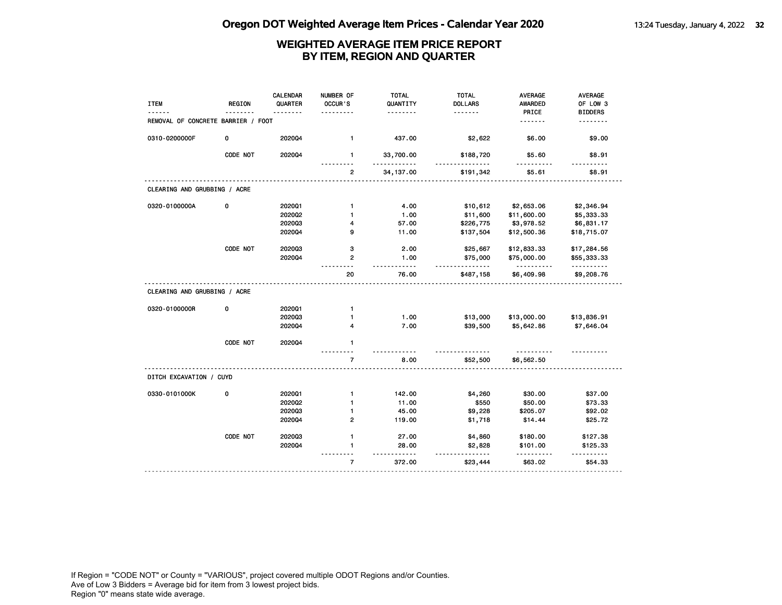| <b>ITEM</b>                        | <b>REGION</b> | <b>CALENDAR</b><br>QUARTER | NUMBER OF<br>OCCUR'S | <b>TOTAL</b><br>QUANTITY<br>. | <b>TOTAL</b><br><b>DOLLARS</b><br><u>.</u> | <b>AVERAGE</b><br><b>AWARDED</b><br>PRICE | AVERAGE<br>OF LOW 3<br><b>BIDDERS</b> |
|------------------------------------|---------------|----------------------------|----------------------|-------------------------------|--------------------------------------------|-------------------------------------------|---------------------------------------|
| REMOVAL OF CONCRETE BARRIER / FOOT |               |                            |                      |                               |                                            | .                                         | .                                     |
| 0310-0200000F                      | 0             | 2020Q4                     | $\mathbf{1}$         | 437.00                        | \$2,622                                    | \$6.00                                    | \$9.00                                |
|                                    | CODE NOT      | 202004                     | $\mathbf{1}$         | 33,700.00<br>.                | \$188,720                                  | \$5.60<br>.                               | \$8.91                                |
|                                    |               |                            | $\overline{2}$       | 34, 137.00                    | \$191,342                                  | \$5.61                                    | \$8.91                                |
| CLEARING AND GRUBBING / ACRE       |               |                            |                      |                               |                                            |                                           |                                       |
| 0320-0100000A                      | 0             | 202001                     | $\mathbf{1}$         | 4.00                          | \$10,612                                   | \$2,653.06                                | \$2,346.94                            |
|                                    |               | 2020Q2                     | $\mathbf{1}$         | 1.00                          | \$11,600                                   | \$11,600.00                               | \$5,333.33                            |
|                                    |               | 202003                     | 4                    | 57.00                         | \$226,775                                  | \$3,978.52                                | \$6,831.17                            |
|                                    |               | 202004                     | 9                    | 11.00                         | \$137,504                                  | \$12,500.36                               | \$18,715.07                           |
|                                    | CODE NOT      | 202003                     | 3                    | 2.00                          | \$25,667                                   | \$12,833.33                               | \$17,284.56                           |
|                                    |               | 2020Q4                     | $\mathbf{2}$         | 1.00<br>.                     | \$75,000<br>.                              | \$75,000.00<br>.                          | \$55,333.33<br><u>.</u>               |
|                                    |               |                            | 20                   | 76.00                         | \$487,158                                  | \$6,409.98                                | \$9,208.76                            |
| CLEARING AND GRUBBING / ACRE       |               |                            |                      |                               |                                            |                                           |                                       |
| 0320-0100000R                      | 0             | 202001                     | $\mathbf{1}$         |                               |                                            |                                           |                                       |
|                                    |               | 202003                     | $\mathbf{1}$         | 1.00                          | \$13,000                                   | \$13,000.00                               | \$13,836.91                           |
|                                    |               | 202004                     | 4                    | 7.00                          | \$39,500                                   | \$5,642.86                                | \$7,646.04                            |
|                                    | CODE NOT      | 202004                     | $\mathbf{1}$         |                               |                                            |                                           |                                       |
|                                    |               |                            | $\overline{7}$       | 8.00                          | \$52,500                                   | \$6,562.50                                |                                       |
| DITCH EXCAVATION / CUYD            |               |                            |                      |                               |                                            |                                           |                                       |
| 0330-0101000K                      | 0             | 202001                     | $\mathbf{1}$         | 142.00                        | \$4,260                                    | \$30.00                                   | \$37.00                               |
|                                    |               | 202002                     | 1                    | 11.00                         | \$550                                      | \$50.00                                   | \$73.33                               |
|                                    |               | 202003                     | $\mathbf{1}$         | 45.00                         | \$9,228                                    | \$205.07                                  | \$92.02                               |
|                                    |               | 202004                     | $\overline{2}$       | 119.00                        | \$1,718                                    | \$14.44                                   | \$25.72                               |
|                                    | CODE NOT      | 202003                     | $\mathbf{1}$         | 27.00                         | \$4,860                                    | \$180.00                                  | \$127.38                              |
|                                    |               | 202004                     | 1                    | 28.00                         | \$2,828<br>$- - -$                         | \$101.00                                  | \$125.33                              |
|                                    |               |                            | $\overline{7}$       | 372.00                        | \$23,444                                   | \$63.02                                   | \$54.33                               |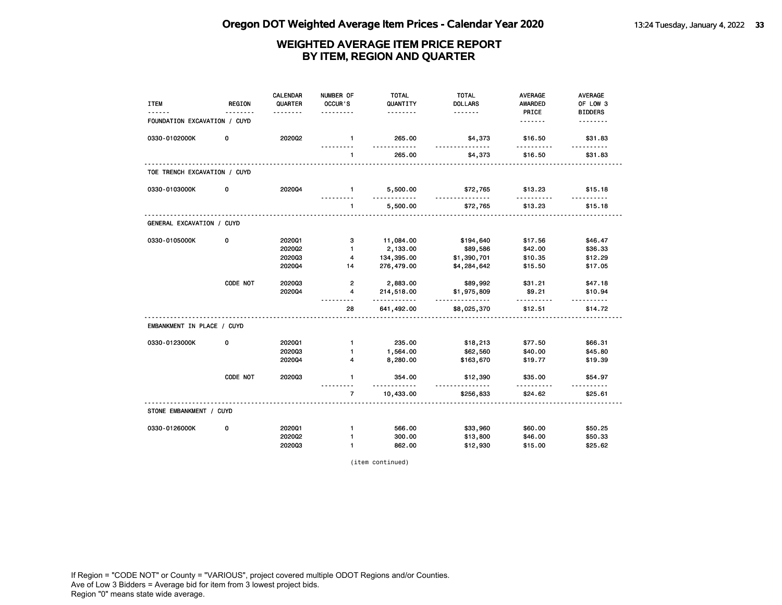| PRICE<br><b>BIDDERS</b><br><u>.</u><br>.<br>.<br>FOUNDATION EXCAVATION / CUYD<br><u>.</u><br><u>.</u><br>0330-0102000K<br>0<br>2020Q2<br>265.00<br>\$4,373<br>\$16.50<br>$\mathbf{1}$<br>\$31.83<br>.<br>.<br>265.00<br>$\mathbf{1}$<br>\$4,373<br>\$16.50<br>\$31.83<br>TOE TRENCH EXCAVATION / CUYD<br>0330-0103000K<br>202004<br>0<br>5,500.00<br>\$72,765<br>\$13.23<br>\$15.18<br>$\mathbf{1}$<br>.<br>.<br><u>.</u><br><u>.</u><br>$\mathbf{1}$<br>5,500.00<br>\$72,765<br>\$13.23<br>\$15.18<br>GENERAL EXCAVATION / CUYD<br>0330-0105000K<br>0<br>3<br>\$17.56<br>\$46.47<br>202001<br>11,084.00<br>\$194,640<br>2,133.00<br>\$89,586<br>\$42.00<br>\$36.33<br>2020Q2<br>$\mathbf{1}$<br>202003<br>4<br>134,395.00<br>\$1,390,701<br>\$10.35<br>\$12.29<br>202004<br>276,479.00<br>\$15.50<br>14<br>\$4,284,642<br>\$17.05<br>CODE NOT<br>202003<br>$\mathbf{2}$<br>2,883.00<br>\$89,992<br>\$31.21<br>\$47.18<br>\$9.21<br>202004<br>$\overline{\mathbf{4}}$<br>214,518.00<br>\$1,975,809<br>\$10.94<br>.<br><u></u><br>.<br>------<br>28<br>641,492.00<br>\$8,025,370<br>\$12.51<br>\$14.72<br>EMBANKMENT IN PLACE / CUYD<br>0330-0123000K<br>0<br>202001<br>$\mathbf{1}$<br>235.00<br>\$18,213<br>\$77.50<br>\$66.31<br>202003<br>1,564.00<br>\$45.80<br>$\mathbf{1}$<br>\$62,560<br>\$40.00<br>8,280.00<br>2020Q4<br>4<br>\$163,670<br>\$19.77<br>\$19.39<br>CODE NOT<br>202003<br>$\mathbf{1}$<br>354.00<br>\$35.00<br>\$54.97<br>\$12,390<br>$\overline{7}$<br>10,433.00<br>\$24.62<br>\$256,833<br>\$25.61<br>STONE EMBANKMENT / CUYD<br>0<br>566.00<br>\$60.00<br>\$50.25<br>0330-0126000K<br>202001<br>$\mathbf{1}$<br>\$33,960<br>2020Q2<br>$\mathbf{1}$<br>300.00<br>\$13,800<br>\$46.00<br>\$50.33<br>202003<br>$\mathbf{1}$<br>862.00<br>\$15.00<br>\$12,930<br>\$25.62 | <b>ITEM</b> | <b>REGION</b> | <b>CALENDAR</b><br>QUARTER | NUMBER OF<br>OCCUR'S | <b>TOTAL</b><br>QUANTITY | <b>TOTAL</b><br><b>DOLLARS</b> | <b>AVERAGE</b><br>AWARDED | AVERAGE<br>OF LOW 3 |
|----------------------------------------------------------------------------------------------------------------------------------------------------------------------------------------------------------------------------------------------------------------------------------------------------------------------------------------------------------------------------------------------------------------------------------------------------------------------------------------------------------------------------------------------------------------------------------------------------------------------------------------------------------------------------------------------------------------------------------------------------------------------------------------------------------------------------------------------------------------------------------------------------------------------------------------------------------------------------------------------------------------------------------------------------------------------------------------------------------------------------------------------------------------------------------------------------------------------------------------------------------------------------------------------------------------------------------------------------------------------------------------------------------------------------------------------------------------------------------------------------------------------------------------------------------------------------------------------------------------------------------------------------------------------------------------------------------------------------------------------------------------------------------------------|-------------|---------------|----------------------------|----------------------|--------------------------|--------------------------------|---------------------------|---------------------|
|                                                                                                                                                                                                                                                                                                                                                                                                                                                                                                                                                                                                                                                                                                                                                                                                                                                                                                                                                                                                                                                                                                                                                                                                                                                                                                                                                                                                                                                                                                                                                                                                                                                                                                                                                                                              |             |               |                            |                      |                          |                                |                           |                     |
|                                                                                                                                                                                                                                                                                                                                                                                                                                                                                                                                                                                                                                                                                                                                                                                                                                                                                                                                                                                                                                                                                                                                                                                                                                                                                                                                                                                                                                                                                                                                                                                                                                                                                                                                                                                              |             |               |                            |                      |                          |                                |                           |                     |
|                                                                                                                                                                                                                                                                                                                                                                                                                                                                                                                                                                                                                                                                                                                                                                                                                                                                                                                                                                                                                                                                                                                                                                                                                                                                                                                                                                                                                                                                                                                                                                                                                                                                                                                                                                                              |             |               |                            |                      |                          |                                |                           |                     |
|                                                                                                                                                                                                                                                                                                                                                                                                                                                                                                                                                                                                                                                                                                                                                                                                                                                                                                                                                                                                                                                                                                                                                                                                                                                                                                                                                                                                                                                                                                                                                                                                                                                                                                                                                                                              |             |               |                            |                      |                          |                                |                           |                     |
|                                                                                                                                                                                                                                                                                                                                                                                                                                                                                                                                                                                                                                                                                                                                                                                                                                                                                                                                                                                                                                                                                                                                                                                                                                                                                                                                                                                                                                                                                                                                                                                                                                                                                                                                                                                              |             |               |                            |                      |                          |                                |                           |                     |
|                                                                                                                                                                                                                                                                                                                                                                                                                                                                                                                                                                                                                                                                                                                                                                                                                                                                                                                                                                                                                                                                                                                                                                                                                                                                                                                                                                                                                                                                                                                                                                                                                                                                                                                                                                                              |             |               |                            |                      |                          |                                |                           |                     |
|                                                                                                                                                                                                                                                                                                                                                                                                                                                                                                                                                                                                                                                                                                                                                                                                                                                                                                                                                                                                                                                                                                                                                                                                                                                                                                                                                                                                                                                                                                                                                                                                                                                                                                                                                                                              |             |               |                            |                      |                          |                                |                           |                     |
|                                                                                                                                                                                                                                                                                                                                                                                                                                                                                                                                                                                                                                                                                                                                                                                                                                                                                                                                                                                                                                                                                                                                                                                                                                                                                                                                                                                                                                                                                                                                                                                                                                                                                                                                                                                              |             |               |                            |                      |                          |                                |                           |                     |
|                                                                                                                                                                                                                                                                                                                                                                                                                                                                                                                                                                                                                                                                                                                                                                                                                                                                                                                                                                                                                                                                                                                                                                                                                                                                                                                                                                                                                                                                                                                                                                                                                                                                                                                                                                                              |             |               |                            |                      |                          |                                |                           |                     |
|                                                                                                                                                                                                                                                                                                                                                                                                                                                                                                                                                                                                                                                                                                                                                                                                                                                                                                                                                                                                                                                                                                                                                                                                                                                                                                                                                                                                                                                                                                                                                                                                                                                                                                                                                                                              |             |               |                            |                      |                          |                                |                           |                     |
|                                                                                                                                                                                                                                                                                                                                                                                                                                                                                                                                                                                                                                                                                                                                                                                                                                                                                                                                                                                                                                                                                                                                                                                                                                                                                                                                                                                                                                                                                                                                                                                                                                                                                                                                                                                              |             |               |                            |                      |                          |                                |                           |                     |
|                                                                                                                                                                                                                                                                                                                                                                                                                                                                                                                                                                                                                                                                                                                                                                                                                                                                                                                                                                                                                                                                                                                                                                                                                                                                                                                                                                                                                                                                                                                                                                                                                                                                                                                                                                                              |             |               |                            |                      |                          |                                |                           |                     |
|                                                                                                                                                                                                                                                                                                                                                                                                                                                                                                                                                                                                                                                                                                                                                                                                                                                                                                                                                                                                                                                                                                                                                                                                                                                                                                                                                                                                                                                                                                                                                                                                                                                                                                                                                                                              |             |               |                            |                      |                          |                                |                           |                     |
|                                                                                                                                                                                                                                                                                                                                                                                                                                                                                                                                                                                                                                                                                                                                                                                                                                                                                                                                                                                                                                                                                                                                                                                                                                                                                                                                                                                                                                                                                                                                                                                                                                                                                                                                                                                              |             |               |                            |                      |                          |                                |                           |                     |
|                                                                                                                                                                                                                                                                                                                                                                                                                                                                                                                                                                                                                                                                                                                                                                                                                                                                                                                                                                                                                                                                                                                                                                                                                                                                                                                                                                                                                                                                                                                                                                                                                                                                                                                                                                                              |             |               |                            |                      |                          |                                |                           |                     |
|                                                                                                                                                                                                                                                                                                                                                                                                                                                                                                                                                                                                                                                                                                                                                                                                                                                                                                                                                                                                                                                                                                                                                                                                                                                                                                                                                                                                                                                                                                                                                                                                                                                                                                                                                                                              |             |               |                            |                      |                          |                                |                           |                     |
|                                                                                                                                                                                                                                                                                                                                                                                                                                                                                                                                                                                                                                                                                                                                                                                                                                                                                                                                                                                                                                                                                                                                                                                                                                                                                                                                                                                                                                                                                                                                                                                                                                                                                                                                                                                              |             |               |                            |                      |                          |                                |                           |                     |
|                                                                                                                                                                                                                                                                                                                                                                                                                                                                                                                                                                                                                                                                                                                                                                                                                                                                                                                                                                                                                                                                                                                                                                                                                                                                                                                                                                                                                                                                                                                                                                                                                                                                                                                                                                                              |             |               |                            |                      |                          |                                |                           |                     |
|                                                                                                                                                                                                                                                                                                                                                                                                                                                                                                                                                                                                                                                                                                                                                                                                                                                                                                                                                                                                                                                                                                                                                                                                                                                                                                                                                                                                                                                                                                                                                                                                                                                                                                                                                                                              |             |               |                            |                      |                          |                                |                           |                     |
|                                                                                                                                                                                                                                                                                                                                                                                                                                                                                                                                                                                                                                                                                                                                                                                                                                                                                                                                                                                                                                                                                                                                                                                                                                                                                                                                                                                                                                                                                                                                                                                                                                                                                                                                                                                              |             |               |                            |                      |                          |                                |                           |                     |
|                                                                                                                                                                                                                                                                                                                                                                                                                                                                                                                                                                                                                                                                                                                                                                                                                                                                                                                                                                                                                                                                                                                                                                                                                                                                                                                                                                                                                                                                                                                                                                                                                                                                                                                                                                                              |             |               |                            |                      |                          |                                |                           |                     |
|                                                                                                                                                                                                                                                                                                                                                                                                                                                                                                                                                                                                                                                                                                                                                                                                                                                                                                                                                                                                                                                                                                                                                                                                                                                                                                                                                                                                                                                                                                                                                                                                                                                                                                                                                                                              |             |               |                            |                      |                          |                                |                           |                     |
|                                                                                                                                                                                                                                                                                                                                                                                                                                                                                                                                                                                                                                                                                                                                                                                                                                                                                                                                                                                                                                                                                                                                                                                                                                                                                                                                                                                                                                                                                                                                                                                                                                                                                                                                                                                              |             |               |                            |                      |                          |                                |                           |                     |
|                                                                                                                                                                                                                                                                                                                                                                                                                                                                                                                                                                                                                                                                                                                                                                                                                                                                                                                                                                                                                                                                                                                                                                                                                                                                                                                                                                                                                                                                                                                                                                                                                                                                                                                                                                                              |             |               |                            |                      |                          |                                |                           |                     |
|                                                                                                                                                                                                                                                                                                                                                                                                                                                                                                                                                                                                                                                                                                                                                                                                                                                                                                                                                                                                                                                                                                                                                                                                                                                                                                                                                                                                                                                                                                                                                                                                                                                                                                                                                                                              |             |               |                            |                      |                          |                                |                           |                     |

(item continued)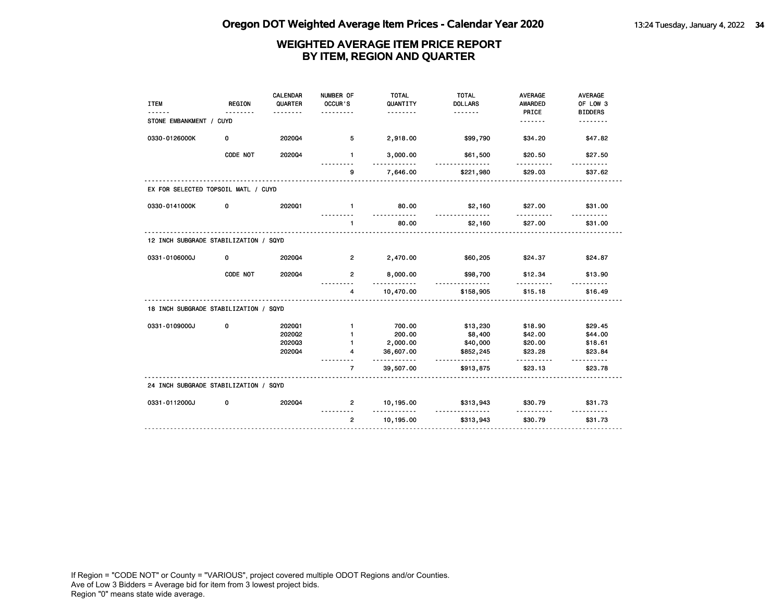| <b>ITEM</b>                           | <b>REGION</b> | <b>CALENDAR</b><br>QUARTER | NUMBER OF<br>OCCUR'S<br>. | <b>TOTAL</b><br>QUANTITY<br>. | <b>TOTAL</b><br><b>DOLLARS</b><br><u>.</u> | <b>AVERAGE</b><br><b>AWARDED</b><br>PRICE | <b>AVERAGE</b><br>OF LOW 3<br><b>BIDDERS</b> |
|---------------------------------------|---------------|----------------------------|---------------------------|-------------------------------|--------------------------------------------|-------------------------------------------|----------------------------------------------|
| STONE EMBANKMENT / CUYD               |               |                            |                           |                               |                                            | <u>.</u>                                  | .                                            |
| 0330-0126000K                         | 0             | 202004                     | 5                         | 2,918.00                      | \$99,790                                   | \$34.20                                   | \$47.82                                      |
|                                       | CODE NOT      | 202004                     | $\mathbf{1}$              | 3,000.00                      | \$61,500                                   | \$20.50                                   | \$27.50                                      |
|                                       |               |                            | 9                         | 7,646.00                      | \$221,980                                  | \$29.03                                   | \$37.62                                      |
| EX FOR SELECTED TOPSOIL MATL / CUYD   |               |                            |                           |                               |                                            |                                           |                                              |
| 0330-0141000K                         | 0             | 2020Q1                     | $\mathbf{1}$              | 80.00<br><u>.</u>             | \$2,160<br>.                               | \$27.00<br><u>.</u>                       | \$31.00                                      |
|                                       |               |                            | 1                         | 80.00                         | \$2,160                                    | \$27.00                                   | \$31.00                                      |
| 12 INCH SUBGRADE STABILIZATION / SQYD |               |                            |                           |                               |                                            |                                           |                                              |
| 0331-0106000J                         | 0             | 202004                     | $\overline{2}$            | 2,470.00                      | \$60,205                                   | \$24.37                                   | \$24.87                                      |
|                                       | CODE NOT      | 202004                     | $\overline{2}$            | 8,000.00                      | \$98,700<br>.                              | \$12.34                                   | \$13.90                                      |
|                                       |               |                            | 4                         | 10,470.00                     | \$158,905                                  | \$15.18                                   | \$16.49                                      |
| 18 INCH SUBGRADE STABILIZATION / SQYD |               |                            |                           |                               |                                            |                                           |                                              |
| 0331-0109000J                         | 0             | 202001                     | $\mathbf{1}$              | 700.00                        | \$13,230                                   | \$18.90                                   | \$29.45                                      |
|                                       |               | 2020Q2                     | $\mathbf{1}$              | 200.00                        | \$8,400                                    | \$42.00                                   | \$44.00                                      |
|                                       |               | 202003                     |                           | 2,000.00                      | \$40,000                                   | \$20.00                                   | \$18.61                                      |
|                                       |               | 202004                     | 4                         | 36,607.00<br>.                | \$852,245<br>.                             | \$23.28<br>.                              | \$23.84<br>$- - - - - -$                     |
|                                       |               |                            | $\overline{7}$            | 39,507.00                     | \$913,875                                  | \$23.13                                   | \$23.78                                      |
| 24 INCH SUBGRADE STABILIZATION / SQYD |               |                            |                           |                               |                                            |                                           |                                              |
| 0331-0112000J                         | 0             | 202004                     | $\overline{2}$            | 10,195.00<br>. . <b>.</b>     | \$313,943                                  | \$30.79                                   | \$31.73                                      |
|                                       |               |                            | $\overline{2}$            | 10,195.00                     | \$313,943                                  | \$30.79                                   | \$31.73                                      |
|                                       |               |                            |                           |                               |                                            |                                           |                                              |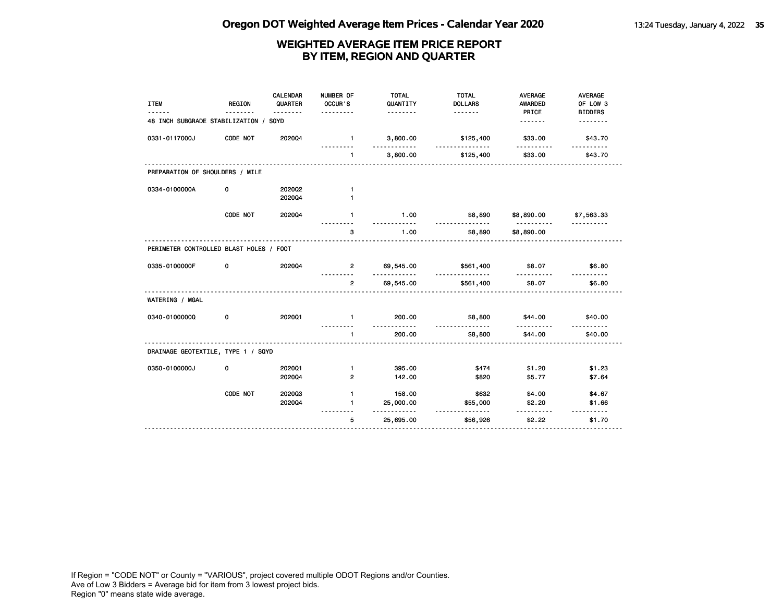| <b>ITEM</b>                             | <b>REGION</b> | <b>CALENDAR</b><br>QUARTER | NUMBER OF<br>OCCUR'S<br>. | <b>TOTAL</b><br>QUANTITY<br>. | <b>TOTAL</b><br><b>DOLLARS</b> | <b>AVERAGE</b><br><b>AWARDED</b><br>PRICE | <b>AVERAGE</b><br>OF LOW 3<br><b>BIDDERS</b> |
|-----------------------------------------|---------------|----------------------------|---------------------------|-------------------------------|--------------------------------|-------------------------------------------|----------------------------------------------|
| 48 INCH SUBGRADE STABILIZATION /        |               | SQYD                       |                           |                               |                                | <u>.</u>                                  | .                                            |
| 0331-0117000J                           | CODE NOT      | 202004                     | $\mathbf{1}$              | 3,800.00<br>---------         | \$125,400<br>.                 | \$33.00                                   | \$43.70<br><u>.</u>                          |
|                                         |               |                            | $\mathbf{1}$              | 3,800.00                      | \$125,400                      | \$33.00                                   | \$43.70                                      |
| PREPARATION OF SHOULDERS / MILE         |               |                            |                           |                               |                                |                                           |                                              |
| 0334-0100000A                           | 0             | 202002                     | $\mathbf{1}$              |                               |                                |                                           |                                              |
|                                         |               | 202004                     | $\mathbf{1}$              |                               |                                |                                           |                                              |
|                                         | CODE NOT      | 202004                     | $\mathbf{1}$              | 1.00                          | \$8,890<br><u>.</u>            | \$8,890.00                                | \$7,563.33                                   |
|                                         |               |                            | 3                         | 1.00                          | \$8,890                        | .<br>\$8,890.00                           | <u>.</u>                                     |
| PERIMETER CONTROLLED BLAST HOLES / FOOT |               |                            |                           |                               |                                |                                           |                                              |
| 0335-0100000F                           | 0             | 202004                     | $\overline{2}$            | 69,545.00                     | \$561,400                      | \$8.07                                    | \$6.80                                       |
|                                         |               |                            | $\overline{2}$            | 69,545.00                     | \$561,400                      | \$8.07                                    | \$6.80                                       |
| WATERING / MGAL                         |               |                            |                           |                               |                                |                                           |                                              |
| 0340-01000000                           | 0             | 2020Q1                     | $\mathbf{1}$              | 200.00<br>$- - -$             | \$8,800<br><u>.</u>            | \$44.00                                   | \$40.00                                      |
|                                         |               |                            | $\mathbf{1}$              | 200.00                        | \$8,800                        | -----<br>\$44.00                          | \$40.00                                      |
| DRAINAGE GEOTEXTILE, TYPE 1 / SQYD      |               |                            |                           |                               |                                |                                           |                                              |
| 0350-0100000J                           | 0             | 202001                     | $\mathbf{1}$              | 395.00                        | \$474                          | \$1.20                                    | \$1.23                                       |
|                                         |               | 202004                     | $\mathbf{2}$              | 142.00                        | \$820                          | \$5.77                                    | \$7.64                                       |
|                                         | CODE NOT      | 202003                     | $\mathbf{1}$              | 158.00                        | \$632                          | \$4.00                                    | \$4.67                                       |
|                                         |               | 202004                     | $\mathbf{1}$              | 25,000.00                     | \$55,000                       | \$2.20                                    | \$1.66                                       |
|                                         |               |                            | 5                         | <u>.</u><br>25,695.00         | <u>.</u><br>\$56,926           | . <u>.</u><br>\$2.22                      | \$1.70                                       |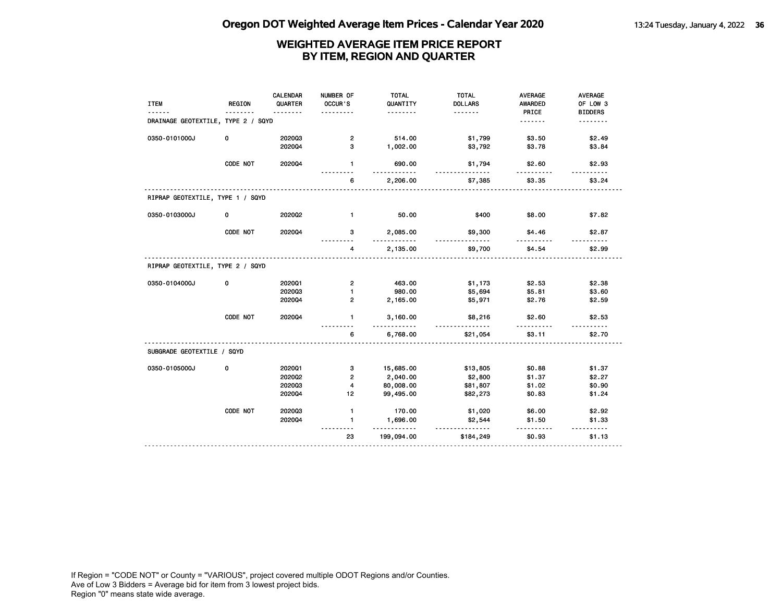| .<br>DRAINAGE GEOTEXTILE, TYPE 2 / SQYD | .<br>514.00<br>$\mathbf{2}$                   | .<br>\$1,799                | PRICE<br><u>.</u>  | <b>BIDDERS</b><br><u>.</u> |
|-----------------------------------------|-----------------------------------------------|-----------------------------|--------------------|----------------------------|
|                                         |                                               |                             |                    |                            |
|                                         |                                               |                             |                    |                            |
| 0350-0101000J<br>0<br>202003            |                                               |                             | \$3.50             | \$2.49                     |
| 202004                                  | 3<br>1,002.00                                 | \$3,792                     | \$3.78             | \$3.84                     |
| CODE NOT<br>2020Q4                      | $\mathbf{1}$<br>690.00                        | \$1,794                     | \$2.60             | \$2.93                     |
|                                         | 2,206.00<br>6                                 | \$7,385                     | \$3.35             | \$3.24                     |
| RIPRAP GEOTEXTILE, TYPE 1 / SQYD        |                                               |                             |                    |                            |
| 0350-0103000J<br>0<br>2020Q2            | $\mathbf{1}$<br>50.00                         | \$400                       | \$8.00             | \$7.82                     |
| CODE NOT<br>202004                      | 2,085.00<br>з<br>.                            | \$9,300<br>$-2 - 2 - 2 - 2$ | \$4.46             | \$2.87                     |
|                                         | 2,135.00<br>4                                 | \$9,700                     | \$4.54             | \$2.99                     |
| RIPRAP GEOTEXTILE, TYPE 2 / SQYD        |                                               |                             |                    |                            |
| 0350-0104000J<br>0<br>202001            | $\overline{2}$<br>463.00                      | \$1,173                     | \$2.53             | \$2.38                     |
| 202003                                  | 1<br>980.00                                   | \$5,694                     | \$5.81             | \$3.60                     |
| 202004                                  | $\overline{2}$<br>2,165.00                    | \$5,971                     | \$2.76             | \$2.59                     |
| CODE NOT<br>202004                      | $\mathbf{1}$<br>3,160.00<br><u>----------</u> | \$8,216<br><u>.</u>         | \$2.60             | \$2.53                     |
|                                         | 6,768.00<br>6                                 | \$21,054                    | \$3.11             | \$2.70                     |
| SUBGRADE GEOTEXTILE / SQYD              |                                               |                             |                    |                            |
| 0350-0105000J<br>0<br>2020Q1            | 3<br>15,685.00                                | \$13,805                    | \$0.88             | \$1.37                     |
| 2020Q2                                  | $\mathbf{2}$<br>2,040.00                      | \$2,800                     | \$1.37             | \$2.27                     |
| 202003                                  | 80,008.00<br>4                                | \$81,807                    | \$1.02             | \$0.90                     |
| 202004                                  | 99,495.00<br>12                               | \$82,273                    | \$0.83             | \$1.24                     |
| CODE NOT<br>202003                      | 170.00<br>$\mathbf{1}$                        | \$1,020                     | \$6.00             | \$2.92                     |
| 202004                                  | 1,696.00<br>$\mathbf{1}$<br>.                 | \$2,544<br><u></u>          | \$1.50<br><u>.</u> | \$1.33<br><u>.</u>         |
|                                         | 23<br>199,094.00                              | \$184,249                   | \$0.93             | \$1.13                     |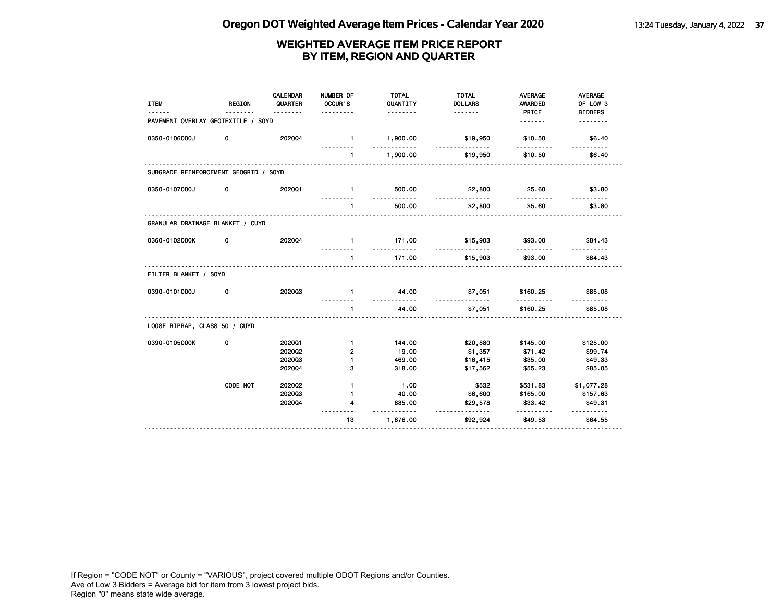| <b>ITEM</b>                           | <b>REGION</b> | <b>CALENDAR</b><br>QUARTER | NUMBER OF<br>OCCUR'S<br>.        | <b>TOTAL</b><br>QUANTITY<br><u>.</u> | <b>TOTAL</b><br><b>DOLLARS</b> | <b>AVERAGE</b><br><b>AWARDED</b><br>PRICE | <b>AVERAGE</b><br>OF LOW 3<br><b>BIDDERS</b> |
|---------------------------------------|---------------|----------------------------|----------------------------------|--------------------------------------|--------------------------------|-------------------------------------------|----------------------------------------------|
| PAVEMENT OVERLAY GEOTEXTILE / SQYD    |               |                            |                                  |                                      |                                | .                                         | <u>.</u>                                     |
| 0350-0106000J                         | 0             | 202004                     | $\blacksquare$                   | 1,900.00<br>.                        | \$19,950<br>.                  | \$10.50<br><u>.</u>                       | \$6.40                                       |
|                                       |               |                            | $\mathbf{1}$                     | 1,900.00                             | \$19,950                       | \$10.50                                   | <u>.</u><br>\$6.40                           |
| SUBGRADE REINFORCEMENT GEOGRID / SQYD |               |                            |                                  |                                      |                                |                                           |                                              |
| 0350-0107000J                         | 0             | 202001                     | $\mathbf{1}$                     | 500.00                               | \$2,800                        | \$5.60                                    | \$3.80                                       |
|                                       |               |                            | <u>---------</u><br>$\mathbf{1}$ | <u>.</u><br>500.00                   | .<br>\$2,800                   | <u>.</u><br>\$5.60                        | <u>.</u><br>\$3.80                           |
| GRANULAR DRAINAGE BLANKET / CUYD      |               | .                          |                                  |                                      |                                |                                           |                                              |
| 0360-0102000K                         | 0             | 202004                     | $\sim$ 1.                        | 171.00<br>.                          | \$15,903                       | \$93.00                                   | \$84.43                                      |
|                                       |               |                            | $\mathbf{1}$                     | 171.00                               | \$15,903                       | \$93.00                                   | \$84.43                                      |
| FILTER BLANKET / SQYD                 |               |                            |                                  |                                      |                                |                                           |                                              |
| 0390-0101000J                         | 0             | 202003                     | $\mathbf{1}$                     | 44.00<br>.                           | \$7,051<br><u>.</u>            | \$160.25<br><u>.</u>                      | \$85.08                                      |
|                                       |               |                            | $\mathbf{1}$                     | 44.00                                | \$7,051                        | \$160.25                                  | \$85.08                                      |
| LOOSE RIPRAP, CLASS 50 / CUYD         |               |                            |                                  |                                      |                                |                                           |                                              |
| 0390-0105000K                         | 0             | 202001                     | $\blacksquare$                   | 144.00                               | \$20,880                       | \$145.00                                  | \$125.00                                     |
|                                       |               | 202002                     | $\overline{2}$                   | 19.00                                | \$1,357                        | \$71.42                                   | \$99.74                                      |
|                                       |               | 202003                     | $\mathbf{1}$                     | 469.00                               | \$16,415                       | \$35.00                                   | \$49.33                                      |
|                                       |               | 202004                     | 3                                | 318.00                               | \$17,562                       | \$55.23                                   | \$85.05                                      |
|                                       | CODE NOT      | 202002                     | $\mathbf{1}$                     | 1.00                                 | \$532                          | \$531.83                                  | \$1,077.28                                   |
|                                       |               | 202003                     | $\mathbf{1}$                     | 40.00                                | \$6,600                        | \$165.00                                  | \$157.63                                     |
|                                       |               | 202004                     | 4                                | 885.00<br>.                          | \$29,578<br><u>.</u>           | \$33.42<br>.                              | \$49.31<br>.                                 |
|                                       |               |                            | 13                               | 1,876.00                             | \$92,924                       | \$49.53                                   | \$64.55                                      |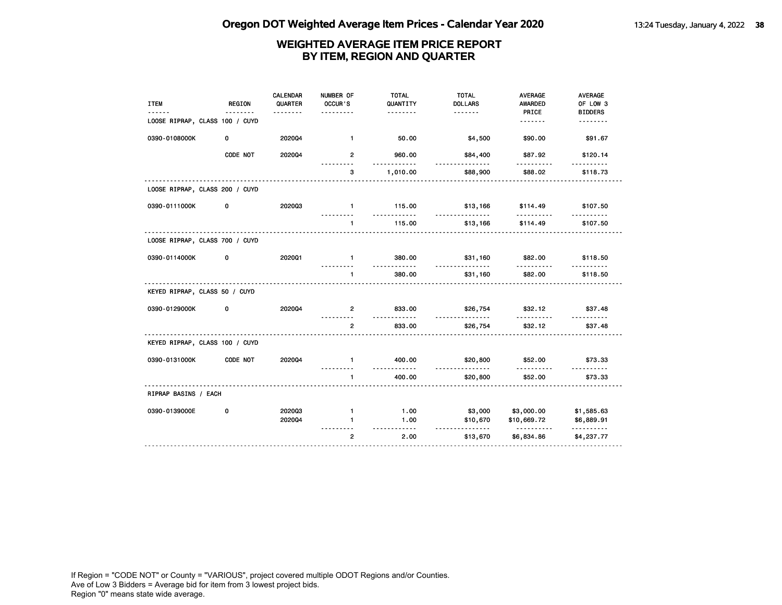| <b>ITEM</b>                    | REGION   | <b>CALENDAR</b><br>QUARTER | NUMBER OF<br>OCCUR'S | <b>TOTAL</b><br>QUANTITY | <b>TOTAL</b><br><b>DOLLARS</b> | <b>AVERAGE</b><br><b>AWARDED</b> | AVERAGE<br>OF LOW 3 |
|--------------------------------|----------|----------------------------|----------------------|--------------------------|--------------------------------|----------------------------------|---------------------|
|                                | .        | <u>.</u>                   | .                    | <u>.</u>                 |                                | PRICE                            | <b>BIDDERS</b>      |
| LOOSE RIPRAP, CLASS 100 / CUYD |          |                            |                      |                          |                                | <u>.</u>                         | <u>.</u>            |
| 0390-0108000K                  | 0        | 202004                     | $\mathbf{1}$         | 50.00                    | \$4,500                        | \$90.00                          | \$91.67             |
|                                | CODE NOT | 202004                     | $\overline{2}$       | 960.00<br>.              | \$84,400<br>.                  | \$87.92<br>.                     | \$120.14            |
|                                |          |                            | 3                    | 1,010.00                 | \$88,900                       | \$88.02                          | \$118.73            |
| LOOSE RIPRAP, CLASS 200 / CUYD |          |                            |                      |                          |                                |                                  |                     |
| 0390-0111000K                  | 0        | 202003                     | $\mathbf{1}$         | 115.00<br><u>.</u>       | \$13,166<br><u>.</u>           | \$114.49<br><u>.</u>             | \$107.50            |
|                                |          |                            | $\mathbf{1}$         | 115.00                   | \$13,166                       | \$114.49                         | \$107.50            |
| LOOSE RIPRAP, CLASS 700 / CUYD |          |                            |                      |                          |                                |                                  |                     |
| 0390-0114000K                  | 0        | 2020Q1                     | $\mathbf{1}$         | 380.00<br>.              | \$31,160<br>.                  | \$82.00                          | \$118.50            |
|                                |          |                            | $\mathbf{1}$         | 380.00                   | \$31,160                       | \$82.00                          | \$118.50            |
| KEYED RIPRAP, CLASS 50 / CUYD  |          |                            |                      |                          |                                |                                  |                     |
| 0390-0129000K                  | 0        | 2020Q4                     | $\overline{2}$       | 833.00<br><u>.</u>       | \$26,754<br>.                  | \$32.12<br>.                     | \$37.48<br>.        |
|                                |          |                            | $\overline{2}$       | 833.00                   | \$26,754                       | \$32.12                          | \$37.48             |
| KEYED RIPRAP, CLASS 100 / CUYD |          |                            |                      |                          |                                |                                  |                     |
| 0390-0131000K                  | CODE NOT | 2020Q4                     | $\blacksquare$       | 400.00<br>.              | \$20,800<br>.                  | \$52.00<br>.                     | \$73.33             |
|                                |          |                            | $\mathbf{1}$         | 400.00                   | \$20,800                       | \$52.00                          | \$73.33             |
| RIPRAP BASINS / EACH           |          |                            |                      |                          |                                |                                  |                     |
| 0390-0139000E                  | 0        | 202003                     | $\mathbf{1}$         | 1.00                     | \$3,000                        | \$3,000.00                       | \$1,585.63          |
|                                |          | 202004                     | $\blacksquare$       | 1.00                     | \$10,670                       | \$10,669.72                      | \$6,889.91          |
|                                |          |                            | $\overline{2}$       | <u>.</u><br>2.00         | .<br>\$13,670                  | <u>.</u><br>\$6,834.86           | .<br>\$4,237.77     |
|                                |          |                            |                      |                          |                                |                                  |                     |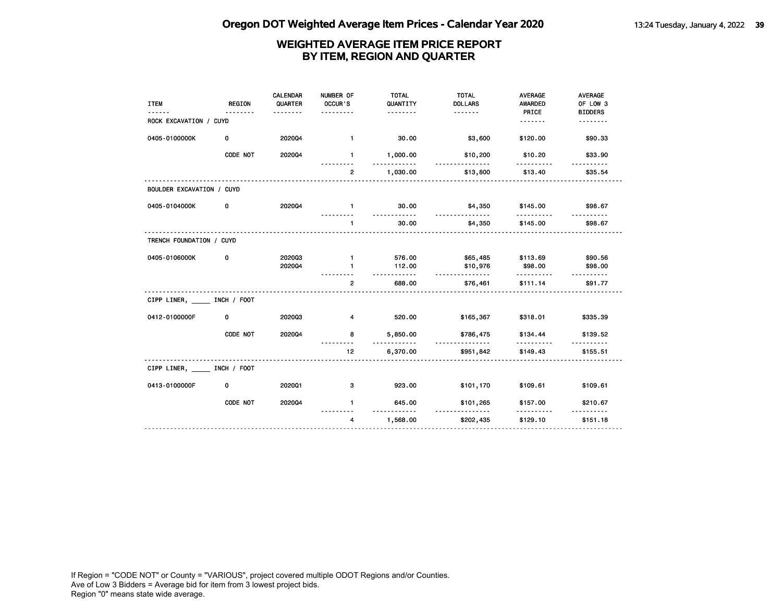| <b>ITEM</b>               | <b>REGION</b> | <b>CALENDAR</b><br>QUARTER<br>$- - - - - - - -$ | NUMBER OF<br>OCCUR'S<br>.    | <b>TOTAL</b><br>QUANTITY<br>. | <b>TOTAL</b><br><b>DOLLARS</b> | <b>AVERAGE</b><br><b>AWARDED</b><br>PRICE | <b>AVERAGE</b><br>OF LOW 3<br><b>BIDDERS</b> |
|---------------------------|---------------|-------------------------------------------------|------------------------------|-------------------------------|--------------------------------|-------------------------------------------|----------------------------------------------|
| ROCK EXCAVATION / CUYD    |               |                                                 |                              |                               |                                | <u>.</u>                                  | .                                            |
| 0405-0100000K             | 0             | 202004                                          | $\mathbf{1}$                 | 30.00                         | \$3,600                        | \$120.00                                  | \$90.33                                      |
|                           | CODE NOT      | 202004                                          | 1.                           | 1,000.00                      | \$10,200                       | \$10.20<br>.                              | \$33.90                                      |
|                           |               |                                                 | $\overline{2}$               | 1,030.00                      | \$13,800                       | \$13.40                                   | \$35.54                                      |
| BOULDER EXCAVATION / CUYD |               |                                                 |                              |                               |                                |                                           |                                              |
| 0405-0104000K             | 0             | 202004                                          | $\mathbf{1}$                 | 30.00<br>.                    | \$4,350<br><u>.</u>            | \$145.00<br>.                             | \$98.67                                      |
|                           |               |                                                 | $\mathbf{1}$                 | 30.00                         | \$4,350                        | \$145.00                                  | \$98.67                                      |
| TRENCH FOUNDATION / CUYD  |               |                                                 |                              |                               |                                |                                           |                                              |
| 0405-0106000K             | 0             | 202003<br>202004                                | $\mathbf{1}$<br>$\mathbf{1}$ | 576.00<br>112.00              | \$65,485<br>\$10,976           | \$113.69<br>\$98.00                       | \$90.56<br>\$98.00                           |
|                           |               |                                                 |                              |                               | <u>.</u>                       | .                                         |                                              |
|                           |               |                                                 | $\overline{2}$               | 688.00                        | \$76,461                       | \$111.14                                  | \$91.77                                      |
| CIPP LINER, INCH / FOOT   |               |                                                 |                              |                               |                                |                                           |                                              |
| 0412-0100000F             | 0             | 202003                                          | 4                            | 520.00                        | \$165,367                      | \$318.01                                  | \$335.39                                     |
|                           | CODE NOT      | 202004                                          | 8                            | 5,850.00                      | \$786,475<br>.                 | \$134.44<br>.                             | \$139.52                                     |
|                           |               |                                                 | 12                           | 6,370.00                      | \$951,842                      | \$149.43                                  | \$155.51                                     |
| CIPP LINER, INCH / FOOT   |               |                                                 |                              |                               |                                |                                           |                                              |
| 0413-0100000F             | 0             | 202001                                          | 3                            | 923.00                        | \$101,170                      | \$109.61                                  | \$109.61                                     |
|                           | CODE NOT      | 202004                                          | $\mathbf{1}$                 | 645.00                        | \$101,265                      | \$157.00                                  | \$210.67                                     |
|                           |               | .                                               | 4                            | 1,568.00                      | \$202,435                      | \$129.10                                  | \$151.18                                     |
|                           |               |                                                 |                              |                               |                                |                                           |                                              |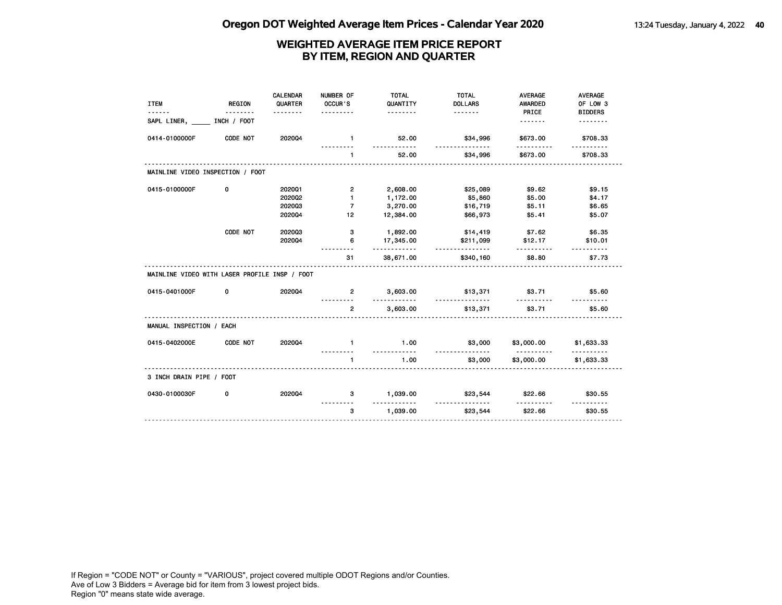| <b>ITEM</b><br>------                         | <b>REGION</b><br><u>.</u> | <b>CALENDAR</b><br>QUARTER<br><u>.</u> | NUMBER OF<br>OCCUR'S<br>. | <b>TOTAL</b><br>QUANTITY<br><u>.</u> | <b>TOTAL</b><br><b>DOLLARS</b> | <b>AVERAGE</b><br><b>AWARDED</b><br>PRICE | <b>AVERAGE</b><br>OF LOW 3<br><b>BIDDERS</b> |
|-----------------------------------------------|---------------------------|----------------------------------------|---------------------------|--------------------------------------|--------------------------------|-------------------------------------------|----------------------------------------------|
| SAPL LINER, INCH / FOOT                       |                           |                                        |                           |                                      |                                | <u>.</u>                                  | <u>.</u>                                     |
| 0414-0100000F                                 | CODE NOT                  | 202004                                 | $\blacksquare$            | 52.00<br>.                           | \$34,996<br><u>.</u>           | \$673.00                                  | \$708.33                                     |
|                                               |                           |                                        | $\mathbf{1}$              | 52.00                                | \$34,996                       | \$673.00                                  | \$708.33                                     |
| MAINLINE VIDEO INSPECTION / FOOT              |                           |                                        |                           |                                      |                                |                                           |                                              |
| 0415-0100000F                                 | 0                         | 202001                                 | $\overline{2}$            | 2,608.00                             | \$25,089                       | \$9.62                                    | \$9.15                                       |
|                                               |                           | 2020Q2                                 | $\blacksquare$            | 1,172.00                             | \$5,860                        | \$5.00                                    | \$4.17                                       |
|                                               |                           | 202003                                 | $\overline{7}$            | 3,270.00                             | \$16,719                       | \$5.11                                    | \$6.65                                       |
|                                               |                           | 202004                                 | 12                        | 12,384.00                            | \$66,973                       | \$5.41                                    | \$5.07                                       |
|                                               | CODE NOT                  | 202003                                 | 3                         | 1,892.00                             | \$14,419                       | \$7.62                                    | \$6.35                                       |
|                                               |                           | 202004                                 | 6                         | 17,345.00<br>.                       | \$211,099<br>.                 | \$12.17<br>.                              | \$10.01<br><u>.</u>                          |
|                                               |                           |                                        | 31                        | 38,671.00                            | \$340,160                      | \$8.80                                    | \$7.73                                       |
| MAINLINE VIDEO WITH LASER PROFILE INSP / FOOT |                           |                                        |                           |                                      |                                |                                           |                                              |
| 0415-0401000F                                 | 0                         | 202004                                 | $\overline{2}$<br>.       | 3,603.00<br>.                        | \$13,371<br><u>.</u>           | \$3.71<br>.                               | \$5.60                                       |
|                                               |                           |                                        | $\overline{2}$            | 3,603.00                             | \$13,371                       | \$3.71                                    | \$5.60                                       |
| MANUAL INSPECTION / EACH                      |                           |                                        |                           |                                      |                                |                                           |                                              |
| 0415-0402000E                                 | CODE NOT                  | 202004                                 | $\mathbf{1}$              | 1.00<br><u>.</u>                     | \$3,000                        | \$3,000.00<br>.                           | \$1,633.33                                   |
|                                               |                           |                                        | $\mathbf{1}$              | 1.00                                 | <u>.</u><br>\$3,000            | \$3,000.00                                | .<br>\$1,633.33                              |
| 3 INCH DRAIN PIPE / FOOT                      |                           |                                        |                           |                                      |                                |                                           |                                              |
| 0430-0100030F                                 | 0                         | 202004                                 | 3                         | 1,039.00                             | \$23,544                       | \$22.66                                   | \$30.55                                      |
|                                               |                           |                                        | 3                         | .<br>1,039.00                        | .<br>\$23,544                  | <u>.</u><br>\$22.66                       | .<br>\$30.55                                 |
|                                               |                           |                                        |                           |                                      |                                |                                           |                                              |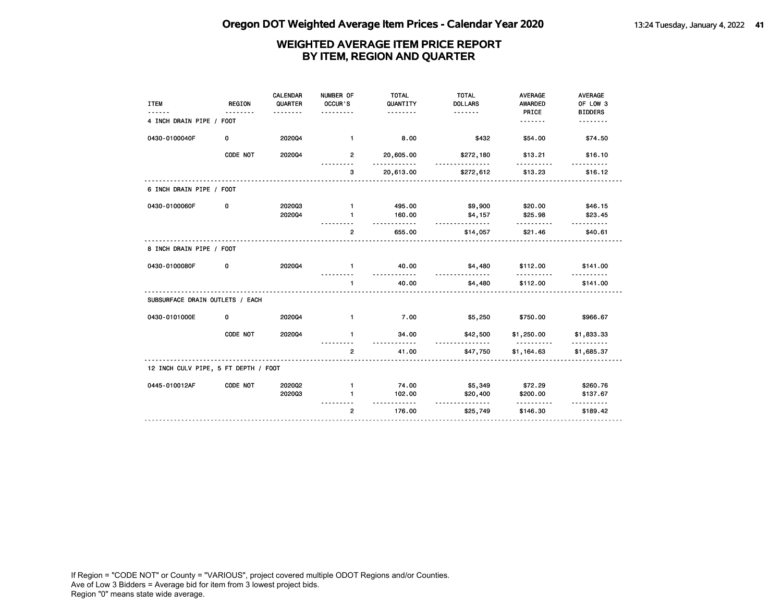| <b>ITEM</b>                          | <b>REGION</b> | <b>CALENDAR</b><br>QUARTER<br>. | NUMBER OF<br>OCCUR'S<br>. | <b>TOTAL</b><br>QUANTITY<br><u>.</u> | <b>TOTAL</b><br><b>DOLLARS</b><br><u>.</u> | <b>AVERAGE</b><br><b>AWARDED</b><br>PRICE | <b>AVERAGE</b><br>OF LOW 3<br><b>BIDDERS</b> |
|--------------------------------------|---------------|---------------------------------|---------------------------|--------------------------------------|--------------------------------------------|-------------------------------------------|----------------------------------------------|
| 4 INCH DRAIN PIPE / FOOT             |               |                                 |                           |                                      |                                            | <u>.</u>                                  | .                                            |
| 0430-0100040F                        | 0             | 202004                          | $\mathbf{1}$              | 8.00                                 | \$432                                      | \$54.00                                   | \$74.50                                      |
|                                      | CODE NOT      | 202004                          | $\overline{2}$            | 20,605.00<br>$- - - - -$             | \$272,180                                  | \$13.21                                   | \$16.10                                      |
|                                      |               |                                 | 3                         | 20,613.00                            | \$272,612                                  | \$13.23                                   | \$16.12                                      |
| 6 INCH DRAIN PIPE / FOOT             |               |                                 |                           |                                      |                                            |                                           |                                              |
| 0430-0100060F                        | 0             | 202003                          | $\mathbf{1}$              | 495.00                               | \$9,900                                    | \$20.00                                   | \$46.15                                      |
|                                      |               | 202004                          | 1                         | 160.00                               | \$4,157                                    | \$25.98                                   | \$23.45                                      |
|                                      |               |                                 | $\overline{2}$            | <u>.</u><br>655.00                   | <u>.</u><br>\$14,057                       | .<br>\$21.46                              | . <b>.</b><br>\$40.61                        |
| 8 INCH DRAIN PIPE / FOOT             |               |                                 |                           |                                      |                                            |                                           |                                              |
| 0430-0100080F                        | 0             | 202004                          | $\mathbf{1}$              | 40.00<br><u>.</u>                    | \$4,480<br><u>.</u>                        | \$112.00<br><u>.</u>                      | \$141.00                                     |
|                                      |               |                                 |                           | 40.00                                | \$4,480                                    | \$112.00                                  | \$141.00                                     |
| SUBSURFACE DRAIN OUTLETS / EACH      |               |                                 |                           |                                      |                                            |                                           |                                              |
| 0430-0101000E                        | 0             | 202004                          | $\mathbf{1}$              | 7.00                                 | \$5,250                                    | \$750.00                                  | \$966.67                                     |
|                                      | CODE NOT      | 202004                          | $\blacksquare$            | 34.00                                | \$42,500                                   | \$1,250.00<br>.                           | \$1,833.33                                   |
|                                      |               |                                 | $\overline{2}$            | 41.00                                | \$47,750                                   | \$1,164.63                                | \$1,685.37                                   |
| 12 INCH CULV PIPE, 5 FT DEPTH / FOOT |               |                                 |                           |                                      |                                            |                                           |                                              |
| 0445-010012AF                        | CODE NOT      | 2020Q2                          | $\mathbf{1}$              | 74.00                                | \$5,349                                    | \$72.29                                   | \$260.76                                     |
|                                      |               | 202003                          | $\mathbf{1}$              | 102.00                               | \$20,400                                   | \$200.00                                  | \$137.67                                     |
|                                      |               |                                 | $\overline{2}$            | <u>.</u><br>176.00                   | .<br>\$25,749                              | .<br>\$146.30                             | \$189.42                                     |
|                                      |               |                                 |                           |                                      |                                            |                                           |                                              |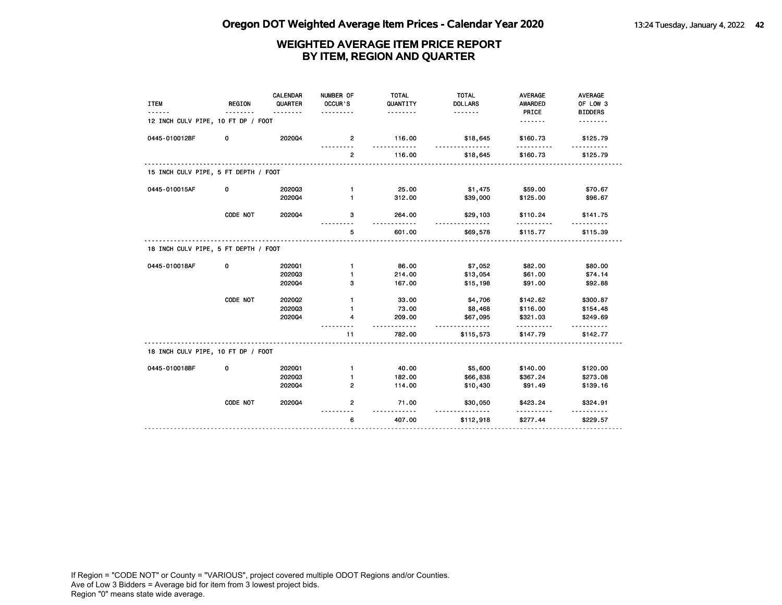| <b>ITEM</b>                          | <b>REGION</b> | <b>CALENDAR</b><br>QUARTER | NUMBER OF<br>OCCUR'S | <b>TOTAL</b><br>QUANTITY | <b>TOTAL</b><br><b>DOLLARS</b> | <b>AVERAGE</b><br><b>AWARDED</b> | AVERAGE<br>OF LOW 3 |
|--------------------------------------|---------------|----------------------------|----------------------|--------------------------|--------------------------------|----------------------------------|---------------------|
| 12 INCH CULV PIPE, 10 FT DP / FOOT   |               | <u>.</u>                   |                      | .                        | .                              | PRICE<br>. <b>.</b>              | <b>BIDDERS</b><br>. |
| 0445-010012BF                        | 0             | 202004                     | $\mathbf{2}$         | 116.00                   | \$18,645                       | \$160.73                         | \$125.79            |
|                                      |               |                            | $\overline{2}$       | 116.00                   | \$18,645                       | \$160.73                         | \$125.79            |
| 15 INCH CULV PIPE, 5 FT DEPTH / FOOT |               |                            |                      |                          |                                |                                  |                     |
| 0445-010015AF                        | 0             | 202003                     | $\mathbf{1}$         | 25.00                    | \$1,475                        | \$59.00                          | \$70.67             |
|                                      |               | 202004                     | $\mathbf{1}$         | 312.00                   | \$39,000                       | \$125.00                         | \$96.67             |
|                                      | CODE NOT      | 202004                     | з                    | 264.00<br><u>.</u>       | \$29,103                       | \$110.24                         | \$141.75            |
|                                      |               |                            | 5                    | 601.00                   | \$69,578                       | \$115.77                         | \$115.39            |
| 18 INCH CULV PIPE, 5 FT DEPTH / FOOT |               |                            |                      |                          |                                |                                  |                     |
| 0445-010018AF                        | 0             | 202001                     | $\mathbf{1}$         | 86.00                    | \$7,052                        | \$82.00                          | \$80.00             |
|                                      |               | 202003                     | 1                    | 214.00                   | \$13,054                       | \$61.00                          | \$74.14             |
|                                      |               | 202004                     | з                    | 167.00                   | \$15,198                       | \$91.00                          | \$92.88             |
|                                      | CODE NOT      | 2020Q2                     | $\mathbf{1}$         | 33.00                    | \$4,706                        | \$142.62                         | \$300.87            |
|                                      |               | 202003                     | 1                    | 73.00                    | \$8,468                        | \$116.00                         | \$154.48            |
|                                      |               | 202004                     | 4                    | 209.00<br>$- - -$        | \$67,095<br>$\frac{1}{2}$      | \$321.03<br>.                    | \$249.69<br>.       |
|                                      |               |                            | 11                   | 782.00                   | \$115,573                      | \$147.79                         | \$142.77            |
| 18 INCH CULV PIPE, 10 FT DP / FOOT   |               |                            |                      |                          |                                |                                  |                     |
| 0445-010018BF                        | 0             | 202001                     | $\mathbf{1}$         | 40.00                    | \$5,600                        | \$140.00                         | \$120.00            |
|                                      |               | 202003                     | 1                    | 182.00                   | \$66,838                       | \$367.24                         | \$273.08            |
|                                      |               | 202004                     | $\overline{2}$       | 114.00                   | \$10,430                       | \$91.49                          | \$139.16            |
|                                      | CODE NOT      | 202004                     | $\overline{2}$       | 71.00                    | \$30,050                       | \$423.24                         | \$324.91            |
|                                      |               |                            | 6                    | 407.00                   | \$112,918                      | \$277.44                         | \$229.57            |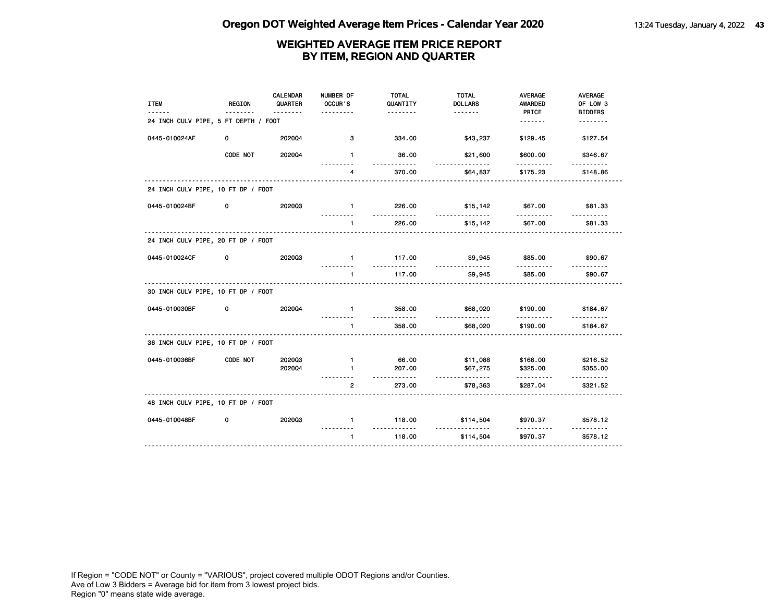| <b>ITEM</b>                          | REGION   | <b>CALENDAR</b><br>QUARTER | NUMBER OF<br>OCCUR'S | <b>TOTAL</b><br>QUANTITY | <b>TOTAL</b><br><b>DOLLARS</b> | AVERAGE<br><b>AWARDED</b> | AVERAGE<br>OF LOW 3       |
|--------------------------------------|----------|----------------------------|----------------------|--------------------------|--------------------------------|---------------------------|---------------------------|
|                                      |          | <u>.</u>                   |                      | .                        | <u>.</u>                       | PRICE                     | <b>BIDDERS</b>            |
| 24 INCH CULV PIPE, 5 FT DEPTH / FOOT |          |                            |                      |                          |                                | <u>.</u>                  | .                         |
| 0445-010024AF                        | 0        | 202004                     | 3                    | 334.00                   | \$43,237                       | \$129.45                  | \$127.54                  |
|                                      | CODE NOT | 202004                     | $\mathbf{1}$         | 36.00<br><u>.</u>        | \$21,600<br><u>.</u>           | \$600.00<br>.             | \$346.67<br>----------    |
|                                      |          |                            | 4                    | 370.00                   | \$64,837                       | \$175.23                  | \$148.86                  |
| 24 INCH CULV PIPE, 10 FT DP / FOOT   |          |                            |                      |                          |                                |                           |                           |
| 0445-010024BF                        | 0        | 202003                     | $\mathbf{1}$         | 226.00<br><u>.</u>       | \$15,142<br>.                  | \$67.00<br>.              | \$81.33                   |
|                                      |          |                            | $\mathbf{1}$         | 226.00                   | \$15,142                       | \$67.00                   | \$81.33                   |
| 24 INCH CULV PIPE, 20 FT DP / FOOT   |          |                            |                      |                          |                                |                           |                           |
| 0445-010024CF                        | 0        | 202003                     | $\mathbf{1}$         | 117.00                   | \$9,945                        | \$85.00                   | \$90.67                   |
|                                      |          |                            | $\mathbf{1}$         | 117.00                   | \$9,945                        | \$85.00                   | \$90.67                   |
| 30 INCH CULV PIPE, 10 FT DP / FOOT   |          |                            |                      |                          |                                |                           |                           |
| 0445-010030BF                        | 0        | 202004                     | $\mathbf{1}$         | 358.00<br><u>.</u>       | \$68,020                       | \$190.00<br>.             | \$184.67                  |
|                                      |          |                            | $\mathbf{1}$         | 358.00                   | \$68,020                       | \$190.00                  | \$184.67                  |
| 36 INCH CULV PIPE, 10 FT DP / FOOT   |          |                            |                      |                          |                                |                           |                           |
| 0445-010036BF                        | CODE NOT | 202003                     | $\mathbf{1}$         | 66.00                    | \$11,088                       | \$168.00                  | \$216.52                  |
|                                      |          | 202004                     | $\blacksquare$       | 207.00                   | \$67,275                       | \$325.00                  | \$355.00                  |
|                                      |          |                            | $\overline{2}$       | .<br>273.00              | <u>.</u><br>\$78,363           | .<br>\$287.04             | $- - - - - -$<br>\$321.52 |
| 48 INCH CULV PIPE, 10 FT DP / FOOT   |          |                            |                      |                          |                                |                           |                           |
| 0445-010048BF                        | 0        | 202003                     | $\mathbf{1}$         | 118.00<br><u>.</u>       | \$114,504<br>.                 | \$970.37                  | \$578.12                  |
|                                      |          |                            | $\mathbf{1}$         | 118.00                   | \$114,504                      | \$970.37                  | \$578.12                  |
|                                      |          |                            |                      |                          |                                |                           |                           |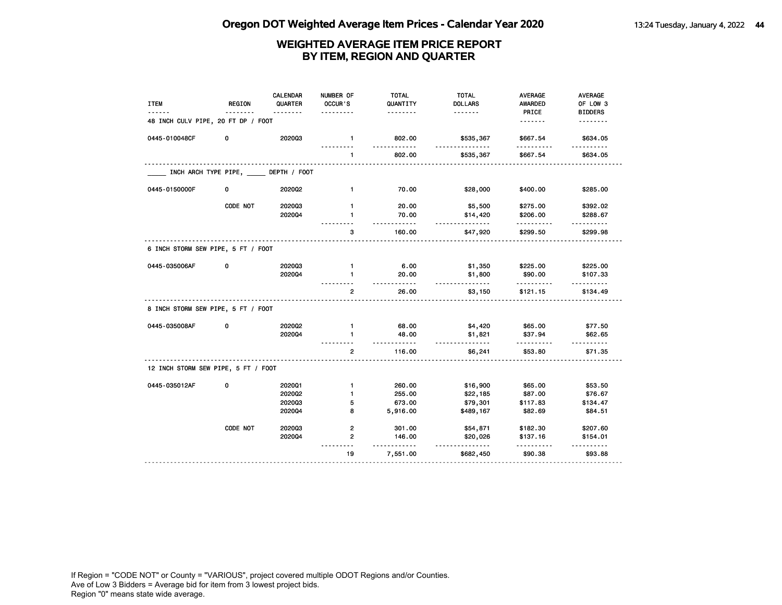| <b>ITEM</b>                         | <b>REGION</b>        | <b>CALENDAR</b><br>QUARTER | NUMBER OF<br>OCCUR'S    | <b>TOTAL</b><br>QUANTITY<br>. | <b>TOTAL</b><br><b>DOLLARS</b><br>. | <b>AVERAGE</b><br><b>AWARDED</b><br>PRICE | AVERAGE<br>OF LOW 3<br><b>BIDDERS</b> |
|-------------------------------------|----------------------|----------------------------|-------------------------|-------------------------------|-------------------------------------|-------------------------------------------|---------------------------------------|
| 48 INCH CULV PIPE, 20 FT DP / FOOT  |                      |                            |                         |                               |                                     | <u>.</u>                                  | <u>.</u>                              |
| 0445-010048CF                       | 0                    | 202003                     | $\mathbf{1}$            | 802.00<br><u>.</u>            | \$535,367<br><u>.</u>               | \$667.54                                  | \$634.05<br><u>.</u>                  |
|                                     |                      |                            | $\mathbf{1}$            | 802.00                        | \$535,367                           | \$667.54                                  | \$634.05                              |
|                                     | INCH ARCH TYPE PIPE, | DEPTH / FOOT               |                         |                               |                                     |                                           |                                       |
| 0445-0150000F                       | 0                    | 202002                     | $\mathbf{1}$            | 70.00                         | \$28,000                            | \$400.00                                  | \$285.00                              |
|                                     | CODE NOT             | 202003                     | $\mathbf{1}$            | 20.00                         | \$5,500                             | \$275.00                                  | \$392.02                              |
|                                     |                      | 2020Q4                     | 1                       | 70.00<br>.                    | \$14,420<br>.                       | \$206.00                                  | \$288.67                              |
|                                     |                      |                            | з                       | 160.00                        | \$47,920                            | \$299.50                                  | .<br>\$299.98                         |
| 6 INCH STORM SEW PIPE, 5 FT / FOOT  |                      |                            |                         |                               |                                     |                                           |                                       |
| 0445-035006AF                       | 0                    | 202003                     | $\mathbf{1}$            | 6.00                          | \$1,350                             | \$225.00                                  | \$225.00                              |
|                                     |                      | 202004                     | $\mathbf{1}$            | 20.00<br>$- - - - -$          | \$1,800<br><u>.</u>                 | \$90.00                                   | \$107.33<br>.                         |
|                                     |                      |                            | $\mathbf{2}$            | 26.00                         | \$3,150                             | \$121.15                                  | \$134.49                              |
| 8 INCH STORM SEW PIPE, 5 FT / FOOT  |                      |                            |                         |                               |                                     |                                           |                                       |
| 0445-035008AF                       | 0                    | 202002                     | $\mathbf{1}$            | 68.00                         | \$4,420                             | \$65.00                                   | \$77.50                               |
|                                     |                      | 202004                     | $\mathbf{1}$            | 48.00<br>.                    | \$1,821<br>.                        | \$37.94                                   | \$62.65                               |
|                                     |                      |                            | $\overline{2}$          | 116.00                        | \$6,241                             | \$53.80                                   | \$71.35                               |
| 12 INCH STORM SEW PIPE, 5 FT / FOOT |                      |                            |                         |                               |                                     |                                           |                                       |
| 0445-035012AF                       | 0                    | 202001                     | $\mathbf{1}$            | 260.00                        | \$16,900                            | \$65.00                                   | \$53.50                               |
|                                     |                      | 2020Q2                     | $\mathbf{1}$            | 255.00                        | \$22,185                            | \$87.00                                   | \$76.67                               |
|                                     |                      | 202003                     | 5                       | 673.00                        | \$79,301                            | \$117.83                                  | \$134.47                              |
|                                     |                      | 2020Q4                     | 8                       | 5,916.00                      | \$489,167                           | \$82.69                                   | \$84.51                               |
|                                     | CODE NOT             | 202003                     | $\overline{\mathbf{2}}$ | 301.00                        | \$54,871                            | \$182.30                                  | \$207.60                              |
|                                     |                      | 2020Q4                     | 2                       | 146.00<br>$- - -$             | \$20,026<br>.                       | \$137.16                                  | \$154.01                              |
|                                     |                      |                            | 19                      | 7,551.00                      | \$682,450                           | \$90.38                                   | \$93.88                               |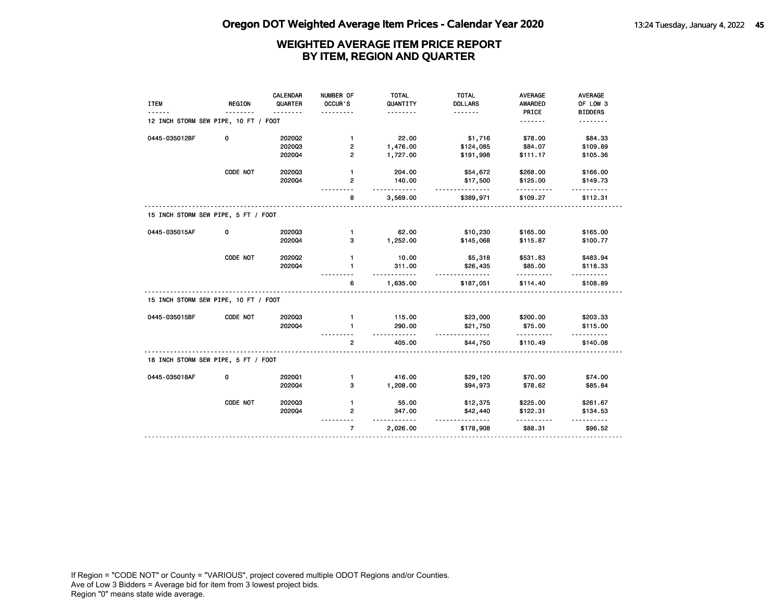|                                      |               | <b>CALENDAR</b> | NUMBER OF      | <b>TOTAL</b>              | <b>TOTAL</b>          | <b>AVERAGE</b>        | AVERAGE                   |
|--------------------------------------|---------------|-----------------|----------------|---------------------------|-----------------------|-----------------------|---------------------------|
| <b>ITEM</b>                          | <b>REGION</b> | QUARTER         | OCCUR'S        | QUANTITY                  | <b>DOLLARS</b>        | <b>AWARDED</b>        | OF LOW 3                  |
|                                      |               |                 |                | .                         | <u>.</u>              | PRICE                 | <b>BIDDERS</b>            |
| 12 INCH STORM SEW PIPE, 10 FT / FOOT |               |                 |                |                           |                       | <u>.</u>              | <u>.</u>                  |
| 0445-035012BF                        | 0             | 202002          | $\mathbf{1}$   | 22.00                     | \$1,716               | \$78.00               | \$84.33                   |
|                                      |               | 202003          | 2              | 1,476.00                  | \$124,085             | \$84.07               | \$109.89                  |
|                                      |               | 202004          | $\overline{2}$ | 1,727.00                  | \$191,998             | \$111.17              | \$105.36                  |
|                                      | CODE NOT      | 202003          | $\mathbf{1}$   | 204.00                    | \$54,672              | \$268.00              | \$166.00                  |
|                                      |               | 202004          | $\mathbf{2}$   | 140.00                    | \$17,500<br><u>.</u>  | \$125.00              | \$149.73<br>$- - - - - -$ |
|                                      |               |                 | 8              | 3,569.00                  | \$389,971             | \$109.27              | \$112.31                  |
| 15 INCH STORM SEW PIPE, 5 FT / FOOT  |               |                 |                |                           |                       |                       |                           |
| 0445-035015AF                        | 0             | 202003          | $\mathbf{1}$   | 62.00                     | \$10,230              | \$165.00              | \$165.00                  |
|                                      |               | 202004          | 3              | 1,252.00                  | \$145,068             | \$115.87              | \$100.77                  |
|                                      | CODE NOT      | 2020Q2          | 1              | 10.00                     | \$5,318               | \$531.83              | \$483.94                  |
|                                      |               | 202004          | $\mathbf{1}$   | 311.00                    | \$26,435              | \$85.00               | \$118.33                  |
|                                      |               |                 | 6              | .<br>1,635.00             | <u>.</u><br>\$187,051 | .<br>\$114.40         | \$108.89                  |
| 15 INCH STORM SEW PIPE, 10 FT / FOOT |               |                 |                |                           |                       |                       |                           |
| 0445-035015BF                        | CODE NOT      | 202003          | $\mathbf{1}$   | 115.00                    | \$23,000              | \$200.00              | \$203.33                  |
|                                      |               | 202004          | $\mathbf{1}$   | 290.00                    | \$21,750              | \$75.00               | \$115.00                  |
|                                      |               |                 | $\overline{2}$ | 405.00                    | <u>.</u><br>\$44,750  | <u>.</u><br>\$110.49  | \$140.08                  |
| 18 INCH STORM SEW PIPE, 5 FT / FOOT  |               |                 |                |                           |                       |                       |                           |
| 0445-035018AF                        | 0             | 2020Q1          | $\mathbf{1}$   | 416.00                    | \$29,120              | \$70.00               | \$74.00                   |
|                                      |               | 202004          | 3              | 1,208.00                  | \$94,973              | \$78.62               | \$85.84                   |
|                                      | CODE NOT      | 202003          | $\mathbf{1}$   | 55.00                     | \$12,375              | \$225.00              | \$261.67                  |
|                                      |               | 202004          | $\mathbf{2}$   | 347.00                    | \$42,440              | \$122.31              | \$134.53                  |
|                                      |               |                 | $\overline{7}$ | $- - - - - -$<br>2,026.00 | \$178,908             | . <u>.</u><br>\$88.31 | \$96.52                   |
|                                      |               |                 |                |                           |                       |                       |                           |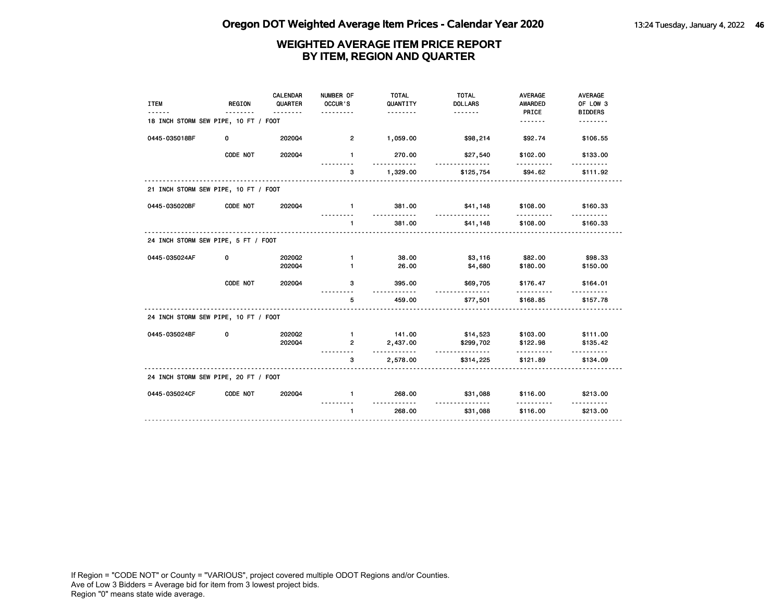| <b>ITEM</b>                          | <b>REGION</b> | CALENDAR<br>QUARTER<br><u>.</u> | NUMBER OF<br>OCCUR'S<br>. | <b>TOTAL</b><br>QUANTITY<br><u>.</u>  | <b>TOTAL</b><br><b>DOLLARS</b> | <b>AVERAGE</b><br><b>AWARDED</b><br>PRICE | <b>AVERAGE</b><br>OF LOW 3<br><b>BIDDERS</b> |
|--------------------------------------|---------------|---------------------------------|---------------------------|---------------------------------------|--------------------------------|-------------------------------------------|----------------------------------------------|
| 18 INCH STORM SEW PIPE, 10 FT / FOOT |               |                                 |                           |                                       |                                | <u>.</u>                                  | .                                            |
| 0445-035018BF                        | 0             | 202004                          | $\overline{2}$            | 1,059.00                              | \$98,214                       | \$92.74                                   | \$106.55                                     |
|                                      | CODE NOT      | 202004                          | $\mathbf{1}$              | 270.00<br>.                           | \$27,540<br>.                  | \$102.00                                  | \$133.00                                     |
|                                      |               |                                 | 3<br>.                    | 1,329.00                              | \$125,754                      | \$94.62                                   | \$111.92                                     |
| 21 INCH STORM SEW PIPE, 10 FT / FOOT |               |                                 |                           |                                       |                                |                                           |                                              |
| 0445-035020BF                        | CODE NOT      | 202004                          | $\blacksquare$            | 381.00<br>.                           | \$41,148<br><u>.</u>           | \$108.00<br><u>.</u>                      | \$160.33                                     |
|                                      |               |                                 | $\mathbf{1}$              | 381.00                                | \$41,148                       | \$108.00                                  | \$160.33                                     |
| 24 INCH STORM SEW PIPE, 5 FT / FOOT  |               |                                 |                           |                                       |                                |                                           |                                              |
| 0445-035024AF                        | 0             | 2020Q2                          | $\mathbf{1}$              | 38.00                                 | \$3,116                        | \$82.00                                   | \$98.33                                      |
|                                      |               | 202004                          | $\mathbf{1}$              | 26.00                                 | \$4,680                        | \$180.00                                  | \$150.00                                     |
|                                      | CODE NOT      | 202004                          | 3                         | 395.00<br>.                           | \$69,705                       | \$176.47<br>.                             | \$164.01                                     |
|                                      |               |                                 | 5                         | 459.00                                | \$77,501                       | \$168.85                                  | \$157.78                                     |
| 24 INCH STORM SEW PIPE, 10 FT / FOOT |               |                                 |                           |                                       |                                |                                           |                                              |
| 0445-035024BF                        | 0             | 202002                          | $\blacksquare$            | 141.00                                | \$14,523                       | \$103.00                                  | \$111.00                                     |
|                                      |               | 202004                          | $\mathbf{2}$              | 2,437.00<br>.                         | \$299,702<br><u>.</u>          | \$122.98<br>.                             | \$135.42                                     |
|                                      |               | .                               | 3                         | 2,578.00                              | \$314,225                      | \$121.89                                  | \$134.09                                     |
| 24 INCH STORM SEW PIPE, 20 FT / FOOT |               |                                 |                           |                                       |                                |                                           |                                              |
| 0445-035024CF                        | CODE NOT      | 202004                          | $\mathbf{1}$              | 268.00<br><u> - - - - - - - - - -</u> | \$31,088<br>.                  | \$116.00<br>.                             | \$213.00                                     |
|                                      |               |                                 | $\mathbf{1}$              | 268.00                                | \$31,088                       | \$116.00                                  | \$213.00                                     |
|                                      |               |                                 |                           |                                       |                                |                                           |                                              |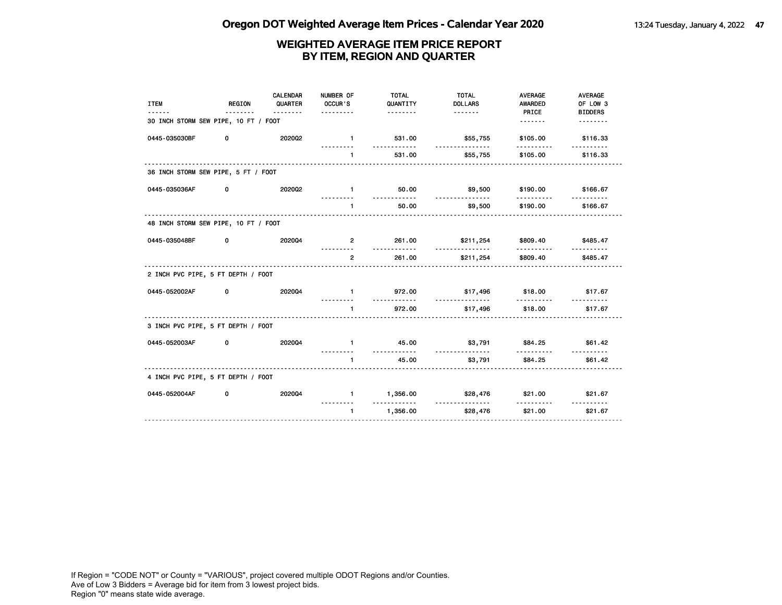| <b>ITEM</b><br>------                | <b>REGION</b><br><u>.</u> | <b>CALENDAR</b><br>QUARTER<br><u>.</u> | NUMBER OF<br>OCCUR'S<br>. | <b>TOTAL</b><br>QUANTITY<br><u>.</u> | <b>TOTAL</b><br><b>DOLLARS</b><br><u> - - - - - - -</u> | <b>AVERAGE</b><br><b>AWARDED</b><br>PRICE | <b>AVERAGE</b><br>OF LOW 3<br><b>BIDDERS</b> |
|--------------------------------------|---------------------------|----------------------------------------|---------------------------|--------------------------------------|---------------------------------------------------------|-------------------------------------------|----------------------------------------------|
| 30 INCH STORM SEW PIPE, 10 FT / FOOT |                           |                                        |                           |                                      |                                                         |                                           | <u>.</u>                                     |
| 0445-035030BF                        | 0                         | 202002                                 | $\blacksquare$            | 531.00<br>.                          | \$55,755<br><u>.</u>                                    | \$105.00                                  | \$116.33                                     |
|                                      |                           |                                        | $\mathbf{1}$              | 531.00                               | \$55,755                                                | \$105.00                                  | \$116.33                                     |
| 36 INCH STORM SEW PIPE, 5 FT / FOOT  |                           |                                        |                           |                                      |                                                         |                                           |                                              |
| 0445-035036AF                        | 0                         | 202002                                 | $\mathbf{1}$              | 50.00<br><u>.</u>                    | \$9,500                                                 | \$190.00<br>.                             | \$166.67                                     |
|                                      |                           |                                        | $\blacksquare$            | 50.00                                | .<br>\$9,500                                            | \$190.00                                  | \$166.67                                     |
| 48 INCH STORM SEW PIPE, 10 FT / FOOT |                           |                                        |                           |                                      |                                                         |                                           |                                              |
| 0445-035048BF                        | 0                         | 202004                                 | $\mathbf{2}$<br>.         | 261.00<br><u>.</u>                   | \$211,254<br>.                                          | \$809.40                                  | \$485.47                                     |
|                                      |                           |                                        | $\overline{2}$            | 261.00                               | \$211,254                                               | .<br>\$809.40                             | <u>.</u><br>\$485.47                         |
| 2 INCH PVC PIPE, 5 FT DEPTH / FOOT   |                           |                                        |                           |                                      |                                                         |                                           |                                              |
| 0445-052002AF                        | 0                         | 202004                                 | $\mathbf{1}$<br>.         | 972.00<br><u>.</u>                   | \$17,496                                                | \$18.00<br>.                              | \$17.67                                      |
|                                      |                           |                                        | $\mathbf{1}$<br>.         | 972.00                               | <u>.</u><br>\$17,496                                    | \$18.00                                   | \$17.67                                      |
| 3 INCH PVC PIPE, 5 FT DEPTH / FOOT   |                           |                                        |                           |                                      |                                                         |                                           |                                              |
| 0445-052003AF                        | 0                         | 2020Q4                                 | $\mathbf{1}$              | 45.00<br><u>.</u>                    | \$3,791<br><u>.</u>                                     | \$84.25<br>.                              | \$61.42                                      |
|                                      |                           |                                        | $\mathbf{1}$              | 45.00                                | \$3,791                                                 | \$84.25                                   | \$61.42                                      |
| 4 INCH PVC PIPE, 5 FT DEPTH / FOOT   |                           |                                        |                           |                                      |                                                         |                                           |                                              |
| 0445-052004AF                        | 0                         | 202004                                 | $\mathbf{1}$              | 1,356.00<br>.                        | \$28,476<br><u>.</u>                                    | \$21.00<br>.                              | \$21.67<br>.                                 |
|                                      |                           |                                        | $\mathbf{1}$              | 1,356.00                             | \$28,476                                                | \$21.00                                   | \$21.67                                      |
|                                      |                           |                                        |                           |                                      |                                                         |                                           |                                              |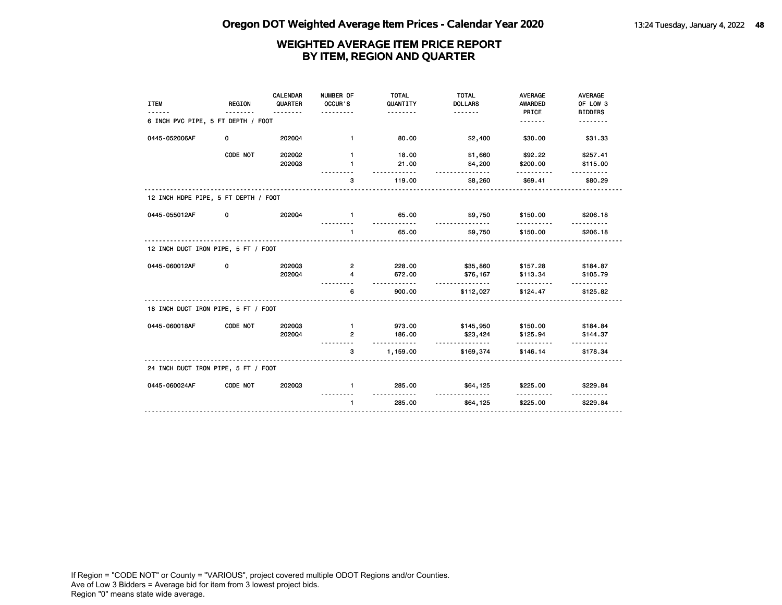| <u>.</u>                           | .      | OCCUR'S<br>.                                                                                                                                              | QUANTITY<br><u>.</u> | <b>DOLLARS</b>            | AWARDED<br>PRICE                                         | OF LOW 3<br><b>BIDDERS</b> |
|------------------------------------|--------|-----------------------------------------------------------------------------------------------------------------------------------------------------------|----------------------|---------------------------|----------------------------------------------------------|----------------------------|
| 6 INCH PVC PIPE, 5 FT DEPTH / FOOT |        |                                                                                                                                                           |                      |                           | .                                                        | .                          |
| 0                                  | 202004 | $\blacksquare$                                                                                                                                            | 80.00                | \$2,400                   | \$30.00                                                  | \$31.33                    |
| CODE NOT                           | 202002 | $\mathbf{1}$                                                                                                                                              | 18.00                | \$1,660                   | \$92.22                                                  | \$257.41                   |
|                                    | 202003 | $\mathbf{1}$                                                                                                                                              | 21.00                | \$4,200                   | \$200.00                                                 | \$115.00                   |
|                                    |        | 3                                                                                                                                                         | 119.00               | \$8,260                   | \$69.41                                                  | \$80.29                    |
|                                    |        |                                                                                                                                                           |                      |                           |                                                          |                            |
| 0                                  | 202004 | $\mathbf{1}$                                                                                                                                              | 65.00                | \$9,750                   | \$150.00                                                 | \$206.18                   |
|                                    |        | $\mathbf{1}$                                                                                                                                              | 65.00                | \$9,750                   | \$150.00                                                 | \$206.18                   |
|                                    |        |                                                                                                                                                           |                      |                           |                                                          |                            |
| 0                                  | 202003 | $\overline{2}$                                                                                                                                            | 228.00               | \$35,860                  | \$157.28                                                 | \$184.87                   |
|                                    | 202004 | 4                                                                                                                                                         | 672.00               | \$76,167                  | \$113.34                                                 | \$105.79                   |
|                                    |        | 6                                                                                                                                                         | 900.00               | \$112,027                 | \$124.47                                                 | \$125.82                   |
|                                    |        |                                                                                                                                                           |                      |                           |                                                          |                            |
| CODE NOT                           | 202003 | $\mathbf{1}$                                                                                                                                              | 973.00               | \$145,950                 | \$150.00                                                 | \$184.84                   |
|                                    | 202004 | $\overline{2}$                                                                                                                                            | 186.00               | \$23,424                  | \$125.94                                                 | \$144.37                   |
|                                    |        | 3                                                                                                                                                         | 1,159.00             | \$169,374                 | \$146.14                                                 | \$178.34                   |
|                                    |        |                                                                                                                                                           |                      |                           |                                                          |                            |
| CODE NOT                           | 202003 | $\mathbf{1}$                                                                                                                                              | 285.00               | \$64,125                  | \$225.00                                                 | \$229.84                   |
|                                    |        | $\mathbf{1}$                                                                                                                                              | 285.00               | \$64,125                  | \$225.00                                                 | \$229.84                   |
|                                    |        | 12 INCH HDPE PIPE, 5 FT DEPTH / FOOT<br>12 INCH DUCT IRON PIPE, 5 FT / FOOT<br>18 INCH DUCT IRON PIPE, 5 FT / FOOT<br>24 INCH DUCT IRON PIPE, 5 FT / FOOT |                      | .<br><u>.</u><br><u>.</u> | <u>.</u><br><u>.</u><br><u>.</u><br><u>.</u><br><u>.</u> | .                          |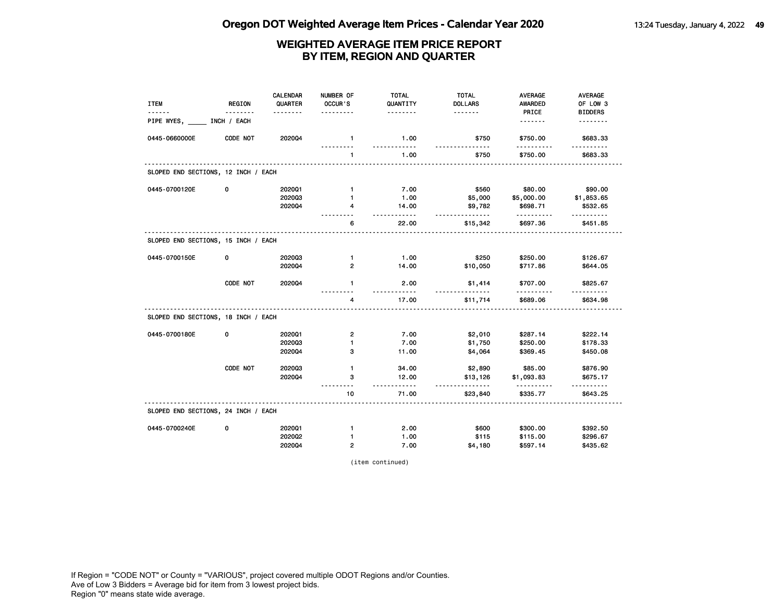| <b>ITEM</b>                         | <b>REGION</b> | <b>CALENDAR</b><br>QUARTER | NUMBER OF<br>OCCUR'S    | <b>TOTAL</b><br>QUANTITY | <b>TOTAL</b><br><b>DOLLARS</b> | <b>AVERAGE</b><br><b>AWARDED</b> | <b>AVERAGE</b><br>OF LOW 3 |
|-------------------------------------|---------------|----------------------------|-------------------------|--------------------------|--------------------------------|----------------------------------|----------------------------|
| PIPE WYES,                          | INCH / EACH   | <u>.</u>                   | .                       | .                        | <u>.</u>                       | PRICE<br><u>.</u>                | <b>BIDDERS</b><br>.        |
| 0445-0660000E                       | CODE NOT      | 202004                     | $\mathbf{1}$            | 1.00<br>.                | \$750<br>$\frac{1}{2}$         | \$750.00                         | \$683.33                   |
|                                     |               |                            | 1                       | 1.00                     | \$750                          | .<br>\$750.00                    | \$683.33                   |
| SLOPED END SECTIONS, 12 INCH / EACH |               |                            |                         |                          |                                |                                  |                            |
| 0445-0700120E                       | 0             | 2020Q1                     | $\mathbf{1}$            | 7.00                     | \$560                          | \$80.00                          | \$90.00                    |
|                                     |               | 202003                     | 1                       | 1.00                     | \$5,000                        | \$5,000.00                       | \$1,853.65                 |
|                                     |               | 202004                     | 4                       | 14.00<br>$- - - - - -$   | \$9,782<br><u>.</u>            | \$698.71<br>.                    | \$532.65                   |
|                                     |               |                            | 6                       | 22.00                    | \$15,342                       | \$697.36                         | \$451.85                   |
| SLOPED END SECTIONS, 15 INCH / EACH |               |                            |                         |                          |                                |                                  |                            |
| 0445-0700150E                       | 0             | 202003                     | $\mathbf{1}$            | 1.00                     | \$250                          | \$250.00                         | \$126.67                   |
|                                     |               | 202004                     | $\overline{2}$          | 14.00                    | \$10,050                       | \$717.86                         | \$644.05                   |
|                                     | CODE NOT      | 2020Q4                     | $\mathbf{1}$            | 2.00<br><u>.</u>         | \$1,414                        | \$707.00<br>. <u>.</u>           | \$825.67                   |
|                                     |               |                            | 4                       | 17.00                    | \$11,714                       | \$689.06                         | \$634.98                   |
| SLOPED END SECTIONS, 18 INCH / EACH |               |                            |                         |                          |                                |                                  |                            |
| 0445-0700180E                       | 0             | 2020Q1                     | $\overline{\mathbf{c}}$ | 7.00                     | \$2,010                        | \$287.14                         | \$222.14                   |
|                                     |               | 202003                     | 1                       | 7.00                     | \$1,750                        | \$250.00                         | \$178.33                   |
|                                     |               | 202004                     | 3                       | 11.00                    | \$4,064                        | \$369.45                         | \$450.08                   |
|                                     | CODE NOT      | 202003                     | 1                       | 34.00                    | \$2,890                        | \$85.00                          | \$876.90                   |
|                                     |               | 202004                     | з                       | 12.00                    | \$13,126                       | \$1,093.83                       | \$675.17                   |
|                                     |               |                            | $- - -$<br>10           | <u>.</u><br>71.00        | .<br>\$23,840                  | .<br>\$335.77                    | \$643.25                   |
| SLOPED END SECTIONS, 24 INCH / EACH |               |                            |                         |                          |                                |                                  |                            |
| 0445-0700240E                       | 0             | 202001                     | $\mathbf{1}$            | 2.00                     | \$600                          | \$300.00                         | \$392.50                   |
|                                     |               | 2020Q2                     | 1                       | 1.00                     | \$115                          | \$115.00                         | \$296.67                   |
|                                     |               | 202004                     | $\overline{2}$          | 7.00                     | \$4,180                        | \$597.14                         | \$435.62                   |

(item continued)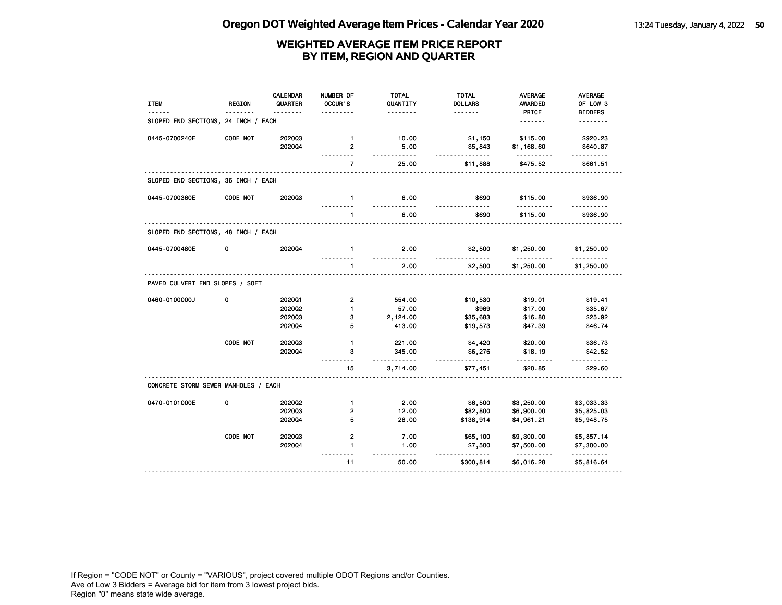| <b>ITEM</b>                          | <b>REGION</b> | <b>CALENDAR</b><br>QUARTER<br>. | NUMBER OF<br>OCCUR'S    | <b>TOTAL</b><br>QUANTITY<br><u>.</u> | <b>TOTAL</b><br><b>DOLLARS</b><br>. | <b>AVERAGE</b><br><b>AWARDED</b><br>PRICE | <b>AVERAGE</b><br>OF LOW 3 |
|--------------------------------------|---------------|---------------------------------|-------------------------|--------------------------------------|-------------------------------------|-------------------------------------------|----------------------------|
| SLOPED END SECTIONS, 24 INCH / EACH  |               |                                 |                         |                                      |                                     | <u>.</u>                                  | <b>BIDDERS</b><br><u>.</u> |
| 0445-0700240E                        | CODE NOT      | 202003                          | $\mathbf{1}$            | 10.00                                | \$1,150                             | \$115.00                                  | \$920.23                   |
|                                      |               | 202004                          | $\overline{2}$          | 5.00<br>-----                        | \$5,843<br><u>.</u>                 | \$1,168.60                                | \$640.87                   |
|                                      |               |                                 | $\overline{7}$          | 25.00                                | \$11,888                            | \$475.52                                  | \$661.51                   |
| SLOPED END SECTIONS, 36 INCH / EACH  |               |                                 |                         |                                      |                                     |                                           |                            |
| 0445-0700360E                        | CODE NOT      | 202003                          | $\mathbf{1}$            | 6.00<br><u>.</u>                     | \$690                               | \$115.00                                  | \$936.90                   |
|                                      |               |                                 | $\mathbf{1}$            | 6.00                                 | \$690                               | \$115.00                                  | \$936.90                   |
| SLOPED END SECTIONS, 48 INCH / EACH  |               |                                 |                         |                                      |                                     |                                           |                            |
| 0445-0700480E                        | 0             | 2020Q4                          | $\mathbf{1}$            | 2.00<br>.                            | \$2,500                             | \$1,250.00<br><u>.</u>                    | \$1,250.00<br>.            |
|                                      |               |                                 | $\mathbf{1}$            | 2.00                                 | \$2,500                             | \$1,250.00                                | \$1,250.00                 |
| PAVED CULVERT END SLOPES / SQFT      |               |                                 |                         |                                      |                                     |                                           |                            |
| 0460-0100000J                        | 0             | 2020Q1                          | $\overline{\mathbf{c}}$ | 554.00                               | \$10,530                            | \$19.01                                   | \$19.41                    |
|                                      |               | 202002                          | $\mathbf{1}$            | 57.00                                | \$969                               | \$17.00                                   | \$35.67                    |
|                                      |               | 202003                          | 3                       | 2,124.00                             | \$35,683                            | \$16.80                                   | \$25.92                    |
|                                      |               | 202004                          | 5                       | 413.00                               | \$19,573                            | \$47.39                                   | \$46.74                    |
|                                      | CODE NOT      | 202003                          | $\mathbf{1}$            | 221.00                               | \$4,420                             | \$20.00                                   | \$36.73                    |
|                                      |               | 2020Q4                          | з                       | 345.00<br><u>.</u>                   | \$6,276<br><u>.</u>                 | \$18.19                                   | \$42.52<br>$- - - - - -$   |
|                                      |               |                                 | 15                      | 3,714.00                             | \$77,451                            | \$20.85                                   | \$29.60                    |
| CONCRETE STORM SEWER MANHOLES / EACH |               |                                 |                         |                                      |                                     |                                           |                            |
| 0470-0101000E                        | 0             | 2020Q2                          | $\mathbf{1}$            | 2.00                                 | \$6,500                             | \$3,250.00                                | \$3,033.33                 |
|                                      |               | 202003                          | 2                       | 12.00                                | \$82,800                            | \$6,900.00                                | \$5,825.03                 |
|                                      |               | 202004                          | 5                       | 28.00                                | \$138,914                           | \$4,961.21                                | \$5,948.75                 |
|                                      | CODE NOT      | 202003                          | $\mathbf{2}$            | 7.00                                 | \$65,100                            | \$9,300.00                                | \$5,857.14                 |
|                                      |               | 202004                          | $\mathbf{1}$            | 1.00                                 | \$7,500                             | \$7,500.00                                | \$7,300.00                 |
|                                      |               |                                 | 11                      | .<br>50.00                           | <u>.</u><br>\$300,814               | <u>.</u><br>\$6,016.28                    | <u>.</u><br>\$5,816.64     |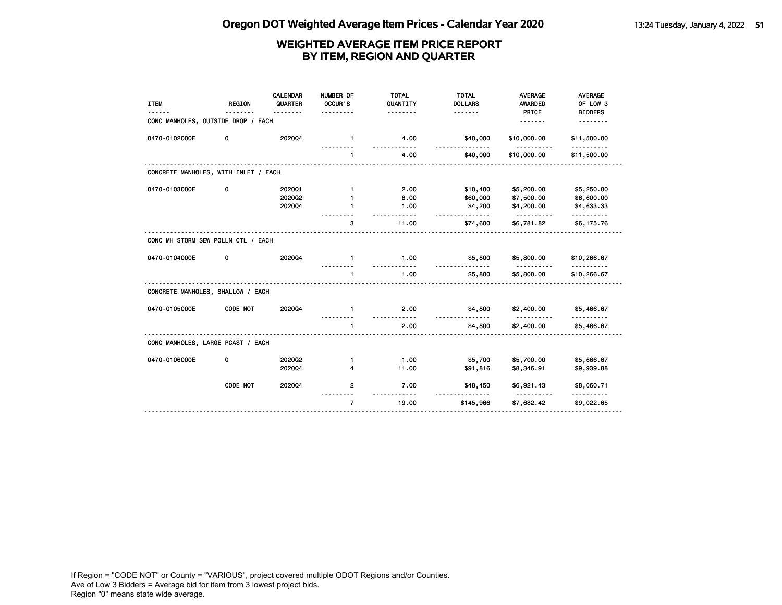| <b>ITEM</b>                          | <b>REGION</b> | CALENDAR<br>QUARTER<br><u>.</u> | NUMBER OF<br>OCCUR'S | <b>TOTAL</b><br>QUANTITY<br><u>.</u> | <b>TOTAL</b><br><b>DOLLARS</b><br><u>.</u> | <b>AVERAGE</b><br>AWARDED<br>PRICE | <b>AVERAGE</b><br>OF LOW 3<br><b>BIDDERS</b> |
|--------------------------------------|---------------|---------------------------------|----------------------|--------------------------------------|--------------------------------------------|------------------------------------|----------------------------------------------|
| CONC MANHOLES, OUTSIDE DROP / EACH   |               |                                 |                      |                                      |                                            | .                                  |                                              |
| 0470-0102000E                        | 0             | 202004                          | $\mathbf{1}$         | 4.00                                 | \$40,000<br>.                              | \$10,000.00                        | \$11,500.00                                  |
|                                      |               |                                 | $\mathbf{1}$         | 4.00                                 | \$40,000                                   | \$10,000.00                        | \$11,500.00                                  |
| CONCRETE MANHOLES, WITH INLET / EACH |               |                                 |                      |                                      |                                            |                                    |                                              |
| 0470-0103000E                        | 0             | 202001                          | $\mathbf{1}$         | 2.00                                 | \$10,400                                   | \$5,200.00                         | \$5,250.00                                   |
|                                      |               | 2020Q2                          | 1                    | 8.00                                 | \$60,000                                   | \$7,500.00                         | \$6,600.00                                   |
|                                      |               | 202004                          | 1                    | 1.00                                 | \$4,200<br><u>.</u>                        | \$4,200.00                         | \$4,633.33<br>. <b>.</b>                     |
|                                      |               |                                 | 3                    | 11.00                                | \$74,600                                   | \$6,781.82                         | \$6,175.76                                   |
| CONC MH STORM SEW POLLN CTL / EACH   |               |                                 |                      |                                      |                                            |                                    |                                              |
| 0470-0104000E                        | 0             | 202004                          | $\mathbf{1}$         | 1.00                                 | \$5,800                                    | \$5,800.00<br><u>.</u>             | \$10,266.67                                  |
|                                      |               |                                 | $\mathbf{1}$         | 1.00                                 | \$5,800                                    | \$5,800.00                         | \$10,266.67                                  |
| CONCRETE MANHOLES, SHALLOW / EACH    |               |                                 |                      |                                      |                                            |                                    |                                              |
| 0470-0105000E                        | CODE NOT      | 202004                          | -1                   | 2.00                                 | \$4,800                                    | \$2,400.00                         | \$5,466.67                                   |
|                                      |               |                                 | $\mathbf{1}$         | 2.00                                 | \$4,800                                    | \$2,400.00                         | \$5,466.67                                   |
| CONC MANHOLES, LARGE PCAST / EACH    |               |                                 |                      |                                      |                                            |                                    |                                              |
| 0470-0106000E                        | 0             | 2020Q2                          | $\mathbf{1}$         | 1.00                                 | \$5,700                                    | \$5,700.00                         | \$5,666.67                                   |
|                                      |               | 202004                          | 4                    | 11.00                                | \$91,816                                   | \$8,346.91                         | \$9,939.88                                   |
|                                      | CODE NOT      | 202004                          | $\overline{2}$       | 7.00                                 | \$48,450<br><u>.</u>                       | \$6,921.43<br><u>----------</u>    | \$8,060.71                                   |
|                                      |               |                                 | $\overline{7}$       | 19.00                                | \$145,966                                  | \$7,682.42                         | \$9,022.65                                   |
|                                      |               |                                 |                      |                                      |                                            |                                    |                                              |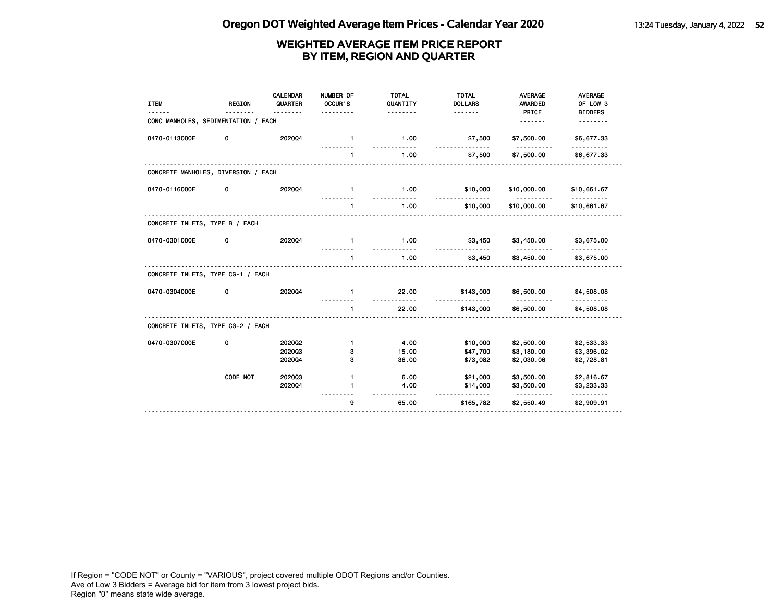| <b>ITEM</b>                         | <b>REGION</b> | CALENDAR<br>QUARTER<br>. <b>.</b> | NUMBER OF<br>OCCUR'S | <b>TOTAL</b><br>QUANTITY<br><u>.</u> | <b>TOTAL</b><br><b>DOLLARS</b> | <b>AVERAGE</b><br>AWARDED<br>PRICE | <b>AVERAGE</b><br>OF LOW 3<br><b>BIDDERS</b> |
|-------------------------------------|---------------|-----------------------------------|----------------------|--------------------------------------|--------------------------------|------------------------------------|----------------------------------------------|
| CONC MANHOLES, SEDIMENTATION / EACH |               |                                   |                      |                                      |                                | .                                  |                                              |
| 0470-0113000E                       | 0             | 202004                            | $\mathbf{1}$         | 1.00                                 | \$7,500<br><u>.</u>            | \$7,500.00                         | \$6,677.33                                   |
|                                     |               |                                   | $\blacksquare$       | 1.00                                 | \$7,500                        | \$7,500.00                         | \$6,677.33                                   |
| CONCRETE MANHOLES, DIVERSION / EACH |               |                                   |                      |                                      |                                |                                    |                                              |
| 0470-0116000E                       | 0             | 202004                            | $\mathbf{1}$         | 1.00                                 | \$10,000                       | \$10,000.00<br>.                   | \$10,661.67                                  |
|                                     |               |                                   | $\mathbf{1}$         | 1.00                                 | <u>.</u><br>\$10,000           | \$10,000.00                        | \$10,661.67                                  |
| CONCRETE INLETS, TYPE B / EACH      |               |                                   |                      |                                      |                                |                                    |                                              |
| 0470-0301000E                       | 0             | 202004                            | $\mathbf{1}$         | 1.00                                 | \$3,450                        | \$3,450.00                         | \$3,675.00                                   |
|                                     |               |                                   | $\mathbf{1}$         | 1.00                                 | \$3,450                        | \$3,450.00                         | \$3,675.00                                   |
| CONCRETE INLETS, TYPE CG-1 / EACH   |               |                                   |                      |                                      |                                |                                    |                                              |
| 0470-0304000E                       | 0             | 202004                            | $\mathbf{1}$         | 22.00                                | \$143,000                      | \$6,500.00                         | \$4,508.08                                   |
|                                     |               |                                   | $\mathbf{1}$         | 22.00                                | \$143,000                      | \$6,500.00                         | \$4,508.08                                   |
| CONCRETE INLETS, TYPE CG-2 / EACH   |               |                                   |                      |                                      |                                |                                    |                                              |
| 0470-0307000E                       | 0             | 202002                            | $\mathbf{1}$         | 4.00                                 | \$10,000                       | \$2,500.00                         | \$2,533.33                                   |
|                                     |               | 202003                            | з                    | 15.00                                | \$47,700                       | \$3,180.00                         | \$3,396.02                                   |
|                                     |               | 202004                            | з                    | 36.00                                | \$73,082                       | \$2,030.06                         | \$2,728.81                                   |
|                                     | CODE NOT      | 202003                            | $\mathbf{1}$         | 6.00                                 | \$21,000                       | \$3,500.00                         | \$2,816.67                                   |
|                                     |               | 202004                            | 1                    | 4.00                                 | \$14,000                       | \$3,500.00                         | \$3,233.33                                   |
|                                     |               |                                   | 9                    | 65.00                                | \$165,782                      | <u>.</u><br>\$2,550.49             | <u>.</u><br>\$2,909.91                       |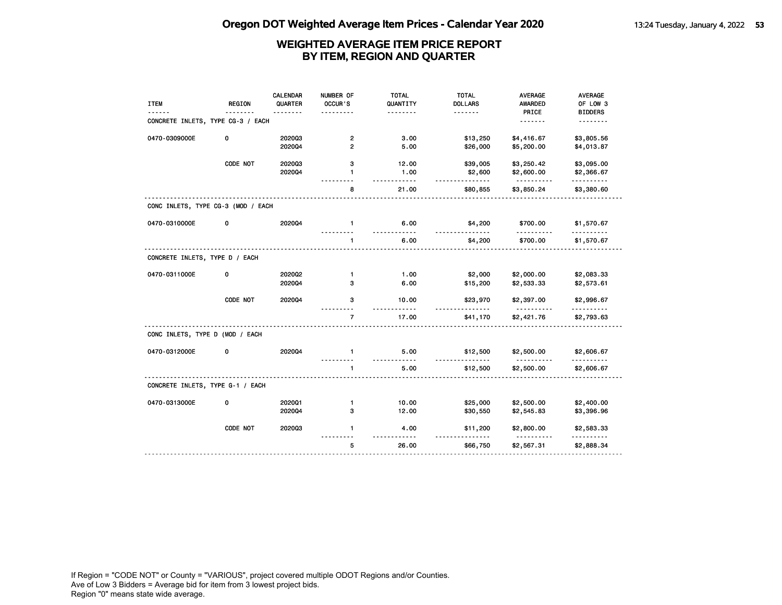| PRICE<br><b>BIDDERS</b><br><u>.</u><br>CONCRETE INLETS, TYPE CG-3 / EACH<br><u>.</u><br><u>.</u><br>0470-0309000E<br>3.00<br>\$13,250<br>\$4,416.67<br>\$3,805.56<br>0<br>202003<br>$\overline{2}$<br>202004<br>$\overline{2}$<br>5.00<br>\$5,200.00<br>\$4,013.87<br>\$26,000<br>CODE NOT<br>202003<br>з<br>12.00<br>\$39,005<br>\$3,250.42<br>\$3,095.00<br>2020Q4<br>1.00<br>\$2,600<br>\$2,600.00<br>\$2,366.67<br>$\mathbf{1}$<br><u>.</u><br>.<br>.<br>\$3,850.24<br>8<br>21.00<br>\$80,855<br>\$3,380.60<br>CONC INLETS, TYPE CG-3 (MOD / EACH<br>0470-0310000E<br>0<br>2020Q4<br>$\mathbf{1}$<br>6.00<br>\$4,200<br>\$700.00<br>\$1,570.67<br>6.00<br>\$4,200<br>\$700.00<br>$\mathbf{1}$<br>\$1,570.67<br>CONCRETE INLETS, TYPE D / EACH<br>\$2,000<br>0470-0311000E<br>0<br>2020Q2<br>1.00<br>\$2,000.00<br>\$2,083.33<br>$\mathbf{1}$<br>202004<br>6.00<br>3<br>\$15,200<br>\$2,533.33<br>\$2,573.61<br>CODE NOT<br>202004<br>3<br>10.00<br>\$23,970<br>\$2,996.67<br>\$2,397.00<br><u>.</u><br>$\overline{7}$<br>17.00<br>\$2,421.76<br>\$41,170<br>\$2,793.63<br>CONC INLETS, TYPE D (MOD / EACH<br>0470-0312000E<br>202004<br>5.00<br>\$12,500<br>\$2,500.00<br>0<br>$\mathbf{1}$<br>\$2,606.67<br>.<br>5.00<br>\$2,500.00<br>\$12,500<br>\$2,606.67<br>$\mathbf{1}$<br>CONCRETE INLETS, TYPE G-1 / EACH<br>0470-0313000E<br>202001<br>10.00<br>\$25,000<br>\$2,500.00<br>\$2,400.00<br>0<br>$\mathbf{1}$<br>2020Q4<br>з<br>12.00<br>\$30,550<br>\$2,545.83<br>\$3,396.96<br>CODE NOT<br>202003<br>$\mathbf{1}$<br>4.00<br>\$2,800.00<br>\$2,583.33<br>\$11,200<br>5<br>26.00<br>\$2,567.31<br>\$66,750<br>\$2,888.34 | <b>ITEM</b> | <b>REGION</b> | <b>CALENDAR</b><br>QUARTER | NUMBER OF<br>OCCUR'S | <b>TOTAL</b><br>QUANTITY | <b>TOTAL</b><br><b>DOLLARS</b> | <b>AVERAGE</b><br><b>AWARDED</b> | AVERAGE<br>OF LOW 3 |
|-------------------------------------------------------------------------------------------------------------------------------------------------------------------------------------------------------------------------------------------------------------------------------------------------------------------------------------------------------------------------------------------------------------------------------------------------------------------------------------------------------------------------------------------------------------------------------------------------------------------------------------------------------------------------------------------------------------------------------------------------------------------------------------------------------------------------------------------------------------------------------------------------------------------------------------------------------------------------------------------------------------------------------------------------------------------------------------------------------------------------------------------------------------------------------------------------------------------------------------------------------------------------------------------------------------------------------------------------------------------------------------------------------------------------------------------------------------------------------------------------------------------------------------------------------------------------------------------------------------------------------------|-------------|---------------|----------------------------|----------------------|--------------------------|--------------------------------|----------------------------------|---------------------|
|                                                                                                                                                                                                                                                                                                                                                                                                                                                                                                                                                                                                                                                                                                                                                                                                                                                                                                                                                                                                                                                                                                                                                                                                                                                                                                                                                                                                                                                                                                                                                                                                                                     |             |               |                            |                      |                          |                                |                                  |                     |
|                                                                                                                                                                                                                                                                                                                                                                                                                                                                                                                                                                                                                                                                                                                                                                                                                                                                                                                                                                                                                                                                                                                                                                                                                                                                                                                                                                                                                                                                                                                                                                                                                                     |             |               |                            |                      |                          |                                |                                  |                     |
|                                                                                                                                                                                                                                                                                                                                                                                                                                                                                                                                                                                                                                                                                                                                                                                                                                                                                                                                                                                                                                                                                                                                                                                                                                                                                                                                                                                                                                                                                                                                                                                                                                     |             |               |                            |                      |                          |                                |                                  |                     |
|                                                                                                                                                                                                                                                                                                                                                                                                                                                                                                                                                                                                                                                                                                                                                                                                                                                                                                                                                                                                                                                                                                                                                                                                                                                                                                                                                                                                                                                                                                                                                                                                                                     |             |               |                            |                      |                          |                                |                                  |                     |
|                                                                                                                                                                                                                                                                                                                                                                                                                                                                                                                                                                                                                                                                                                                                                                                                                                                                                                                                                                                                                                                                                                                                                                                                                                                                                                                                                                                                                                                                                                                                                                                                                                     |             |               |                            |                      |                          |                                |                                  |                     |
|                                                                                                                                                                                                                                                                                                                                                                                                                                                                                                                                                                                                                                                                                                                                                                                                                                                                                                                                                                                                                                                                                                                                                                                                                                                                                                                                                                                                                                                                                                                                                                                                                                     |             |               |                            |                      |                          |                                |                                  |                     |
|                                                                                                                                                                                                                                                                                                                                                                                                                                                                                                                                                                                                                                                                                                                                                                                                                                                                                                                                                                                                                                                                                                                                                                                                                                                                                                                                                                                                                                                                                                                                                                                                                                     |             |               |                            |                      |                          |                                |                                  |                     |
|                                                                                                                                                                                                                                                                                                                                                                                                                                                                                                                                                                                                                                                                                                                                                                                                                                                                                                                                                                                                                                                                                                                                                                                                                                                                                                                                                                                                                                                                                                                                                                                                                                     |             |               |                            |                      |                          |                                |                                  |                     |
|                                                                                                                                                                                                                                                                                                                                                                                                                                                                                                                                                                                                                                                                                                                                                                                                                                                                                                                                                                                                                                                                                                                                                                                                                                                                                                                                                                                                                                                                                                                                                                                                                                     |             |               |                            |                      |                          |                                |                                  |                     |
|                                                                                                                                                                                                                                                                                                                                                                                                                                                                                                                                                                                                                                                                                                                                                                                                                                                                                                                                                                                                                                                                                                                                                                                                                                                                                                                                                                                                                                                                                                                                                                                                                                     |             |               |                            |                      |                          |                                |                                  |                     |
|                                                                                                                                                                                                                                                                                                                                                                                                                                                                                                                                                                                                                                                                                                                                                                                                                                                                                                                                                                                                                                                                                                                                                                                                                                                                                                                                                                                                                                                                                                                                                                                                                                     |             |               |                            |                      |                          |                                |                                  |                     |
|                                                                                                                                                                                                                                                                                                                                                                                                                                                                                                                                                                                                                                                                                                                                                                                                                                                                                                                                                                                                                                                                                                                                                                                                                                                                                                                                                                                                                                                                                                                                                                                                                                     |             |               |                            |                      |                          |                                |                                  |                     |
|                                                                                                                                                                                                                                                                                                                                                                                                                                                                                                                                                                                                                                                                                                                                                                                                                                                                                                                                                                                                                                                                                                                                                                                                                                                                                                                                                                                                                                                                                                                                                                                                                                     |             |               |                            |                      |                          |                                |                                  |                     |
|                                                                                                                                                                                                                                                                                                                                                                                                                                                                                                                                                                                                                                                                                                                                                                                                                                                                                                                                                                                                                                                                                                                                                                                                                                                                                                                                                                                                                                                                                                                                                                                                                                     |             |               |                            |                      |                          |                                |                                  |                     |
|                                                                                                                                                                                                                                                                                                                                                                                                                                                                                                                                                                                                                                                                                                                                                                                                                                                                                                                                                                                                                                                                                                                                                                                                                                                                                                                                                                                                                                                                                                                                                                                                                                     |             |               |                            |                      |                          |                                |                                  |                     |
|                                                                                                                                                                                                                                                                                                                                                                                                                                                                                                                                                                                                                                                                                                                                                                                                                                                                                                                                                                                                                                                                                                                                                                                                                                                                                                                                                                                                                                                                                                                                                                                                                                     |             |               |                            |                      |                          |                                |                                  |                     |
|                                                                                                                                                                                                                                                                                                                                                                                                                                                                                                                                                                                                                                                                                                                                                                                                                                                                                                                                                                                                                                                                                                                                                                                                                                                                                                                                                                                                                                                                                                                                                                                                                                     |             |               |                            |                      |                          |                                |                                  |                     |
|                                                                                                                                                                                                                                                                                                                                                                                                                                                                                                                                                                                                                                                                                                                                                                                                                                                                                                                                                                                                                                                                                                                                                                                                                                                                                                                                                                                                                                                                                                                                                                                                                                     |             |               |                            |                      |                          |                                |                                  |                     |
|                                                                                                                                                                                                                                                                                                                                                                                                                                                                                                                                                                                                                                                                                                                                                                                                                                                                                                                                                                                                                                                                                                                                                                                                                                                                                                                                                                                                                                                                                                                                                                                                                                     |             |               |                            |                      |                          |                                |                                  |                     |
|                                                                                                                                                                                                                                                                                                                                                                                                                                                                                                                                                                                                                                                                                                                                                                                                                                                                                                                                                                                                                                                                                                                                                                                                                                                                                                                                                                                                                                                                                                                                                                                                                                     |             |               |                            |                      |                          |                                |                                  |                     |
|                                                                                                                                                                                                                                                                                                                                                                                                                                                                                                                                                                                                                                                                                                                                                                                                                                                                                                                                                                                                                                                                                                                                                                                                                                                                                                                                                                                                                                                                                                                                                                                                                                     |             |               |                            |                      |                          |                                |                                  |                     |
|                                                                                                                                                                                                                                                                                                                                                                                                                                                                                                                                                                                                                                                                                                                                                                                                                                                                                                                                                                                                                                                                                                                                                                                                                                                                                                                                                                                                                                                                                                                                                                                                                                     |             |               |                            |                      |                          |                                |                                  |                     |
|                                                                                                                                                                                                                                                                                                                                                                                                                                                                                                                                                                                                                                                                                                                                                                                                                                                                                                                                                                                                                                                                                                                                                                                                                                                                                                                                                                                                                                                                                                                                                                                                                                     |             |               |                            |                      |                          |                                |                                  |                     |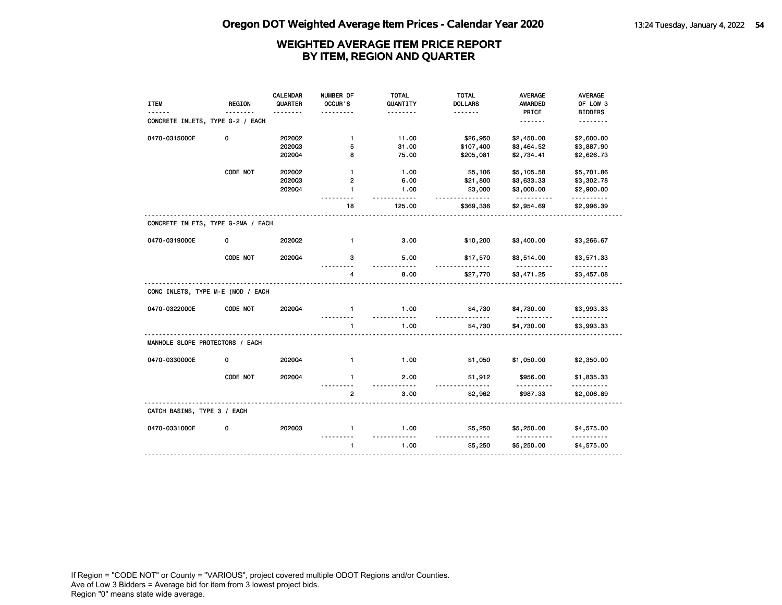| <b>ITEM</b>                        | <b>REGION</b> | <b>CALENDAR</b><br>QUARTER | NUMBER OF<br>OCCUR'S | <b>TOTAL</b><br>QUANTITY | <b>TOTAL</b><br><b>DOLLARS</b> | <b>AVERAGE</b><br>AWARDED | <b>AVERAGE</b><br>OF LOW 3 |
|------------------------------------|---------------|----------------------------|----------------------|--------------------------|--------------------------------|---------------------------|----------------------------|
|                                    |               |                            |                      | .                        | <u>.</u>                       | PRICE                     | <b>BIDDERS</b>             |
| CONCRETE INLETS, TYPE G-2 / EACH   |               |                            |                      |                          |                                | .                         | .                          |
| 0470-0315000E                      | 0             | 202002                     | $\mathbf{1}$         | 11.00                    | \$26,950                       | \$2,450.00                | \$2,600.00                 |
|                                    |               | 202003                     | 5                    | 31.00                    | \$107,400                      | \$3,464.52                | \$3,887.90                 |
|                                    |               | 202004                     | 8                    | 75.00                    | \$205,081                      | \$2,734.41                | \$2,626.73                 |
|                                    | CODE NOT      | 2020Q2                     | $\mathbf{1}$         | 1.00                     | \$5,106                        | \$5,105.58                | \$5,701.86                 |
|                                    |               | 202003                     | 2                    | 6.00                     | \$21,800                       | \$3,633.33                | \$3,302.78                 |
|                                    |               | 202004                     | $\mathbf{1}$         | 1.00<br>$- - -$          | \$3,000<br>$- - -$             | \$3,000.00<br><u>.</u>    | \$2,900.00<br>.            |
|                                    |               |                            | 18                   | 125.00                   | \$369,336                      | \$2,954.69                | \$2,996.39                 |
| CONCRETE INLETS, TYPE G-2MA / EACH |               |                            |                      |                          |                                |                           |                            |
| 0470-0319000E                      | 0             | 2020Q2                     | $\mathbf{1}$         | 3.00                     | \$10,200                       | \$3,400.00                | \$3,266.67                 |
|                                    | CODE NOT      | 202004                     | 3                    | 5.00<br>.                | \$17,570                       | \$3,514.00<br>.           | \$3,571.33                 |
|                                    |               |                            | 4                    | 8.00                     | \$27,770                       | \$3,471.25                | \$3,457.08                 |
| CONC INLETS, TYPE M-E (MOD / EACH  |               |                            |                      |                          |                                |                           |                            |
| 0470-0322000E                      | CODE NOT      | 202004                     | $\mathbf{1}$         | 1.00<br>$- - - -$        | \$4,730                        | \$4,730.00                | \$3,993.33                 |
|                                    |               |                            | $\mathbf{1}$         | 1.00                     | \$4,730                        | \$4,730.00                | \$3,993.33                 |
| MANHOLE SLOPE PROTECTORS / EACH    |               |                            |                      |                          |                                |                           |                            |
| 0470-0330000E                      | 0             | 2020Q4                     | $\mathbf{1}$         | 1.00                     | \$1,050                        | \$1,050.00                | \$2,350.00                 |
|                                    | CODE NOT      | 202004                     | $\mathbf{1}$         | 2.00<br>.                | \$1,912                        | \$956.00                  | \$1,835.33<br><u>.</u>     |
|                                    |               |                            | $\overline{2}$       | 3.00                     | \$2,962                        | \$987.33                  | \$2,006.89                 |
| CATCH BASINS, TYPE 3 / EACH        |               |                            |                      |                          |                                |                           |                            |
| 0470-0331000E                      | 0             | 202003                     | $\mathbf{1}$         | 1.00                     | \$5,250                        | \$5,250.00                | \$4,575.00                 |
|                                    |               |                            | $\mathbf{1}$         | 1.00                     | \$5,250                        | \$5,250.00                | \$4,575.00                 |
|                                    |               |                            |                      |                          |                                |                           |                            |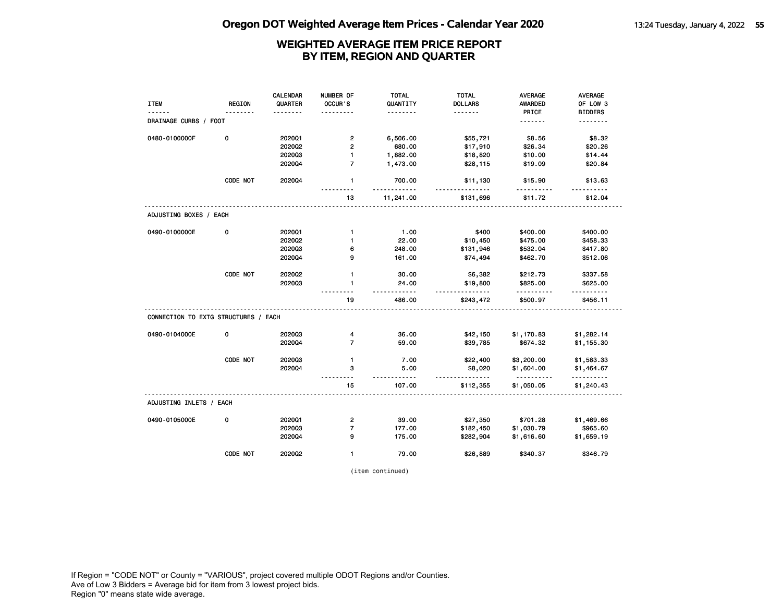|                                      |               | <b>CALENDAR</b> | NUMBER OF                | <b>TOTAL</b> | <b>TOTAL</b>         | AVERAGE         | AVERAGE         |
|--------------------------------------|---------------|-----------------|--------------------------|--------------|----------------------|-----------------|-----------------|
| <b>ITEM</b>                          | <b>REGION</b> | QUARTER         | OCCUR 'S                 | QUANTITY     | <b>DOLLARS</b>       | <b>AWARDED</b>  | OF LOW 3        |
| ------                               | .             | .               | .                        | .            | .                    | PRICE           | <b>BIDDERS</b>  |
| DRAINAGE CURBS / FOOT                |               |                 |                          |              |                      | <u>.</u>        | .               |
| 0480-0100000F                        | 0             | 2020Q1          | $\overline{2}$           | 6,506.00     | \$55,721             | \$8.56          | \$8.32          |
|                                      |               | 2020Q2          | $\overline{2}$           | 680.00       | \$17,910             | \$26.34         | \$20.26         |
|                                      |               | 202003          | $\mathbf{1}$             | 1,882.00     | \$18,820             | \$10.00         | \$14.44         |
|                                      |               | 202004          | $\overline{7}$           | 1,473.00     | \$28,115             | \$19.09         | \$20.84         |
|                                      | CODE NOT      | 202004          | $\mathbf{1}$<br>.        | 700.00<br>.  | \$11,130<br><u>.</u> | \$15.90<br>.    | \$13.63<br>.    |
|                                      |               |                 | 13                       | 11,241.00    | \$131,696            | \$11.72         | \$12.04         |
| ADJUSTING BOXES / EACH               |               |                 |                          |              |                      |                 |                 |
| 0490-0100000E                        | 0             | 202001          | $\mathbf{1}$             | 1.00         | \$400                | \$400.00        | \$400.00        |
|                                      |               | 2020Q2          | $\mathbf{1}$             | 22.00        | \$10,450             | \$475.00        | \$458.33        |
|                                      |               | 202003          | 6                        | 248.00       | \$131,946            | \$532.04        | \$417.80        |
|                                      |               | 202004          | 9                        | 161.00       | \$74,494             | \$462.70        | \$512.06        |
|                                      | CODE NOT      | 2020Q2          | $\mathbf{1}$             | 30.00        | \$6,382              | \$212.73        | \$337.58        |
|                                      |               | 202003          | $\mathbf{1}$             | 24.00<br>.   | \$19,800<br>.        | \$825.00<br>.   | \$625.00<br>.   |
|                                      |               |                 | 19                       | 486.00       | \$243,472            | \$500.97        | \$456.11        |
| CONNECTION TO EXTG STRUCTURES / EACH |               |                 |                          |              |                      |                 |                 |
| 0490-0104000E                        | 0             | 202003          | 4                        | 36.00        | \$42,150             | \$1,170.83      | \$1,282.14      |
|                                      |               | 202004          | $\overline{7}$           | 59.00        |                      | \$674.32        |                 |
|                                      |               |                 |                          |              | \$39,785             |                 | \$1,155.30      |
|                                      | CODE NOT      | 202003          | $\mathbf{1}$             | 7.00         | \$22,400             | \$3,200.00      | \$1,583.33      |
|                                      |               | 202004          | 3                        | 5.00         | \$8,020              | \$1,604.00      | \$1,464.67      |
|                                      |               |                 | -----<br>15              | .<br>107.00  | .<br>\$112,355       | .<br>\$1,050.05 | .<br>\$1,240.43 |
| ADJUSTING INLETS / EACH              |               |                 |                          |              |                      |                 |                 |
|                                      | 0             | 2020Q1          | $\mathbf{2}$             | 39.00        | \$27,350             | \$701.28        | \$1,469.66      |
|                                      |               | 202003          | $\overline{\phantom{a}}$ | 177.00       | \$182,450            | \$1,030.79      | \$965.60        |
| 0490-0105000E                        |               | 202004          | 9                        | 175.00       | \$282,904            | \$1,616.60      | \$1,659.19      |

(item continued)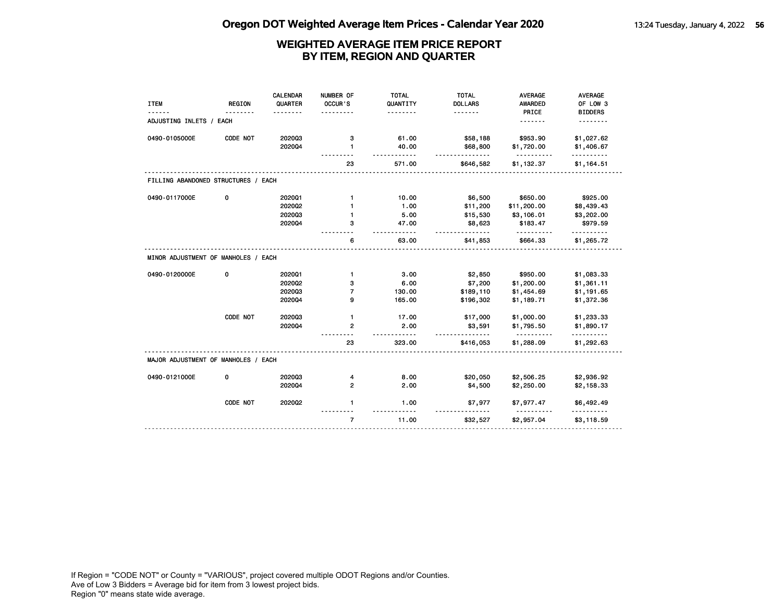| <b>ITEM</b>                         | <b>REGION</b> | <b>CALENDAR</b><br>QUARTER | NUMBER OF<br>OCCUR'S | <b>TOTAL</b><br>QUANTITY | <b>TOTAL</b><br><b>DOLLARS</b> | <b>AVERAGE</b><br><b>AWARDED</b> | AVERAGE<br>OF LOW 3                     |
|-------------------------------------|---------------|----------------------------|----------------------|--------------------------|--------------------------------|----------------------------------|-----------------------------------------|
|                                     |               |                            |                      | .                        | .                              | PRICE                            | <b>BIDDERS</b>                          |
| ADJUSTING INLETS / EACH             |               |                            |                      |                          |                                | . <b>.</b>                       | .                                       |
| 0490-0105000E                       | CODE NOT      | 202003                     | з                    | 61.00                    | \$58,188                       | \$953.90                         | \$1,027.62                              |
|                                     |               | 202004                     | 1                    | 40.00                    | \$68,800                       | \$1,720.00<br><u>.</u>           | \$1,406.67                              |
|                                     |               |                            | 23                   | 571.00                   | .<br>\$646,582                 | \$1,132.37                       | .<br>\$1,164.51                         |
| FILLING ABANDONED STRUCTURES / EACH |               |                            |                      |                          |                                |                                  |                                         |
| 0490-0117000E                       | 0             | 202001                     | $\mathbf{1}$         | 10.00                    | \$6,500                        | \$650.00                         | \$925.00                                |
|                                     |               | 2020Q2                     | 1                    | 1.00                     | \$11,200                       | \$11,200.00                      | \$8,439.43                              |
|                                     |               | 202003                     | 1                    | 5.00                     | \$15,530                       | \$3,106.01                       | \$3,202.00                              |
|                                     |               | 202004                     | з                    | 47.00                    | \$8,623                        | \$183.47                         | \$979.59                                |
|                                     |               |                            | 6                    | $- - - - -$<br>63.00     | <u>.</u><br>\$41,853           | \$664.33                         | <u> - - - - - - - - -</u><br>\$1,265.72 |
| MINOR ADJUSTMENT OF MANHOLES / EACH |               |                            |                      |                          |                                |                                  |                                         |
| 0490-0120000E                       | 0             | 202001                     | $\mathbf{1}$         | 3.00                     | \$2,850                        | \$950.00                         | \$1,083.33                              |
|                                     |               | 202002                     | з                    | 6.00                     | \$7,200                        | \$1,200.00                       | \$1,361.11                              |
|                                     |               | 202003                     | 7                    | 130.00                   | \$189,110                      | \$1,454.69                       | \$1,191.65                              |
|                                     |               | 202004                     | 9                    | 165.00                   | \$196,302                      | \$1,189.71                       | \$1,372.36                              |
|                                     | CODE NOT      | 202003                     | 1                    | 17.00                    | \$17,000                       | \$1,000.00                       | \$1,233.33                              |
|                                     |               | 202004                     | $\overline{2}$       | 2.00                     | \$3,591                        | \$1,795.50                       | \$1,890.17                              |
|                                     |               |                            | 23                   | $- - -$<br>323.00        | $- - - - -$<br>\$416,053       | <u>.</u><br>\$1,288.09           | .<br>\$1,292.63                         |
| MAJOR ADJUSTMENT OF MANHOLES / EACH |               |                            |                      |                          |                                |                                  |                                         |
| 0490-0121000E                       | 0             | 202003                     | 4                    | 8.00                     | \$20,050                       | \$2,506.25                       | \$2,936.92                              |
|                                     |               | 202004                     | $\mathbf{2}$         | 2.00                     | \$4,500                        | \$2,250.00                       | \$2,158.33                              |
|                                     | CODE NOT      | 2020Q2                     | $\mathbf{1}$         | 1.00                     | \$7,977                        | \$7,977.47                       | \$6,492.49                              |
|                                     |               |                            | $\overline{7}$       | 11.00                    | \$32,527                       | \$2,957.04                       | \$3,118.59                              |
|                                     |               |                            |                      |                          |                                |                                  |                                         |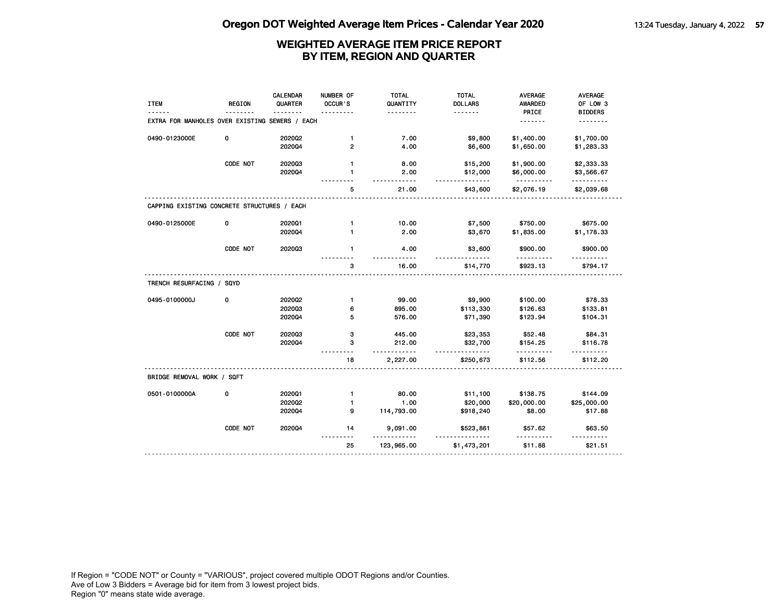|                                                |               | CALENDAR | NUMBER OF      | <b>TOTAL</b>      | <b>TOTAL</b>         | <b>AVERAGE</b>         | <b>AVERAGE</b>       |
|------------------------------------------------|---------------|----------|----------------|-------------------|----------------------|------------------------|----------------------|
| <b>ITEM</b>                                    | <b>REGION</b> | QUARTER  | OCCUR'S        | QUANTITY          | <b>DOLLARS</b>       | <b>AWARDED</b>         | OF LOW 3             |
| EXTRA FOR MANHOLES OVER EXISTING SEWERS / EACH |               |          |                | .                 | <u>.</u>             | PRICE<br><u>.</u>      | <b>BIDDERS</b><br>.  |
|                                                |               |          |                |                   |                      |                        |                      |
| 0490-0123000E                                  | 0             | 2020Q2   | $\mathbf{1}$   | 7.00              | \$9,800              | \$1,400.00             | \$1,700.00           |
|                                                |               | 202004   | $\overline{2}$ | 4.00              | \$6,600              | \$1,650.00             | \$1,283.33           |
|                                                | CODE NOT      | 202003   | $\mathbf{1}$   | 8.00              | \$15,200             | \$1,900.00             | \$2,333.33           |
|                                                |               | 2020Q4   | $\mathbf{1}$   | 2.00<br>- - - - - | \$12,000             | \$6,000.00<br><u>.</u> | \$3,566.67<br>.      |
|                                                |               |          | 5              | 21.00             | <u>.</u><br>\$43,600 | \$2,076.19             | \$2,039.68           |
| CAPPING EXISTING CONCRETE STRUCTURES / EACH    |               |          |                |                   |                      |                        |                      |
| 0490-0125000E                                  | 0             | 202001   | $\mathbf{1}$   | 10.00             | \$7,500              | \$750.00               | \$675.00             |
|                                                |               | 2020Q4   | 1              | 2.00              | \$3,670              | \$1,835.00             | \$1,178.33           |
|                                                | CODE NOT      | 202003   | $\mathbf{1}$   | 4.00              | \$3,600              | \$900.00               | \$900.00             |
|                                                |               |          | 3              | 16.00             | \$14,770             | \$923.13               | \$794.17             |
| TRENCH RESURFACING / SQYD                      |               |          |                |                   |                      |                        |                      |
| 0495-0100000J                                  | 0             | 2020Q2   | $\mathbf{1}$   | 99.00             | \$9,900              | \$100.00               | \$78.33              |
|                                                |               | 202003   | 6              | 895.00            | \$113,330            | \$126.63               | \$133.81             |
|                                                |               | 202004   | 5              | 576.00            | \$71,390             | \$123.94               | \$104.31             |
|                                                | CODE NOT      | 202003   | 3              | 445.00            | \$23,353             | \$52.48                | \$84.31              |
|                                                |               | 202004   | 3              | 212.00            | \$32,700<br><u>.</u> | \$154.25               | \$116.78             |
|                                                |               |          | 18             | 2,227.00          | \$250,673            | .<br>\$112.56          | <u>.</u><br>\$112.20 |
| BRIDGE REMOVAL WORK / SQFT                     |               |          |                |                   |                      |                        |                      |
| 0501-0100000A                                  | 0             | 202001   | $\mathbf{1}$   | 80.00             | \$11,100             | \$138.75               | \$144.09             |
|                                                |               | 2020Q2   | 1              | 1.00              | \$20,000             | \$20,000.00            | \$25,000.00          |
|                                                |               | 2020Q4   | 9              | 114,793.00        | \$918,240            | \$8.00                 | \$17.88              |
|                                                | CODE NOT      | 2020Q4   | 14             | 9,091.00          | \$523,861            | \$57.62                | \$63.50              |
|                                                |               |          | 25             | 123,965.00        | \$1,473,201          | \$11.88                | \$21.51              |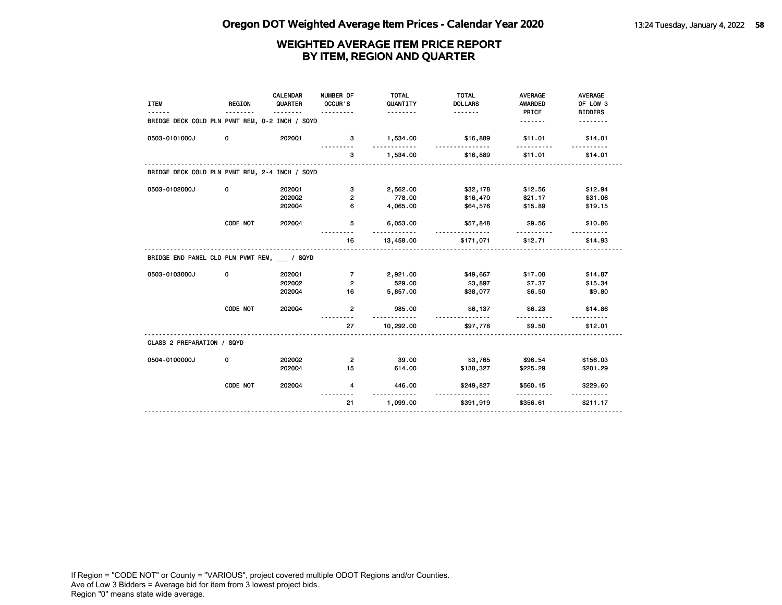| <b>ITEM</b>                                    | <b>REGION</b> | CALENDAR<br>QUARTER<br>. | NUMBER OF<br>OCCUR'S    | <b>TOTAL</b><br>QUANTITY<br><u>.</u> | <b>TOTAL</b><br><b>DOLLARS</b><br><u>.</u> | <b>AVERAGE</b><br><b>AWARDED</b><br>PRICE | <b>AVERAGE</b><br>OF LOW 3<br><b>BIDDERS</b> |
|------------------------------------------------|---------------|--------------------------|-------------------------|--------------------------------------|--------------------------------------------|-------------------------------------------|----------------------------------------------|
| BRIDGE DECK COLD PLN PVMT REM, 0-2 INCH / SQYD |               |                          |                         |                                      |                                            | <u>.</u>                                  |                                              |
| 0503-0101000J                                  | 0             | 202001                   | 3                       | 1,534.00                             | \$16,889<br>.                              | \$11.01                                   | \$14.01                                      |
|                                                |               |                          | 3                       | 1,534.00                             | \$16,889                                   | \$11.01                                   | \$14.01                                      |
| BRIDGE DECK COLD PLN PVMT REM, 2-4 INCH / SQYD |               |                          |                         |                                      |                                            |                                           |                                              |
| 0503-0102000J                                  | 0             | 202001                   | з                       | 2,562.00                             | \$32,178                                   | \$12.56                                   | \$12.94                                      |
|                                                |               | 2020Q2                   | $\overline{\mathbf{c}}$ | 778.00                               | \$16,470                                   | \$21.17                                   | \$31.06                                      |
|                                                |               | 202004                   | 6                       | 4,065.00                             | \$64,576                                   | \$15.89                                   | \$19.15                                      |
|                                                | CODE NOT      | 202004                   | 5                       | 6,053.00<br>.                        | \$57,848<br>.                              | \$9.56                                    | \$10.86                                      |
|                                                |               |                          | 16                      | 13,458.00                            | \$171,071                                  | \$12.71                                   | \$14.93                                      |
| BRIDGE END PANEL CLD PLN PVMT REM, / SQYD      |               |                          |                         |                                      |                                            |                                           |                                              |
| 0503-0103000J                                  | 0             | 202001                   | $\overline{7}$          | 2,921.00                             | \$49,667                                   | \$17.00                                   | \$14.87                                      |
|                                                |               | 2020Q2                   | 2                       | 529.00                               | \$3,897                                    | \$7.37                                    | \$15.34                                      |
|                                                |               | 202004                   | 16                      | 5,857.00                             | \$38,077                                   | \$6.50                                    | \$9.80                                       |
|                                                | CODE NOT      | 202004                   | $\overline{2}$          | 985.00<br>.                          | \$6,137<br>.                               | \$6.23                                    | \$14.86                                      |
|                                                |               |                          | 27                      | 10,292.00                            | \$97,778                                   | \$9.50                                    | \$12.01                                      |
| CLASS 2 PREPARATION / SQYD                     |               |                          |                         |                                      |                                            |                                           |                                              |
| 0504-0100000J                                  | 0             | 2020Q2                   | $\mathbf{2}$            | 39.00                                | \$3,765                                    | \$96.54                                   | \$156.03                                     |
|                                                |               | 202004                   | 15                      | 614.00                               | \$138,327                                  | \$225.29                                  | \$201.29                                     |
|                                                | CODE NOT      | 202004                   | 4                       | 446.00<br>---------                  | \$249,827<br><u>.</u>                      | \$560.15<br>.                             | \$229.60                                     |
|                                                |               |                          | 21                      | 1,099.00                             | \$391,919                                  | \$356.61                                  | \$211.17                                     |
|                                                |               |                          |                         |                                      |                                            |                                           |                                              |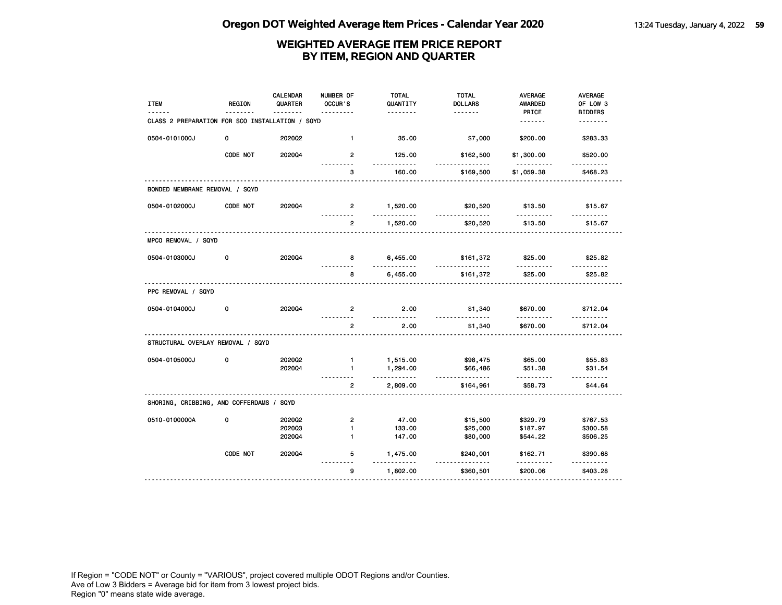| <b>ITEM</b><br>------                           | <b>REGION</b> | <b>CALENDAR</b><br>QUARTER<br>$- - - -$ | NUMBER OF<br>OCCUR'S<br>. | <b>TOTAL</b><br>QUANTITY<br>. | <b>TOTAL</b><br><b>DOLLARS</b><br><u>.</u> | <b>AVERAGE</b><br><b>AWARDED</b><br>PRICE | AVERAGE<br>OF LOW 3<br><b>BIDDERS</b> |
|-------------------------------------------------|---------------|-----------------------------------------|---------------------------|-------------------------------|--------------------------------------------|-------------------------------------------|---------------------------------------|
| CLASS 2 PREPARATION FOR SCO INSTALLATION / SQYD |               |                                         |                           |                               |                                            | <u>.</u>                                  | .                                     |
| 0504-0101000J                                   | 0             | 2020Q2                                  | $\mathbf{1}$              | 35.00                         | \$7,000                                    | \$200.00                                  | \$283.33                              |
|                                                 | CODE NOT      | 202004                                  | $\overline{2}$<br>.       | 125.00<br>.                   | \$162,500<br><u>.</u>                      | \$1,300.00<br><u>.</u>                    | \$520.00<br><u>.</u>                  |
|                                                 |               |                                         | 3                         | 160.00                        | \$169,500                                  | \$1,059.38                                | \$468.23                              |
| BONDED MEMBRANE REMOVAL / SQYD                  |               |                                         |                           |                               |                                            |                                           |                                       |
| 0504-0102000J                                   | CODE NOT      | 202004                                  | $\overline{2}$<br>.       | 1,520.00<br>.                 | \$20,520<br>.                              | \$13.50<br>.                              | \$15.67<br><u>.</u>                   |
|                                                 |               |                                         | $\overline{2}$            | 1,520.00                      | \$20,520                                   | \$13.50                                   | \$15.67                               |
| MPCO REMOVAL / SQYD                             |               |                                         |                           |                               |                                            |                                           |                                       |
| 0504-0103000J                                   | 0             | 202004                                  | 8                         | 6,455.00<br>.                 | \$161,372<br><u>.</u>                      | \$25.00<br>.                              | \$25.82<br>.                          |
|                                                 |               |                                         | 8                         | 6,455.00                      | \$161,372                                  | \$25.00                                   | \$25.82                               |
| PPC REMOVAL / SQYD                              |               |                                         |                           |                               |                                            |                                           |                                       |
| 0504-0104000J                                   | 0             | 2020Q4                                  | $\overline{2}$            | 2.00<br>$- - - - -$           | \$1,340<br>.                               | \$670.00<br>.                             | \$712.04<br><u>.</u>                  |
|                                                 |               |                                         | $\overline{2}$            | 2.00                          | \$1,340                                    | \$670.00                                  | \$712.04                              |
| STRUCTURAL OVERLAY REMOVAL / SQYD               |               |                                         |                           |                               |                                            |                                           |                                       |
| 0504-0105000J                                   | 0             | 2020Q2                                  | $\mathbf{1}$              | 1,515.00                      | \$98,475                                   | \$65.00                                   | \$55.83                               |
|                                                 |               | 202004                                  | $\mathbf{1}$              | 1,294.00<br>.                 | \$66,486<br>.                              | \$51.38<br><u>.</u>                       | \$31.54<br>$- - - - - - -$            |
|                                                 |               |                                         | $\overline{2}$            | 2,809.00                      | \$164,961                                  | \$58.73                                   | \$44.64                               |
| SHORING, CRIBBING, AND COFFERDAMS / SQYD        |               |                                         |                           |                               |                                            |                                           |                                       |
| 0510-0100000A                                   | $\mathbf 0$   | 202002                                  | $\overline{2}$            | 47.00                         | \$15,500                                   | \$329.79                                  | \$767.53                              |
|                                                 |               | 202003                                  | 1                         | 133.00                        | \$25,000                                   | \$187.97                                  | \$300.58                              |
|                                                 |               | 2020Q4                                  | 1                         | 147.00                        | \$80,000                                   | \$544.22                                  | \$506.25                              |
|                                                 | CODE NOT      | 2020Q4                                  | 5<br><u>.</u>             | 1,475.00                      | \$240,001<br>.                             | \$162.71                                  | \$390.68<br><u>.</u>                  |
|                                                 |               |                                         | g                         | 1,802.00                      | \$360,501                                  | \$200.06                                  | \$403.28                              |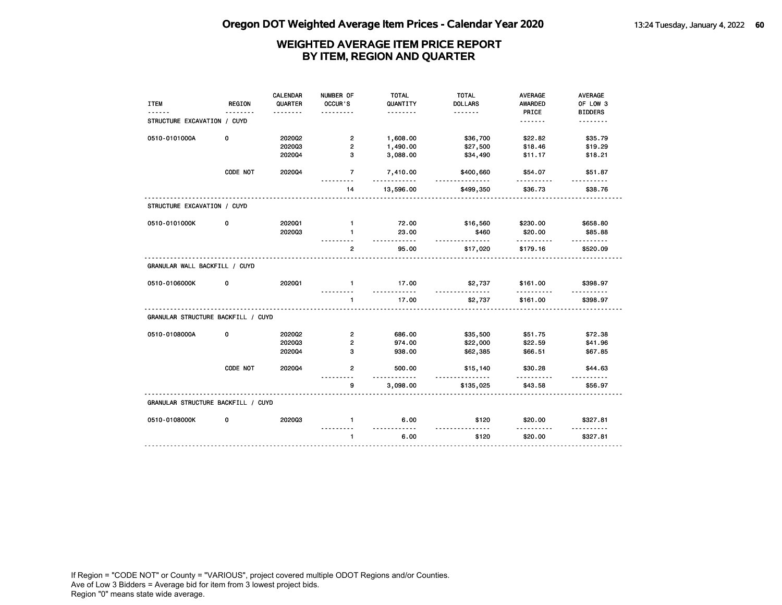| <b>ITEM</b>                        | <b>REGION</b> | CALENDAR<br>QUARTER | NUMBER OF<br>OCCUR'S | <b>TOTAL</b><br>QUANTITY      | <b>TOTAL</b><br><b>DOLLARS</b> | <b>AVERAGE</b><br><b>AWARDED</b> | <b>AVERAGE</b><br>OF LOW 3 |
|------------------------------------|---------------|---------------------|----------------------|-------------------------------|--------------------------------|----------------------------------|----------------------------|
|                                    |               |                     |                      | .                             |                                | PRICE                            | <b>BIDDERS</b>             |
| STRUCTURE EXCAVATION / CUYD        |               |                     |                      |                               |                                | <u>.</u>                         | .                          |
| 0510-0101000A                      | 0             | 2020Q2              | $\overline{2}$       | 1,608.00                      | \$36,700                       | \$22.82                          | \$35.79                    |
|                                    |               | 202003              | $\overline{2}$       | 1,490.00                      | \$27,500                       | \$18.46                          | \$19.29                    |
|                                    |               | 202004              | 3                    | 3,088.00                      | \$34,490                       | \$11.17                          | \$18.21                    |
|                                    | CODE NOT      | 202004              | $\overline{7}$       | 7,410.00<br><u>----------</u> | \$400,660<br><u>.</u>          | \$54.07                          | \$51.87                    |
|                                    |               |                     | 14                   | 13,596.00                     | \$499,350                      | \$36.73                          | \$38.76                    |
| STRUCTURE EXCAVATION / CUYD        |               |                     |                      |                               |                                |                                  |                            |
| 0510-0101000K                      | 0             | 2020Q1              | $\mathbf{1}$         | 72.00                         | \$16,560                       | \$230.00                         | \$658.80                   |
|                                    |               | 202003              | $\mathbf{1}$         | 23.00<br>.                    | \$460<br>.                     | \$20.00<br>. <u>.</u>            | \$85.88<br>.               |
|                                    |               |                     | $\overline{2}$       | 95.00                         | \$17,020                       | \$179.16                         | \$520.09                   |
| GRANULAR WALL BACKFILL / CUYD      |               |                     |                      |                               |                                |                                  |                            |
| 0510-0106000K                      | 0             | 2020Q1              | $\mathbf{1}$         | 17.00<br>.                    | \$2,737                        | \$161.00<br>.                    | \$398.97                   |
|                                    |               |                     | 1                    | 17.00                         | \$2,737                        | \$161.00                         | \$398.97                   |
| GRANULAR STRUCTURE BACKFILL / CUYD |               |                     |                      |                               |                                |                                  |                            |
| 0510-0108000A                      | 0             | 2020Q2              | $\overline{2}$       | 686.00                        | \$35,500                       | \$51.75                          | \$72.38                    |
|                                    |               | 202003              | $\mathbf{2}$         | 974.00                        | \$22,000                       | \$22.59                          | \$41.96                    |
|                                    |               | 202004              | 3                    | 938.00                        | \$62,385                       | \$66.51                          | \$67.85                    |
|                                    | CODE NOT      | 202004              | $\overline{2}$       | 500.00<br>$- - - -$           | \$15,140                       | \$30.28<br>.                     | \$44.63                    |
|                                    |               |                     | 9                    | 3,098.00                      | \$135,025                      | \$43.58                          | \$56.97                    |
| GRANULAR STRUCTURE BACKFILL / CUYD |               |                     |                      |                               |                                |                                  |                            |
| 0510-0108000K                      | 0             | 202003              | 1                    | 6.00<br><u>.</u>              | \$120<br>.                     | \$20.00                          | \$327.81                   |
|                                    |               |                     | $\mathbf{1}$         | 6.00                          | \$120                          | \$20.00                          | \$327.81                   |
|                                    |               |                     |                      |                               |                                |                                  |                            |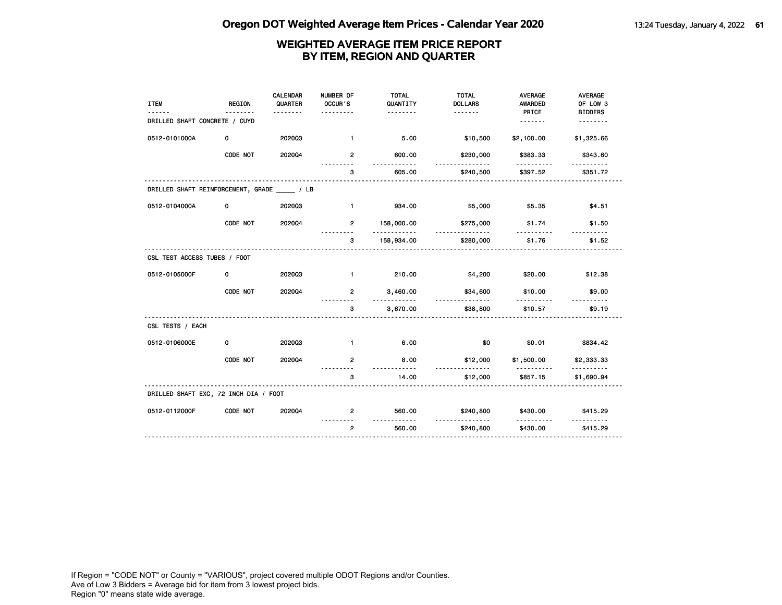| <b>ITEM</b>                                   | <b>REGION</b> | CALENDAR<br>QUARTER<br>. | NUMBER OF<br>OCCUR'S<br>. <i>.</i> | <b>TOTAL</b><br>QUANTITY<br>. | <b>TOTAL</b><br><b>DOLLARS</b><br>. <b>.</b> | <b>AVERAGE</b><br><b>AWARDED</b><br>PRICE | <b>AVERAGE</b><br>OF LOW 3<br><b>BIDDERS</b> |
|-----------------------------------------------|---------------|--------------------------|------------------------------------|-------------------------------|----------------------------------------------|-------------------------------------------|----------------------------------------------|
| DRILLED SHAFT CONCRETE / CUYD                 |               |                          |                                    |                               |                                              | .                                         | .                                            |
| 0512-0101000A                                 | 0             | 202003                   | $\mathbf{1}$                       | 5.00                          | \$10,500                                     | \$2,100.00                                | \$1,325.66                                   |
|                                               | CODE NOT      | 202004                   | $\overline{2}$                     | 600.00<br>.                   | \$230,000<br>$- - - -$                       | \$383.33<br>.                             | \$343.60                                     |
|                                               |               |                          | 3                                  | 605.00                        | \$240,500                                    | \$397.52                                  | \$351.72                                     |
| DRILLED SHAFT REINFORCEMENT, GRADE _____ / LB |               |                          |                                    |                               |                                              |                                           |                                              |
| 0512-0104000A                                 | 0             | 202003                   | $\blacksquare$                     | 934.00                        | \$5,000                                      | \$5.35                                    | \$4.51                                       |
|                                               | CODE NOT      | 202004                   | $\overline{2}$                     | 158,000.00<br>. . <b>.</b>    | \$275,000                                    | \$1.74                                    | \$1.50                                       |
|                                               |               |                          | 3                                  | 158,934.00                    | \$280,000                                    | \$1.76                                    | \$1.52                                       |
| CSL TEST ACCESS TUBES / FOOT                  |               |                          |                                    |                               |                                              |                                           |                                              |
| 0512-0105000F                                 | 0             | 202003                   | $\blacksquare$                     | 210.00                        | \$4,200                                      | \$20.00                                   | \$12.38                                      |
|                                               | CODE NOT      | 2020Q4                   | $\overline{2}$                     | 3,460.00                      | \$34,600<br>.                                | \$10.00                                   | \$9.00                                       |
|                                               |               |                          | 3                                  | 3,670.00                      | \$38,800                                     | \$10.57                                   | \$9.19                                       |
| CSL TESTS / EACH                              |               |                          |                                    |                               |                                              |                                           |                                              |
| 0512-0106000E                                 | 0             | 202003                   | $\blacksquare$                     | 6.00                          | \$0                                          | \$0.01                                    | \$834.42                                     |
|                                               | CODE NOT      | 202004                   | $\overline{2}$                     | 8.00<br>. <b>.</b>            | \$12,000<br>.                                | \$1,500.00<br>.                           | \$2,333.33<br><u>.</u>                       |
|                                               |               |                          | з                                  | 14.00                         | \$12,000                                     | \$857.15                                  | \$1,690.94                                   |
| DRILLED SHAFT EXC, 72 INCH DIA / FOOT         |               |                          |                                    |                               |                                              |                                           |                                              |
| 0512-0112000F                                 | CODE NOT      | 202004                   | $\overline{2}$                     | 560.00                        | \$240,800                                    | \$430.00                                  | \$415.29                                     |
|                                               |               |                          | $\overline{2}$                     | 560.00                        | \$240,800                                    | \$430.00                                  | \$415.29                                     |
|                                               |               |                          |                                    |                               |                                              |                                           |                                              |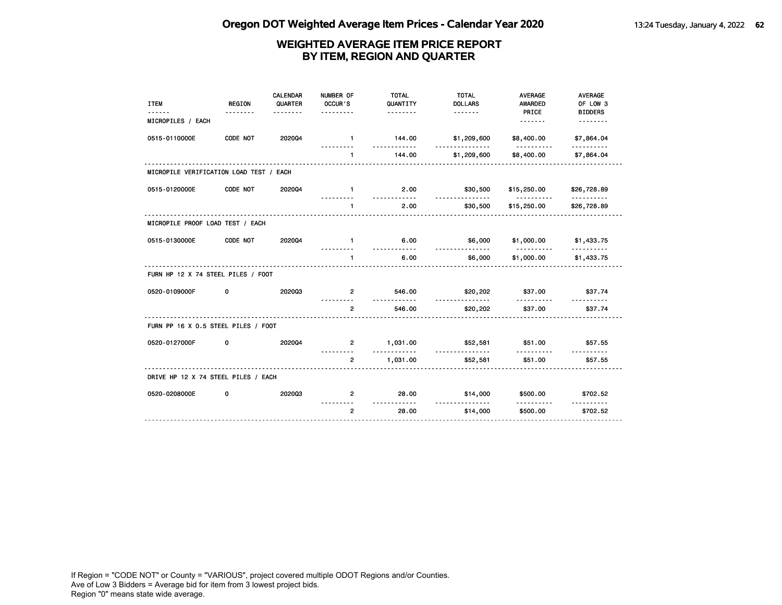| <b>ITEM</b>                             | <b>REGION</b> | CALENDAR<br>QUARTER<br>. | NUMBER OF<br>OCCUR'S<br>. | <b>TOTAL</b><br>QUANTITY<br><u>.</u> | <b>TOTAL</b><br><b>DOLLARS</b> | <b>AVERAGE</b><br><b>AWARDED</b><br>PRICE  | <b>AVERAGE</b><br>OF LOW 3<br><b>BIDDERS</b> |
|-----------------------------------------|---------------|--------------------------|---------------------------|--------------------------------------|--------------------------------|--------------------------------------------|----------------------------------------------|
| MICROPILES / EACH                       |               |                          |                           |                                      |                                |                                            | <u>.</u>                                     |
| 0515-0110000E                           | CODE NOT      | 202004                   | $\blacksquare$            | 144.00<br>.                          | \$1,209,600<br><u>.</u>        | \$8,400.00<br><u>.</u>                     | \$7,864.04<br>.                              |
|                                         |               |                          | $\mathbf{1}$              | 144.00                               | \$1,209,600                    | \$8,400.00                                 | \$7,864.04                                   |
| MICROPILE VERIFICATION LOAD TEST / EACH |               |                          |                           |                                      |                                |                                            |                                              |
| 0515-0120000E                           | CODE NOT      | 202004                   | $\mathbf{1}$              | 2.00                                 | \$30,500                       | \$15,250.00                                | \$26,728.89                                  |
|                                         |               |                          | $\blacksquare$            | <u>.</u><br>2.00                     | <u>.</u><br>\$30,500           | <u> - - - - - - - - - -</u><br>\$15,250.00 | <u>.</u><br>\$26,728.89                      |
| MICROPILE PROOF LOAD TEST / EACH        |               |                          |                           |                                      |                                |                                            |                                              |
| 0515-0130000E                           | CODE NOT      | 202004                   | $\mathbf{1}$              | 6.00                                 | \$6,000                        | \$1,000.00                                 | \$1,433.75                                   |
|                                         |               |                          | $\mathbf{1}$              | .<br>6.00                            | .<br>\$6,000                   | <u>.</u><br>\$1,000.00                     | <u>.</u><br>\$1,433.75                       |
| FURN HP 12 X 74 STEEL PILES / FOOT      |               |                          | .                         |                                      |                                |                                            |                                              |
| 0520-0109000F                           | 0             | 202003                   | $\mathbf{2}$              | 546.00                               | \$20,202                       | \$37.00                                    | \$37.74                                      |
|                                         |               |                          | $\overline{2}$            | .<br>546.00                          | \$20,202                       | \$37.00                                    | \$37.74                                      |
| FURN PP 16 X 0.5 STEEL PILES / FOOT     |               |                          |                           |                                      |                                |                                            |                                              |
| 0520-0127000F                           | 0             | 202004                   | $2^{\circ}$               | 1,031.00                             | \$52,581                       | \$51.00                                    | \$57.55                                      |
|                                         |               |                          | $\overline{2}$            | <u>.</u><br>1,031.00                 | <u>.</u><br>\$52,581           | <u>.</u><br>\$51.00                        | \$57.55                                      |
| DRIVE HP 12 X 74 STEEL PILES / EACH     |               |                          |                           |                                      |                                |                                            |                                              |
| 0520-0208000E                           | 0             | 202003                   | $\overline{2}$            | 28.00                                | \$14,000                       | \$500.00                                   | \$702.52                                     |
|                                         |               |                          | $\overline{2}$            | <u>.</u><br>28.00                    | .<br>\$14,000                  | .<br>\$500.00                              | \$702.52                                     |
|                                         |               |                          |                           |                                      |                                |                                            |                                              |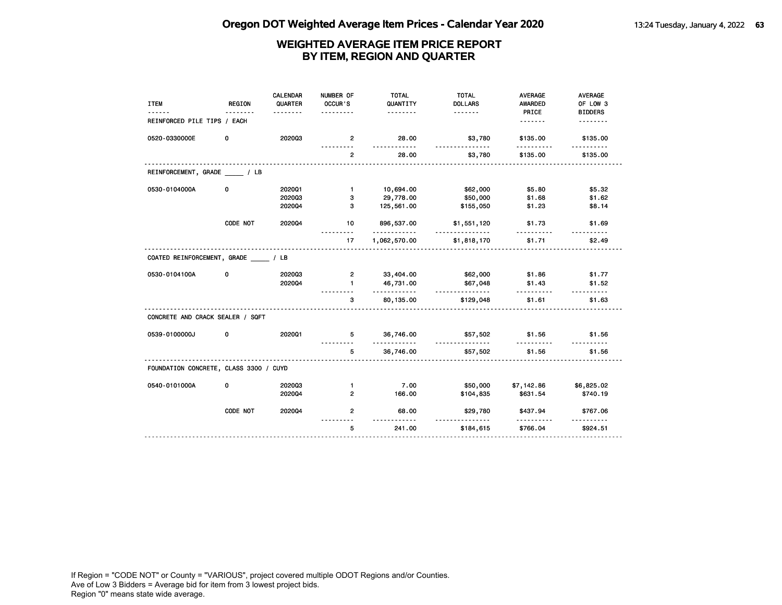| <b>ITEM</b>                            | <b>REGION</b> | <b>CALENDAR</b><br>QUARTER | NUMBER OF<br>OCCUR'S | <b>TOTAL</b><br>QUANTITY | <b>TOTAL</b><br><b>DOLLARS</b> | <b>AVERAGE</b><br>AWARDED | AVERAGE<br>OF LOW 3    |
|----------------------------------------|---------------|----------------------------|----------------------|--------------------------|--------------------------------|---------------------------|------------------------|
|                                        |               | <u>.</u>                   | .                    | <u>.</u>                 |                                | PRICE                     | <b>BIDDERS</b>         |
| REINFORCED PILE TIPS / EACH            |               |                            |                      |                          |                                |                           | <u>.</u>               |
| 0520-0330000E                          | 0             | 202003                     | $\overline{2}$<br>.  | 28.00<br>.               | \$3,780<br><u>.</u>            | \$135.00<br>.             | \$135.00<br>. <u>.</u> |
|                                        |               |                            | $\overline{2}$       | 28.00                    | \$3,780                        | \$135.00                  | \$135.00               |
| REINFORCEMENT, GRADE / LB              |               |                            |                      |                          |                                |                           |                        |
| 0530-0104000A                          | 0             | 2020Q1                     | $\mathbf{1}$         | 10,694.00                | \$62,000                       | \$5.80                    | \$5.32                 |
|                                        |               | 202003                     | 3                    | 29,778.00                | \$50,000                       | \$1.68                    | \$1.62                 |
|                                        |               | 202004                     | 3                    | 125,561.00               | \$155,050                      | \$1.23                    | \$8.14                 |
|                                        | CODE NOT      | 202004                     | 10                   | 896,537.00<br>.          | \$1,551,120                    | \$1.73                    | \$1.69<br>.            |
|                                        |               |                            | 17                   | 1,062,570.00             | \$1,818,170                    | \$1.71                    | \$2.49                 |
| COATED REINFORCEMENT, GRADE / LB       |               |                            |                      |                          |                                |                           |                        |
| 0530-0104100A                          | 0             | 202003                     | $\overline{2}$       | 33,404.00                | \$62,000                       | \$1.86                    | \$1.77                 |
|                                        |               | 202004                     | $\mathbf{1}$         | 46,731.00<br>.           | \$67,048<br>.                  | \$1.43<br>.               | \$1.52                 |
|                                        |               |                            | 3                    | 80,135.00                | \$129,048                      | \$1.61                    | \$1.63                 |
| CONCRETE AND CRACK SEALER / SQFT       |               |                            |                      |                          |                                |                           |                        |
| 0539-0100000J                          | 0             | 202001                     | 5.                   | 36,746.00<br>.           | \$57,502<br><u>.</u>           | \$1.56<br>----------      | \$1.56                 |
|                                        |               |                            | 5                    | 36,746.00                | \$57,502                       | \$1.56                    | \$1.56                 |
| FOUNDATION CONCRETE, CLASS 3300 / CUYD |               |                            |                      |                          |                                |                           |                        |
| 0540-0101000A                          | 0             | 202003                     | $\mathbf{1}$         | 7.00                     | \$50,000                       | \$7,142.86                | \$6,825.02             |
|                                        |               | 202004                     | $\overline{2}$       | 166.00                   | \$104,835                      | \$631.54                  | \$740.19               |
|                                        | CODE NOT      | 202004                     | $\overline{2}$       | 68.00                    | \$29,780                       | \$437.94                  | \$767.06               |
|                                        |               |                            | 5                    | 241.00                   | \$184,615                      | \$766.04                  | \$924.51               |
|                                        |               |                            |                      |                          |                                |                           |                        |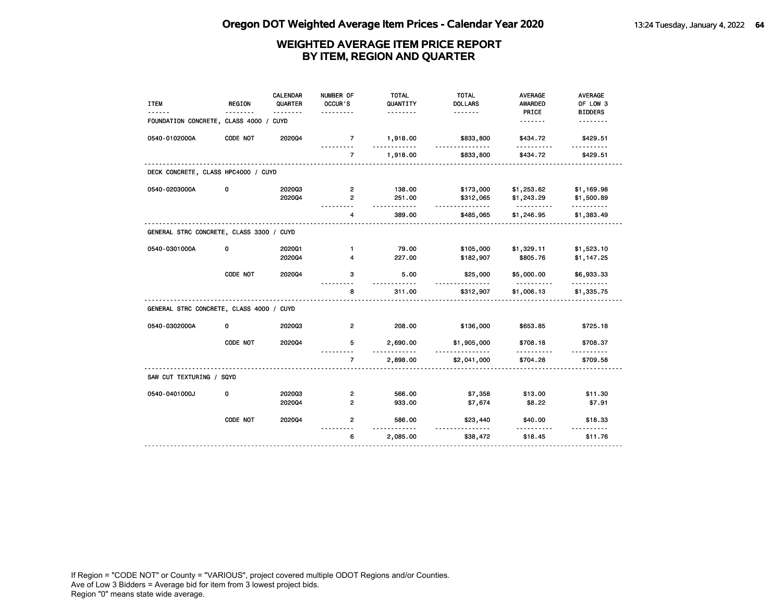| <b>ITEM</b>                              | <b>REGION</b> | <b>CALENDAR</b><br>QUARTER | NUMBER OF<br>OCCUR'S | <b>TOTAL</b><br>QUANTITY | <b>TOTAL</b><br><b>DOLLARS</b> | <b>AVERAGE</b><br><b>AWARDED</b> | <b>AVERAGE</b><br>OF LOW 3 |
|------------------------------------------|---------------|----------------------------|----------------------|--------------------------|--------------------------------|----------------------------------|----------------------------|
| FOUNDATION CONCRETE, CLASS 4000 /        |               | <u>.</u><br><b>CUYD</b>    | .                    | .                        | .                              | PRICE<br><u>.</u>                | <b>BIDDERS</b><br>.        |
|                                          |               |                            |                      |                          |                                |                                  |                            |
| 0540-0102000A                            | CODE NOT      | 202004                     | $\overline{7}$<br>.  | 1,918.00<br>.            | \$833,800<br>.                 | \$434.72<br>.                    | \$429.51<br>.              |
|                                          |               |                            | $\overline{7}$       | 1,918.00                 | \$833,800                      | \$434.72                         | \$429.51                   |
| DECK CONCRETE, CLASS HPC4000 / CUYD      |               |                            |                      |                          |                                |                                  |                            |
| 0540-0203000A                            | 0             | 202003                     | 2                    | 138.00                   | \$173,000                      | \$1,253.62                       | \$1,169.98                 |
|                                          |               | 202004                     | $\overline{2}$       | 251.00<br>$- - - -$      | \$312,065<br>.                 | \$1,243.29<br>.                  | \$1,500.89<br>.            |
|                                          |               |                            | 4                    | 389.00                   | \$485,065                      | \$1,246.95                       | \$1,383.49                 |
| GENERAL STRC CONCRETE, CLASS 3300 / CUYD |               |                            |                      |                          |                                |                                  |                            |
| 0540-0301000A                            | 0             | 202001                     | $\mathbf{1}$         | 79.00                    | \$105,000                      | \$1,329.11                       | \$1,523.10                 |
|                                          |               | 2020Q4                     | 4                    | 227.00                   | \$182,907                      | \$805.76                         | \$1,147.25                 |
|                                          | CODE NOT      | 202004                     | з                    | 5.00                     | \$25,000                       | \$5,000.00                       | \$6,933.33                 |
|                                          |               |                            | 8                    | 311.00                   | \$312,907                      | \$1,006.13                       | \$1,335.75                 |
| GENERAL STRC CONCRETE, CLASS 4000 / CUYD |               |                            |                      |                          |                                |                                  |                            |
| 0540-0302000A                            | 0             | 202003                     | $\overline{2}$       | 208.00                   | \$136,000                      | \$653.85                         | \$725.18                   |
|                                          | CODE NOT      | 202004                     | 5                    | 2,690.00<br>.            | \$1,905,000<br><u>.</u>        | \$708.18                         | \$708.37                   |
|                                          |               |                            | $\overline{7}$       | 2,898.00                 | \$2,041,000                    | \$704.28                         | \$709.58                   |
| SAW CUT TEXTURING / SQYD                 |               |                            |                      |                          |                                |                                  |                            |
| 0540-0401000J                            | 0             | 202003                     | $\overline{2}$       | 566.00                   | \$7,358                        | \$13.00                          | \$11.30                    |
|                                          |               | 202004                     | $\overline{2}$       | 933.00                   | \$7,674                        | \$8.22                           | \$7.91                     |
|                                          | CODE NOT      | 202004                     | $\overline{2}$       | 586.00<br>.              | \$23,440                       | \$40.00                          | \$18.33                    |
|                                          |               |                            | 6                    | 2,085.00                 | \$38,472                       | \$18.45                          | \$11.76                    |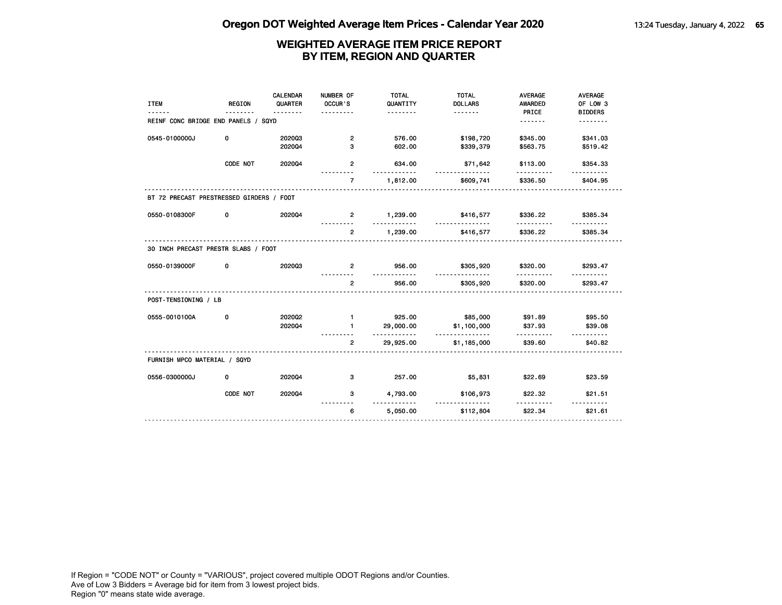|                                          |          | CALENDAR | NUMBER OF      | <b>TOTAL</b>       | <b>TOTAL</b>            | <b>AVERAGE</b>      | <b>AVERAGE</b>      |
|------------------------------------------|----------|----------|----------------|--------------------|-------------------------|---------------------|---------------------|
| <b>ITEM</b>                              | REGION   | QUARTER  | OCCUR'S        | QUANTITY           | <b>DOLLARS</b>          | AWARDED             | OF LOW 3            |
|                                          |          |          |                | <u>.</u>           |                         | PRICE               | <b>BIDDERS</b>      |
| REINF CONC BRIDGE END PANELS / SQYD      |          |          |                |                    |                         | <u>.</u>            | <u>.</u>            |
| 0545-0100000J                            | 0        | 202003   | $\overline{2}$ | 576.00             | \$198,720               | \$345.00            | \$341.03            |
|                                          |          | 202004   | 3              | 602.00             | \$339,379               | \$563.75            | \$519.42            |
|                                          |          |          |                |                    |                         |                     |                     |
|                                          | CODE NOT | 202004   | $\overline{2}$ | 634.00<br><u>.</u> | \$71,642<br>.           | \$113.00<br>.       | \$354.33            |
|                                          |          |          | $\overline{7}$ | 1,812.00           | \$609,741               | \$336.50            | \$404.95            |
| BT 72 PRECAST PRESTRESSED GIRDERS / FOOT |          |          |                |                    |                         |                     |                     |
| 0550-0108300F                            | 0        | 202004   | $2^{\circ}$    | 1,239.00           | \$416,577               | \$336.22            | \$385.34            |
|                                          |          |          |                | <u>.</u>           | .                       | .                   | <u>.</u>            |
|                                          |          |          | $\mathbf{2}$   | 1,239.00           | \$416,577               | \$336.22            | \$385.34            |
| 30 INCH PRECAST PRESTR SLABS / FOOT      |          |          |                |                    |                         |                     |                     |
| 0550-0139000F                            | 0        | 202003   | $\mathbf{2}$   | 956.00<br><u>.</u> | \$305,920<br><u>.</u>   | \$320.00<br>.       | \$293.47            |
|                                          |          |          | $\overline{2}$ | 956.00             | \$305,920               | \$320.00            | \$293.47            |
| POST-TENSIONING / LB                     |          |          |                |                    |                         |                     |                     |
| 0555-0010100A                            | 0        | 202002   | $\blacksquare$ | 925.00             | \$85,000                | \$91.89             | \$95.50             |
|                                          |          | 202004   | $\mathbf{1}$   | 29,000.00          | \$1,100,000             | \$37.93             | \$39.08             |
|                                          |          |          | $\overline{2}$ | .<br>29,925.00     | <u>.</u><br>\$1,185,000 | .<br>\$39.60        | \$40.82             |
|                                          |          |          |                |                    |                         |                     |                     |
| FURNISH MPCO MATERIAL / SQYD             |          |          |                |                    |                         |                     |                     |
| 0556-0300000J                            | 0        | 202004   | 3              | 257.00             | \$5,831                 | \$22.69             | \$23.59             |
|                                          | CODE NOT | 202004   | 3              | 4,793.00<br>.      | \$106,973<br>.          | \$22.32<br><u>.</u> | \$21.51<br><u>.</u> |
|                                          |          |          | 6              | 5,050.00           | \$112,804               | \$22.34             | \$21.61             |
|                                          |          |          |                |                    |                         |                     |                     |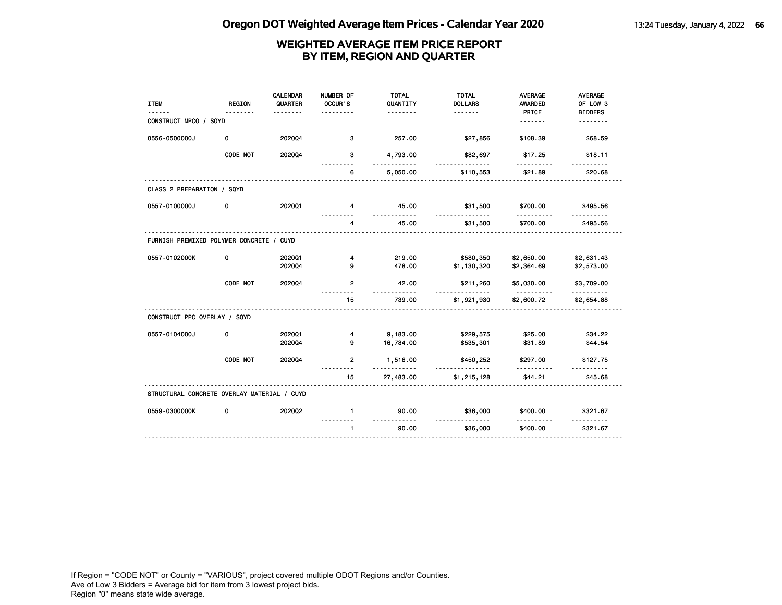| <b>ITEM</b>                                 | <b>REGION</b> | CALENDAR<br>QUARTER<br><u>.</u> | NUMBER OF<br>OCCUR'S<br>$- - - -$ | <b>TOTAL</b><br>QUANTITY<br>. | <b>TOTAL</b><br><b>DOLLARS</b><br><u>.</u> | <b>AVERAGE</b><br><b>AWARDED</b><br>PRICE | <b>AVERAGE</b><br>OF LOW 3<br><b>BIDDERS</b> |
|---------------------------------------------|---------------|---------------------------------|-----------------------------------|-------------------------------|--------------------------------------------|-------------------------------------------|----------------------------------------------|
| CONSTRUCT MPCO / SQYD                       |               |                                 |                                   |                               |                                            | .                                         | .                                            |
| 0556-0500000J                               | 0             | 202004                          | 3                                 | 257.00                        | \$27,856                                   | \$108.39                                  | \$68.59                                      |
|                                             | CODE NOT      | 202004                          | 3                                 | 4,793.00<br>.                 | \$82,697<br><u>.</u>                       | \$17.25<br>.                              | \$18.11                                      |
|                                             |               |                                 | 6                                 | 5,050.00                      | \$110,553                                  | \$21.89                                   | \$20.68                                      |
| CLASS 2 PREPARATION / SQYD                  |               |                                 |                                   |                               |                                            |                                           |                                              |
| 0557-0100000J                               | 0             | 202001                          | 4                                 | 45.00                         | \$31,500                                   | \$700.00                                  | \$495.56                                     |
|                                             |               |                                 | $\overline{4}$                    | 45.00                         | \$31,500                                   | \$700.00                                  | \$495.56                                     |
| FURNISH PREMIXED POLYMER CONCRETE / CUYD    |               |                                 |                                   |                               |                                            |                                           |                                              |
| 0557-0102000K                               | 0             | 202001<br>202004                | 4<br>9                            | 219.00<br>478.00              | \$580,350<br>\$1,130,320                   | \$2,650.00<br>\$2,364.69                  | \$2,631.43<br>\$2,573.00                     |
|                                             | CODE NOT      | 2020Q4                          | $\overline{2}$                    | 42.00                         | \$211,260                                  | \$5,030.00                                | \$3,709.00                                   |
|                                             |               |                                 | 15                                | $- - - - - -$<br>739.00       | <u></u><br>\$1,921,930                     | .<br>\$2,600.72                           | .<br>\$2,654.88                              |
| CONSTRUCT PPC OVERLAY / SQYD                |               |                                 |                                   |                               |                                            |                                           |                                              |
| 0557-0104000J                               | 0             | 202001<br>202004                | 4<br>9                            | 9,183.00<br>16,784.00         | \$229,575<br>\$535,301                     | \$25.00<br>\$31.89                        | \$34.22<br>\$44.54                           |
|                                             | CODE NOT      | 202004                          | $\overline{2}$                    | 1,516.00<br>.                 | \$450,252<br>.                             | \$297.00<br>.                             | \$127.75<br>.                                |
|                                             |               |                                 | 15                                | 27,483.00                     | \$1,215,128                                | \$44.21                                   | \$45.68                                      |
| STRUCTURAL CONCRETE OVERLAY MATERIAL / CUYD |               |                                 |                                   |                               |                                            |                                           |                                              |
| 0559-0300000K                               | 0             | 2020Q2                          | $\mathbf{1}$                      | 90.00                         | \$36,000                                   | \$400.00                                  | \$321.67                                     |
|                                             |               |                                 | $\mathbf{1}$                      | 90.00                         | \$36,000                                   | \$400.00                                  | \$321.67                                     |
|                                             |               |                                 |                                   |                               |                                            |                                           |                                              |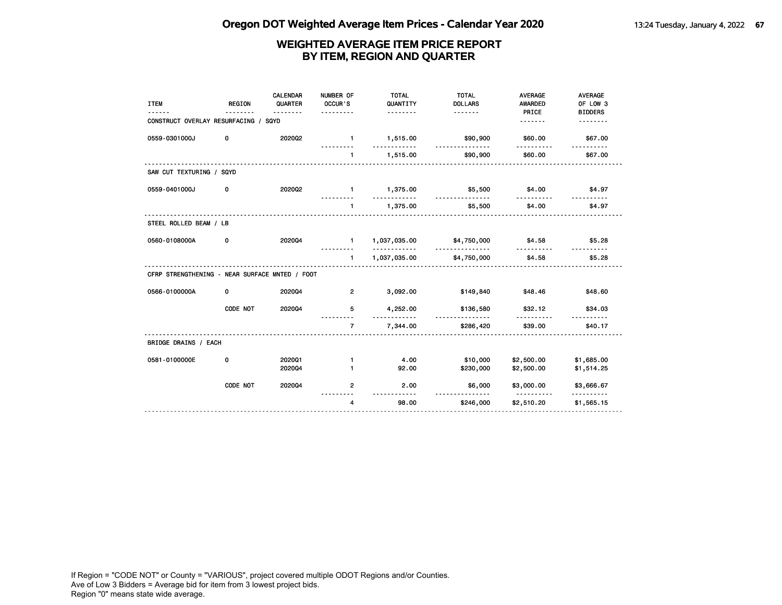| <b>ITEM</b>                                    | <b>REGION</b> | <b>CALENDAR</b><br>QUARTER<br>. | NUMBER OF<br>OCCUR'S<br>. | <b>TOTAL</b><br>QUANTITY<br><u>.</u> | <b>TOTAL</b><br><b>DOLLARS</b><br><u>.</u> | <b>AVERAGE</b><br><b>AWARDED</b><br>PRICE | <b>AVERAGE</b><br>OF LOW 3<br><b>BIDDERS</b> |
|------------------------------------------------|---------------|---------------------------------|---------------------------|--------------------------------------|--------------------------------------------|-------------------------------------------|----------------------------------------------|
| CONSTRUCT OVERLAY RESURFACING / SQYD           |               |                                 |                           |                                      |                                            | .                                         |                                              |
| 0559-0301000J                                  | 0             | 2020Q2                          | $\sim$ 1                  | 1,515.00                             | \$90,900<br><u>.</u>                       | \$60.00                                   | \$67.00                                      |
|                                                |               |                                 | $\mathbf{1}$              | 1,515.00                             | \$90,900                                   | \$60.00                                   | \$67.00                                      |
| SAW CUT TEXTURING / SQYD                       |               |                                 |                           |                                      |                                            |                                           |                                              |
| 0559-0401000J                                  | 0             | 2020Q2                          | $\sim$ $-1$               | 1,375.00<br>.                        | \$5,500<br><u>.</u>                        | \$4.00                                    | \$4.97                                       |
|                                                |               |                                 | $\blacksquare$            | 1,375.00                             | \$5,500                                    | \$4.00                                    | \$4.97                                       |
| STEEL ROLLED BEAM / LB                         |               |                                 |                           |                                      |                                            |                                           |                                              |
| 0560-0108000A                                  | 0             | 202004                          | $1 -$                     | 1,037,035.00<br><u>.</u>             | \$4,750,000                                | \$4.58                                    | \$5.28                                       |
|                                                |               |                                 | $\mathbf{1}$              | 1,037,035.00                         | \$4,750,000                                | \$4.58                                    | \$5.28                                       |
| CFRP STRENGTHENING - NEAR SURFACE MNTED / FOOT |               |                                 |                           |                                      |                                            |                                           |                                              |
| 0566-0100000A                                  | 0             | 202004                          | $\overline{2}$            | 3,092.00                             | \$149,840                                  | \$48.46                                   | \$48.60                                      |
|                                                | CODE NOT      | 202004                          | 5                         | 4,252.00                             | \$136,580<br>.                             | \$32.12                                   | \$34.03                                      |
|                                                |               |                                 | $\overline{7}$            | 7,344.00                             | \$286,420                                  | \$39.00                                   | \$40.17                                      |
| BRIDGE DRAINS / EACH                           |               |                                 |                           |                                      |                                            |                                           |                                              |
| 0581-0100000E                                  | 0             | 202001                          | $\mathbf{1}$              | 4.00                                 | \$10,000                                   | \$2,500.00                                | \$1,685.00                                   |
|                                                |               | 202004                          | $\mathbf{1}$              | 92.00                                | \$230,000                                  | \$2,500.00                                | \$1,514.25                                   |
|                                                | CODE NOT      | 202004                          | $\overline{2}$            | 2.00<br>----------                   | \$6,000<br><u>.</u>                        | \$3,000.00<br><u>.</u>                    | \$3,666.67<br><u>.</u>                       |
|                                                |               |                                 | $\overline{4}$            | 98.00                                | \$246,000                                  | \$2,510.20                                | \$1,565.15                                   |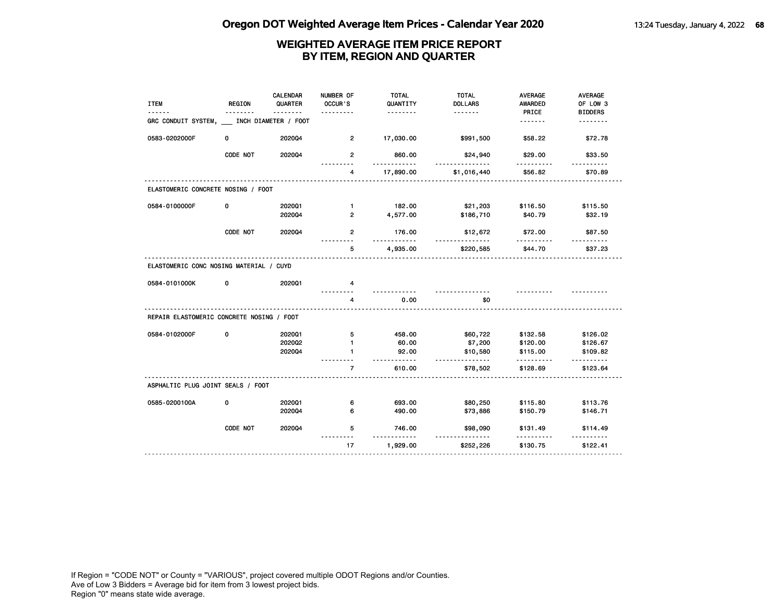| <b>ITEM</b>                               | <b>REGION</b> | CALENDAR<br>QUARTER | NUMBER OF<br>OCCUR'S | <b>TOTAL</b><br>QUANTITY | <b>TOTAL</b><br><b>DOLLARS</b> | <b>AVERAGE</b><br>AWARDED | <b>AVERAGE</b><br>OF LOW 3 |
|-------------------------------------------|---------------|---------------------|----------------------|--------------------------|--------------------------------|---------------------------|----------------------------|
|                                           | <u>.</u>      | <u>.</u>            | .                    | .                        | <u>.</u>                       | PRICE                     | <b>BIDDERS</b>             |
| GRC CONDUIT SYSTEM, INCH DIAMETER / FOOT  |               |                     |                      |                          |                                | <u>.</u>                  | <u>.</u>                   |
| 0583-0202000F                             | 0             | 2020Q4              | $\overline{2}$       | 17,030.00                | \$991,500                      | \$58.22                   | \$72.78                    |
|                                           | CODE NOT      | 2020Q4              | $\overline{2}$       | 860.00                   | \$24,940<br><u>.</u>           | \$29.00                   | \$33.50                    |
|                                           |               |                     | $\overline{4}$       | 17,890.00                | \$1,016,440                    | \$56.82                   | \$70.89                    |
| ELASTOMERIC CONCRETE NOSING / FOOT        |               |                     |                      |                          |                                |                           |                            |
| 0584-0100000F                             | 0             | 202001              | $\mathbf{1}$         | 182.00                   | \$21,203                       | \$116.50                  | \$115.50                   |
|                                           |               | 202004              | $\overline{2}$       | 4,577.00                 | \$186,710                      | \$40.79                   | \$32.19                    |
|                                           | CODE NOT      | 2020Q4              | $\overline{2}$       | 176.00<br>.              | \$12,672<br><u>.</u>           | \$72.00                   | \$87.50                    |
|                                           |               |                     | 5                    | 4,935.00                 | \$220,585                      | \$44.70                   | \$37.23                    |
| ELASTOMERIC CONC NOSING MATERIAL / CUYD   |               |                     |                      |                          |                                |                           |                            |
| 0584-0101000K                             | 0             | 202001              | 4                    |                          |                                |                           |                            |
|                                           |               |                     | 4                    | 0.00                     | \$0                            | <u>.</u>                  |                            |
| REPAIR ELASTOMERIC CONCRETE NOSING / FOOT |               |                     |                      |                          |                                |                           |                            |
| 0584-0102000F                             | 0             | 202001              | 5                    | 458.00                   | \$60,722                       | \$132.58                  | \$126.02                   |
|                                           |               | 2020Q2              | $\mathbf{1}$         | 60.00                    | \$7,200                        | \$120.00                  | \$126.67                   |
|                                           |               | 202004              | 1.                   | 92.00<br><u>.</u>        | \$10,580<br><u>.</u>           | \$115.00                  | \$109.82                   |
|                                           |               |                     | $\overline{7}$       | 610.00                   | \$78,502                       | \$128.69                  | \$123.64                   |
| ASPHALTIC PLUG JOINT SEALS / FOOT         |               |                     |                      |                          |                                |                           |                            |
| 0585-0200100A                             | 0             | 202001              | 6                    | 693.00                   | \$80,250                       | \$115.80                  | \$113.76                   |
|                                           |               | 202004              | 6                    | 490.00                   | \$73,886                       | \$150.79                  | \$146.71                   |
|                                           | CODE NOT      | 2020Q4              | 5                    | 746.00<br>.              | \$98,090<br><u>.</u>           | \$131.49                  | \$114.49                   |
|                                           |               |                     | 17                   | 1,929.00                 | \$252,226                      | <u>.</u><br>\$130.75      | \$122.41                   |
|                                           |               |                     |                      |                          |                                |                           |                            |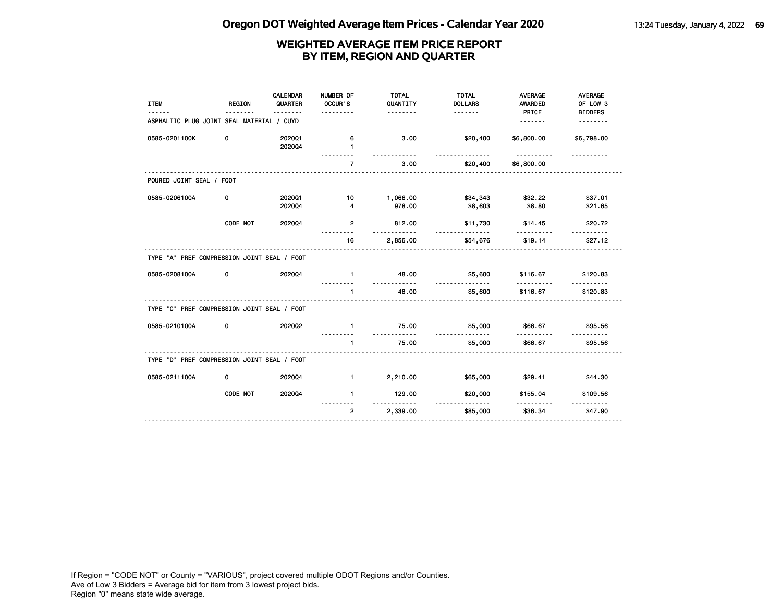| <b>ITEM</b>                                 | <b>REGION</b> | <b>CALENDAR</b><br>QUARTER | NUMBER OF<br>OCCUR'S | <b>TOTAL</b><br>QUANTITY<br>.         | <b>TOTAL</b><br><b>DOLLARS</b><br><u>.</u> | <b>AVERAGE</b><br>AWARDED<br>PRICE | <b>AVERAGE</b><br>OF LOW 3<br><b>BIDDERS</b> |
|---------------------------------------------|---------------|----------------------------|----------------------|---------------------------------------|--------------------------------------------|------------------------------------|----------------------------------------------|
| ASPHALTIC PLUG JOINT SEAL MATERIAL / CUYD   |               |                            |                      |                                       |                                            | <u>.</u>                           | <u>.</u>                                     |
| 0585-0201100K                               | 0             | 202001<br>202004           | 6<br>1               | 3.00<br><u>----------</u>             | \$20,400                                   | \$6,800.00<br><u>----------</u>    | \$6,798.00                                   |
|                                             |               |                            | $\overline{7}$       | 3.00                                  | \$20,400                                   | \$6,800.00                         |                                              |
| POURED JOINT SEAL / FOOT                    |               |                            |                      |                                       |                                            |                                    |                                              |
| 0585-0206100A                               | 0             | 202001<br>202004           | 10<br>4              | 1,066.00<br>978.00                    | \$34,343<br>\$8,603                        | \$32.22<br>\$8.80                  | \$37.01<br>\$21.65                           |
|                                             | CODE NOT      | 202004                     | $\overline{2}$       | 812.00                                | \$11,730                                   | \$14.45                            | \$20.72                                      |
|                                             |               |                            | 16                   | $- - -$<br>2,856.00                   | \$54,676                                   | .<br>\$19.14                       | \$27.12                                      |
| TYPE "A" PREF COMPRESSION JOINT SEAL / FOOT |               |                            |                      |                                       |                                            |                                    |                                              |
| 0585-0208100A                               | 0             | 202004                     | $\mathbf{1}$         | 48.00<br><u>.</u>                     | \$5,600<br>.                               | \$116.67<br><u>.</u>               | \$120.83                                     |
|                                             |               |                            | $\mathbf{1}$         | 48.00                                 | \$5,600                                    | \$116.67                           | \$120.83                                     |
| TYPE "C" PREF COMPRESSION JOINT SEAL / FOOT |               |                            |                      |                                       |                                            |                                    |                                              |
| 0585-0210100A                               | 0             | 202002                     | $\mathbf{1}$         | 75.00<br>.                            | \$5,000<br><u>------------</u>             | \$66.67                            | \$95.56                                      |
|                                             |               |                            | $\mathbf{1}$         | 75.00                                 | \$5,000                                    | \$66.67                            | \$95.56                                      |
| TYPE "D" PREF COMPRESSION JOINT SEAL / FOOT |               |                            |                      |                                       |                                            |                                    |                                              |
| 0585-0211100A                               | 0             | 202004                     | $\mathbf{1}$         | 2,210.00                              | \$65,000                                   | \$29.41                            | \$44.30                                      |
|                                             | CODE NOT      | 202004                     | $\mathbf{1}$         | 129.00<br><u> - - - - - - - - - -</u> | \$20,000<br><u>.</u>                       | \$155.04<br>.                      | \$109.56                                     |
|                                             |               |                            | $\overline{2}$       | 2,339.00                              | \$85,000                                   | \$36.34                            | \$47.90                                      |
|                                             |               |                            |                      |                                       |                                            |                                    |                                              |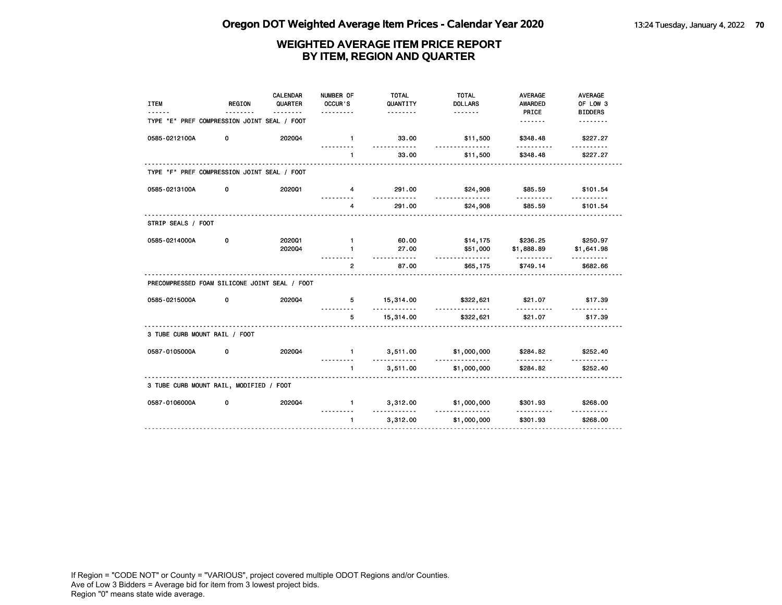| <b>ITEM</b>                                   | <b>REGION</b> | CALENDAR<br>QUARTER | NUMBER OF<br>OCCUR'S<br>.      | <b>TOTAL</b><br>QUANTITY<br><u>.</u>    | <b>TOTAL</b><br><b>DOLLARS</b>   | <b>AVERAGE</b><br><b>AWARDED</b><br>PRICE | <b>AVERAGE</b><br>OF LOW 3<br><b>BIDDERS</b> |
|-----------------------------------------------|---------------|---------------------|--------------------------------|-----------------------------------------|----------------------------------|-------------------------------------------|----------------------------------------------|
| TYPE "E" PREF COMPRESSION JOINT SEAL / FOOT   |               |                     |                                |                                         |                                  |                                           | <u>.</u>                                     |
| 0585-0212100A                                 | 0             | 202004              | $\blacksquare$                 | 33.00<br><u>.</u>                       | \$11,500                         | \$348.48                                  | \$227.27                                     |
|                                               |               |                     | $\mathbf{1}$                   | 33.00                                   | <u>.</u><br>\$11,500             | <u>.</u><br>\$348.48                      | <u>.</u><br>\$227.27                         |
| TYPE "F" PREF COMPRESSION JOINT SEAL / FOOT   |               |                     |                                |                                         |                                  |                                           |                                              |
| 0585-0213100A                                 | 0             | 202001              | $\overline{4}$                 | 291.00                                  | \$24,908                         | \$85.59                                   | \$101.54                                     |
|                                               |               |                     | 4                              | <u>.</u><br>291.00                      | <u>.</u><br>\$24,908             | .<br>\$85.59                              | <u>.</u><br>\$101.54                         |
| STRIP SEALS / FOOT                            |               |                     |                                |                                         |                                  |                                           |                                              |
| 0585-0214000A                                 | 0             | 202001<br>202004    | $\blacksquare$<br>$\mathbf{1}$ | 60.00<br>27.00                          | \$51,000                         | \$14,175 \$236.25<br>\$1,888.89           | \$250.97<br>\$1,641.98                       |
|                                               |               |                     | $\overline{2}$                 | <u>.</u><br>87.00                       | .<br>\$65,175                    | .<br>\$749.14                             | .<br>\$682.66                                |
| PRECOMPRESSED FOAM SILICONE JOINT SEAL / FOOT |               |                     |                                |                                         |                                  |                                           |                                              |
| 0585-0215000A                                 | 0             | 202004              |                                | 5 15,314.00<br>.                        | \$322,621<br>.                   | \$21.07                                   | \$17.39                                      |
|                                               |               |                     | 5                              | 15,314.00                               | \$322,621                        | <u>.</u><br>\$21.07                       | .<br>\$17.39                                 |
| 3 TUBE CURB MOUNT RAIL / FOOT                 |               |                     |                                |                                         |                                  |                                           |                                              |
| 0587-0105000A                                 | 0             | 202004              |                                | 3,511.00<br>$\mathbf 1$ and $\mathbf 1$ | \$1,000,000                      | \$284.82                                  | \$252.40                                     |
|                                               |               |                     | $\mathbf{1}$                   | .<br>3,511.00                           | \$1,000,000                      | .<br>\$284.82                             | \$252.40                                     |
| 3 TUBE CURB MOUNT RAIL, MODIFIED / FOOT       |               |                     |                                |                                         |                                  |                                           |                                              |
| 0587-0106000A                                 | 0             | 2020Q4              | $\blacksquare$                 | 3,312.00<br><u>.</u>                    | \$1,000,000 \$301.93<br><u>.</u> | <u>.</u>                                  | \$268.00                                     |
|                                               |               |                     | $\mathbf{1}$                   | 3,312.00                                | \$1,000,000                      | \$301.93                                  | \$268.00                                     |
|                                               |               |                     |                                |                                         |                                  |                                           |                                              |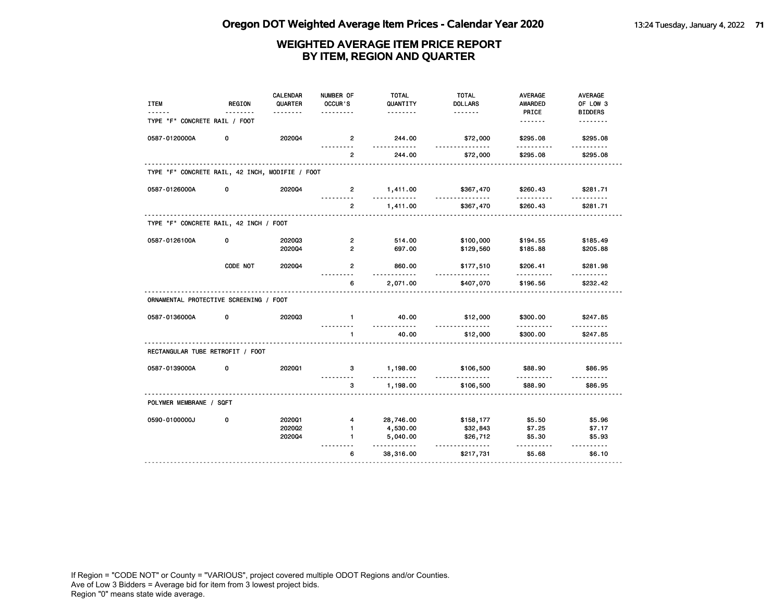| <b>ITEM</b>                                     | <b>REGION</b> | <b>CALENDAR</b><br>QUARTER<br><u>.</u> | NUMBER OF<br>OCCUR'S | <b>TOTAL</b><br>QUANTITY<br>. | <b>TOTAL</b><br><b>DOLLARS</b><br><u>.</u> | <b>AVERAGE</b><br><b>AWARDED</b><br>PRICE | <b>AVERAGE</b><br>OF LOW 3<br><b>BIDDERS</b> |
|-------------------------------------------------|---------------|----------------------------------------|----------------------|-------------------------------|--------------------------------------------|-------------------------------------------|----------------------------------------------|
| TYPE "F" CONCRETE RAIL / FOOT                   |               |                                        |                      |                               |                                            | <u>.</u>                                  | <u>.</u>                                     |
| 0587-0120000A                                   | 0             | 202004                                 | $\overline{2}$       | 244.00                        | \$72,000<br><u>.</u>                       | \$295.08                                  | \$295.08<br><u>.</u>                         |
|                                                 |               |                                        | $\overline{2}$       | 244.00                        | \$72,000                                   | \$295.08                                  | \$295.08                                     |
| TYPE "F" CONCRETE RAIL, 42 INCH, MODIFIE / FOOT |               |                                        |                      |                               |                                            |                                           |                                              |
| 0587-0126000A                                   | 0             | 202004                                 | $\mathbf{2}$<br>.    | 1,411.00<br>.                 | \$367,470<br>.                             | \$260.43<br>.                             | \$281.71<br><u>.</u>                         |
|                                                 |               |                                        | $\overline{2}$       | 1,411.00                      | \$367,470                                  | \$260.43                                  | \$281.71                                     |
| TYPE "F" CONCRETE RAIL, 42 INCH / FOOT          |               |                                        |                      |                               |                                            |                                           |                                              |
| 0587-0126100A                                   | 0             | 202003                                 | 2                    | 514.00                        | \$100,000                                  | \$194.55                                  | \$185.49                                     |
|                                                 |               | 202004                                 | $\overline{2}$       | 697.00                        | \$129,560                                  | \$185.88                                  | \$205.88                                     |
|                                                 | CODE NOT      | 2020Q4                                 | $\overline{2}$       | 860.00<br><u>.</u>            | \$177,510<br>.                             | \$206.41                                  | \$281.98                                     |
|                                                 |               |                                        | 6                    | 2,071.00                      | \$407,070                                  | \$196.56                                  | \$232.42                                     |
| ORNAMENTAL PROTECTIVE SCREENING / FOOT          |               |                                        |                      |                               |                                            |                                           |                                              |
| 0587-0136000A                                   | 0             | 202003                                 | $\mathbf{1}$         | 40.00                         | \$12,000<br><u>.</u>                       | \$300.00                                  | \$247.85                                     |
|                                                 |               |                                        | $\mathbf{1}$         | 40.00                         | \$12,000                                   | \$300.00                                  | \$247.85                                     |
| RECTANGULAR TUBE RETROFIT / FOOT                |               |                                        |                      |                               |                                            |                                           |                                              |
| 0587-0139000A                                   | 0             | 202001                                 | 3                    | 1,198.00<br>.                 | \$106,500<br>.                             | \$88.90<br>.                              | \$86.95<br>.                                 |
|                                                 |               |                                        | 3                    | 1,198.00                      | \$106,500                                  | \$88.90                                   | \$86.95                                      |
| POLYMER MEMBRANE / SQFT                         |               |                                        |                      |                               |                                            |                                           |                                              |
| 0590-0100000J                                   | 0             | 202001                                 | $\overline{4}$       | 28,746.00                     | \$158,177                                  | \$5.50                                    | \$5.96                                       |
|                                                 |               | 2020Q2                                 | $\mathbf{1}$         | 4,530.00                      | \$32,843                                   | \$7.25                                    | \$7.17                                       |
|                                                 |               | 2020Q4                                 | $\blacksquare$       | 5,040.00<br>.                 | \$26,712<br>.                              | \$5.30<br>.                               | \$5.93<br>.                                  |
|                                                 |               |                                        | 6                    | 38,316.00                     | \$217,731                                  | \$5.68                                    | \$6.10                                       |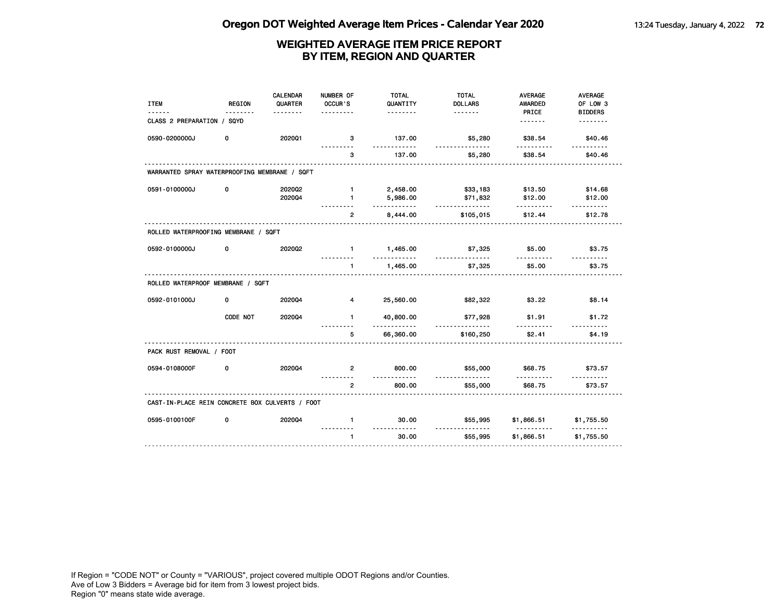| <b>ITEM</b>                                     | <b>REGION</b> | <b>CALENDAR</b><br>QUARTER | NUMBER OF<br>OCCUR'S | <b>TOTAL</b><br>QUANTITY | <b>TOTAL</b><br><b>DOLLARS</b> | <b>AVERAGE</b><br><b>AWARDED</b> | <b>AVERAGE</b><br>OF LOW 3 |
|-------------------------------------------------|---------------|----------------------------|----------------------|--------------------------|--------------------------------|----------------------------------|----------------------------|
|                                                 |               | <u>.</u>                   |                      | <u>.</u>                 |                                | PRICE                            | <b>BIDDERS</b>             |
| CLASS 2 PREPARATION / SQYD                      |               |                            |                      |                          |                                | <u>.</u>                         | <u>.</u>                   |
| 0590-0200000J                                   | 0             | 202001                     | з<br>.               | 137.00<br>.              | \$5,280<br><u>.</u>            | \$38.54<br>.                     | \$40.46<br>.               |
|                                                 |               |                            | 3                    | 137.00                   | \$5,280                        | \$38.54                          | \$40.46                    |
| WARRANTED SPRAY WATERPROOFING MEMBRANE / SQFT   |               |                            |                      |                          |                                |                                  |                            |
| 0591-0100000J                                   | 0             | 202002                     | $\mathbf{1}$         | 2,458.00                 | \$33,183                       | \$13.50                          | \$14.68                    |
|                                                 |               | 202004                     | $\mathbf{1}$         | 5,986.00<br><u>.</u>     | \$71,832<br><u>.</u>           | \$12.00<br>.                     | \$12.00<br>$- - - - - -$   |
|                                                 |               |                            | $\overline{2}$       | 8,444.00                 | \$105,015                      | \$12.44                          | \$12.78                    |
| ROLLED WATERPROOFING MEMBRANE / SQFT            |               |                            |                      |                          |                                |                                  |                            |
| 0592-0100000J                                   | 0             | 2020Q2                     | $\mathbf{1}$         | 1,465.00                 | \$7,325                        | \$5.00                           | \$3.75                     |
|                                                 |               |                            | $\mathbf{1}$         | 1,465.00                 | \$7,325                        | \$5.00                           | \$3.75                     |
| ROLLED WATERPROOF MEMBRANE / SQFT               |               |                            |                      |                          |                                |                                  |                            |
| 0592-0101000J                                   | 0             | 202004                     | $\overline{4}$       | 25,560.00                | \$82,322                       | \$3.22                           | \$8.14                     |
|                                                 | CODE NOT      | 202004                     | $\mathbf{1}$         | 40,800.00<br>.           | \$77,928                       | \$1.91                           | \$1.72                     |
|                                                 |               |                            | 5                    | 66,360.00                | \$160,250                      | \$2.41                           | \$4.19                     |
| PACK RUST REMOVAL / FOOT                        |               |                            |                      |                          |                                |                                  |                            |
| 0594-0108000F                                   | 0             | 202004                     | $\overline{2}$       | 800.00<br>$- - -$        | \$55,000                       | \$68.75<br><u>.</u>              | \$73.57                    |
|                                                 |               |                            | $\overline{2}$       | 800.00                   | \$55,000                       | \$68.75                          | \$73.57                    |
| CAST-IN-PLACE REIN CONCRETE BOX CULVERTS / FOOT |               |                            |                      |                          |                                |                                  |                            |
| 0595-0100100F                                   | 0             | 202004                     | $\mathbf{1}$         | 30.00<br><u>.</u>        | \$55,995                       | \$1,866.51<br><u>.</u>           | \$1,755.50<br>.            |
|                                                 |               |                            | $\mathbf{1}$         | 30.00                    | \$55,995                       | \$1,866.51                       | \$1,755.50                 |
|                                                 |               |                            |                      |                          |                                |                                  |                            |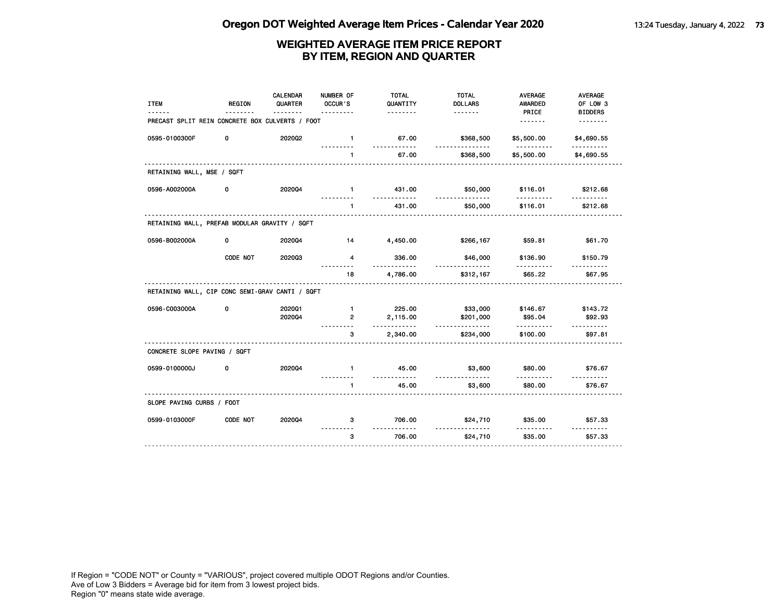| <b>ITEM</b>                                     | <b>REGION</b> | <b>CALENDAR</b><br>QUARTER | NUMBER OF<br>OCCUR'S | <b>TOTAL</b><br>QUANTITY | <b>TOTAL</b><br><b>DOLLARS</b> | <b>AVERAGE</b><br><b>AWARDED</b> | AVERAGE<br>OF LOW 3        |
|-------------------------------------------------|---------------|----------------------------|----------------------|--------------------------|--------------------------------|----------------------------------|----------------------------|
| PRECAST SPLIT REIN CONCRETE BOX CULVERTS / FOOT |               | .                          |                      | <u>.</u>                 |                                | PRICE                            | <b>BIDDERS</b><br><u>.</u> |
| 0595-0100300F                                   | 0             | 202002                     | $\mathbf{1}$         | 67.00                    | \$368,500                      | \$5,500.00                       | \$4,690.55                 |
|                                                 |               |                            | .                    | .                        | <u>.</u>                       | .                                | .                          |
|                                                 |               |                            | $\mathbf{1}$         | 67.00                    | \$368,500                      | \$5,500.00                       | \$4,690.55                 |
| RETAINING WALL, MSE / SQFT                      |               |                            |                      |                          |                                |                                  |                            |
| 0596-A002000A                                   | 0             | 202004                     | $\blacksquare$       | 431.00<br><u>.</u>       | \$50,000<br><u>.</u>           | \$116.01                         | \$212.68                   |
|                                                 |               |                            | $\mathbf{1}$         | 431.00                   | \$50,000                       | \$116.01                         | \$212.68                   |
| RETAINING WALL, PREFAB MODULAR GRAVITY / SQFT   |               |                            |                      |                          |                                |                                  |                            |
| 0596-B002000A                                   | 0             | 202004                     | $\overline{14}$      | 4,450.00                 | \$266,167                      | \$59.81                          | \$61.70                    |
|                                                 | CODE NOT      | 202003                     | $\overline{4}$       | 336.00                   | \$46,000<br><u>.</u>           | \$136.90                         | \$150.79                   |
|                                                 |               |                            | 18                   | 4,786.00                 | \$312,167                      | \$65.22                          | \$67.95                    |
| RETAINING WALL, CIP CONC SEMI-GRAV CANTI / SQFT |               |                            |                      |                          |                                |                                  |                            |
| 0596-C003000A                                   | 0             | 2020Q1                     | $\mathbf{1}$         | 225.00                   | \$33,000                       | \$146.67                         | \$143.72                   |
|                                                 |               | 202004                     | $\overline{2}$       | 2,115.00<br>.            | \$201,000<br><u>.</u>          | \$95.04<br><u></u>               | \$92.93<br>$- - - - - -$   |
|                                                 |               | .                          | 3                    | 2,340.00                 | \$234,000                      | \$100.00                         | \$97.81                    |
| CONCRETE SLOPE PAVING / SQFT                    |               |                            |                      |                          |                                |                                  |                            |
| 0599-0100000J                                   | 0             | 202004                     | $\mathbf{1}$         | 45.00<br>.               | \$3,600                        | \$80.00<br>- - - - -             | \$76.67                    |
|                                                 |               |                            | 1                    | 45.00                    | \$3,600                        | \$80.00                          | \$76.67                    |
| SLOPE PAVING CURBS / FOOT                       |               |                            |                      |                          |                                |                                  |                            |
| 0599-0103000F                                   | CODE NOT      | 202004                     | 3                    | 706.00<br>. . <b>.</b>   | \$24,710<br>.                  | \$35.00                          | \$57.33<br>.               |
|                                                 |               |                            | 3                    | 706.00                   | \$24,710                       | \$35.00                          | \$57.33                    |
|                                                 |               |                            |                      |                          |                                |                                  |                            |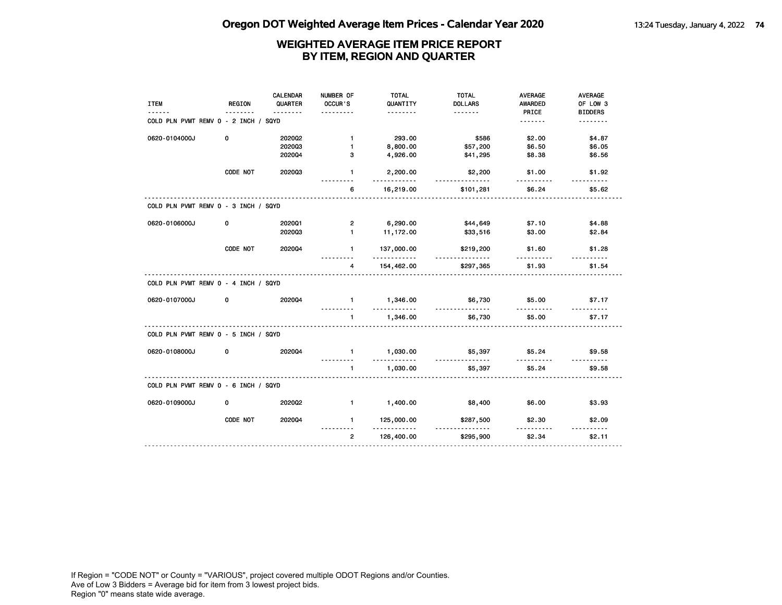|                                      |               | <b>CALENDAR</b> | NUMBER OF               | <b>TOTAL</b>           | <b>TOTAL</b>          | <b>AVERAGE</b>     | AVERAGE            |
|--------------------------------------|---------------|-----------------|-------------------------|------------------------|-----------------------|--------------------|--------------------|
| <b>ITEM</b>                          | <b>REGION</b> | QUARTER         | OCCUR'S                 | QUANTITY               | <b>DOLLARS</b>        | AWARDED            | OF LOW 3           |
|                                      |               |                 |                         | .                      | <u>.</u>              | PRICE              | <b>BIDDERS</b>     |
| COLD PLN PVMT REMV 0 - 2 INCH / SQYD |               |                 |                         |                        |                       | <u>.</u>           | <u>.</u>           |
| 0620-0104000J                        | 0             | 2020Q2          | $\mathbf{1}$            | 293.00                 | \$586                 | \$2.00             | \$4.87             |
|                                      |               | 202003          | $\mathbf{1}$            | 8,800.00               | \$57,200              | \$6.50             | \$6.05             |
|                                      |               | 202004          | 3                       | 4,926.00               | \$41,295              | \$8.38             | \$6.56             |
|                                      | CODE NOT      | 202003          | $\mathbf{1}$            | 2,200.00<br>.          | \$2,200<br><u>.</u>   | \$1.00             | \$1.92             |
|                                      |               |                 | 6                       | 16,219.00              | \$101,281             | \$6.24             | \$5.62             |
| COLD PLN PVMT REMV 0 - 3 INCH / SQYD |               |                 |                         |                        |                       |                    |                    |
| 0620-0106000J                        | 0             | 2020Q1          | $\mathbf{2}$            | 6,290.00               | \$44,649              | \$7.10             | \$4.88             |
|                                      |               | 202003          | $\mathbf{1}$            | 11,172.00              | \$33,516              | \$3.00             | \$2.84             |
|                                      | CODE NOT      | 202004          | 1                       | 137,000.00<br><u>.</u> | \$219,200<br><u>.</u> | \$1.60             | \$1.28             |
|                                      |               |                 | 4                       | 154,462.00             | \$297,365             | \$1.93             | \$1.54             |
| COLD PLN PVMT REMV 0 - 4 INCH / SQYD |               |                 |                         |                        |                       |                    |                    |
| 0620-0107000J                        | 0             | 202004          | $\mathbf 1$<br><u>.</u> | 1,346.00<br>.          | \$6,730<br><u></u>    | \$5.00<br>.        | \$7.17<br><u>.</u> |
|                                      |               |                 | $\mathbf{1}$            | 1,346.00               | \$6,730               | \$5.00             | \$7.17             |
| COLD PLN PVMT REMV 0 - 5 INCH / SQYD |               |                 |                         |                        |                       |                    |                    |
| 0620-0108000J                        | 0             | 202004          | $\mathbf{1}$            | 1,030.00<br>.          | \$5,397<br>.          | \$5.24<br><u>.</u> | \$9.58<br>.        |
|                                      |               |                 | $\mathbf{1}$            | 1,030.00               | \$5,397               | \$5.24             | \$9.58             |
| COLD PLN PVMT REMV 0 - 6 INCH / SQYD |               |                 |                         |                        |                       |                    |                    |
| 0620-0109000J                        | $\mathbf 0$   | 2020Q2          | $\blacksquare$          | 1,400.00               | \$8,400               | \$6.00             | \$3.93             |
|                                      | CODE NOT      | 202004          | $\mathbf 1$             | 125,000.00<br>.        | \$287,500<br><u>.</u> | \$2.30<br><u>.</u> | \$2.09<br>.        |
|                                      |               |                 | $\overline{2}$          | 126,400.00             | \$295,900             | \$2.34             | \$2.11             |
|                                      |               |                 |                         |                        |                       |                    |                    |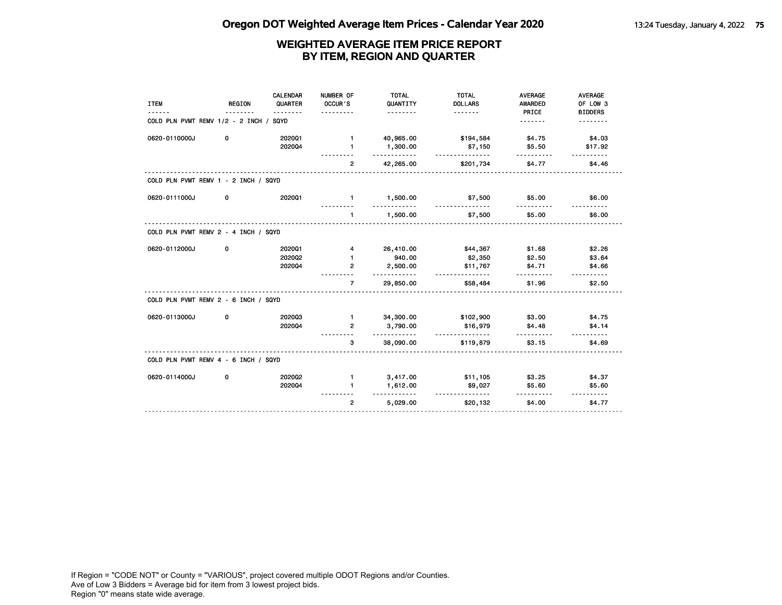| COLD PLN PVMT REMV 1/2 - 2 INCH / SQYD<br>0620-0110000J<br>0 | 202001<br>2020Q4 | .<br>$\mathbf{1}$ |                      |                      | PRICE<br><u>.</u>  | <b>BIDDERS</b><br><u>.</u> |
|--------------------------------------------------------------|------------------|-------------------|----------------------|----------------------|--------------------|----------------------------|
|                                                              |                  |                   |                      |                      |                    |                            |
|                                                              |                  |                   | 40,965.00            | \$194,584            | \$4.75             | \$4.03                     |
|                                                              |                  | $\mathbf{1}$      | 1,300.00<br><u>.</u> | \$7,150<br><u>.</u>  | \$5.50             | \$17.92                    |
|                                                              |                  | $\overline{2}$    | 42,265.00            | \$201,734            | \$4.77             | \$4.46                     |
| COLD PLN PVMT REMV 1 - 2 INCH / SQYD                         |                  |                   |                      |                      |                    |                            |
| 0620-0111000J<br>0                                           | 2020Q1           | $\mathbf{1}$      | 1,500.00             | \$7,500<br><u></u>   | \$5.00             | \$6.00                     |
|                                                              |                  | $\mathbf{1}$      | 1,500.00             | \$7,500              | \$5.00             | \$6.00                     |
| COLD PLN PVMT REMV 2 - 4 INCH / SQYD                         |                  |                   |                      |                      |                    |                            |
| 0620-0112000J<br>0                                           | 202001           | $\overline{4}$    | 26,410.00            | \$44,367             | \$1.68             | \$2.26                     |
|                                                              | 2020Q2           | $\mathbf{1}$      | 940.00               | \$2,350              | \$2.50             | \$3.64                     |
|                                                              | 202004           | $\overline{2}$    | 2,500.00<br>.        | \$11,767<br><u>.</u> | \$4.71             | \$4.66                     |
|                                                              |                  | $\overline{7}$    | 29,850.00            | \$58,484             | \$1.96             | \$2.50                     |
| COLD PLN PVMT REMV 2 - 6 INCH / SQYD                         |                  |                   |                      |                      |                    |                            |
| 0620-0113000J<br>0                                           | 202003           | $\blacksquare$    | 34,300.00            | \$102,900            | \$3.00             | \$4.75                     |
|                                                              | 202004           | $\overline{2}$    | 3,790.00<br>.        | \$16,979<br>.        | \$4.48<br><u>.</u> | \$4.14<br><u>.</u>         |
|                                                              |                  | 3                 | 38,090.00            | \$119,879            | \$3.15             | \$4.69                     |
| COLD PLN PVMT REMV 4 - 6 INCH / SQYD                         |                  |                   |                      |                      |                    |                            |
| 0620-0114000J<br>0                                           | 202002           | $\mathbf{1}$      | 3,417.00             | \$11,105             | \$3.25             | \$4.37                     |
|                                                              | 202004           | $\blacksquare$    | 1,612.00<br>.        | \$9,027<br>.         | \$5.60<br>.        | \$5.60<br>.                |
|                                                              |                  | $\overline{2}$    | 5,029.00             | \$20,132             | \$4.00             | \$4.77                     |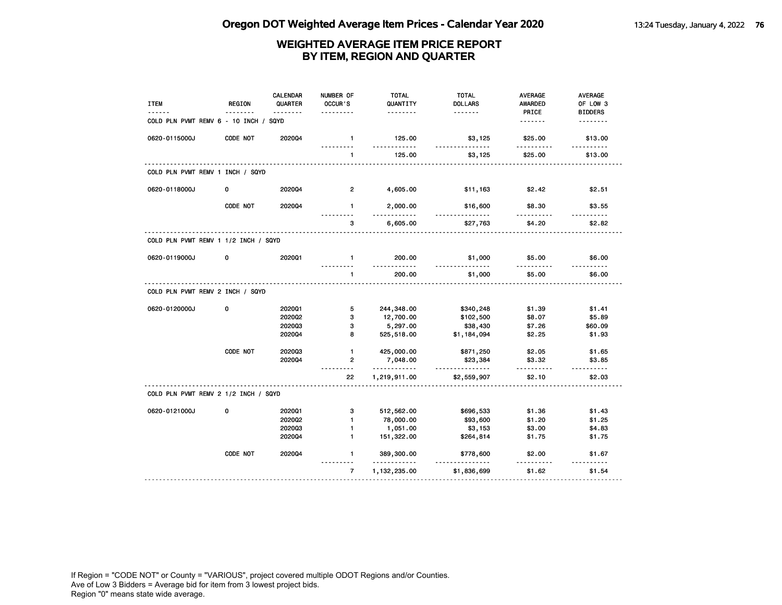| <b>ITEM</b><br><u>.</u>               | <b>REGION</b> | <b>CALENDAR</b><br>QUARTER<br><u>.</u> | NUMBER OF<br>OCCUR'S<br>. | <b>TOTAL</b><br>QUANTITY<br><u>.</u> | <b>TOTAL</b><br><b>DOLLARS</b><br><u>.</u> | <b>AVERAGE</b><br><b>AWARDED</b><br>PRICE | AVERAGE<br>OF LOW 3<br><b>BIDDERS</b> |
|---------------------------------------|---------------|----------------------------------------|---------------------------|--------------------------------------|--------------------------------------------|-------------------------------------------|---------------------------------------|
| COLD PLN PVMT REMV 6 - 10 INCH / SQYD |               |                                        |                           |                                      |                                            | <u>.</u>                                  | <u>.</u>                              |
| 0620-0115000J                         | CODE NOT      | 2020Q4                                 | $\mathbf{1}$              | 125.00<br>.                          | \$3,125<br><u>.</u>                        | \$25.00<br>.                              | \$13.00<br>.                          |
|                                       |               |                                        | $\mathbf{1}$              | 125.00                               | \$3,125                                    | \$25.00                                   | \$13.00                               |
| COLD PLN PVMT REMV 1 INCH / SQYD      |               |                                        |                           |                                      |                                            |                                           |                                       |
| 0620-0118000J                         | 0             | 202004                                 | $\overline{2}$            | 4,605.00                             | \$11,163                                   | \$2.42                                    | \$2.51                                |
|                                       | CODE NOT      | 2020Q4                                 | $\mathbf{1}$<br>.         | 2,000.00<br>.                        | \$16,600<br>.                              | \$8.30<br>.                               | \$3.55                                |
|                                       |               |                                        | 3                         | 6,605.00                             | \$27,763                                   | \$4.20                                    | \$2.82                                |
| COLD PLN PVMT REMV 1 1/2 INCH / SQYD  |               |                                        |                           |                                      |                                            |                                           |                                       |
| 0620-0119000J                         | 0             | 202001                                 | $\mathbf{1}$              | 200.00<br>.                          | \$1,000<br><u>.</u>                        | \$5.00<br>.                               | \$6.00                                |
|                                       |               |                                        | $\mathbf{1}$              | 200.00                               | \$1,000                                    | \$5.00                                    | \$6.00                                |
| COLD PLN PVMT REMV 2 INCH / SQYD      |               |                                        |                           |                                      |                                            |                                           |                                       |
| 0620-0120000J                         | 0             | 202001                                 | 5                         | 244,348.00                           | \$340,248                                  | \$1.39                                    | \$1.41                                |
|                                       |               | 202002                                 | 3                         | 12,700.00                            | \$102,500                                  | \$8.07                                    | \$5.89                                |
|                                       |               | 202003                                 | 3                         | 5,297.00                             | \$38,430                                   | \$7.26                                    | \$60.09                               |
|                                       |               | 202004                                 | 8                         | 525,518.00                           | \$1,184,094                                | \$2.25                                    | \$1.93                                |
|                                       | CODE NOT      | 202003                                 | $\mathbf{1}$              | 425,000.00                           | \$871,250                                  | \$2.05                                    | \$1.65                                |
|                                       |               | 2020Q4                                 | $\overline{2}$            | 7,048.00<br>.                        | \$23,384<br>.                              | \$3.32<br>.                               | \$3.85                                |
|                                       |               |                                        | 22                        | 1,219,911.00                         | \$2,559,907                                | \$2.10                                    | \$2.03                                |
| COLD PLN PVMT REMV 2 1/2 INCH / SQYD  |               |                                        |                           |                                      |                                            |                                           |                                       |
| 0620-0121000J                         | 0             | 2020Q1                                 | з                         | 512,562.00                           | \$696,533                                  | \$1.36                                    | \$1.43                                |
|                                       |               | 202002                                 | $\mathbf{1}$              | 78,000.00                            | \$93,600                                   | \$1.20                                    | \$1.25                                |
|                                       |               | 202003                                 | $\mathbf{1}$              | 1,051.00                             | \$3,153                                    | \$3.00                                    | \$4.83                                |
|                                       |               | 202004                                 | $\mathbf{1}$              | 151,322.00                           | \$264,814                                  | \$1.75                                    | \$1.75                                |
|                                       | CODE NOT      | 2020Q4                                 | $\blacksquare$<br>.       | 389,300.00<br>.                      | \$778,600                                  | \$2.00<br>----------                      | \$1.67                                |
|                                       |               |                                        | $\overline{7}$            | 1,132,235.00                         | \$1,836,699                                | \$1.62                                    | \$1.54                                |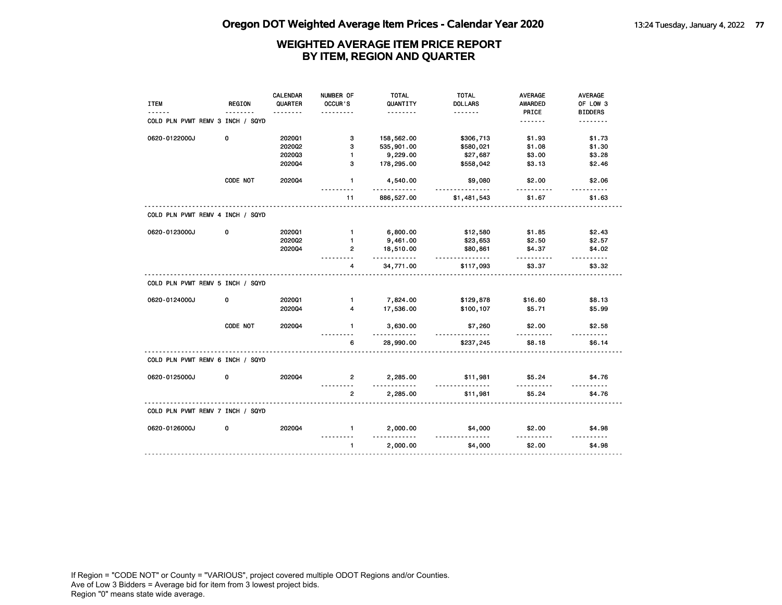|                                  |               | <b>CALENDAR</b> | NUMBER OF               | <b>TOTAL</b>         | <b>TOTAL</b>               | <b>AVERAGE</b>          | AVERAGE                    |
|----------------------------------|---------------|-----------------|-------------------------|----------------------|----------------------------|-------------------------|----------------------------|
| <b>ITEM</b>                      | <b>REGION</b> | QUARTER         | OCCUR'S                 | QUANTITY<br>.        | <b>DOLLARS</b><br><u>.</u> | <b>AWARDED</b><br>PRICE | OF LOW 3<br><b>BIDDERS</b> |
| COLD PLN PVMT REMV 3 INCH / SQYD |               |                 |                         |                      |                            | <u>.</u>                | <u>.</u>                   |
| 0620-0122000J                    | 0             | 202001          | 3                       | 158,562.00           | \$306,713                  | \$1.93                  | \$1.73                     |
|                                  |               | 202002          | 3                       | 535,901.00           | \$580,021                  | \$1.08                  | \$1.30                     |
|                                  |               | 202003          | $\mathbf{1}$            | 9,229.00             | \$27,687                   | \$3.00                  | \$3.28                     |
|                                  |               | 2020Q4          | 3                       | 178,295.00           | \$558,042                  | \$3.13                  | \$2.46                     |
|                                  | CODE NOT      | 2020Q4          | $\mathbf{1}$            | 4,540.00             | \$9,080<br>.               | \$2.00                  | \$2.06<br><u>.</u>         |
|                                  |               |                 | 11                      | 886,527.00           | \$1,481,543                | \$1.67                  | \$1.63                     |
| COLD PLN PVMT REMV 4 INCH / SQYD |               |                 |                         |                      |                            |                         |                            |
| 0620-0123000J                    | 0             | 202001          | $\blacksquare$          | 6,800.00             | \$12,580                   | \$1.85                  | \$2.43                     |
|                                  |               | 202002          | $\mathbf{1}$            | 9,461.00             | \$23,653                   | \$2.50                  | \$2.57                     |
|                                  |               | 202004          | $\overline{2}$          | 18,510.00<br>.       | \$80,861<br><u>.</u>       | \$4.37<br>.             | \$4.02<br>$- - - - - -$    |
|                                  |               |                 | 4                       | 34,771.00            | \$117,093                  | \$3.37                  | \$3.32                     |
| COLD PLN PVMT REMV 5 INCH / SQYD |               |                 |                         |                      |                            |                         |                            |
| 0620-0124000J                    | 0             | 202001          | $\blacksquare$          | 7,824.00             | \$129,878                  | \$16.60                 | \$8.13                     |
|                                  |               | 202004          | $\overline{\mathbf{4}}$ | 17,536.00            | \$100,107                  | \$5.71                  | \$5.99                     |
|                                  | CODE NOT      | 2020Q4          | $\mathbf{1}$            | 3,630.00<br>.        | \$7,260<br>.               | \$2.00<br>.             | \$2.58<br>.                |
|                                  |               |                 | 6                       | 28,990.00            | \$237,245                  | \$8.18                  | \$6.14                     |
| COLD PLN PVMT REMV 6 INCH / SQYD |               |                 |                         |                      |                            |                         |                            |
| 0620-0125000J                    | 0             | 202004          | $\mathbf{2}$            | 2,285.00<br><u>.</u> | \$11,981<br>.              | \$5.24                  | \$4.76<br>.                |
|                                  |               |                 | $\overline{2}$          | 2,285.00             | \$11,981                   | \$5.24                  | \$4.76                     |
| COLD PLN PVMT REMV 7 INCH / SQYD |               |                 |                         |                      |                            |                         |                            |
| 0620-0126000J                    | 0             | 2020Q4          | $\mathbf{1}$            | 2,000.00             | \$4,000                    | \$2.00                  | \$4.98                     |
|                                  |               |                 | $\mathbf{1}$            | 2,000.00             | \$4,000                    | \$2.00                  | \$4.98                     |
|                                  |               |                 |                         |                      |                            |                         |                            |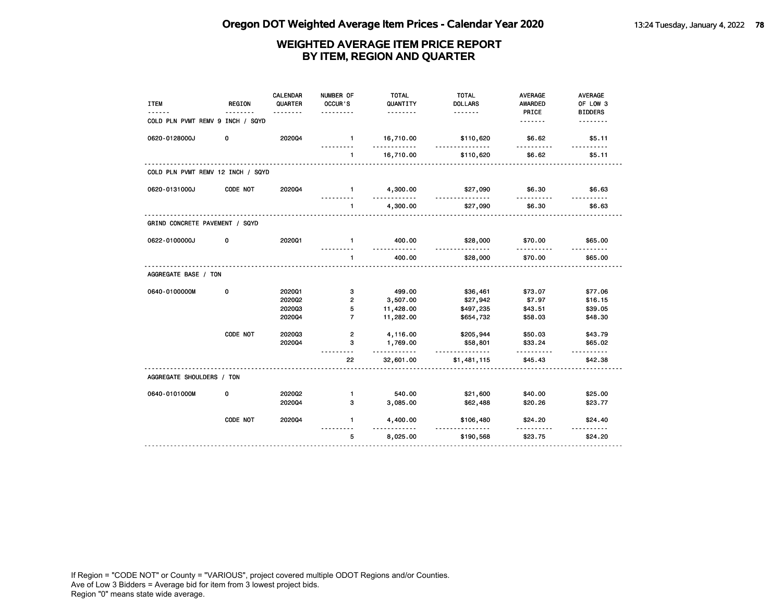| <b>ITEM</b>                       | <b>REGION</b> | <b>CALENDAR</b><br>QUARTER<br><u>.</u> | NUMBER OF<br>OCCUR'S<br>. | <b>TOTAL</b><br>QUANTITY<br><u>.</u> | <b>TOTAL</b><br><b>DOLLARS</b><br>. | <b>AVERAGE</b><br><b>AWARDED</b><br>PRICE | <b>AVERAGE</b><br>OF LOW 3 |
|-----------------------------------|---------------|----------------------------------------|---------------------------|--------------------------------------|-------------------------------------|-------------------------------------------|----------------------------|
| COLD PLN PVMT REMV 9 INCH / SQYD  |               |                                        |                           |                                      |                                     |                                           | <b>BIDDERS</b><br>.        |
| 0620-0128000J                     | 0             | 202004                                 | $\mathbf{1}$<br>.         | 16,710.00<br>.                       | \$110,620<br>.                      | \$6.62<br>.                               | \$5.11<br><u>.</u>         |
|                                   |               |                                        | 1                         | 16,710.00                            | \$110,620                           | \$6.62                                    | \$5.11                     |
| COLD PLN PVMT REMV 12 INCH / SQYD |               |                                        |                           |                                      |                                     |                                           |                            |
| 0620-0131000J                     | CODE NOT      | 2020Q4                                 | $\blacksquare$            | 4,300.00<br><u>.</u>                 | \$27,090                            | \$6.30                                    | \$6.63                     |
|                                   |               |                                        | $\mathbf{1}$              | 4,300.00                             | \$27,090                            | \$6.30                                    | \$6.63                     |
| GRIND CONCRETE PAVEMENT / SQYD    |               |                                        |                           |                                      |                                     |                                           |                            |
| 0622-0100000J                     | 0             | 202001                                 | $\mathbf{1}$              | 400.00                               | \$28,000<br><u>.</u>                | \$70.00                                   | \$65.00                    |
|                                   |               |                                        | $\blacksquare$            | 400.00                               | \$28,000                            | \$70.00                                   | \$65.00                    |
| AGGREGATE BASE / TON              |               |                                        |                           |                                      |                                     |                                           |                            |
| 0640-0100000M                     | 0             | 202001                                 | 3                         | 499.00                               | \$36,461                            | \$73.07                                   | \$77.06                    |
|                                   |               | 202002                                 | $\overline{2}$            | 3,507.00                             | \$27,942                            | \$7.97                                    | \$16.15                    |
|                                   |               | 202003                                 | 5                         | 11,428.00                            | \$497,235                           | \$43.51                                   | \$39.05                    |
|                                   |               | 202004                                 | $\overline{7}$            | 11,282.00                            | \$654,732                           | \$58.03                                   | \$48.30                    |
|                                   | CODE NOT      | 202003                                 | $\overline{2}$            | 4,116.00                             | \$205,944                           | \$50.03                                   | \$43.79                    |
|                                   |               | 202004                                 | 3                         | 1,769.00<br>.                        | \$58,801<br><u>.</u>                | \$33.24<br>.                              | \$65.02<br>.               |
|                                   |               |                                        | 22                        | 32,601.00                            | \$1,481,115                         | \$45.43                                   | \$42.38                    |
| AGGREGATE SHOULDERS / TON         |               |                                        |                           |                                      |                                     |                                           |                            |
| 0640-0101000M                     | 0             | 202002                                 | $\mathbf{1}$              | 540.00                               | \$21,600                            | \$40.00                                   | \$25.00                    |
|                                   |               | 202004                                 | 3                         | 3,085.00                             | \$62,488                            | \$20.26                                   | \$23.77                    |
|                                   | CODE NOT      | 202004                                 | $\mathbf{1}$              | 4,400.00                             | \$106,480<br><u>.</u>               | \$24.20                                   | \$24.40<br><u>.</u>        |
|                                   |               |                                        | 5                         | 8,025.00                             | \$190,568                           | \$23.75                                   | \$24.20                    |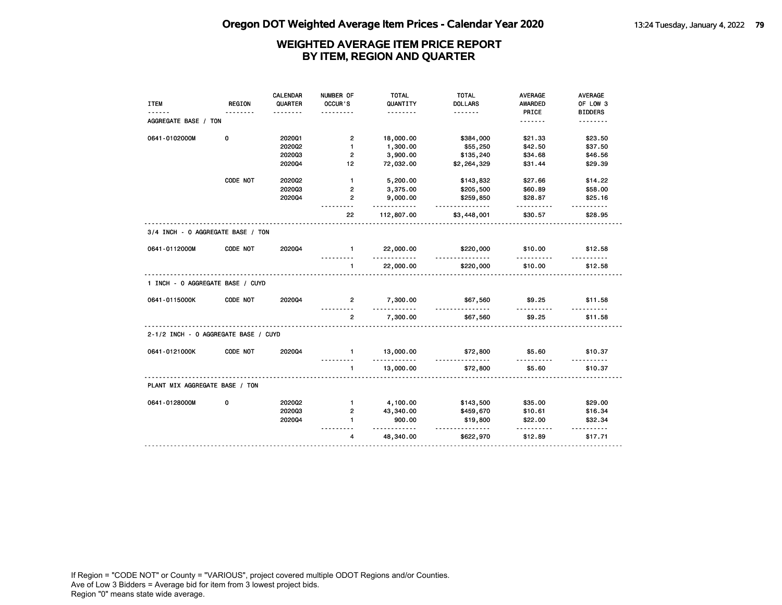|                                      |               | <b>CALENDAR</b> | NUMBER OF      | <b>TOTAL</b>          | <b>TOTAL</b>          | <b>AVERAGE</b>       | AVERAGE             |
|--------------------------------------|---------------|-----------------|----------------|-----------------------|-----------------------|----------------------|---------------------|
| <b>ITEM</b>                          | <b>REGION</b> | QUARTER         | OCCUR'S        | QUANTITY              | <b>DOLLARS</b>        | <b>AWARDED</b>       | OF LOW 3            |
|                                      |               |                 |                | .                     | <u>.</u>              | PRICE                | <b>BIDDERS</b>      |
| AGGREGATE BASE / TON                 |               |                 |                |                       |                       | <u>.</u>             | .                   |
| 0641-0102000M                        | 0             | 202001          | $\overline{2}$ | 18,000.00             | \$384,000             | \$21.33              | \$23.50             |
|                                      |               | 202002          | $\mathbf{1}$   | 1,300.00              | \$55,250              | \$42.50              | \$37.50             |
|                                      |               | 202003          | $\overline{2}$ | 3,900.00              | \$135,240             | \$34.68              | \$46.56             |
|                                      |               | 202004          | 12             | 72,032.00             | \$2,264,329           | \$31.44              | \$29.39             |
|                                      | CODE NOT      | 2020Q2          | $\mathbf{1}$   | 5,200.00              | \$143,832             | \$27.66              | \$14.22             |
|                                      |               | 202003          | $\overline{2}$ | 3,375.00              | \$205,500             | \$60.89              | \$58.00             |
|                                      |               | 202004          | $\overline{2}$ | 9,000.00<br>.         | \$259,850<br>.        | \$28.87<br>.         | \$25.16<br><u>.</u> |
|                                      |               |                 | 22             | 112,807.00            | \$3,448,001           | \$30.57              | \$28.95             |
| 3/4 INCH - 0 AGGREGATE BASE / TON    |               |                 |                |                       |                       |                      |                     |
| 0641-0112000M                        | CODE NOT      | 2020Q4          | $\blacksquare$ | 22,000.00<br><u>.</u> | \$220,000<br><u>.</u> | \$10.00              | \$12.58             |
|                                      |               |                 | $\mathbf{1}$   | 22,000.00             | \$220,000             | \$10.00              | \$12.58             |
| 1 INCH - 0 AGGREGATE BASE / CUYD     |               |                 |                |                       |                       |                      |                     |
| 0641-0115000K                        | CODE NOT      | 2020Q4          | $\overline{2}$ | 7,300.00<br>.         | \$67,560<br>.         | \$9.25<br>---------- | \$11.58<br>.        |
|                                      |               |                 | $\overline{2}$ | 7,300.00              | \$67,560              | \$9.25               | \$11.58             |
| 2-1/2 INCH - 0 AGGREGATE BASE / CUYD |               |                 |                |                       |                       |                      |                     |
| 0641-0121000K                        | CODE NOT      | 202004          | $\mathbf{1}$   | 13,000.00<br><u>.</u> | \$72,800<br>.         | \$5.60<br>.          | \$10.37             |
|                                      |               |                 | $\mathbf{1}$   | 13,000.00             | \$72,800              | \$5.60               | \$10.37             |
| PLANT MIX AGGREGATE BASE / TON       |               |                 |                |                       |                       |                      |                     |
| 0641-0128000M                        | 0             | 202002          | $\mathbf{1}$   | 4,100.00              | \$143,500             | \$35.00              | \$29.00             |
|                                      |               | 202003          | $\overline{2}$ | 43,340.00             | \$459,670             | \$10.61              | \$16.34             |
|                                      |               | 202004          | $\blacksquare$ | 900.00<br>.           | \$19,800<br><u>.</u>  | \$22.00<br>.         | \$32.34<br><u>.</u> |
|                                      |               |                 | 4              | 48,340.00             | \$622,970             | \$12.89              | \$17.71             |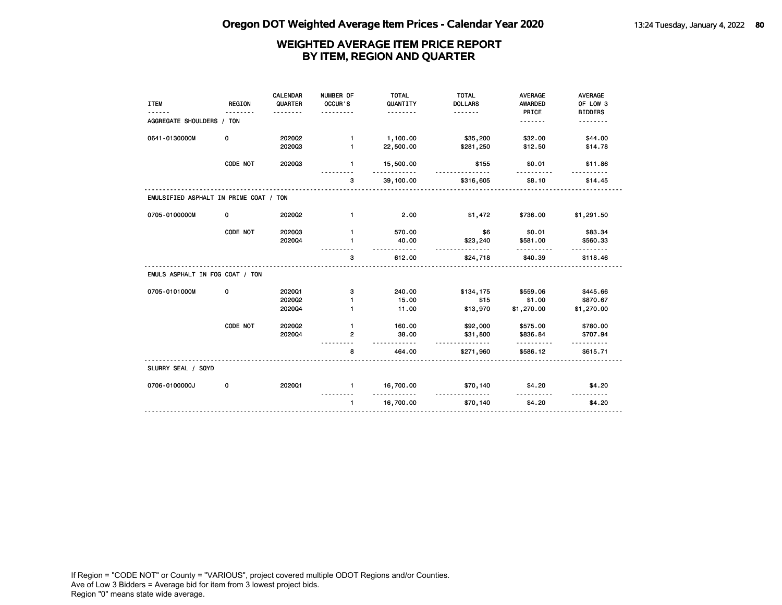| <b>ITEM</b>                            | <b>REGION</b> | <b>CALENDAR</b><br>QUARTER<br>. | NUMBER OF<br>OCCUR'S<br>. <b>.</b> | <b>TOTAL</b><br>QUANTITY<br><u>.</u> | <b>TOTAL</b><br><b>DOLLARS</b><br><u>.</u> | <b>AVERAGE</b><br><b>AWARDED</b><br>PRICE | AVERAGE<br>OF LOW 3<br><b>BIDDERS</b> |
|----------------------------------------|---------------|---------------------------------|------------------------------------|--------------------------------------|--------------------------------------------|-------------------------------------------|---------------------------------------|
| AGGREGATE SHOULDERS / TON              |               |                                 |                                    |                                      |                                            | <u>.</u>                                  | .                                     |
| 0641-0130000M                          | 0             | 2020Q2                          | $\mathbf{1}$                       | 1,100.00                             | \$35,200                                   | \$32.00                                   | \$44.00                               |
|                                        |               | 202003                          | $\mathbf{1}$                       | 22,500.00                            | \$281,250                                  | \$12.50                                   | \$14.78                               |
|                                        | CODE NOT      | 202003                          | 1                                  | 15,500.00                            | \$155                                      | \$0.01                                    | \$11.86                               |
|                                        |               |                                 | 3                                  | 39,100.00                            | \$316,605                                  | \$8.10                                    | \$14.45                               |
| EMULSIFIED ASPHALT IN PRIME COAT / TON |               |                                 |                                    |                                      |                                            |                                           |                                       |
| 0705-0100000M                          | 0             | 2020Q2                          | $\mathbf{1}$                       | 2.00                                 | \$1,472                                    | \$736.00                                  | \$1,291.50                            |
|                                        | CODE NOT      | 202003                          | $\mathbf{1}$                       | 570.00                               | \$6                                        | \$0.01                                    | \$83.34                               |
|                                        |               | 202004                          | $\mathbf{1}$                       | 40.00<br><u>.</u>                    | \$23,240<br><u>.</u>                       | \$581.00                                  | \$560.33                              |
|                                        |               |                                 | з                                  | 612.00                               | \$24,718                                   | \$40.39                                   | \$118.46                              |
| EMULS ASPHALT IN FOG COAT / TON        |               |                                 |                                    |                                      |                                            |                                           |                                       |
| 0705-0101000M                          | 0             | 202001                          | з                                  | 240.00                               | \$134,175                                  | \$559.06                                  | \$445.66                              |
|                                        |               | 2020Q2                          | $\mathbf{1}$                       | 15.00                                | \$15                                       | \$1.00                                    | \$870.67                              |
|                                        |               | 202004                          | $\mathbf{1}$                       | 11.00                                | \$13,970                                   | \$1,270.00                                | \$1,270.00                            |
|                                        | CODE NOT      | 2020Q2                          | $\mathbf{1}$                       | 160.00                               | \$92,000                                   | \$575.00                                  | \$780.00                              |
|                                        |               | 202004                          | $\mathbf{2}$                       | 38.00<br><u>.</u>                    | \$31,800<br><u>.</u>                       | \$836.84<br>.                             | \$707.94                              |
|                                        |               |                                 | 8                                  | 464.00                               | \$271,960                                  | \$586.12                                  | \$615.71                              |
| SLURRY SEAL / SQYD                     |               |                                 |                                    |                                      |                                            |                                           |                                       |
| 0706-0100000J                          | 0             | 202001                          | $\mathbf{1}$                       | 16,700.00<br><u>.</u>                | \$70,140<br><u>.</u>                       | \$4.20                                    | \$4.20                                |
|                                        |               |                                 | $\mathbf{1}$                       | 16,700.00                            | \$70,140                                   | \$4.20                                    | \$4.20                                |
|                                        |               |                                 |                                    |                                      |                                            |                                           |                                       |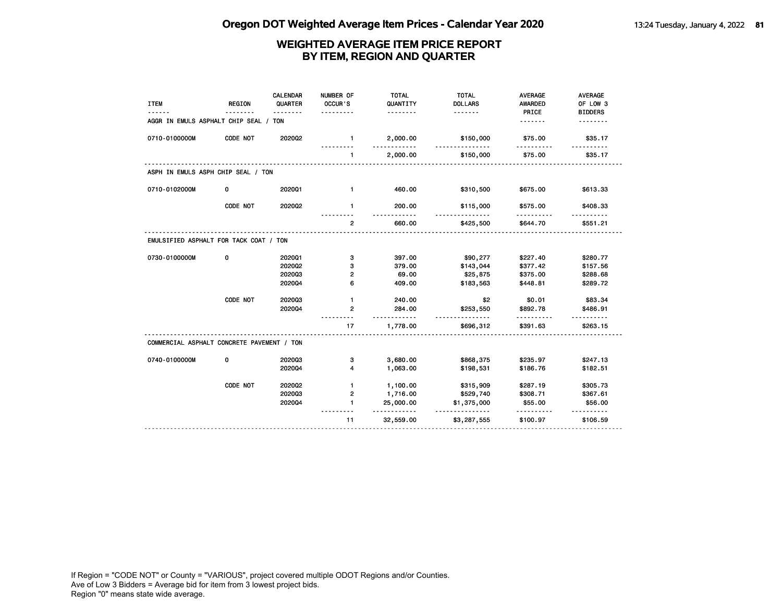| <b>ITEM</b>                                | <b>REGION</b> | CALENDAR<br>QUARTER | NUMBER OF<br>OCCUR'S<br>. | <b>TOTAL</b><br>QUANTITY<br>. | <b>TOTAL</b><br><b>DOLLARS</b><br>. | <b>AVERAGE</b><br><b>AWARDED</b><br>PRICE | <b>AVERAGE</b><br>OF LOW 3<br><b>BIDDERS</b> |
|--------------------------------------------|---------------|---------------------|---------------------------|-------------------------------|-------------------------------------|-------------------------------------------|----------------------------------------------|
| AGGR IN EMULS ASPHALT CHIP SEAL / TON      |               |                     |                           |                               |                                     | .                                         | .                                            |
| 0710-0100000M                              | CODE NOT      | 2020Q2              | $\mathbf{1}$              | 2,000.00                      | \$150,000                           | \$75.00                                   | \$35.17                                      |
|                                            |               |                     | $\mathbf{1}$              | 2,000.00                      | \$150,000                           | \$75.00                                   | \$35.17                                      |
| ASPH IN EMULS ASPH CHIP SEAL / TON         |               |                     |                           |                               |                                     |                                           |                                              |
| 0710-0102000M                              | 0             | 202001              | $\mathbf{1}$              | 460.00                        | \$310,500                           | \$675.00                                  | \$613.33                                     |
|                                            | CODE NOT      | 2020Q2              | $\mathbf{1}$              | 200.00                        | \$115,000<br><u>.</u>               | \$575.00                                  | \$408.33                                     |
|                                            |               |                     | $\overline{2}$            | 660.00                        | \$425,500                           | \$644.70                                  | \$551.21                                     |
| EMULSIFIED ASPHALT FOR TACK COAT / TON     |               |                     |                           |                               |                                     |                                           |                                              |
| 0730-0100000M                              | 0             | 202001              | з                         | 397.00                        | \$90,277                            | \$227.40                                  | \$280.77                                     |
|                                            |               | 202002              | з                         | 379.00                        | \$143,044                           | \$377.42                                  | \$157.56                                     |
|                                            |               | 202003              | 2                         | 69.00                         | \$25,875                            | \$375.00                                  | \$288.68                                     |
|                                            |               | 202004              | 6                         | 409.00                        | \$183,563                           | \$448.81                                  | \$289.72                                     |
|                                            | CODE NOT      | 202003              | $\mathbf{1}$              | 240.00                        | \$2                                 | \$0.01                                    | \$83.34                                      |
|                                            |               | 202004              | $\mathbf{2}$              | 284.00<br>.                   | \$253,550<br>$- - - -$              | \$892.78<br>.                             | \$486.91<br>$- - - - - -$                    |
|                                            |               |                     | 17                        | 1,778.00                      | \$696,312                           | \$391.63                                  | \$263.15                                     |
| COMMERCIAL ASPHALT CONCRETE PAVEMENT / TON |               |                     |                           |                               |                                     |                                           |                                              |
| 0740-0100000M                              | 0             | 202003              | з                         | 3,680.00                      | \$868,375                           | \$235.97                                  | \$247.13                                     |
|                                            |               | 202004              | 4                         | 1,063.00                      | \$198,531                           | \$186.76                                  | \$182.51                                     |
|                                            | CODE NOT      | 2020Q2              | 1                         | 1,100.00                      | \$315,909                           | \$287.19                                  | \$305.73                                     |
|                                            |               | 202003              | 2                         | 1,716.00                      | \$529,740                           | \$308.71                                  | \$367.61                                     |
|                                            |               | 202004              | 1                         | 25,000.00<br>.                | \$1,375,000<br>.                    | \$55.00<br>.                              | \$56.00                                      |
|                                            |               |                     | 11                        | 32,559.00                     | \$3,287,555                         | \$100.97                                  | \$106.59                                     |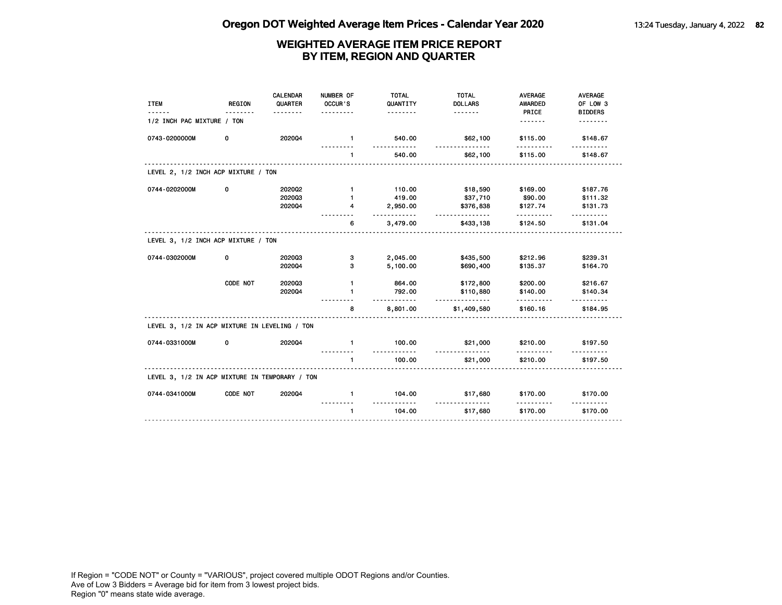| <b>ITEM</b>                                    | <b>REGION</b> | CALENDAR<br>QUARTER<br><u>.</u> | NUMBER OF<br>OCCUR'S<br>. | <b>TOTAL</b><br>QUANTITY<br>. | <b>TOTAL</b><br><b>DOLLARS</b> | <b>AVERAGE</b><br><b>AWARDED</b><br>PRICE | <b>AVERAGE</b><br>OF LOW 3<br><b>BIDDERS</b> |
|------------------------------------------------|---------------|---------------------------------|---------------------------|-------------------------------|--------------------------------|-------------------------------------------|----------------------------------------------|
| 1/2 INCH PAC MIXTURE / TON                     |               |                                 |                           |                               |                                | .                                         |                                              |
| 0743-0200000M                                  | 0             | 202004                          | $\mathbf{1}$              | 540.00                        | \$62,100                       | \$115.00                                  | \$148.67                                     |
|                                                |               |                                 | $\mathbf{1}$              | 540.00                        | \$62,100                       | \$115.00                                  | \$148.67                                     |
| LEVEL 2, 1/2 INCH ACP MIXTURE / TON            |               |                                 |                           |                               |                                |                                           |                                              |
| 0744-0202000M                                  | 0             | 2020Q2                          | $\mathbf{1}$              | 110.00                        | \$18,590                       | \$169.00                                  | \$187.76                                     |
|                                                |               | 202003                          | $\mathbf{1}$              | 419.00                        | \$37,710                       | \$90.00                                   | \$111.32                                     |
|                                                |               | 202004                          | 4                         | 2,950.00<br>.                 | \$376,838<br><u>.</u>          | \$127.74<br><u>.</u>                      | \$131.73                                     |
|                                                |               |                                 | 6                         | 3,479.00                      | \$433,138                      | \$124.50                                  | \$131.04                                     |
| LEVEL 3, 1/2 INCH ACP MIXTURE / TON            |               |                                 |                           |                               |                                |                                           |                                              |
| 0744-0302000M                                  | 0             | 202003                          | з                         | 2,045.00                      | \$435,500                      | \$212.96                                  | \$239.31                                     |
|                                                |               | 202004                          | з                         | 5,100.00                      | \$690,400                      | \$135.37                                  | \$164.70                                     |
|                                                | CODE NOT      | 202003                          | $\mathbf{1}$              | 864.00                        | \$172,800                      | \$200.00                                  | \$216.67                                     |
|                                                |               | 202004                          | $\mathbf{1}$              | 792.00<br>$-2222222$          | \$110,880                      | \$140.00<br>.                             | \$140.34                                     |
|                                                |               |                                 | 8                         | 8,801.00                      | \$1,409,580                    | \$160.16                                  | \$184.95                                     |
| LEVEL 3, 1/2 IN ACP MIXTURE IN LEVELING / TON  |               |                                 |                           |                               |                                |                                           |                                              |
| 0744-0331000M                                  | 0             | 202004                          | $\mathbf{1}$              | 100.00<br>.                   | \$21,000<br><u>.</u>           | \$210.00                                  | \$197.50                                     |
|                                                |               |                                 | $\mathbf{1}$              | 100.00                        | \$21,000                       | \$210.00                                  | \$197.50                                     |
| LEVEL 3, 1/2 IN ACP MIXTURE IN TEMPORARY / TON |               |                                 |                           |                               |                                |                                           |                                              |
| 0744-0341000M                                  | CODE NOT      | 202004                          | $\mathbf{1}$              | 104.00                        | \$17,680                       | \$170.00<br>.                             | \$170.00                                     |
|                                                |               |                                 | $\mathbf{1}$              | 104.00                        | <u>.</u><br>\$17,680           | \$170.00                                  | \$170.00                                     |
|                                                |               |                                 |                           |                               |                                |                                           |                                              |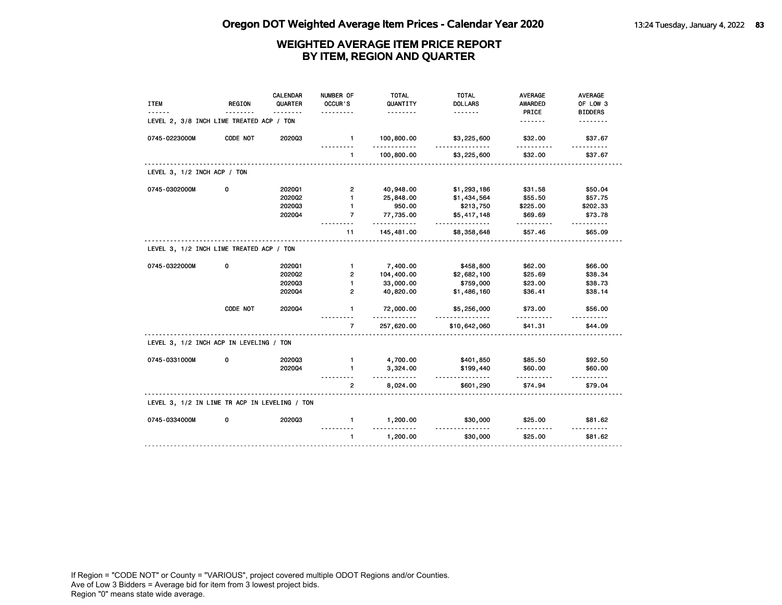| <b>ITEM</b>                                   | <b>REGION</b> | CALENDAR<br>QUARTER | NUMBER OF<br>OCCUR'S | <b>TOTAL</b><br>QUANTITY<br>. | <b>TOTAL</b><br><b>DOLLARS</b><br>. | <b>AVERAGE</b><br>AWARDED<br>PRICE | <b>AVERAGE</b><br>OF LOW 3<br><b>BIDDERS</b> |
|-----------------------------------------------|---------------|---------------------|----------------------|-------------------------------|-------------------------------------|------------------------------------|----------------------------------------------|
| LEVEL 2, 3/8 INCH LIME TREATED ACP / TON      |               |                     |                      |                               |                                     | <u>.</u>                           |                                              |
| 0745-0223000M                                 | CODE NOT      | 202003              | $\mathbf{1}$         | 100,800.00                    | \$3,225,600                         | \$32.00                            | \$37.67                                      |
|                                               |               |                     | $\mathbf{1}$         | 100,800.00                    | \$3,225,600                         | \$32.00                            | \$37.67                                      |
| LEVEL 3, 1/2 INCH ACP / TON                   |               |                     |                      |                               |                                     |                                    |                                              |
| 0745-0302000M                                 | 0             | 202001              | $\overline{2}$       | 40,948.00                     | \$1,293,186                         | \$31.58                            | \$50.04                                      |
|                                               |               | 202002              | $\blacksquare$       | 25,848.00                     | \$1,434,564                         | \$55.50                            | \$57.75                                      |
|                                               |               | 202003              | $\mathbf{1}$         | 950.00                        | \$213,750                           | \$225.00                           | \$202.33                                     |
|                                               |               | 202004              | $\overline{7}$       | 77,735.00<br>$\cdots$         | \$5,417,148                         | \$69.69<br>.                       | \$73.78<br>$- - - - - -$                     |
|                                               |               |                     | 11                   | 145,481.00                    | \$8,358,648                         | \$57.46                            | \$65.09                                      |
| LEVEL 3, 1/2 INCH LIME TREATED ACP / TON      |               |                     |                      |                               |                                     |                                    |                                              |
| 0745-0322000M                                 | 0             | 2020Q1              | $\mathbf{1}$         | 7,400.00                      | \$458,800                           | \$62.00                            | \$66.00                                      |
|                                               |               | 2020Q2              | $\overline{2}$       | 104,400.00                    | \$2,682,100                         | \$25.69                            | \$38.34                                      |
|                                               |               | 202003              | $\mathbf{1}$         | 33,000.00                     | \$759,000                           | \$23.00                            | \$38.73                                      |
|                                               |               | 202004              | $\overline{2}$       | 40,820.00                     | \$1,486,160                         | \$36.41                            | \$38.14                                      |
|                                               | CODE NOT      | 202004              | 1                    | 72,000.00<br>.                | \$5,256,000                         | \$73.00<br>.                       | \$56.00<br>.                                 |
|                                               |               |                     | $\overline{7}$       | 257,620.00                    | \$10,642,060                        | \$41.31                            | \$44.09                                      |
| LEVEL 3, 1/2 INCH ACP IN LEVELING / TON       |               |                     |                      |                               |                                     |                                    |                                              |
| 0745-0331000M                                 | 0             | 202003              | $\mathbf{1}$         | 4,700.00                      | \$401,850                           | \$85.50                            | \$92.50                                      |
|                                               |               | 202004              | $\mathbf{1}$         | 3,324.00                      | \$199,440                           | \$60.00                            | \$60.00                                      |
|                                               |               |                     | 2                    | 8,024.00                      | \$601,290                           | \$74.94                            | \$79.04                                      |
| LEVEL 3, 1/2 IN LIME TR ACP IN LEVELING / TON |               |                     |                      |                               |                                     |                                    |                                              |
| 0745-0334000M                                 | 0             | 202003              | $\mathbf{1}$         | 1,200.00                      | \$30,000                            | \$25.00                            | \$81.62                                      |
|                                               |               |                     | $\mathbf{1}$         | 1,200.00                      | \$30,000                            | \$25.00                            | \$81.62                                      |
|                                               |               |                     |                      |                               |                                     |                                    |                                              |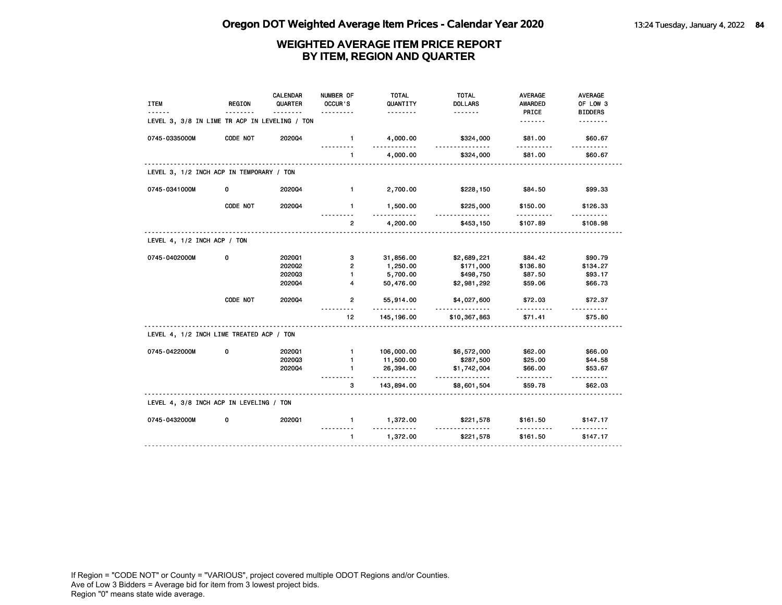| <b>ITEM</b>                                   | <b>REGION</b> | CALENDAR<br>QUARTER | NUMBER OF<br>OCCUR'S<br>. | <b>TOTAL</b><br>QUANTITY<br>. | <b>TOTAL</b><br><b>DOLLARS</b><br><u>.</u> | <b>AVERAGE</b><br>AWARDED<br>PRICE | <b>AVERAGE</b><br>OF LOW 3<br><b>BIDDERS</b> |
|-----------------------------------------------|---------------|---------------------|---------------------------|-------------------------------|--------------------------------------------|------------------------------------|----------------------------------------------|
| LEVEL 3, 3/8 IN LIME TR ACP IN LEVELING / TON |               |                     |                           |                               |                                            | <u>.</u>                           |                                              |
| 0745-0335000M                                 | CODE NOT      | 202004              | $\mathbf{1}$              | 4,000.00                      | \$324,000                                  | \$81.00                            | \$60.67                                      |
|                                               |               |                     | $\blacksquare$            | 4,000.00                      | \$324,000                                  | \$81.00                            | \$60.67                                      |
| LEVEL 3, 1/2 INCH ACP IN TEMPORARY / TON      |               |                     |                           |                               |                                            |                                    |                                              |
| 0745-0341000M                                 | 0             | 2020Q4              | $\blacksquare$            | 2,700.00                      | \$228,150                                  | \$84.50                            | \$99.33                                      |
|                                               | CODE NOT      | 202004              | $\mathbf{1}$              | 1,500.00                      | \$225,000                                  | \$150.00                           | \$126.33                                     |
|                                               |               |                     | $\overline{2}$            | 4,200.00                      | \$453,150                                  | \$107.89                           | \$108.98                                     |
| LEVEL 4, 1/2 INCH ACP / TON                   |               |                     |                           |                               |                                            |                                    |                                              |
| 0745-0402000M                                 | 0             | 202001              | 3                         | 31,856.00                     | \$2,689,221                                | \$84.42                            | \$90.79                                      |
|                                               |               | 202002              | 2                         | 1,250.00                      | \$171,000                                  | \$136.80                           | \$134.27                                     |
|                                               |               | 202003              | $\blacksquare$            | 5,700.00                      | \$498,750                                  | \$87.50                            | \$93.17                                      |
|                                               |               | 2020Q4              | 4                         | 50,476.00                     | \$2,981,292                                | \$59.06                            | \$66.73                                      |
|                                               | CODE NOT      | 202004              | 2                         | 55,914.00<br>$- - - - -$      | \$4,027,600                                | \$72.03<br>.                       | \$72.37                                      |
|                                               |               |                     | 12 <sub>2</sub>           | 145, 196.00                   | \$10,367,863                               | \$71.41                            | \$75.80                                      |
| LEVEL 4, 1/2 INCH LIME TREATED ACP / TON      |               |                     |                           |                               |                                            |                                    |                                              |
| 0745-0422000M                                 | 0             | 202001              | $\mathbf{1}$              | 106,000.00                    | \$6,572,000                                | \$62.00                            | \$66.00                                      |
|                                               |               | 202003              | $\blacksquare$            | 11,500.00                     | \$287,500                                  | \$25.00                            | \$44.58                                      |
|                                               |               | 202004              | $\mathbf{1}$              | 26,394.00<br>.                | \$1,742,004                                | \$66.00                            | \$53.67<br>.                                 |
|                                               |               |                     | з                         | 143,894.00                    | \$8,601,504                                | \$59.78                            | \$62.03                                      |
| LEVEL 4, 3/8 INCH ACP IN LEVELING / TON       |               |                     |                           |                               |                                            |                                    |                                              |
| 0745-0432000M                                 | 0             | 2020Q1              | 1.                        | 1,372.00                      | \$221,578                                  | \$161.50                           | \$147.17                                     |
|                                               |               |                     | $\mathbf{1}$              | 1,372.00                      | \$221,578                                  | \$161.50                           | \$147.17                                     |
|                                               |               |                     |                           |                               |                                            |                                    |                                              |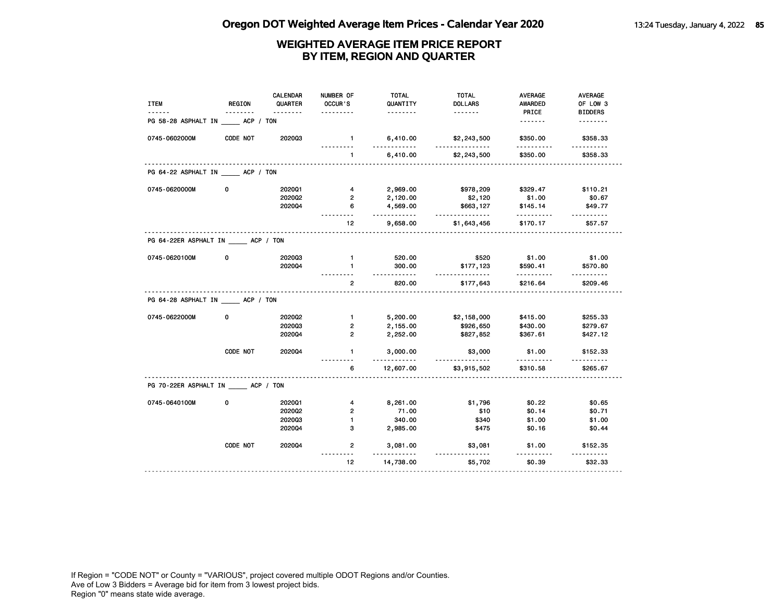| <b>ITEM</b>                     | <b>REGION</b> | <b>CALENDAR</b><br>QUARTER | NUMBER OF<br>OCCUR'S            | <b>TOTAL</b><br>QUANTITY | <b>TOTAL</b><br><b>DOLLARS</b> | <b>AVERAGE</b><br><b>AWARDED</b> | <b>AVERAGE</b><br>OF LOW 3 |
|---------------------------------|---------------|----------------------------|---------------------------------|--------------------------|--------------------------------|----------------------------------|----------------------------|
|                                 | <u>.</u>      | <u>.</u>                   |                                 | <u>.</u>                 | <u>.</u>                       | PRICE                            | <b>BIDDERS</b>             |
| PG 58-28 ASPHALT IN ACP / TON   |               |                            |                                 |                          |                                | <u>.</u>                         | <u>.</u>                   |
| 0745-0602000M                   | CODE NOT      | 202003                     | $\mathbf{1}$                    | 6,410.00                 | \$2,243,500<br><u>.</u>        | \$350.00                         | \$358.33                   |
|                                 |               |                            | $\mathbf{1}$                    | 6,410.00                 | \$2,243,500                    | \$350.00                         | \$358.33                   |
| PG 64-22 ASPHALT IN ACP / TON   |               |                            |                                 |                          |                                |                                  |                            |
| 0745-0620000M                   | 0             | 2020Q1                     | 4                               | 2,969.00                 | \$978,209                      | \$329.47                         | \$110.21                   |
|                                 |               | 202002                     | $\overline{2}$                  | 2,120.00                 | \$2,120                        | \$1.00                           | \$0.67                     |
|                                 |               | 2020Q4                     | 6                               | 4,569.00                 | \$663,127                      | \$145.14                         | \$49.77                    |
|                                 |               |                            | 12                              | .<br>9,658.00            | .<br>\$1,643,456               | .<br>\$170.17                    | .<br>\$57.57               |
| PG 64-22ER ASPHALT IN ACP / TON |               |                            |                                 |                          |                                |                                  |                            |
| 0745-0620100M                   | 0             | 202003                     | $\mathbf{1}$                    | 520.00                   | \$520                          | \$1.00                           | \$1.00                     |
|                                 |               | 202004                     | $\mathbf{1}$                    | 300.00                   | \$177,123                      | \$590.41                         | \$570.80                   |
|                                 |               |                            | $\overline{2}$                  | <u>.</u><br>820.00       | .<br>\$177,643                 | .<br>\$216.64                    | <u>.</u><br>\$209.46       |
| PG 64-28 ASPHALT IN ACP / TON   |               |                            |                                 |                          |                                |                                  |                            |
| 0745-0622000M                   | 0             | 2020Q2                     | $\blacksquare$                  | 5,200.00                 | \$2,158,000                    | \$415.00                         | \$255.33                   |
|                                 |               | 202003                     | $\overline{2}$                  | 2,155.00                 | \$926,650                      | \$430.00                         | \$279.67                   |
|                                 |               | 2020Q4                     | $\overline{2}$                  | 2,252.00                 | \$827,852                      | \$367.61                         | \$427.12                   |
|                                 | CODE NOT      | 2020Q4                     | $\mathbf{1}$                    | 3,000.00                 | \$3,000                        | \$1.00                           | \$152.33                   |
|                                 |               |                            | 6                               | .<br>12,607.00           | .<br>\$3,915,502               | \$310.58                         | <u>.</u><br>\$265.67       |
| PG 70-22ER ASPHALT IN ACP / TON |               |                            |                                 |                          |                                |                                  |                            |
| 0745-0640100M                   | 0             | 202001                     | 4                               | 8,261.00                 | \$1,796                        | \$0.22                           | \$0.65                     |
|                                 |               | 202002                     | $\overline{2}$                  | 71.00                    | \$10                           | \$0.14                           | \$0.71                     |
|                                 |               | 202003                     | $\mathbf{1}$                    | 340.00                   | \$340                          | \$1.00                           | \$1.00                     |
|                                 |               | 2020Q4                     | 3                               | 2,985.00                 | \$475                          | \$0.16                           | \$0.44                     |
|                                 | CODE NOT      | 2020Q4                     | $\overline{2}$                  | 3,081.00                 | \$3,081                        | \$1.00                           | \$152.35                   |
|                                 |               |                            | $- - - - -$<br>12 <sup>12</sup> | $- - - -$<br>14,738.00   | \$5,702                        | \$0.39                           | \$32.33                    |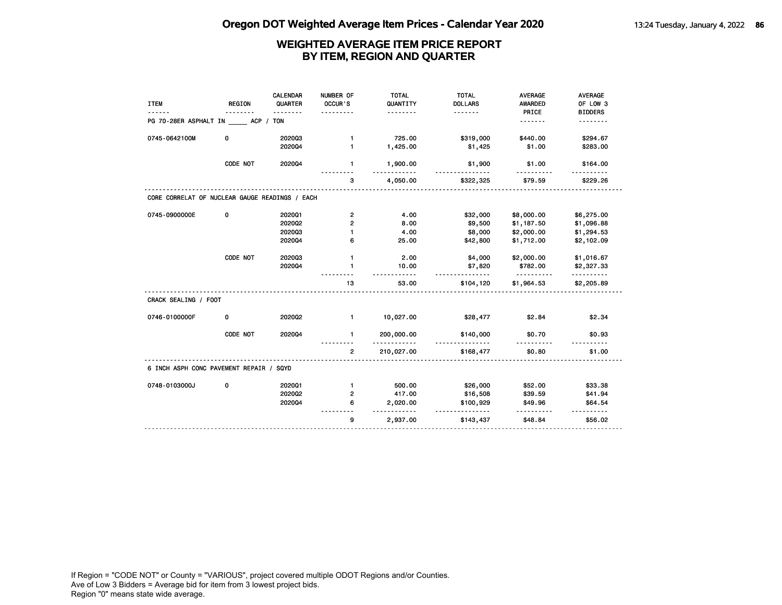| <b>ITEM</b>                                    | <b>REGION</b> | <b>CALENDAR</b><br>QUARTER | NUMBER OF<br>OCCUR'S | <b>TOTAL</b><br>QUANTITY | <b>TOTAL</b><br><b>DOLLARS</b> | <b>AVERAGE</b><br><b>AWARDED</b> | AVERAGE<br>OF LOW 3    |
|------------------------------------------------|---------------|----------------------------|----------------------|--------------------------|--------------------------------|----------------------------------|------------------------|
| PG 70-28ER ASPHALT IN ACP / TON                |               | .                          |                      | <u>.</u>                 | <u>.</u>                       | PRICE<br>. <b>.</b>              | <b>BIDDERS</b><br>.    |
| 0745-0642100M                                  | 0             | 202003                     | $\mathbf{1}$         | 725.00                   | \$319,000                      | \$440.00                         | \$294.67               |
|                                                |               | 202004                     | $\mathbf{1}$         | 1,425.00                 | \$1,425                        | \$1.00                           | \$283.00               |
|                                                | CODE NOT      | 202004                     | 1                    | 1,900.00                 | \$1,900                        | \$1.00                           | \$164.00               |
|                                                |               |                            | 3                    | 4,050.00                 | \$322,325                      | \$79.59                          | \$229.26               |
| CORE CORRELAT OF NUCLEAR GAUGE READINGS / EACH |               |                            |                      |                          |                                |                                  |                        |
| 0745-0900000E                                  | 0             | 202001                     | $\overline{2}$       | 4.00                     | \$32,000                       | \$8,000.00                       | \$6,275.00             |
|                                                |               | 2020Q2                     | $\overline{2}$       | 8.00                     | \$9,500                        | \$1,187.50                       | \$1,096.88             |
|                                                |               | 202003                     | $\blacksquare$       | 4.00                     | \$8,000                        | \$2,000.00                       | \$1,294.53             |
|                                                |               | 202004                     | 6                    | 25.00                    | \$42,800                       | \$1,712.00                       | \$2,102.09             |
|                                                | CODE NOT      | 202003                     | $\mathbf{1}$         | 2.00                     | \$4,000                        | \$2,000.00                       | \$1,016.67             |
|                                                |               | 202004                     | 1                    | 10.00<br>.               | \$7,820<br><u>.</u>            | \$782.00<br>.                    | \$2,327.33<br><u>.</u> |
|                                                |               |                            | 13                   | 53.00                    | \$104,120                      | \$1,964.53                       | \$2,205.89             |
| CRACK SEALING / FOOT                           |               |                            |                      |                          |                                |                                  |                        |
| 0746-0100000F                                  | 0             | 2020Q2                     | $\mathbf{1}$         | 10,027.00                | \$28,477                       | \$2.84                           | \$2.34                 |
|                                                | CODE NOT      | 202004                     | 1                    | 200,000.00<br>.          | \$140,000<br>.                 | \$0.70<br>.                      | \$0.93                 |
|                                                |               |                            | 2                    | 210,027.00               | \$168,477                      | \$0.80                           | \$1.00                 |
| 6 INCH ASPH CONC PAVEMENT REPAIR / SQYD        |               |                            |                      |                          |                                |                                  |                        |
| 0748-0103000J                                  | 0             | 202001                     | $\mathbf{1}$         | 500.00                   | \$26,000                       | \$52.00                          | \$33.38                |
|                                                |               | 2020Q2                     | 2                    | 417.00                   | \$16,508                       | \$39.59                          | \$41.94                |
|                                                |               | 202004                     | 6                    | 2,020.00                 | \$100,929<br><u>.</u>          | \$49.96                          | \$64.54                |
|                                                |               |                            | 9                    | 2,937.00                 | \$143,437                      | \$48.84                          | \$56.02                |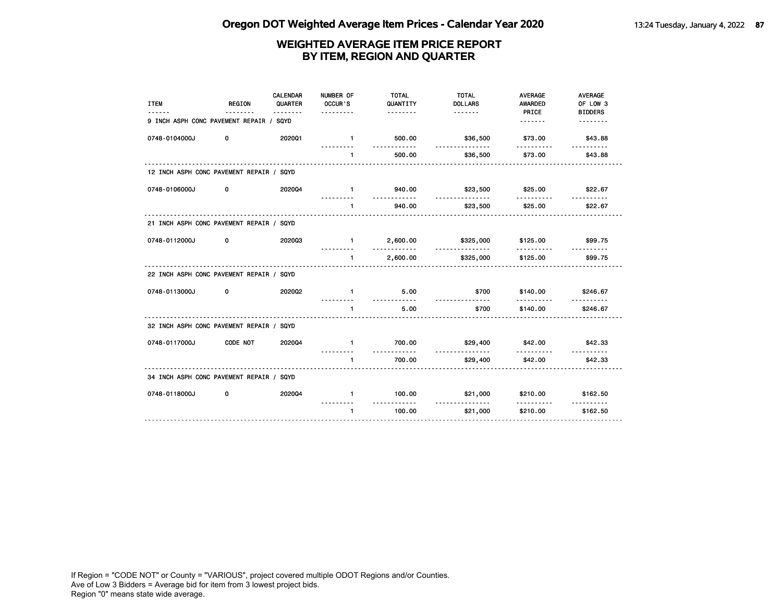| <b>ITEM</b><br>------                    | <b>REGION</b><br>. | <b>CALENDAR</b><br>QUARTER<br>. | NUMBER OF<br>OCCUR'S<br>. | <b>TOTAL</b><br>QUANTITY<br><u>.</u> | <b>TOTAL</b><br><b>DOLLARS</b> | <b>AVERAGE</b><br><b>AWARDED</b><br>PRICE | <b>AVERAGE</b><br>OF LOW 3<br><b>BIDDERS</b> |
|------------------------------------------|--------------------|---------------------------------|---------------------------|--------------------------------------|--------------------------------|-------------------------------------------|----------------------------------------------|
| 9 INCH ASPH CONC PAVEMENT REPAIR / SQYD  |                    |                                 |                           |                                      |                                | <u>.</u>                                  | <u>.</u>                                     |
| 0748-0104000J                            | 0                  | 202001                          | $\blacksquare$            | 500.00<br>.                          | \$36,500<br><u>.</u>           | \$73.00                                   | \$43.88                                      |
|                                          |                    |                                 | $\mathbf{1}$              | 500.00                               | \$36,500                       | <u>.</u><br>\$73.00                       | \$43.88                                      |
| 12 INCH ASPH CONC PAVEMENT REPAIR / SQYD |                    |                                 |                           |                                      |                                |                                           |                                              |
| 0748-0106000J                            | 0                  | 202004                          | $\mathbf{1}$              | 940.00<br><u>.</u>                   | \$23,500<br>.                  | \$25.00<br>.                              | \$22.67                                      |
|                                          |                    |                                 | $\mathbf{1}$              | 940.00                               | \$23,500                       | \$25.00                                   | <u>.</u><br>\$22.67                          |
| 21 INCH ASPH CONC PAVEMENT REPAIR / SQYD |                    |                                 |                           |                                      |                                |                                           |                                              |
| 0748-0112000J                            | 0                  | 202003                          | $\mathbf{1}$<br>.         | 2,600.00<br><u></u>                  | \$325,000<br>.                 | \$125.00<br>.                             | \$99.75<br><u>.</u>                          |
|                                          |                    |                                 | $\mathbf{1}$              | 2,600.00                             | \$325,000                      | \$125.00                                  | \$99.75                                      |
| 22 INCH ASPH CONC PAVEMENT REPAIR / SQYD |                    |                                 |                           |                                      |                                |                                           |                                              |
| 0748-0113000J                            | 0                  | 202002                          | $\mathbf{1}$<br><u>.</u>  | 5.00<br><u>.</u>                     | \$700<br>.                     | \$140.00<br>.                             | \$246.67                                     |
|                                          |                    |                                 | 1                         | 5.00                                 | \$700                          | \$140.00                                  | \$246.67                                     |
| 32 INCH ASPH CONC PAVEMENT REPAIR / SQYD |                    |                                 |                           |                                      |                                |                                           |                                              |
| 0748-0117000J                            | <b>CODE NOT</b>    | 202004                          | $\mathbf{1}$              | 700.00<br>.                          | \$29,400<br><u>.</u>           | \$42.00<br>.                              | \$42.33                                      |
|                                          |                    |                                 | $\mathbf{1}$              | 700.00                               | \$29,400                       | \$42.00                                   | \$42.33                                      |
| 34 INCH ASPH CONC PAVEMENT REPAIR / SQYD |                    |                                 |                           |                                      |                                |                                           |                                              |
| 0748-0118000J                            | 0                  | 202004                          | $\mathbf{1}$              | 100.00<br>.                          | \$21,000<br>.                  | \$210.00<br><u>.</u>                      | \$162.50                                     |
|                                          |                    |                                 | $\mathbf{1}$              | 100.00                               | \$21,000                       | \$210.00                                  | \$162.50                                     |
|                                          |                    |                                 |                           |                                      |                                |                                           |                                              |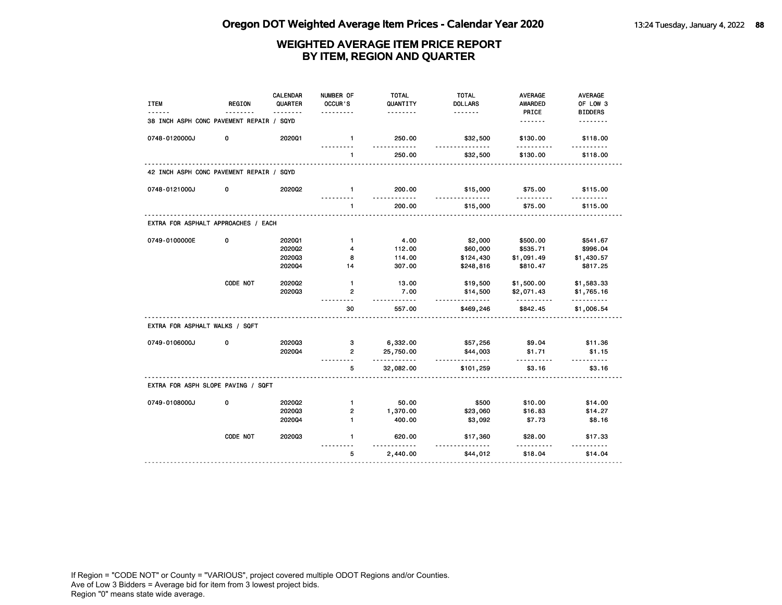| <b>ITEM</b>                              | <b>REGION</b> | CALENDAR<br>QUARTER | NUMBER OF<br>OCCUR'S | <b>TOTAL</b><br>QUANTITY<br>. | <b>TOTAL</b><br><b>DOLLARS</b><br>. | <b>AVERAGE</b><br><b>AWARDED</b><br>PRICE | AVERAGE<br>OF LOW 3<br><b>BIDDERS</b> |
|------------------------------------------|---------------|---------------------|----------------------|-------------------------------|-------------------------------------|-------------------------------------------|---------------------------------------|
| 38 INCH ASPH CONC PAVEMENT REPAIR / SQYD |               |                     |                      |                               |                                     | <u>.</u>                                  | .                                     |
| 0748-0120000J                            | 0             | 2020Q1              | $\mathbf{1}$         | 250.00<br>.                   | \$32,500<br>.                       | \$130.00                                  | \$118.00<br><u>.</u>                  |
|                                          |               |                     | $\mathbf{1}$         | 250.00                        | \$32,500                            | \$130.00                                  | \$118.00                              |
| 42 INCH ASPH CONC PAVEMENT REPAIR / SQYD |               |                     |                      |                               |                                     |                                           |                                       |
| 0748-0121000J                            | 0             | 202002              | $\mathbf{1}$         | 200.00<br>$- - - -$           | \$15,000<br><u>.</u>                | \$75.00                                   | \$115.00                              |
|                                          |               |                     | $\mathbf{1}$         | 200.00                        | \$15,000                            | \$75.00                                   | \$115.00                              |
| EXTRA FOR ASPHALT APPROACHES / EACH      |               |                     |                      |                               |                                     |                                           |                                       |
| 0749-0100000E                            | 0             | 202001              | $\mathbf{1}$         | 4.00                          | \$2,000                             | \$500.00                                  | \$541.67                              |
|                                          |               | 202002              | 4                    | 112.00                        | \$60,000                            | \$535.71                                  | \$996.04                              |
|                                          |               | 202003              | 8                    | 114.00                        | \$124,430                           | \$1,091.49                                | \$1,430.57                            |
|                                          |               | 202004              | 14                   | 307.00                        | \$248,816                           | \$810.47                                  | \$817.25                              |
|                                          | CODE NOT      | 202002              | $\mathbf{1}$         | 13.00                         | \$19,500                            | \$1,500.00                                | \$1,583.33                            |
|                                          |               | 202003              | $\mathbf{2}$         | 7.00                          | \$14,500<br>.                       | \$2,071.43                                | \$1,765.16<br>.                       |
|                                          |               |                     | 30                   | 557.00                        | \$469,246                           | \$842.45                                  | \$1,006.54                            |
| EXTRA FOR ASPHALT WALKS / SQFT           |               |                     |                      |                               |                                     |                                           |                                       |
| 0749-0106000J                            | 0             | 202003              | з                    | 6,332.00                      | \$57,256                            | \$9.04                                    | \$11.36                               |
|                                          |               | 202004              | $\overline{2}$       | 25,750.00<br>.                | \$44,003<br>.                       | \$1.71<br>.                               | \$1.15<br>.                           |
|                                          |               |                     | 5                    | 32,082.00                     | \$101,259                           | \$3.16                                    | \$3.16                                |
| EXTRA FOR ASPH SLOPE PAVING / SQFT       |               |                     |                      |                               |                                     |                                           |                                       |
| 0749-0108000J                            | 0             | 202002              | $\mathbf{1}$         | 50.00                         | \$500                               | \$10.00                                   | \$14.00                               |
|                                          |               | 202003              | $\overline{2}$       | 1,370.00                      | \$23,060                            | \$16.83                                   | \$14.27                               |
|                                          |               | 202004              | $\mathbf{1}$         | 400.00                        | \$3,092                             | \$7.73                                    | \$8.16                                |
|                                          | CODE NOT      | 202003              | $\mathbf{1}$         | 620.00                        | \$17,360                            | \$28.00                                   | \$17.33                               |
|                                          |               |                     | 5                    | 2,440.00                      | \$44,012                            | \$18.04                                   | \$14.04                               |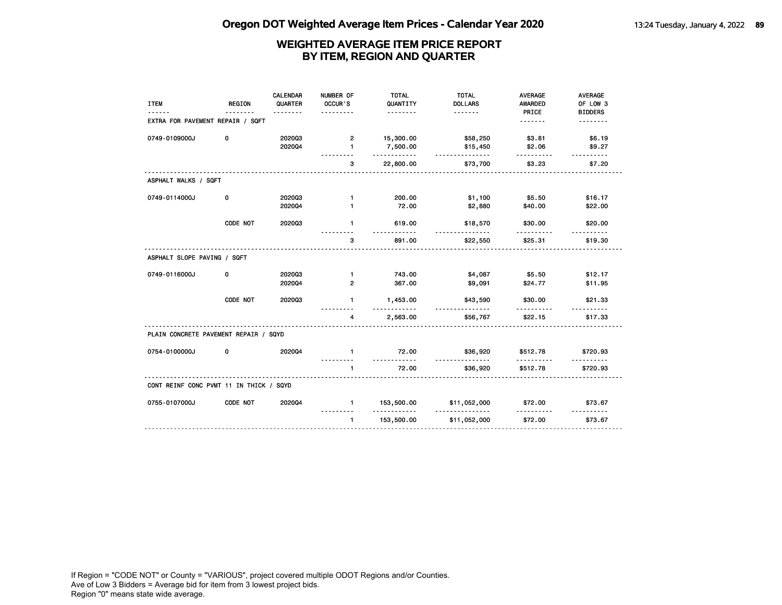| <b>ITEM</b>                             | <b>REGION</b> | <b>CALENDAR</b><br>QUARTER | NUMBER OF<br>OCCUR'S<br>. | <b>TOTAL</b><br>QUANTITY<br><u>.</u> | <b>TOTAL</b><br><b>DOLLARS</b> | <b>AVERAGE</b><br><b>AWARDED</b><br>PRICE | <b>AVERAGE</b><br>OF LOW 3<br><b>BIDDERS</b> |
|-----------------------------------------|---------------|----------------------------|---------------------------|--------------------------------------|--------------------------------|-------------------------------------------|----------------------------------------------|
| EXTRA FOR PAVEMENT REPAIR / SQFT        |               |                            |                           |                                      |                                | <u>.</u>                                  | <u>.</u>                                     |
| 0749-0109000J                           | 0             | 202003<br>202004           | 2<br>$\mathbf{1}$         | 15,300.00<br>7,500.00<br>.           | \$58,250<br>\$15,450           | \$3.81<br>\$2.06                          | \$6.19<br>\$9.27                             |
|                                         |               |                            | 3                         | 22,800.00                            | .<br>\$73,700                  | .<br>\$3.23                               | <u>.</u><br>\$7.20                           |
| ASPHALT WALKS / SQFT                    |               |                            |                           |                                      |                                |                                           |                                              |
| 0749-0114000J                           | 0             | 202003                     | $\mathbf{1}$              | 200.00                               | \$1,100                        | \$5.50                                    | \$16.17                                      |
|                                         |               | 202004                     | $\mathbf{1}$              | 72.00                                | \$2,880                        | \$40.00                                   | \$22.00                                      |
|                                         | CODE NOT      | 202003                     | $\mathbf{1}$              | 619.00                               | \$18,570<br><u>.</u>           | \$30.00                                   | \$20.00                                      |
|                                         |               |                            | 3                         | 891.00                               | \$22,550                       | \$25.31                                   | \$19.30                                      |
| ASPHALT SLOPE PAVING / SQFT             |               |                            |                           |                                      |                                |                                           |                                              |
| 0749-0116000J                           | 0             | 202003                     | $\mathbf{1}$              | 743.00                               | \$4,087                        | \$5.50                                    | \$12.17                                      |
|                                         |               | 202004                     | $\overline{2}$            | 367.00                               | \$9,091                        | \$24.77                                   | \$11.95                                      |
|                                         | CODE NOT      | 202003                     | $\mathbf{1}$              | 1,453.00<br>---------                | \$43,590<br>.                  | \$30.00<br>.                              | \$21.33                                      |
|                                         |               |                            | 4                         | 2,563.00                             | \$56,767                       | \$22.15                                   | \$17.33                                      |
| PLAIN CONCRETE PAVEMENT REPAIR / SQYD   |               |                            |                           |                                      |                                |                                           |                                              |
| 0754-0100000J                           | 0             | 202004                     | $\mathbf{1}$              | 72.00<br><u>.</u>                    | \$36,920                       | \$512.78                                  | \$720.93                                     |
|                                         |               |                            | $\mathbf{1}$              | 72.00                                | \$36,920                       | .<br>\$512.78                             | \$720.93                                     |
| CONT REINF CONC PVMT 11 IN THICK / SQYD |               |                            |                           |                                      |                                |                                           |                                              |
| 0755-0107000J                           | CODE NOT      | 2020Q4                     | $\mathbf{1}$              | 153,500.00                           | \$11,052,000                   | \$72.00                                   | \$73.67                                      |
|                                         |               |                            | $\mathbf{1}$              | .<br>153,500.00                      | \$11,052,000                   | \$72.00                                   | \$73.67                                      |
|                                         |               |                            |                           |                                      |                                |                                           |                                              |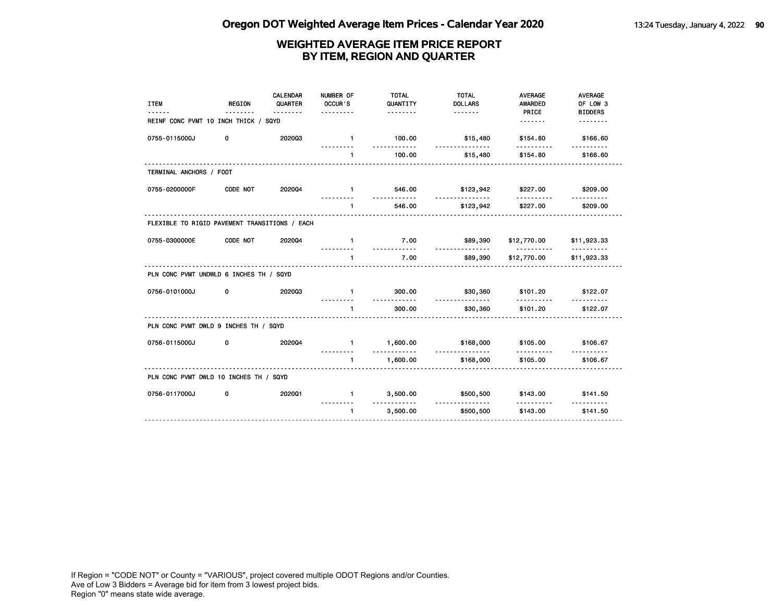| <b>ITEM</b>                                   | <b>REGION</b> | CALENDAR<br>QUARTER<br>. | NUMBER OF<br>OCCUR'S<br>.  | <b>TOTAL</b><br>QUANTITY<br><u>.</u> | <b>TOTAL</b><br><b>DOLLARS</b> | <b>AVERAGE</b><br><b>AWARDED</b><br>PRICE | <b>AVERAGE</b><br>OF LOW 3<br><b>BIDDERS</b> |
|-----------------------------------------------|---------------|--------------------------|----------------------------|--------------------------------------|--------------------------------|-------------------------------------------|----------------------------------------------|
| REINF CONC PVMT 10 INCH THICK / SQYD          |               |                          |                            |                                      |                                | <u>.</u>                                  | <u>.</u>                                     |
| 0755-0115000J                                 | 0             | 202003                   | $\blacksquare$             | 100.00<br>.                          | \$15,480<br>.                  | \$154.80                                  | \$166.60                                     |
|                                               |               |                          | $\mathbf{1}$               | 100.00                               | \$15,480                       | \$154.80                                  | \$166.60                                     |
| TERMINAL ANCHORS / FOOT                       |               |                          |                            |                                      |                                |                                           |                                              |
| 0755-0200000F                                 | CODE NOT      | 202004                   | $\blacksquare$             | 546.00                               | \$123,942                      | \$227.00                                  | \$209.00                                     |
|                                               |               |                          | $\blacksquare$             | .<br>546.00                          | .<br>\$123,942                 | .<br>\$227.00                             | \$209.00                                     |
| FLEXIBLE TO RIGID PAVEMENT TRANSITIONS / EACH |               |                          |                            |                                      |                                |                                           |                                              |
| 0755-0300000E                                 | CODE NOT      | 202004                   | $\mathbf{1}$               | 7.00<br><u>.</u>                     | \$89,390<br><u>.</u>           | \$12,770.00<br><u>.</u>                   | \$11,923.33<br><u>.</u>                      |
|                                               |               |                          | 1.<br>.                    | 7.00                                 | \$89,390                       | \$12,770.00                               | \$11,923.33                                  |
| PLN CONC PVMT UNDWLD 6 INCHES TH / SQYD       |               |                          |                            |                                      |                                |                                           |                                              |
| 0756-0101000J                                 | 0             | 202003                   | $\blacksquare$             | 300.00                               | \$30,360                       | \$101.20                                  | \$122.07                                     |
|                                               |               |                          | $\blacksquare$<br><b>.</b> | .<br>300.00                          | <u>.</u><br>\$30,360           | .<br>\$101.20                             | \$122.07                                     |
| PLN CONC PVMT DWLD 9 INCHES TH / SQYD         |               |                          |                            |                                      |                                |                                           |                                              |
| 0756-0115000J                                 | 0             | 202004                   | $1 -$                      | 1,600.00<br>.                        | \$168,000                      | \$105.00                                  | \$106.67                                     |
|                                               |               |                          | $\mathbf{1}$               | 1,600.00                             | <u>.</u><br>\$168,000          | .<br>\$105.00                             | \$106.67                                     |
| PLN CONC PVMT DWLD 10 INCHES TH / SQYD        |               |                          |                            |                                      |                                |                                           |                                              |
| 0756-0117000J                                 | 0             | 202001                   | $\mathbf{1}$               | 3,500.00                             | \$500,500                      | \$143.00<br><u>.</u>                      | \$141.50                                     |
|                                               |               |                          | $\mathbf{1}$               | .<br>3,500.00                        | <u>.</u><br>\$500,500          | \$143.00                                  | \$141.50                                     |
|                                               |               |                          |                            |                                      |                                |                                           |                                              |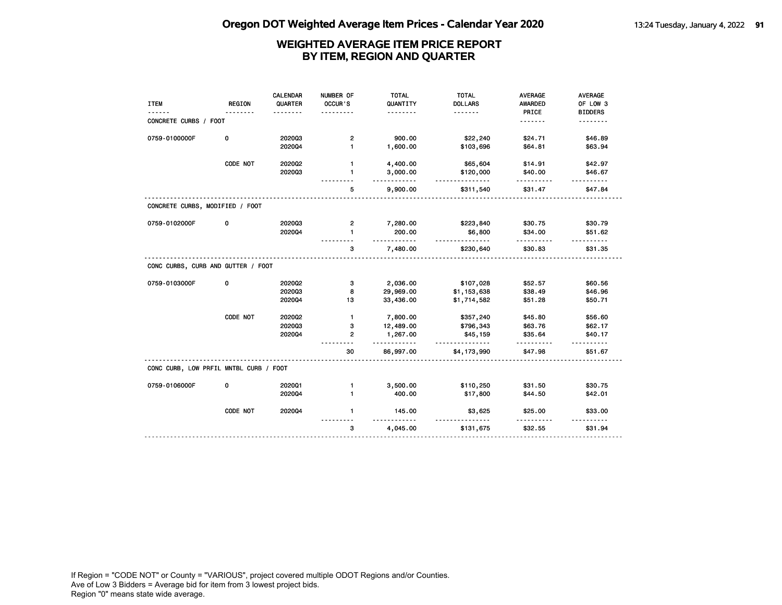|                                        |               | <b>CALENDAR</b> | NUMBER OF      | <b>TOTAL</b> | <b>TOTAL</b>   | <b>AVERAGE</b> | AVERAGE        |
|----------------------------------------|---------------|-----------------|----------------|--------------|----------------|----------------|----------------|
| <b>ITEM</b>                            | <b>REGION</b> | QUARTER         | OCCUR'S        | QUANTITY     | <b>DOLLARS</b> | <b>AWARDED</b> | OF LOW 3       |
|                                        |               |                 |                | .            | <u>.</u>       | PRICE          | <b>BIDDERS</b> |
| CONCRETE CURBS / FOOT                  |               |                 |                |              |                | <u>.</u>       |                |
|                                        |               |                 |                |              |                |                |                |
| 0759-0100000F                          | 0             | 202003          | $\mathbf{2}$   | 900.00       | \$22,240       | \$24.71        | \$46.89        |
|                                        |               | 202004          | $\blacksquare$ | 1,600.00     | \$103,696      | \$64.81        | \$63.94        |
|                                        | CODE NOT      | 2020Q2          | 1              | 4,400.00     | \$65,604       | \$14.91        | \$42.97        |
|                                        |               | 202003          | 1              | 3,000.00     | \$120,000      | \$40.00        | \$46.67        |
|                                        |               |                 |                | .            | .              | <u>.</u>       | <u>.</u>       |
|                                        |               |                 | 5              | 9,900.00     | \$311,540      | \$31.47        | \$47.84        |
| CONCRETE CURBS, MODIFIED / FOOT        |               |                 |                |              |                |                |                |
| 0759-0102000F                          | 0             | 202003          | 2              | 7,280.00     | \$223,840      | \$30.75        | \$30.79        |
|                                        |               | 202004          | $\mathbf{1}$   | 200.00       | \$6,800        | \$34.00        | \$51.62        |
|                                        |               |                 |                |              | <u>.</u>       |                |                |
|                                        |               |                 | 3              | 7,480.00     | \$230,640      | \$30.83        | \$31.35        |
| CONC CURBS, CURB AND GUTTER / FOOT     |               |                 |                |              |                |                |                |
| 0759-0103000F                          | 0             | 2020Q2          | з              | 2,036.00     | \$107,028      | \$52.57        | \$60.56        |
|                                        |               | 202003          | 8              | 29,969.00    | \$1,153,638    | \$38.49        | \$46.96        |
|                                        |               | 2020Q4          | 13             | 33,436.00    | \$1,714,582    | \$51.28        | \$50.71        |
|                                        | CODE NOT      | 2020Q2          | $\mathbf{1}$   | 7,800.00     | \$357,240      | \$45.80        | \$56.60        |
|                                        |               | 202003          | з              | 12,489.00    | \$796,343      | \$63.76        | \$62.17        |
|                                        |               | 202004          | $\overline{2}$ | 1,267.00     | \$45,159       | \$35.64        | \$40.17        |
|                                        |               |                 |                | .            |                |                |                |
|                                        |               |                 | 30             | 86,997.00    | \$4,173,990    | \$47.98        | \$51.67        |
| CONC CURB, LOW PRFIL MNTBL CURB / FOOT |               |                 |                |              |                |                |                |
| 0759-0106000F                          | 0             | 202001          | $\mathbf{1}$   | 3,500.00     | \$110,250      | \$31.50        | \$30.75        |
|                                        |               | 202004          | 1              | 400.00       | \$17,800       | \$44.50        | \$42.01        |
|                                        |               |                 |                |              |                |                |                |
|                                        | CODE NOT      | 202004          | $\mathbf{1}$   | 145.00       | \$3,625        | \$25.00        | \$33.00        |
|                                        |               |                 | 3              | 4,045.00     | \$131,675      | \$32.55        | \$31.94        |
|                                        |               |                 |                |              |                |                |                |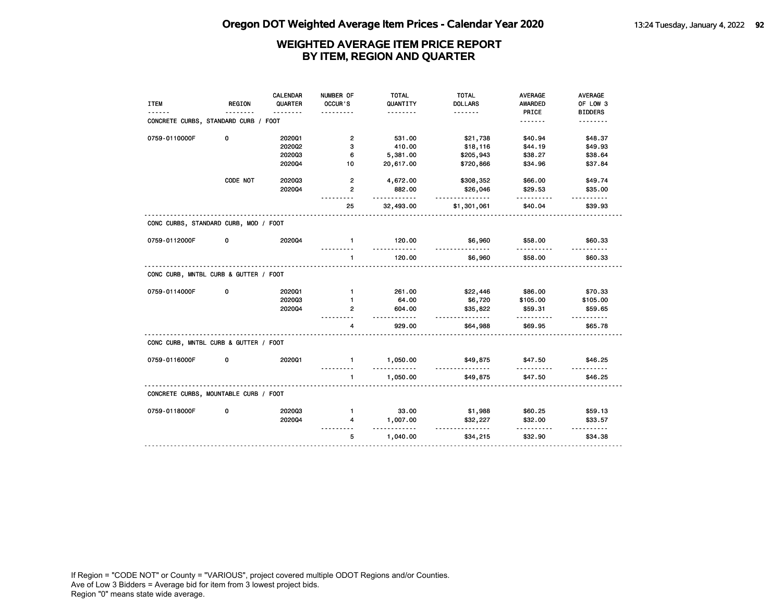|                                       |          | CALENDAR | NUMBER OF      | <b>TOTAL</b>          | <b>TOTAL</b>         | <b>AVERAGE</b> | <b>AVERAGE</b>                     |
|---------------------------------------|----------|----------|----------------|-----------------------|----------------------|----------------|------------------------------------|
| <b>ITEM</b>                           | REGION   | QUARTER  | OCCUR'S        | QUANTITY              | <b>DOLLARS</b>       | AWARDED        | OF LOW 3                           |
|                                       |          | <u>.</u> |                | <u>.</u>              |                      | PRICE          | <b>BIDDERS</b>                     |
| CONCRETE CURBS, STANDARD CURB / FOOT  |          |          |                |                       |                      | .              | <u>.</u>                           |
|                                       |          |          |                |                       |                      |                |                                    |
| 0759-0110000F                         | 0        | 202001   | $\overline{2}$ | 531.00                | \$21,738             | \$40.94        | \$48.37                            |
|                                       |          | 202002   | 3              | 410.00                | \$18,116             | \$44.19        | \$49.93                            |
|                                       |          | 202003   | 6              | 5,381.00              | \$205,943            | \$38.27        | \$38.64                            |
|                                       |          | 202004   | 10             | 20,617.00             | \$720,866            | \$34.96        | \$37.84                            |
|                                       | CODE NOT | 202003   | $\overline{2}$ | 4,672.00              | \$308,352            | \$66.00        | \$49.74                            |
|                                       |          | 202004   | $\overline{2}$ | 882.00                | \$26,046             | \$29.53        | \$35.00                            |
|                                       |          |          | 25             | <u>.</u><br>32,493.00 | .<br>\$1,301,061     | .<br>\$40.04   | <u> - - - - - - - -</u><br>\$39.93 |
| CONC CURBS, STANDARD CURB, MOD / FOOT |          |          |                |                       |                      |                |                                    |
| 0759-0112000F                         | 0        | 202004   | $\mathbf{1}$   | 120.00                | \$6,960<br><u>.</u>  | \$58.00        | \$60.33                            |
|                                       |          |          | $\mathbf{1}$   | 120.00                | \$6,960              | \$58.00        | \$60.33                            |
| CONC CURB, MNTBL CURB & GUTTER / FOOT |          |          |                |                       |                      |                |                                    |
| 0759-0114000F                         | 0        | 202001   | $\mathbf{1}$   | 261.00                | \$22,446             | \$86.00        | \$70.33                            |
|                                       |          | 202003   | $\mathbf 1$    | 64.00                 | \$6,720              | \$105.00       | \$105.00                           |
|                                       |          | 2020Q4   | $\mathbf{2}$   | 604.00                | \$35,822             | \$59.31        | \$59.65                            |
|                                       |          |          | 4              | .<br>929.00           | .<br>\$64,988        | .<br>\$69.95   | <u>.</u><br>\$65.78                |
| CONC CURB, MNTBL CURB & GUTTER / FOOT |          |          |                |                       |                      |                |                                    |
| 0759-0116000F                         | 0        | 2020Q1   | $\mathbf{1}$   | 1,050.00<br>.         | \$49,875<br><u>.</u> | \$47.50<br>.   | \$46.25<br><u>.</u>                |
|                                       |          |          | 1.             | 1,050.00              | \$49,875             | \$47.50        | \$46.25                            |
| CONCRETE CURBS, MOUNTABLE CURB / FOOT |          |          |                |                       |                      |                |                                    |
| 0759-0118000F                         | 0        | 202003   | $\mathbf{1}$   | 33.00                 | \$1,988              | \$60.25        | \$59.13                            |
|                                       |          | 202004   | 4              | 1,007.00              | \$32,227             | \$32.00        | \$33.57                            |
|                                       |          |          | 5              | <u>.</u><br>1,040.00  | <u>.</u><br>\$34,215 | .<br>\$32.90   | <u>.</u><br>\$34.38                |
|                                       |          |          |                |                       |                      |                |                                    |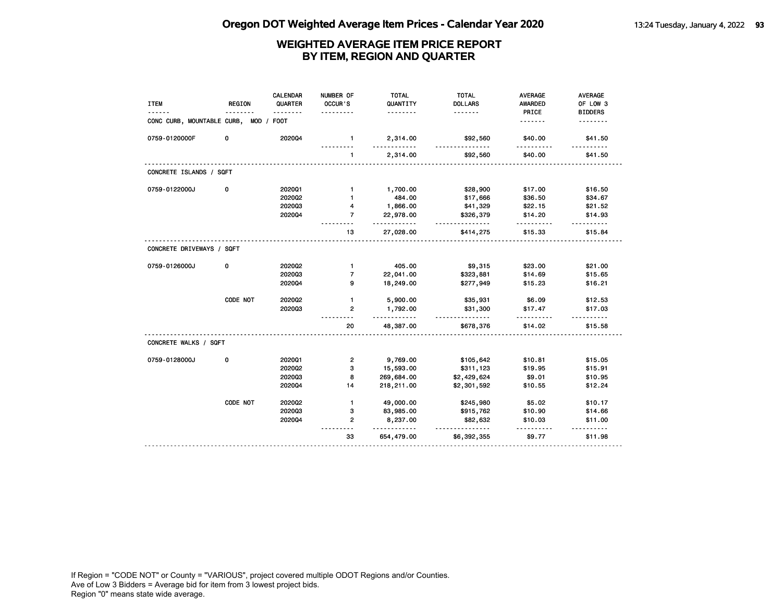| <b>ITEM</b>                | <b>REGION</b> | <b>CALENDAR</b><br>QUARTER | NUMBER OF<br>OCCUR'S | <b>TOTAL</b><br>QUANTITY | <b>TOTAL</b><br><b>DOLLARS</b> | <b>AVERAGE</b><br>AWARDED | AVERAGE<br>OF LOW 3 |
|----------------------------|---------------|----------------------------|----------------------|--------------------------|--------------------------------|---------------------------|---------------------|
|                            |               |                            |                      | .                        | <u>.</u>                       | PRICE                     | <b>BIDDERS</b>      |
| CONC CURB, MOUNTABLE CURB, | MOD /         | <b>FOOT</b>                |                      |                          |                                | .                         |                     |
| 0759-0120000F              | 0             | 202004                     | $\mathbf{1}$         | 2,314.00<br>$- - - - -$  | \$92,560<br>$- - - -$          | \$40.00<br>- - - - - -    | \$41.50             |
|                            |               |                            | 1                    | 2,314.00                 | \$92,560                       | \$40.00                   | \$41.50             |
| CONCRETE ISLANDS / SQFT    |               |                            |                      |                          |                                |                           |                     |
| 0759-0122000J              | 0             | 202001                     | $\mathbf{1}$         | 1,700.00                 | \$28,900                       | \$17.00                   | \$16.50             |
|                            |               | 2020Q2                     | $\mathbf{1}$         | 484.00                   | \$17,666                       | \$36.50                   | \$34.67             |
|                            |               | 202003                     | 4                    | 1,866.00                 | \$41,329                       | \$22.15                   | \$21.52             |
|                            |               | 202004                     | $\overline{7}$       | 22,978.00<br>.           | \$326,379<br>$\frac{1}{2}$     | \$14.20<br>-----          | \$14.93<br>$- - -$  |
|                            |               |                            | 13                   | 27,028.00                | \$414,275                      | \$15.33                   | \$15.84             |
| CONCRETE DRIVEWAYS / SQFT  |               |                            |                      |                          |                                |                           |                     |
| 0759-0126000J              | 0             | 2020Q2                     | $\mathbf{1}$         | 405.00                   | \$9,315                        | \$23.00                   | \$21.00             |
|                            |               | 202003                     | $\overline{7}$       | 22,041.00                | \$323,881                      | \$14.69                   | \$15.65             |
|                            |               | 202004                     | 9                    | 18,249.00                | \$277,949                      | \$15.23                   | \$16.21             |
|                            | CODE NOT      | 2020Q2                     | $\mathbf{1}$         | 5,900.00                 | \$35,931                       | \$6.09                    | \$12.53             |
|                            |               | 202003                     | $\mathbf{2}$         | 1,792.00<br>.            | \$31,300                       | \$17.47<br>.              | \$17.03             |
|                            |               |                            | 20                   | 48,387.00                | \$678,376                      | \$14.02                   | \$15.58             |
| CONCRETE WALKS / SQFT      |               |                            |                      |                          |                                |                           |                     |
| 0759-0128000J              | 0             | 202001                     | $\mathbf{2}$         | 9,769.00                 | \$105,642                      | \$10.81                   | \$15.05             |
|                            |               | 2020Q2                     | 3                    | 15,593.00                | \$311,123                      | \$19.95                   | \$15.91             |
|                            |               | 202003                     | 8                    | 269,684.00               | \$2,429,624                    | \$9.01                    | \$10.95             |
|                            |               | 202004                     | 14                   | 218,211.00               | \$2,301,592                    | \$10.55                   | \$12.24             |
|                            | CODE NOT      | 2020Q2                     | $\mathbf{1}$         | 49,000.00                | \$245,980                      | \$5.02                    | \$10.17             |
|                            |               | 202003                     | 3                    | 83,985.00                | \$915,762                      | \$10.90                   | \$14.66             |
|                            |               | 202004                     | $\overline{2}$       | 8,237.00<br>. . <b>.</b> | \$82,632                       | \$10.03                   | \$11.00<br>------   |
|                            |               |                            | 33                   | 654,479.00               | \$6,392,355                    | \$9.77                    | \$11.98             |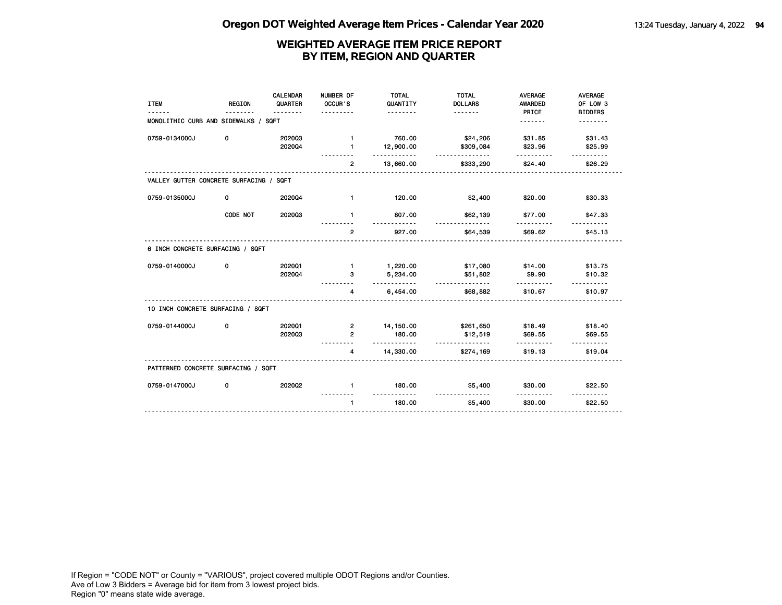| <b>ITEM</b>                             | <b>REGION</b> | CALENDAR<br>QUARTER<br>. | NUMBER OF<br>OCCUR'S<br>. | <b>TOTAL</b><br>QUANTITY<br><u>.</u> | <b>TOTAL</b><br><b>DOLLARS</b><br><u>.</u> | <b>AVERAGE</b><br><b>AWARDED</b><br>PRICE | <b>AVERAGE</b><br>OF LOW 3<br><b>BIDDERS</b> |
|-----------------------------------------|---------------|--------------------------|---------------------------|--------------------------------------|--------------------------------------------|-------------------------------------------|----------------------------------------------|
| MONOLITHIC CURB AND SIDEWALKS / SQFT    |               |                          |                           |                                      |                                            | .                                         |                                              |
| 0759-0134000J                           | 0             | 202003                   | $\mathbf{1}$              | 760.00                               | \$24,206                                   | \$31.85                                   | \$31.43                                      |
|                                         |               | 202004                   | $\blacksquare$            | 12,900.00<br><u>.</u>                | \$309,084<br><u>.</u>                      | \$23.96                                   | \$25.99<br>.                                 |
|                                         |               |                          | $\overline{2}$            | 13,660.00                            | \$333,290                                  | \$24.40                                   | \$26.29                                      |
| VALLEY GUTTER CONCRETE SURFACING / SQFT |               |                          |                           |                                      |                                            |                                           |                                              |
| 0759-0135000J                           | 0             | 202004                   | $\mathbf{1}$              | 120.00                               | \$2,400                                    | \$20.00                                   | \$30.33                                      |
|                                         | CODE NOT      | 202003                   | $\mathbf{1}$              | 807.00                               | \$62,139                                   | \$77.00                                   | \$47.33                                      |
|                                         |               |                          | $\overline{2}$            | 927.00                               | \$64,539                                   | \$69.62                                   | \$45.13                                      |
| 6 INCH CONCRETE SURFACING / SQFT        |               |                          |                           |                                      |                                            |                                           |                                              |
| 0759-0140000J                           | 0             | 202001                   | $\blacksquare$            | 1,220.00                             | \$17,080                                   | \$14.00                                   | \$13.75                                      |
|                                         |               | 202004                   | з                         | 5,234.00<br><u>.</u>                 | \$51,802<br>.                              | \$9.90<br>.                               | \$10.32                                      |
|                                         |               |                          | 4                         | 6,454.00                             | \$68,882                                   | \$10.67                                   | \$10.97                                      |
| 10 INCH CONCRETE SURFACING / SQFT       |               |                          |                           |                                      |                                            |                                           |                                              |
| 0759-0144000J                           | 0             | 202001                   | $\overline{2}$            | 14,150.00                            | \$261,650                                  | \$18.49                                   | \$18.40                                      |
|                                         |               | 202003                   | $\overline{2}$            | 180.00<br>.                          | \$12,519<br>------------                   | \$69.55<br><u>.</u>                       | \$69.55                                      |
|                                         |               |                          | 4                         | 14,330.00                            | \$274,169                                  | \$19.13                                   | \$19.04                                      |
| PATTERNED CONCRETE SURFACING / SQFT     |               |                          |                           |                                      |                                            |                                           |                                              |
| 0759-0147000J                           | 0             | 202002                   | $\mathbf{1}$              | 180.00<br>.                          | \$5,400<br><u>.</u>                        | \$30.00<br><u>.</u>                       | \$22.50<br><u>.</u>                          |
|                                         |               |                          | $\mathbf{1}$              | 180.00                               | \$5,400                                    | \$30.00                                   | \$22.50                                      |
|                                         |               |                          |                           |                                      |                                            |                                           |                                              |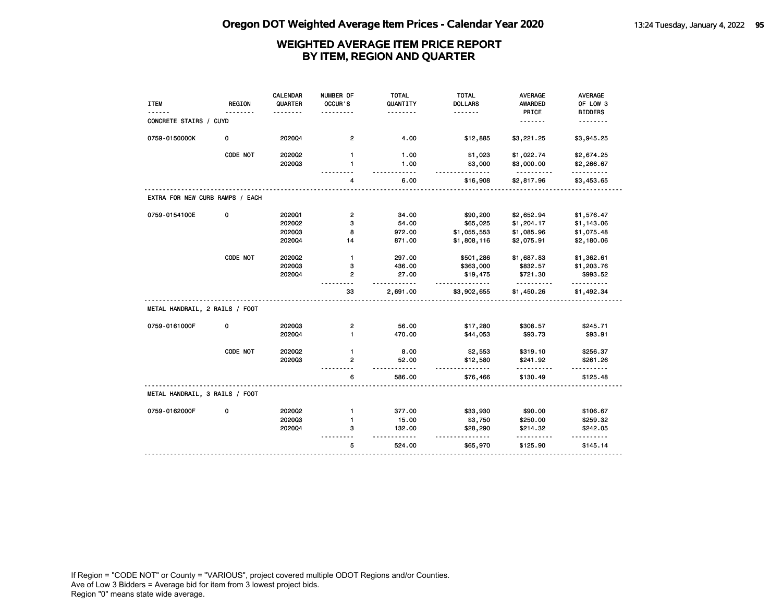| <b>ITEM</b>                     | <b>REGION</b> | CALENDAR<br>QUARTER | NUMBER OF<br>OCCUR'S                     | <b>TOTAL</b><br>QUANTITY         | <b>TOTAL</b><br><b>DOLLARS</b> | <b>AVERAGE</b><br><b>AWARDED</b> | <b>AVERAGE</b><br>OF LOW 3 |
|---------------------------------|---------------|---------------------|------------------------------------------|----------------------------------|--------------------------------|----------------------------------|----------------------------|
|                                 |               |                     |                                          | .                                | <u>.</u>                       | PRICE                            | <b>BIDDERS</b>             |
| CONCRETE STAIRS / CUYD          |               |                     |                                          |                                  |                                | <u>.</u>                         | .                          |
| 0759-0150000K                   | 0             | 2020Q4              | $\overline{2}$                           | 4.00                             | \$12,885                       | \$3,221.25                       | \$3,945.25                 |
|                                 | CODE NOT      | 2020Q2              | $\mathbf{1}$                             | 1.00                             | \$1,023                        | \$1,022.74                       | \$2,674.25                 |
|                                 |               | 202003              | $\mathbf{1}$                             | 1.00<br>$\overline{\phantom{a}}$ | \$3,000<br>$- - -$             | \$3,000.00                       | \$2,266.67<br>.            |
|                                 |               |                     | 4                                        | 6.00                             | \$16,908                       | \$2,817.96                       | \$3,453.65                 |
| EXTRA FOR NEW CURB RAMPS / EACH |               |                     |                                          |                                  |                                |                                  |                            |
| 0759-0154100E                   | 0             | 202001              | $\mathbf{2}$                             | 34.00                            | \$90,200                       | \$2,652.94                       | \$1,576.47                 |
|                                 |               | 2020Q2              | 3                                        | 54.00                            | \$65,025                       | \$1,204.17                       | \$1,143.06                 |
|                                 |               | 202003              | 8                                        | 972.00                           | \$1,055,553                    | \$1,085.96                       | \$1,075.48                 |
|                                 |               | 2020Q4              | 14                                       | 871.00                           | \$1,808,116                    | \$2,075.91                       | \$2,180.06                 |
|                                 | CODE NOT      | 2020Q2              | $\mathbf{1}$                             | 297.00                           | \$501,286                      | \$1,687.83                       | \$1,362.61                 |
|                                 |               | 202003              | 3                                        | 436.00                           | \$363,000                      | \$832.57                         | \$1,203.76                 |
|                                 |               | 202004              | $\mathbf{2}$<br>$\overline{\phantom{a}}$ | 27.00<br>.                       | \$19,475                       | \$721.30<br>.                    | \$993.52<br>.              |
|                                 |               |                     | 33                                       | 2,691.00                         | \$3,902,655                    | \$1,450.26                       | \$1,492.34                 |
| METAL HANDRAIL, 2 RAILS / FOOT  |               |                     |                                          |                                  |                                |                                  |                            |
| 0759-0161000F                   | 0             | 202003              | $\overline{\mathbf{c}}$                  | 56.00                            | \$17,280                       | \$308.57                         | \$245.71                   |
|                                 |               | 202004              | $\blacksquare$                           | 470.00                           | \$44,053                       | \$93.73                          | \$93.91                    |
|                                 | CODE NOT      | 202002              | $\mathbf{1}$                             | 8.00                             | \$2,553                        | \$319.10                         | \$256.37                   |
|                                 |               | 202003              | 2                                        | 52.00                            | \$12,580<br><u>.</u>           | \$241.92                         | \$261.26                   |
|                                 |               |                     | 6                                        | 586.00                           | \$76,466                       | \$130.49                         | \$125.48                   |
| METAL HANDRAIL, 3 RAILS / FOOT  |               |                     |                                          |                                  |                                |                                  |                            |
| 0759-0162000F                   | 0             | 2020Q2              | $\mathbf{1}$                             | 377.00                           | \$33,930                       | \$90.00                          | \$106.67                   |
|                                 |               | 202003              | $\mathbf{1}$                             | 15.00                            | \$3,750                        | \$250.00                         | \$259.32                   |
|                                 |               | 2020Q4              | з                                        | 132.00<br>.                      | \$28,290<br><u>.</u>           | \$214.32                         | \$242.05<br>.              |
|                                 |               |                     | 5                                        | 524.00                           | \$65,970                       | \$125.90                         | \$145.14                   |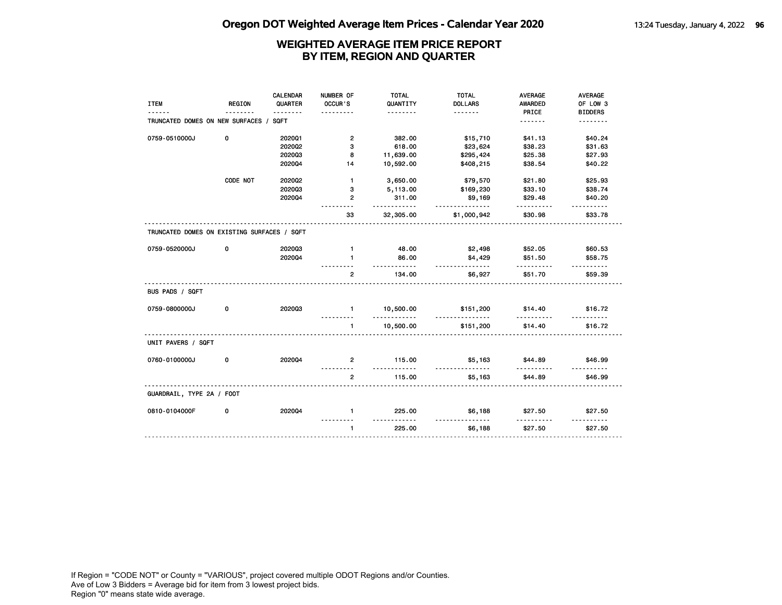|                                             |               | <b>CALENDAR</b> | NUMBER OF      | <b>TOTAL</b>                | <b>TOTAL</b>        | <b>AVERAGE</b> | AVERAGE             |
|---------------------------------------------|---------------|-----------------|----------------|-----------------------------|---------------------|----------------|---------------------|
| <b>ITEM</b>                                 | <b>REGION</b> | QUARTER         | OCCUR'S        | QUANTITY                    | <b>DOLLARS</b>      | <b>AWARDED</b> | OF LOW 3            |
|                                             |               |                 |                | .                           | <u>.</u>            | PRICE          | <b>BIDDERS</b>      |
| TRUNCATED DOMES ON NEW SURFACES /           |               | SQFT            |                |                             |                     | <u>.</u>       | <u>.</u>            |
| 0759-0510000J                               | 0             | 202001          | $\mathbf{2}$   | 382.00                      | \$15,710            | \$41.13        | \$40.24             |
|                                             |               | 2020Q2          | 3              | 618.00                      | \$23,624            | \$38.23        | \$31.63             |
|                                             |               | 202003          | 8              | 11,639.00                   | \$295,424           | \$25.38        | \$27.93             |
|                                             |               | 202004          | 14             | 10,592.00                   | \$408,215           | \$38.54        | \$40.22             |
|                                             | CODE NOT      | 2020Q2          | $\mathbf{1}$   | 3,650.00                    | \$79,570            | \$21.80        | \$25.93             |
|                                             |               | 202003          | 3              | 5,113.00                    | \$169,230           | \$33.10        | \$38.74             |
|                                             |               | 202004          | $\overline{2}$ | 311.00                      | \$9,169             | \$29.48        | \$40.20             |
|                                             |               |                 | 33             | .<br>32,305.00              | .<br>\$1,000,942    | \$30.98        | \$33.78             |
| TRUNCATED DOMES ON EXISTING SURFACES / SQFT |               |                 |                |                             |                     |                |                     |
| 0759-0520000J                               | 0             | 202003          | $\mathbf{1}$   | 48.00                       | \$2,498             | \$52.05        | \$60.53             |
|                                             |               | 202004          | $\blacksquare$ | 86.00                       | \$4,429             | \$51.50        | \$58.75             |
|                                             |               |                 | 2              | .<br>134.00                 | <u>.</u><br>\$6,927 | .<br>\$51.70   | .<br>\$59.39        |
| BUS PADS / SQFT                             |               |                 |                |                             |                     |                |                     |
| 0759-0800000J                               | 0             | 202003          | $\mathbf{1}$   | 10,500.00<br>.              | \$151,200<br>.      | \$14.40        | \$16.72             |
|                                             |               |                 | $\mathbf{1}$   | 10,500.00                   | \$151,200           | \$14.40        | \$16.72             |
| UNIT PAVERS / SQFT                          |               |                 |                |                             |                     |                |                     |
| 0760-0100000J                               | 0             | 202004          | $\overline{2}$ | 115.00<br>.                 | \$5,163<br>.        | \$44.89<br>.   | \$46.99<br><u>.</u> |
|                                             |               |                 | $\overline{2}$ | 115.00                      | \$5,163             | \$44.89        | \$46.99             |
| GUARDRAIL, TYPE 2A / FOOT                   |               |                 |                |                             |                     |                |                     |
| 0810-0104000F                               | 0             | 202004          | $\mathbf{1}$   | 225.00<br><u>----------</u> | \$6,188             | \$27.50        | \$27.50             |
|                                             |               |                 | $\mathbf{1}$   | 225.00                      | \$6,188             | \$27.50        | \$27.50             |
|                                             |               |                 |                |                             |                     |                |                     |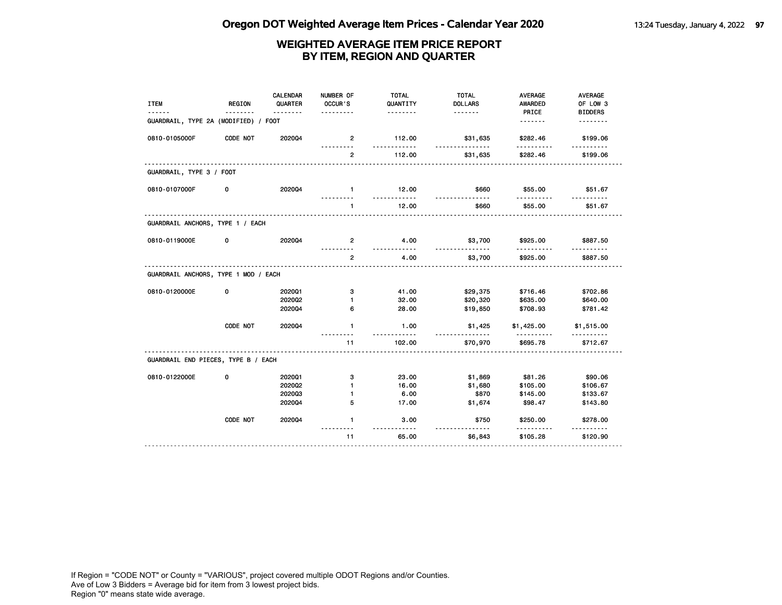| <b>ITEM</b>                          | <b>REGION</b> | <b>CALENDAR</b><br>QUARTER | NUMBER OF<br>OCCUR'S | <b>TOTAL</b><br>QUANTITY | <b>TOTAL</b><br><b>DOLLARS</b> | <b>AVERAGE</b><br><b>AWARDED</b> | <b>AVERAGE</b><br>OF LOW 3 |
|--------------------------------------|---------------|----------------------------|----------------------|--------------------------|--------------------------------|----------------------------------|----------------------------|
| GUARDRAIL, TYPE 2A (MODIFIED) / FOOT |               | <u>.</u>                   | .                    | .                        | .                              | PRICE                            | <b>BIDDERS</b><br><u>.</u> |
| 0810-0105000F                        | CODE NOT      | 202004                     | $\overline{2}$<br>.  | 112.00<br>.              | \$31,635<br>.                  | \$282.46<br>.                    | \$199.06<br>.              |
|                                      |               |                            | $\overline{2}$       | 112.00                   | \$31,635                       | \$282.46                         | \$199.06                   |
| GUARDRAIL, TYPE 3 / FOOT             |               |                            |                      |                          |                                |                                  |                            |
| 0810-0107000F                        | 0             | 2020Q4                     | $\blacksquare$       | 12.00<br>.               | \$660<br>.                     | \$55.00                          | \$51.67                    |
|                                      |               |                            | $\mathbf{1}$         | 12.00                    | \$660                          | \$55.00                          | \$51.67                    |
| GUARDRAIL ANCHORS, TYPE 1 / EACH     |               |                            |                      |                          |                                |                                  |                            |
| 0810-0119000E                        | 0             | 2020Q4                     | $\mathbf{2}$         | 4.00                     | \$3,700<br><u>.</u>            | \$925.00                         | \$887.50                   |
|                                      |               |                            | $\overline{2}$       | 4.00                     | \$3,700                        | \$925.00                         | \$887.50                   |
| GUARDRAIL ANCHORS, TYPE 1 MOD / EACH |               |                            |                      |                          |                                |                                  |                            |
| 0810-0120000E                        | 0             | 202001                     | з                    | 41.00                    | \$29,375                       | \$716.46                         | \$702.86                   |
|                                      |               | 202002<br>2020Q4           | $\mathbf{1}$<br>6    | 32.00<br>28.00           | \$20,320<br>\$19,850           | \$635.00<br>\$708.93             | \$640.00<br>\$781.42       |
|                                      | CODE NOT      | 2020Q4                     | $\mathbf{1}$         | 1.00                     | \$1,425                        | \$1,425.00                       | \$1,515.00                 |
|                                      |               |                            | 11                   | 102.00                   | \$70,970                       | \$695.78                         | \$712.67                   |
| GUARDRAIL END PIECES, TYPE B / EACH  |               |                            |                      |                          |                                |                                  |                            |
| 0810-0122000E                        | 0             | 202001                     | 3                    | 23.00                    | \$1,869                        | \$81.26                          | \$90.06                    |
|                                      |               | 202002                     | $\mathbf{1}$         | 16.00                    | \$1,680                        | \$105.00                         | \$106.67                   |
|                                      |               | 202003                     | $\mathbf{1}$         | 6.00                     | \$870                          | \$145.00                         | \$133.67                   |
|                                      |               | 202004                     | 5                    | 17.00                    | \$1,674                        | \$98.47                          | \$143.80                   |
|                                      | CODE NOT      | 202004                     | $\mathbf{1}$         | 3.00<br><u>.</u>         | \$750<br><u>.</u>              | \$250.00                         | \$278.00<br><u>.</u>       |
|                                      |               |                            | 11                   | 65.00                    | \$6,843                        | \$105.28                         | \$120.90                   |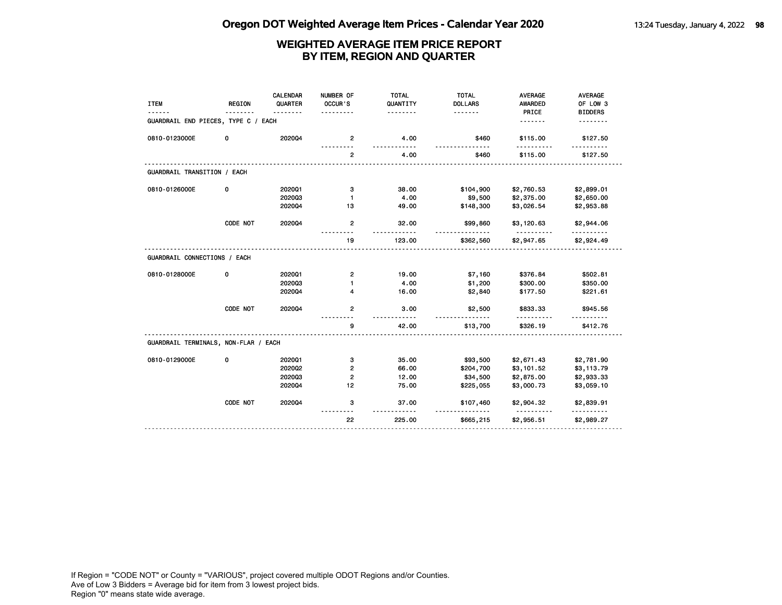| <b>ITEM</b>                          | <b>REGION</b> | <b>CALENDAR</b><br>QUARTER | NUMBER OF<br>OCCUR'S | <b>TOTAL</b><br>QUANTITY | <b>TOTAL</b><br><b>DOLLARS</b> | <b>AVERAGE</b><br><b>AWARDED</b> | AVERAGE<br>OF LOW 3 |
|--------------------------------------|---------------|----------------------------|----------------------|--------------------------|--------------------------------|----------------------------------|---------------------|
| GUARDRAIL END PIECES, TYPE C / EACH  |               |                            |                      | .                        | <u>.</u>                       | PRICE<br><u>.</u>                | <b>BIDDERS</b><br>. |
| 0810-0123000E                        | 0             | 202004                     | $\overline{2}$       | 4.00                     | \$460                          | \$115.00                         | \$127.50            |
|                                      |               |                            | $\overline{2}$       | 4.00                     | \$460                          | \$115.00                         | \$127.50            |
| GUARDRAIL TRANSITION / EACH          |               |                            |                      |                          |                                |                                  |                     |
| 0810-0126000E                        | 0             | 202001                     | 3                    | 38.00                    | \$104,900                      | \$2,760.53                       | \$2,899.01          |
|                                      |               | 202003                     | $\mathbf{1}$         | 4.00                     | \$9,500                        | \$2,375.00                       | \$2,650.00          |
|                                      |               | 202004                     | 13                   | 49.00                    | \$148,300                      | \$3,026.54                       | \$2,953.88          |
|                                      | CODE NOT      | 202004                     | $\mathbf{2}$         | 32.00                    | \$99,860                       | \$3,120.63<br><u>.</u>           | \$2,944.06<br>.     |
|                                      |               |                            | 19                   | 123.00                   | <u>.</u><br>\$362,560          | \$2,947.65                       | \$2,924.49          |
| GUARDRAIL CONNECTIONS / EACH         |               |                            |                      |                          |                                |                                  |                     |
| 0810-0128000E                        | 0             | 202001                     | $\mathbf{2}$         | 19.00                    | \$7,160                        | \$376.84                         | \$502.81            |
|                                      |               | 202003                     | $\mathbf{1}$         | 4.00                     | \$1,200                        | \$300.00                         | \$350.00            |
|                                      |               | 202004                     | 4                    | 16.00                    | \$2,840                        | \$177.50                         | \$221.61            |
|                                      | CODE NOT      | 202004                     | $\mathbf{2}$         | 3.00                     | \$2,500                        | \$833.33                         | \$945.56            |
|                                      |               |                            | 9                    | 42.00                    | \$13,700                       | \$326.19                         | \$412.76            |
| GUARDRAIL TERMINALS, NON-FLAR / EACH |               |                            |                      |                          |                                |                                  |                     |
| 0810-0129000E                        | 0             | 202001                     | з                    | 35.00                    | \$93,500                       | \$2,671.43                       | \$2,781.90          |
|                                      |               | 2020Q2                     | $\overline{2}$       | 66.00                    | \$204,700                      | \$3,101.52                       | \$3,113.79          |
|                                      |               | 202003                     | 2                    | 12.00                    | \$34,500                       | \$2,875.00                       | \$2,933.33          |
|                                      |               | 202004                     | 12                   | 75.00                    | \$225,055                      | \$3,000.73                       | \$3,059.10          |
|                                      | CODE NOT      | 202004                     | 3                    | 37.00                    | \$107,460                      | \$2,904.32                       | \$2,839.91          |
|                                      |               |                            | 22                   | 225.00                   | \$665,215                      | \$2,956.51                       | \$2,989.27          |
|                                      |               |                            |                      |                          |                                |                                  |                     |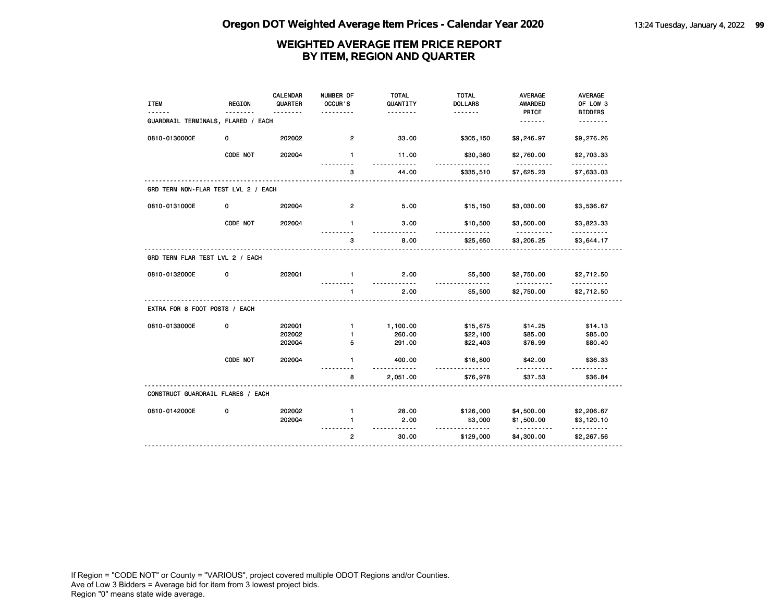| <b>ITEM</b>                         | <b>REGION</b> | <b>CALENDAR</b><br>QUARTER | NUMBER OF<br>OCCUR'S | <b>TOTAL</b><br>QUANTITY<br>. | <b>TOTAL</b><br><b>DOLLARS</b><br>. | <b>AVERAGE</b><br>AWARDED<br>PRICE | <b>AVERAGE</b><br>OF LOW 3<br><b>BIDDERS</b> |
|-------------------------------------|---------------|----------------------------|----------------------|-------------------------------|-------------------------------------|------------------------------------|----------------------------------------------|
| GUARDRAIL TERMINALS, FLARED / EACH  |               |                            |                      |                               |                                     | .                                  |                                              |
| 0810-0130000E                       | 0             | 2020Q2                     | $\overline{2}$       | 33.00                         | \$305,150                           | \$9,246.97                         | \$9,276.26                                   |
|                                     | CODE NOT      | 202004                     | $\mathbf{1}$         | 11.00<br>$- - - - -$          | \$30,360                            | \$2,760.00                         | \$2,703.33<br>.                              |
|                                     |               |                            | з                    | 44.00                         | \$335,510                           | \$7,625.23                         | \$7,633.03                                   |
| GRD TERM NON-FLAR TEST LVL 2 / EACH |               |                            |                      |                               |                                     |                                    |                                              |
| 0810-0131000E                       | 0             | 2020Q4                     | 2                    | 5.00                          | \$15,150                            | \$3,030.00                         | \$3,536.67                                   |
|                                     | CODE NOT      | 2020Q4                     | $\mathbf{1}$         | 3.00<br>$- - -$               | \$10,500                            | \$3,500.00                         | \$3,823.33                                   |
|                                     |               |                            | 3                    | 8.00                          | \$25,650                            | \$3,206.25                         | \$3,644.17                                   |
| GRD TERM FLAR TEST LVL 2 / EACH     |               |                            |                      |                               |                                     |                                    |                                              |
| 0810-0132000E                       | 0             | 202001                     | $\mathbf{1}$         | 2.00                          | \$5,500                             | \$2,750.00                         | \$2,712.50                                   |
|                                     |               |                            | $\mathbf{1}$         | 2.00                          | \$5,500                             | \$2,750.00                         | \$2,712.50                                   |
| EXTRA FOR 8 FOOT POSTS / EACH       |               |                            |                      |                               |                                     |                                    |                                              |
| 0810-0133000E                       | 0             | 202001                     | $\mathbf{1}$         | 1,100.00                      | \$15,675                            | \$14.25                            | \$14.13                                      |
|                                     |               | 2020Q2                     | 1                    | 260.00                        | \$22,100                            | \$85.00                            | \$85.00                                      |
|                                     |               | 2020Q4                     | 5                    | 291.00                        | \$22,403                            | \$76.99                            | \$80.40                                      |
|                                     | CODE NOT      | 2020Q4                     | $\mathbf{1}$         | 400.00                        | \$16,800                            | \$42.00                            | \$36.33<br>.                                 |
|                                     |               |                            | 8                    | 2,051.00                      | \$76,978                            | \$37.53                            | \$36.84                                      |
| CONSTRUCT GUARDRAIL FLARES / EACH   |               |                            |                      |                               |                                     |                                    |                                              |
| 0810-0142000E                       | 0             | 2020Q2                     | $\mathbf{1}$         | 28.00                         | \$126,000                           | \$4,500.00                         | \$2,206.67                                   |
|                                     |               | 202004                     | 1                    | 2.00                          | \$3,000                             | \$1,500.00                         | \$3,120.10                                   |
|                                     |               |                            | $\overline{2}$       | -----<br>30.00                | <u>.</u><br>\$129,000               | <u>----------</u><br>\$4,300.00    | .<br>\$2,267.56                              |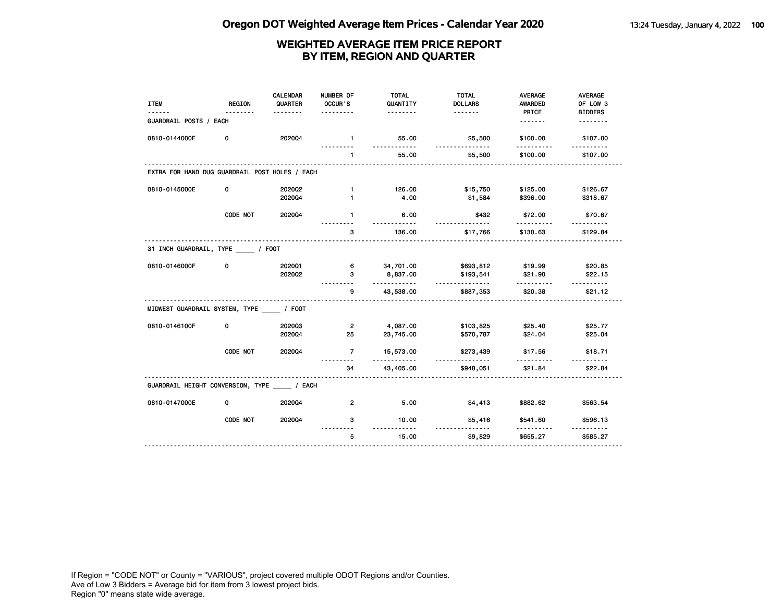| <b>ITEM</b>                                    | <b>REGION</b> | <b>CALENDAR</b><br>QUARTER | NUMBER OF<br>OCCUR'S | <b>TOTAL</b><br>QUANTITY | <b>TOTAL</b><br><b>DOLLARS</b> | <b>AVERAGE</b><br><b>AWARDED</b> | <b>AVERAGE</b><br>OF LOW 3 |
|------------------------------------------------|---------------|----------------------------|----------------------|--------------------------|--------------------------------|----------------------------------|----------------------------|
| GUARDRAIL POSTS / EACH                         |               | <u>.</u>                   | .                    | <u>.</u>                 |                                | PRICE<br><u>.</u>                | <b>BIDDERS</b><br>.        |
| 0810-0144000E                                  | 0             | 202004                     | $\mathbf{1}$         | 55.00<br>.               | \$5,500<br>.                   | \$100.00                         | \$107.00                   |
|                                                |               |                            | <u>.</u><br>1        | 55.00                    | \$5,500                        | .<br>\$100.00                    | .<br>\$107.00              |
| EXTRA FOR HAND DUG GUARDRAIL POST HOLES / EACH |               |                            |                      |                          |                                |                                  |                            |
| 0810-0145000E                                  | 0             | 2020Q2<br>202004           | $\mathbf{1}$<br>1    | 126.00<br>4.00           | \$15,750<br>\$1,584            | \$125.00<br>\$396.00             | \$126.67<br>\$318.67       |
|                                                | CODE NOT      | 2020Q4                     | $\mathbf{1}$         | 6.00<br><u>.</u>         | \$432                          | \$72.00<br>.                     | \$70.67<br><u>.</u>        |
|                                                |               |                            | з                    | 136.00                   | <u>.</u><br>\$17,766           | \$130.63                         | \$129.84                   |
| 31 INCH GUARDRAIL, TYPE _____ / FOOT           |               |                            |                      |                          |                                |                                  |                            |
| 0810-0146000F                                  | 0             | 202001<br>2020Q2           | 6.<br>3              | 34,701.00<br>8,837.00    | \$693,812<br>\$193,541         | \$19.99<br>\$21.90               | \$20.85<br>\$22.15         |
|                                                |               |                            | 9                    | <u>.</u><br>43,538.00    | <u>.</u><br>\$887,353          | \$20.38                          | \$21.12                    |
| MIDWEST GUARDRAIL SYSTEM, TYPE _____ / FOOT    |               |                            |                      |                          |                                |                                  |                            |
| 0810-0146100F                                  | 0             | 202003<br>2020Q4           | $\overline{2}$<br>25 | 4,087.00<br>23,745.00    | \$103,825<br>\$570,787         | \$25.40<br>\$24.04               | \$25.77<br>\$25.04         |
|                                                | CODE NOT      | 2020Q4                     | $\overline{7}$       | 15,573.00                | \$273,439                      | \$17.56                          | \$18.71                    |
|                                                |               |                            | 34                   | .<br>43,405.00           | <u>.</u><br>\$948,051          | \$21.84                          | .<br>\$22.84               |
| GUARDRAIL HEIGHT CONVERSION, TYPE / EACH       |               |                            |                      |                          |                                |                                  |                            |
| 0810-0147000E                                  | $\mathbf 0$   | 202004                     | $\overline{2}$       | 5.00                     | \$4,413                        | \$882.62                         | \$563.54                   |
|                                                | CODE NOT      | 202004                     | 3                    | 10.00<br>. . <b>.</b>    | \$5,416<br>.                   | \$541.60                         | \$596.13                   |
|                                                |               |                            | 5                    | 15.00                    | \$9,829                        | \$655.27                         | \$585.27                   |
|                                                |               |                            |                      |                          |                                |                                  |                            |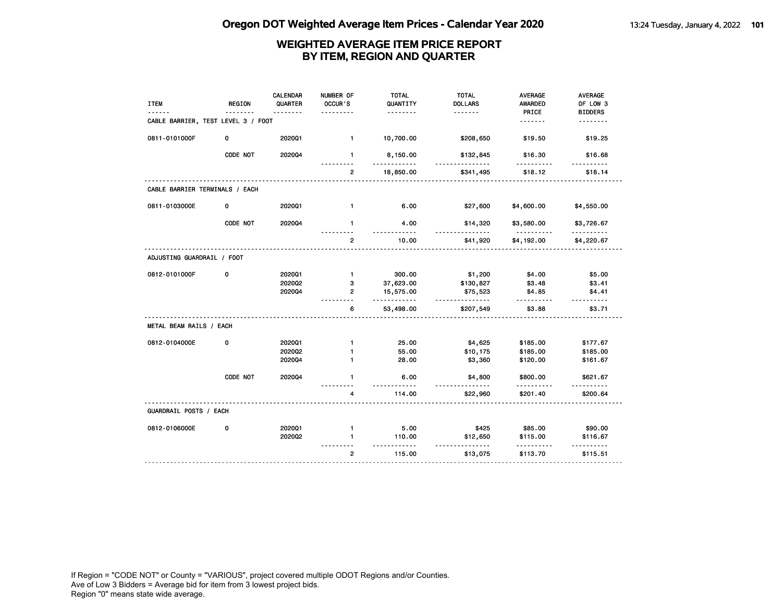| <b>ITEM</b>                        | <b>REGION</b> | <b>CALENDAR</b><br>QUARTER | NUMBER OF<br>OCCUR'S | <b>TOTAL</b><br>QUANTITY | <b>TOTAL</b><br><b>DOLLARS</b> | <b>AVERAGE</b><br>AWARDED | <b>AVERAGE</b><br>OF LOW 3 |
|------------------------------------|---------------|----------------------------|----------------------|--------------------------|--------------------------------|---------------------------|----------------------------|
| CABLE BARRIER, TEST LEVEL 3 / FOOT |               |                            |                      | .                        | .                              | PRICE<br>.                | <b>BIDDERS</b><br>.        |
| 0811-0101000F                      | 0             | 2020Q1                     | $\mathbf{1}$         | 10,700.00                | \$208,650                      | \$19.50                   | \$19.25                    |
|                                    | CODE NOT      | 2020Q4                     | $\mathbf{1}$         | 8,150.00                 | \$132,845                      | \$16.30                   | \$16.68                    |
|                                    |               |                            | $\overline{2}$       | 18,850.00                | \$341,495                      | \$18.12                   | \$18.14                    |
| CABLE BARRIER TERMINALS / EACH     |               |                            |                      |                          |                                |                           |                            |
| 0811-0103000E                      | 0             | 2020Q1                     | $\mathbf{1}$         | 6.00                     | \$27,600                       | \$4,600.00                | \$4,550.00                 |
|                                    | CODE NOT      | 202004                     | $\mathbf{1}$         | 4.00<br>----             | \$14,320                       | \$3,580.00                | \$3,726.67                 |
|                                    |               |                            | $\overline{2}$       | 10.00                    | \$41,920                       | \$4,192.00                | \$4,220.67                 |
| ADJUSTING GUARDRAIL / FOOT         |               |                            |                      |                          |                                |                           |                            |
| 0812-0101000F                      | 0             | 202001                     | $\mathbf{1}$         | 300.00                   | \$1,200                        | \$4.00                    | \$5.00                     |
|                                    |               | 202002<br>202004           | 3<br>$\overline{2}$  | 37,623.00<br>15,575.00   | \$130,827<br>\$75,523          | \$3.48<br>\$4.85          | \$3.41<br>\$4.41           |
|                                    |               |                            | 6                    | .<br>53,498.00           | <u>.</u><br>\$207,549          | \$3.88                    | \$3.71                     |
| METAL BEAM RAILS / EACH            |               |                            |                      |                          |                                |                           |                            |
| 0812-0104000E                      | 0             | 202001                     | $\mathbf{1}$         | 25.00                    | \$4,625                        | \$185.00                  | \$177.67                   |
|                                    |               | 2020Q2<br>2020Q4           | 1<br>$\mathbf{1}$    | 55.00<br>28.00           | \$10,175<br>\$3,360            | \$185.00<br>\$120.00      | \$185.00<br>\$161.67       |
|                                    | CODE NOT      | 2020Q4                     | $\mathbf{1}$         | 6.00                     | \$4,800                        | \$800.00                  | \$621.67                   |
|                                    |               |                            | 4                    | 114.00                   | \$22,960                       | \$201.40                  | \$200.64                   |
| GUARDRAIL POSTS / EACH             |               |                            |                      |                          |                                |                           |                            |
| 0812-0106000E                      | 0             | 2020Q1                     | $\mathbf{1}$         | 5.00                     | \$425                          | \$85.00                   | \$90.00                    |
|                                    |               | 202002                     | $\blacksquare$       | 110.00<br>$- - -$        | \$12,650<br>$- - -$            | \$115.00                  | \$116.67                   |
|                                    |               |                            | $\overline{2}$       | 115.00                   | \$13,075                       | \$113.70                  | \$115.51                   |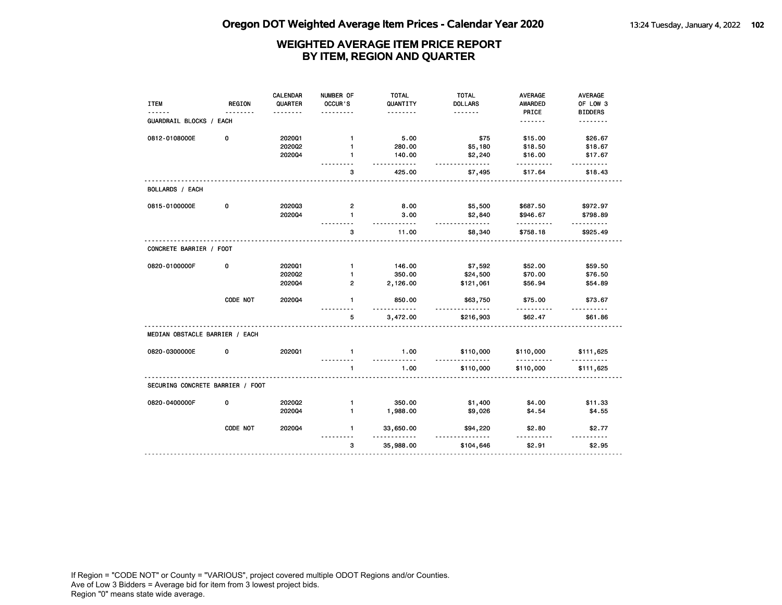|                                  |          | <b>CALENDAR</b> | NUMBER OF      | <b>TOTAL</b>     | <b>TOTAL</b>                  | <b>AVERAGE</b> | <b>AVERAGE</b> |
|----------------------------------|----------|-----------------|----------------|------------------|-------------------------------|----------------|----------------|
| <b>ITEM</b>                      | REGION   | QUARTER         | OCCUR'S        | QUANTITY         | <b>DOLLARS</b>                | <b>AWARDED</b> | OF LOW 3       |
|                                  | <u>.</u> |                 |                | <u>.</u>         | <u>.</u>                      | PRICE          | <b>BIDDERS</b> |
| GUARDRAIL BLOCKS / EACH          |          |                 |                |                  |                               | <u>.</u>       | <u>.</u>       |
| 0812-0108000E                    | 0        | 202001          | $\mathbf{1}$   | 5.00             | \$75                          | \$15.00        | \$26.67        |
|                                  |          | 2020Q2          | $\mathbf{1}$   | 280.00           | \$5,180                       | \$18.50        | \$18.67        |
|                                  |          | 202004          | $\blacksquare$ | 140.00<br>.      | \$2,240<br>.                  | \$16.00        | \$17.67        |
|                                  |          |                 | з              | 425.00           | \$7,495                       | \$17.64        | \$18.43        |
| BOLLARDS / EACH                  |          |                 |                |                  |                               |                |                |
| 0815-0100000E                    | 0        | 202003          | $\overline{2}$ | 8.00             | \$5,500                       | \$687.50       | \$972.97       |
|                                  |          | 202004          | $\mathbf{1}$   | 3.00<br><u>.</u> | \$2,840<br><u>.</u>           | \$946.67       | \$798.89       |
|                                  |          |                 | 3              | 11.00            | \$8,340                       | \$758.18       | \$925.49       |
| CONCRETE BARRIER / FOOT          |          |                 |                |                  |                               |                |                |
| 0820-0100000F                    | 0        | 2020Q1          | $\mathbf{1}$   | 146.00           | \$7,592                       | \$52.00        | \$59.50        |
|                                  |          | 2020Q2          | $\mathbf{1}$   | 350.00           | \$24,500                      | \$70.00        | \$76.50        |
|                                  |          | 202004          | $\overline{2}$ | 2,126.00         | \$121,061                     | \$56.94        | \$54.89        |
|                                  | CODE NOT | 202004          | $\mathbf{1}$   | 850.00<br>.      | \$63,750<br><u>----------</u> | \$75.00        | \$73.67<br>.   |
|                                  |          |                 | 5              | 3,472.00         | \$216,903                     | \$62.47        | \$61.86        |
| MEDIAN OBSTACLE BARRIER / EACH   |          |                 |                |                  |                               |                |                |
| 0820-0300000E                    | 0        | 2020Q1          | $\mathbf{1}$   | 1.00<br>.        | \$110,000<br><u>.</u>         | \$110,000<br>. | \$111,625      |
|                                  |          |                 | $\mathbf{1}$   | 1.00             | \$110,000                     | \$110,000      | \$111,625      |
| SECURING CONCRETE BARRIER / FOOT |          |                 |                |                  |                               |                |                |
| 0820-0400000F                    | 0        | 2020Q2          | $\mathbf{1}$   | 350.00           | \$1,400                       | \$4.00         | \$11.33        |
|                                  |          | 202004          | $\mathbf{1}$   | 1,988.00         | \$9,026                       | \$4.54         | \$4.55         |
|                                  | CODE NOT | 2020Q4          | $\mathbf{1}$   | 33,650.00<br>.   | \$94,220<br><u>.</u>          | \$2.80         | \$2.77         |
|                                  |          |                 | 3              | 35,988.00        | \$104,646                     | \$2.91         | \$2.95         |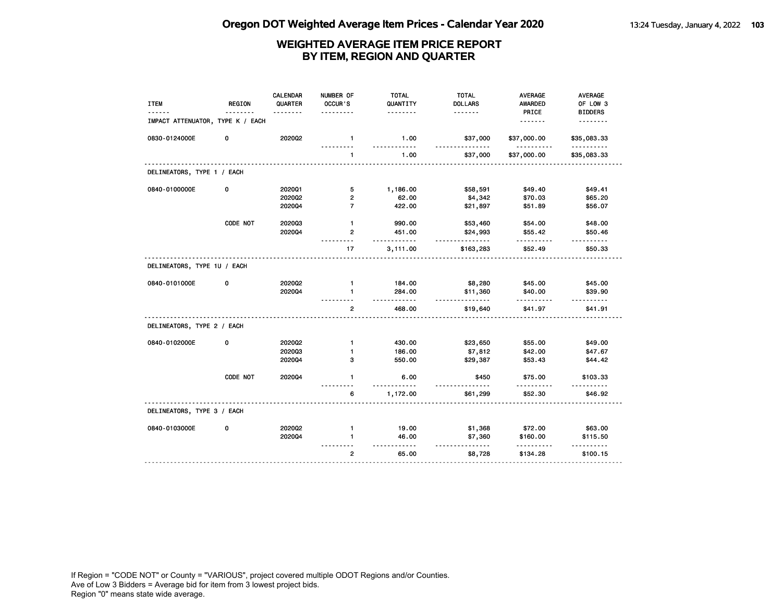| <b>ITEM</b>                      | REGION   | <b>CALENDAR</b><br>QUARTER | NUMBER OF<br>OCCUR'S | <b>TOTAL</b><br>QUANTITY<br>. | <b>TOTAL</b><br><b>DOLLARS</b><br><u>.</u> | AVERAGE<br><b>AWARDED</b><br>PRICE | AVERAGE<br>OF LOW 3<br><b>BIDDERS</b> |
|----------------------------------|----------|----------------------------|----------------------|-------------------------------|--------------------------------------------|------------------------------------|---------------------------------------|
| IMPACT ATTENUATOR, TYPE K / EACH |          |                            |                      |                               |                                            | <u>.</u>                           | <u>.</u>                              |
| 0830-0124000E                    | 0        | 202002                     | $\mathbf{1}$         | 1.00<br>$- - -$               | \$37,000<br><u>.</u>                       | \$37,000.00<br>$- - - -$           | \$35,083.33<br><u>.</u>               |
|                                  |          |                            | $\mathbf{1}$         | 1.00                          | \$37,000                                   | \$37,000.00                        | \$35,083.33                           |
| DELINEATORS, TYPE 1 / EACH       |          |                            |                      |                               |                                            |                                    |                                       |
| 0840-0100000E                    | 0        | 202001                     | 5                    | 1,186.00                      | \$58,591                                   | \$49.40                            | \$49.41                               |
|                                  |          | 2020Q2                     | 2                    | 62.00                         | \$4,342                                    | \$70.03                            | \$65.20                               |
|                                  |          | 2020Q4                     | $\overline{7}$       | 422.00                        | \$21,897                                   | \$51.89                            | \$56.07                               |
|                                  | CODE NOT | 202003                     | $\mathbf{1}$         | 990.00                        | \$53,460                                   | \$54.00                            | \$48.00                               |
|                                  |          | 2020Q4                     | $\overline{2}$       | 451.00<br>.                   | \$24,993                                   | \$55.42                            | \$50.46<br>.                          |
|                                  |          |                            | 17                   | 3,111.00                      | \$163,283                                  | \$52.49                            | \$50.33                               |
| DELINEATORS, TYPE 1U / EACH      |          |                            |                      |                               |                                            |                                    |                                       |
| 0840-0101000E                    | 0        | 2020Q2                     | $\mathbf{1}$         | 184.00                        | \$8,280                                    | \$45.00                            | \$45.00                               |
|                                  |          | 202004                     | $\mathbf{1}$         | 284.00<br>$- - -$             | \$11,360<br>$- - -$                        | \$40.00                            | \$39.90<br>.                          |
|                                  |          |                            | $\mathbf{2}$         | 468.00                        | \$19,640                                   | \$41.97                            | \$41.91                               |
| DELINEATORS, TYPE 2 / EACH       |          |                            |                      |                               |                                            |                                    |                                       |
| 0840-0102000E                    | 0        | 2020Q2                     | $\mathbf{1}$         | 430.00                        | \$23,650                                   | \$55.00                            | \$49.00                               |
|                                  |          | 202003                     | $\mathbf{1}$         | 186.00                        | \$7,812                                    | \$42.00                            | \$47.67                               |
|                                  |          | 2020Q4                     | 3                    | 550.00                        | \$29,387                                   | \$53.43                            | \$44.42                               |
|                                  | CODE NOT | 2020Q4                     | $\mathbf{1}$         | 6.00                          | \$450                                      | \$75.00                            | \$103.33                              |
|                                  |          |                            | 6                    | 1,172.00                      | \$61,299                                   | \$52.30                            | \$46.92                               |
| DELINEATORS, TYPE 3 / EACH       |          |                            |                      |                               |                                            |                                    |                                       |
| 0840-0103000E                    | 0        | 2020Q2                     | $\mathbf{1}$         | 19.00                         | \$1,368                                    | \$72.00                            | \$63.00                               |
|                                  |          | 2020Q4                     | $\blacksquare$       | 46.00                         | \$7,360                                    | \$160.00                           | \$115.50                              |
|                                  |          |                            | $\overline{2}$       | $\cdots$<br>65.00             | $- - -$<br>\$8,728                         | \$134.28                           | \$100.15                              |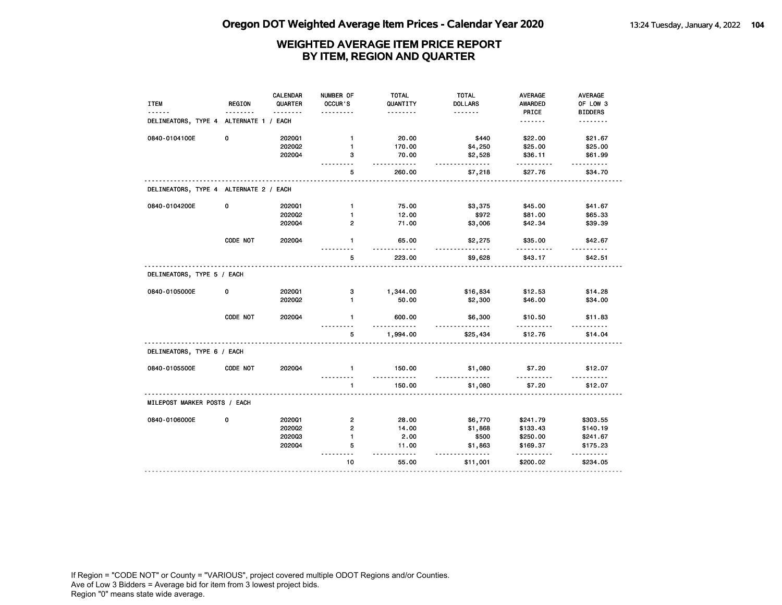| <b>ITEM</b>                            | <b>REGION</b> | CALENDAR<br>QUARTER<br>. | NUMBER OF<br>OCCUR'S | <b>TOTAL</b><br>QUANTITY<br><u>.</u> | <b>TOTAL</b><br><b>DOLLARS</b><br><u>.</u> | AVERAGE<br><b>AWARDED</b><br>PRICE | AVERAGE<br>OF LOW 3<br><b>BIDDERS</b> |
|----------------------------------------|---------------|--------------------------|----------------------|--------------------------------------|--------------------------------------------|------------------------------------|---------------------------------------|
| DELINEATORS, TYPE 4 ALTERNATE 1 / EACH |               |                          |                      |                                      |                                            | <u>.</u>                           | .                                     |
| 0840-0104100E                          | 0             | 202001                   | $\mathbf{1}$         | 20.00                                | \$440                                      | \$22.00                            | \$21.67                               |
|                                        |               | 202002                   | $\mathbf{1}$         | 170.00                               | \$4,250                                    | \$25.00                            | \$25.00                               |
|                                        |               | 202004                   | 3                    | 70.00<br><u>.</u>                    | \$2,528                                    | \$36.11                            | \$61.99                               |
|                                        |               |                          | 5                    | 260.00                               | \$7,218                                    | \$27.76                            | \$34.70                               |
| DELINEATORS, TYPE 4 ALTERNATE 2 / EACH |               |                          |                      |                                      |                                            |                                    |                                       |
| 0840-0104200E                          | 0             | 2020Q1                   | $\mathbf{1}$         | 75.00                                | \$3,375                                    | \$45.00                            | \$41.67                               |
|                                        |               | 2020Q2                   | 1                    | 12.00                                | \$972                                      | \$81.00                            | \$65.33                               |
|                                        |               | 2020Q4                   | $\overline{2}$       | 71.00                                | \$3,006                                    | \$42.34                            | \$39.39                               |
|                                        | CODE NOT      | 2020Q4                   | $\mathbf{1}$         | 65.00                                | \$2,275                                    | \$35.00                            | \$42.67                               |
|                                        |               |                          | 5                    | 223.00                               | \$9,628                                    | \$43.17                            | \$42.51                               |
| DELINEATORS, TYPE 5 / EACH             |               |                          |                      |                                      |                                            |                                    |                                       |
| 0840-0105000E                          | 0             | 202001                   | з                    | 1,344.00                             | \$16,834                                   | \$12.53                            | \$14.28                               |
|                                        |               | 2020Q2                   | $\blacksquare$       | 50.00                                | \$2,300                                    | \$46.00                            | \$34.00                               |
|                                        | CODE NOT      | 2020Q4                   | $\mathbf{1}$         | 600.00<br>- - - -                    | \$6,300                                    | \$10.50                            | \$11.83                               |
|                                        |               |                          | 5                    | 1,994.00                             | \$25,434                                   | \$12.76                            | \$14.04                               |
| DELINEATORS, TYPE 6 / EACH             |               |                          |                      |                                      |                                            |                                    |                                       |
| 0840-0105500E                          | CODE NOT      | 2020Q4                   | $\mathbf{1}$         | 150.00<br>$- - -$                    | \$1,080                                    | \$7.20<br>$- - - -$                | \$12.07                               |
|                                        |               |                          | $\blacksquare$       | 150.00                               | \$1,080                                    | \$7.20                             | \$12.07                               |
| MILEPOST MARKER POSTS / EACH           |               |                          |                      |                                      |                                            |                                    |                                       |
| 0840-0106000E                          | 0             | 202001                   | 2                    | 28.00                                | \$6,770                                    | \$241.79                           | \$303.55                              |
|                                        |               | 2020Q2                   | $\overline{2}$       | 14.00                                | \$1,868                                    | \$133.43                           | \$140.19                              |
|                                        |               | 202003                   | $\mathbf{1}$         | 2.00                                 | \$500                                      | \$250.00                           | \$241.67                              |
|                                        |               | 2020Q4                   | 5<br>$\sim$ $\sim$   | 11.00<br>$- - -$                     | \$1,863                                    | \$169.37                           | \$175.23                              |
|                                        |               |                          | 10                   | 55.00                                |                                            | \$200.02                           | \$234.05                              |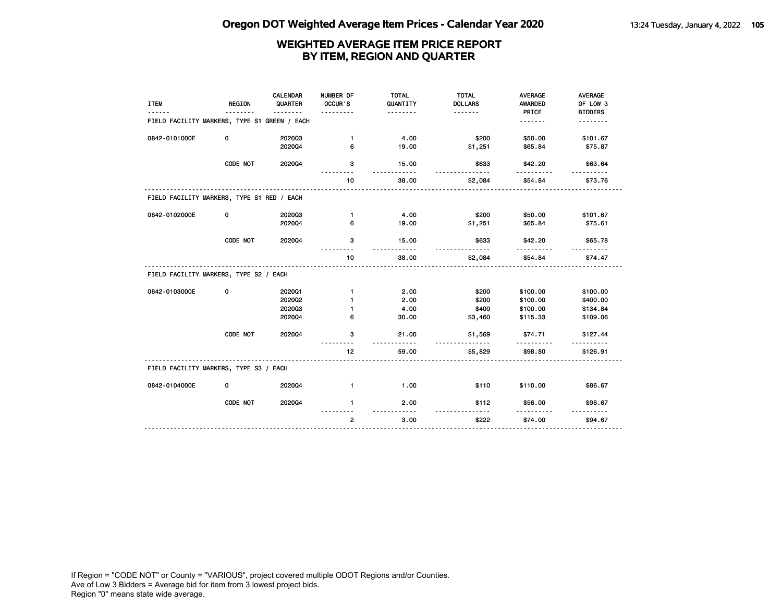| <b>ITEM</b>                                  | <b>REGION</b> | CALENDAR<br>QUARTER | NUMBER OF<br>OCCUR'S<br>$- - - -$ | <b>TOTAL</b><br>QUANTITY<br>. | <b>TOTAL</b><br><b>DOLLARS</b> | <b>AVERAGE</b><br><b>AWARDED</b><br>PRICE | <b>AVERAGE</b><br>OF LOW 3<br><b>BIDDERS</b> |
|----------------------------------------------|---------------|---------------------|-----------------------------------|-------------------------------|--------------------------------|-------------------------------------------|----------------------------------------------|
| FIELD FACILITY MARKERS, TYPE S1 GREEN / EACH |               |                     |                                   |                               |                                | .                                         | .                                            |
| 0842-0101000E                                | 0             | 202003<br>202004    | $\mathbf{1}$<br>6                 | 4.00<br>19.00                 | \$200<br>\$1,251               | \$50.00<br>\$65.84                        | \$101.67<br>\$75.87                          |
|                                              | CODE NOT      | 202004              | з                                 | 15.00<br><u>.</u>             | \$633                          | \$42.20<br>------                         | \$63.64                                      |
|                                              |               |                     | 10                                | 38.00                         | \$2,084                        | \$54.84                                   | \$73.76                                      |
| FIELD FACILITY MARKERS, TYPE S1 RED / EACH   |               |                     |                                   |                               |                                |                                           |                                              |
| 0842-0102000E                                | 0             | 202003              | $\mathbf{1}$                      | 4.00                          | \$200                          | \$50.00                                   | \$101.67                                     |
|                                              |               | 202004              | 6                                 | 19.00                         | \$1,251                        | \$65.84                                   | \$75.61                                      |
|                                              | CODE NOT      | 2020Q4              | 3                                 | 15.00                         | \$633                          | \$42.20                                   | \$65.78                                      |
|                                              |               |                     | 10                                | 38.00                         | \$2,084                        | \$54.84                                   | \$74.47                                      |
| FIELD FACILITY MARKERS, TYPE S2 / EACH       |               |                     |                                   |                               |                                |                                           |                                              |
| 0842-0103000E                                | 0             | 202001              | $\mathbf{1}$                      | 2.00                          | \$200                          | \$100.00                                  | \$100.00                                     |
|                                              |               | 2020Q2              | $\blacksquare$                    | 2.00                          | \$200                          | \$100.00                                  | \$400.00                                     |
|                                              |               | 202003              | 1                                 | 4.00                          | \$400                          | \$100.00                                  | \$134.84                                     |
|                                              |               | 202004              | 6                                 | 30.00                         | \$3,460                        | \$115.33                                  | \$109.06                                     |
|                                              | CODE NOT      | 202004              | з                                 | 21.00<br>.                    | \$1,569                        | \$74.71<br><u>.</u>                       | \$127.44                                     |
|                                              |               |                     | 12                                | 59.00                         | \$5,829                        | \$98.80                                   | \$126.91                                     |
| FIELD FACILITY MARKERS, TYPE S3 / EACH       |               |                     |                                   |                               |                                |                                           |                                              |
| 0842-0104000E                                | 0             | 202004              | $\mathbf{1}$                      | 1.00                          | \$110                          | \$110.00                                  | \$86.67                                      |
|                                              | CODE NOT      | 202004              | $\mathbf{1}$                      | 2.00                          | \$112                          | \$56.00                                   | \$98.67                                      |
|                                              |               |                     | $\overline{2}$                    | 3.00                          | \$222                          | \$74.00                                   | \$94.67                                      |
|                                              |               |                     |                                   |                               |                                |                                           |                                              |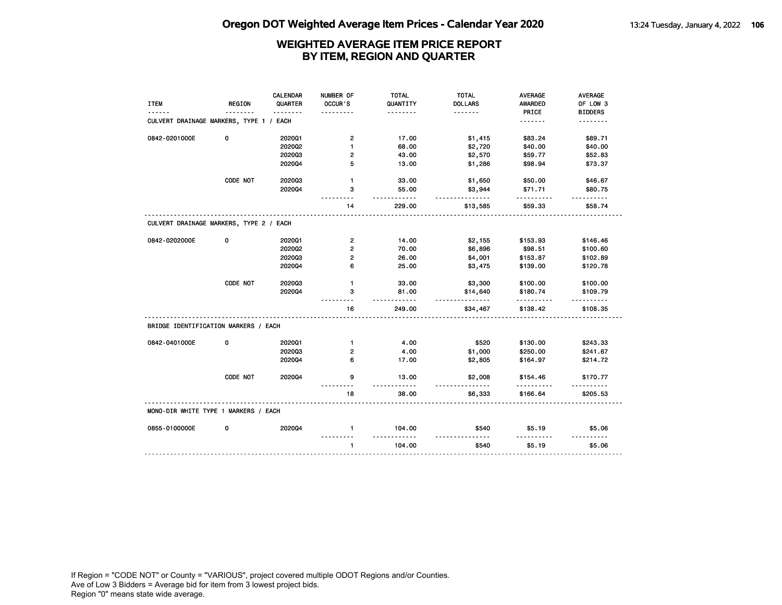|                                         |               | CALENDAR | NUMBER OF               | <b>TOTAL</b>           | <b>TOTAL</b>        | <b>AVERAGE</b>       | <b>AVERAGE</b> |
|-----------------------------------------|---------------|----------|-------------------------|------------------------|---------------------|----------------------|----------------|
| <b>ITEM</b>                             | <b>REGION</b> | QUARTER  | OCCUR'S                 | QUANTITY               | <b>DOLLARS</b>      | <b>AWARDED</b>       | OF LOW 3       |
|                                         |               | <u>.</u> |                         | .                      | <u>.</u>            | PRICE                | <b>BIDDERS</b> |
| CULVERT DRAINAGE MARKERS, TYPE 1 / EACH |               |          |                         |                        |                     | <u>.</u>             | <u>.</u>       |
| 0842-0201000E                           | 0             | 2020Q1   | $\mathbf{2}$            | 17.00                  | \$1,415             | \$83.24              | \$89.71        |
|                                         |               | 2020Q2   | 1                       | 68.00                  | \$2,720             | \$40.00              | \$40.00        |
|                                         |               | 202003   | $\overline{2}$          | 43.00                  | \$2,570             | \$59.77              | \$52.83        |
|                                         |               | 202004   | 5                       | 13.00                  | \$1,286             | \$98.94              | \$73.37        |
|                                         | CODE NOT      | 202003   | $\mathbf{1}$            | 33.00                  | \$1,650             | \$50.00              | \$46.67        |
|                                         |               | 2020Q4   | 3                       | 55.00<br>- - - -       | \$3,944<br><u>.</u> | \$71.71<br>.         | \$80.75        |
|                                         |               |          | 14                      | 229.00                 | \$13,585            | \$59.33              | \$58.74        |
| CULVERT DRAINAGE MARKERS, TYPE 2 / EACH |               |          |                         |                        |                     |                      |                |
| 0842-0202000E                           | 0             | 202001   | $\overline{\mathbf{c}}$ | 14.00                  | \$2,155             | \$153.93             | \$146.46       |
|                                         |               | 2020Q2   | $\overline{2}$          | 70.00                  | \$6,896             | \$98.51              | \$100.60       |
|                                         |               | 202003   | $\overline{2}$          | 26.00                  | \$4,001             | \$153.87             | \$102.89       |
|                                         |               | 202004   | 6                       | 25.00                  | \$3,475             | \$139.00             | \$120.78       |
|                                         | CODE NOT      | 202003   | $\mathbf{1}$            | 33.00                  | \$3,300             | \$100.00             | \$100.00       |
|                                         |               | 2020Q4   | з                       | 81.00                  | \$14,640            | \$180.74             | \$109.79       |
|                                         |               |          | 16                      | $- - -$<br>249.00      | .<br>\$34,467       | \$138.42             | .<br>\$108.35  |
| BRIDGE IDENTIFICATION MARKERS / EACH    |               |          |                         |                        |                     |                      |                |
| 0842-0401000E                           | 0             | 202001   | $\mathbf{1}$            | 4.00                   | \$520               | \$130.00             | \$243.33       |
|                                         |               | 202003   | 2                       | 4.00                   | \$1,000             | \$250.00             | \$241.67       |
|                                         |               | 202004   | 6                       | 17.00                  | \$2,805             | \$164.97             | \$214.72       |
|                                         | CODE NOT      | 202004   | 9                       | 13.00<br>$- - - - - -$ | \$2,008<br>.        | \$154.46<br><u>.</u> | \$170.77<br>.  |
|                                         |               |          | 18                      | 38.00                  | \$6,333             | \$166.64             | \$205.53       |
| MONO-DIR WHITE TYPE 1 MARKERS / EACH    |               |          |                         |                        |                     |                      |                |
| 0855-0100000E                           | 0             | 202004   | $\mathbf{1}$            | 104.00                 | \$540               | \$5.19               | \$5.06         |
|                                         |               |          | $\mathbf{1}$            | 104.00                 | \$540               | \$5.19               | \$5.06         |
|                                         |               |          |                         |                        |                     |                      |                |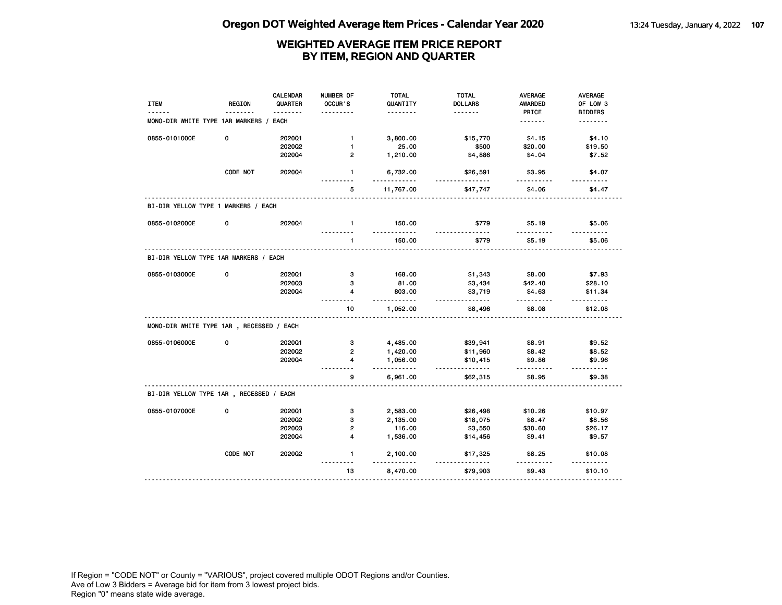| <b>ITEM</b>                              | <b>REGION</b> | <b>CALENDAR</b><br>QUARTER<br><u>.</u> | NUMBER OF<br>OCCUR'S<br>. | <b>TOTAL</b><br>QUANTITY<br>. | <b>TOTAL</b><br><b>DOLLARS</b><br><u>.</u> | AVERAGE<br><b>AWARDED</b><br>PRICE | AVERAGE<br>OF LOW 3<br><b>BIDDERS</b> |
|------------------------------------------|---------------|----------------------------------------|---------------------------|-------------------------------|--------------------------------------------|------------------------------------|---------------------------------------|
| MONO-DIR WHITE TYPE 1AR MARKERS / EACH   |               |                                        |                           |                               |                                            | <u>.</u>                           | <u>.</u>                              |
| 0855-0101000E                            | 0             | 202001                                 | $\mathbf{1}$              | 3,800.00                      | \$15,770                                   | \$4.15                             | \$4.10                                |
|                                          |               | 2020Q2                                 | $\mathbf{1}$              | 25.00                         | \$500                                      | \$20.00                            | \$19.50                               |
|                                          |               | 2020Q4                                 | $\overline{2}$            | 1,210.00                      | \$4,886                                    | \$4.04                             | \$7.52                                |
|                                          | CODE NOT      | 202004                                 | 1                         | 6,732.00<br><u>.</u>          | \$26,591<br><u>.</u>                       | \$3.95                             | \$4.07                                |
|                                          |               |                                        | 5                         | 11,767.00                     | \$47,747                                   | \$4.06                             | \$4.47                                |
| BI-DIR YELLOW TYPE 1 MARKERS / EACH      |               |                                        |                           |                               |                                            |                                    |                                       |
| 0855-0102000E                            | 0             | 202004                                 | $\mathbf{1}$              | 150.00                        | \$779                                      | \$5.19                             | \$5.06                                |
|                                          |               |                                        | $\mathbf{1}$              | 150.00                        | \$779                                      | \$5.19                             | \$5.06                                |
| BI-DIR YELLOW TYPE 1AR MARKERS / EACH    |               |                                        |                           |                               |                                            |                                    |                                       |
| 0855-0103000E                            | 0             | 202001                                 | 3                         | 168.00                        | \$1,343                                    | \$8.00                             | \$7.93                                |
|                                          |               | 202003                                 | 3                         | 81.00                         | \$3,434                                    | \$42.40                            | \$28.10                               |
|                                          |               | 202004                                 | $\overline{\mathbf{4}}$   | 803.00<br>.                   | \$3,719<br><u>.</u>                        | \$4.63<br>.                        | \$11.34                               |
|                                          |               |                                        | 10                        | 1,052.00                      | \$8,496                                    | \$8.08                             | \$12.08                               |
| MONO-DIR WHITE TYPE 1AR, RECESSED / EACH |               |                                        |                           |                               |                                            |                                    |                                       |
| 0855-0106000E                            | 0             | 202001                                 | 3                         | 4,485.00                      | \$39,941                                   | \$8.91                             | \$9.52                                |
|                                          |               | 202002                                 | $\overline{2}$            | 1,420.00                      | \$11,960                                   | \$8.42                             | \$8.52                                |
|                                          |               | 2020Q4                                 | 4                         | 1,056.00<br>.                 | \$10,415<br><u>.</u>                       | \$9.86<br>$- - - - - - -$          | \$9.96                                |
|                                          |               |                                        | 9                         | 6,961.00                      | \$62,315                                   | \$8.95                             | \$9.38                                |
| BI-DIR YELLOW TYPE 1AR , RECESSED / EACH |               |                                        |                           |                               |                                            |                                    |                                       |
| 0855-0107000E                            | 0             | 202001                                 | 3                         | 2,583.00                      | \$26,498                                   | \$10.26                            | \$10.97                               |
|                                          |               | 202002                                 | з                         | 2,135.00                      | \$18,075                                   | \$8.47                             | \$8.56                                |
|                                          |               | 202003                                 | $\mathbf{2}$              | 116.00                        | \$3,550                                    | \$30.60                            | \$26.17                               |
|                                          |               |                                        | $\overline{4}$            | 1,536.00                      | \$14,456                                   | \$9.41                             | \$9.57                                |
|                                          |               | 202004                                 |                           |                               |                                            |                                    |                                       |
|                                          | CODE NOT      | 2020Q2                                 | 1<br>- - -                | 2,100.00                      | \$17,325                                   | \$8.25                             | \$10.08                               |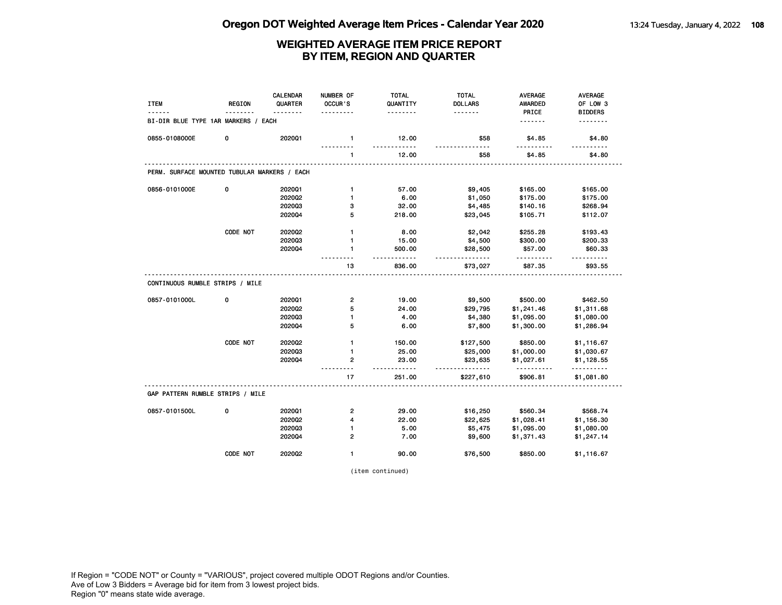| <b>ITEM</b>                                  | <b>REGION</b> | <b>CALENDAR</b><br>QUARTER | NUMBER OF<br>OCCUR'S      | <b>TOTAL</b><br>QUANTITY | <b>TOTAL</b><br><b>DOLLARS</b> | <b>AVERAGE</b><br><b>AWARDED</b> | <b>AVERAGE</b><br>OF LOW 3 |
|----------------------------------------------|---------------|----------------------------|---------------------------|--------------------------|--------------------------------|----------------------------------|----------------------------|
| BI-DIR BLUE TYPE 1AR MARKERS / EACH          |               | .                          |                           | .                        | <u>.</u>                       | PRICE<br><u>.</u>                | <b>BIDDERS</b><br><u>.</u> |
| 0855-0108000E                                | 0             | 2020Q1                     | $\mathbf{1}$              | 12.00<br>$- - - - - -$   | \$58                           | \$4.85                           | \$4.80                     |
|                                              |               |                            | 1                         | 12.00                    | \$58                           | \$4.85                           | \$4.80                     |
| PERM. SURFACE MOUNTED TUBULAR MARKERS / EACH |               |                            |                           |                          |                                |                                  |                            |
| 0856-0101000E                                | 0             | 2020Q1                     | $\mathbf{1}$              | 57.00                    | \$9,405                        | \$165.00                         | \$165.00                   |
|                                              |               | 2020Q2                     | $\mathbf{1}$              | 6.00                     | \$1,050                        | \$175.00                         | \$175.00                   |
|                                              |               | 202003                     | з                         | 32.00                    | \$4,485                        | \$140.16                         | \$268.94                   |
|                                              |               | 202004                     | 5                         | 218.00                   | \$23,045                       | \$105.71                         | \$112.07                   |
|                                              | CODE NOT      | 2020Q2                     | $\mathbf{1}$              | 8.00                     | \$2,042                        | \$255.28                         | \$193.43                   |
|                                              |               | 202003                     | $\mathbf{1}$              | 15.00                    | \$4,500                        | \$300.00                         | \$200.33                   |
|                                              |               | 202004                     | $\mathbf{1}$<br>--------- | 500.00<br><u>.</u>       | \$28,500<br>.                  | \$57.00<br>.                     | \$60.33<br>.               |
|                                              |               |                            | 13                        | 836.00                   | \$73,027                       | \$87.35                          | \$93.55                    |
| CONTINUOUS RUMBLE STRIPS / MILE              |               |                            |                           |                          |                                |                                  |                            |
| 0857-0101000L                                | 0             | 202001                     | $\overline{\mathbf{c}}$   | 19.00                    | \$9,500                        | \$500.00                         | \$462.50                   |
|                                              |               | 2020Q2                     | 5                         | 24.00                    | \$29,795                       | \$1,241.46                       | \$1,311.68                 |
|                                              |               | 202003                     | 1                         | 4.00                     | \$4,380                        | \$1,095.00                       | \$1,080.00                 |
|                                              |               | 202004                     | 5                         | 6.00                     | \$7,800                        | \$1,300.00                       | \$1,286.94                 |
|                                              | CODE NOT      | 2020Q2                     | $\mathbf{1}$              | 150.00                   | \$127,500                      | \$850.00                         | \$1,116.67                 |
|                                              |               | 202003                     | 1                         | 25.00                    | \$25,000                       | \$1,000.00                       | \$1,030.67                 |
|                                              |               | 202004                     | $\overline{2}$            | 23.00<br>.               | \$23,635<br>.                  | \$1,027.61<br>.                  | \$1,128.55<br>------       |
|                                              |               |                            | 17                        | 251.00                   | \$227,610                      | \$906.81                         | \$1,081.80                 |
| GAP PATTERN RUMBLE STRIPS / MILE             |               |                            |                           |                          |                                |                                  |                            |
| 0857-0101500L                                | 0             | 202001                     | $\mathbf{2}$              | 29.00                    | \$16,250                       | \$560.34                         | \$568.74                   |
|                                              |               | 2020Q2                     | 4                         | 22.00                    | \$22,625                       | \$1,028.41                       | \$1,156.30                 |
|                                              |               | 202003                     | 1                         | 5.00                     | \$5,475                        | \$1,095.00                       | \$1,080.00                 |
|                                              |               | 202004                     | $\overline{2}$            | 7.00                     | \$9,600                        | \$1,371.43                       | \$1,247.14                 |
|                                              | CODE NOT      | 202002                     | $\mathbf{1}$              | 90.00                    | \$76,500                       | \$850.00                         | \$1,116.67                 |

(item continued)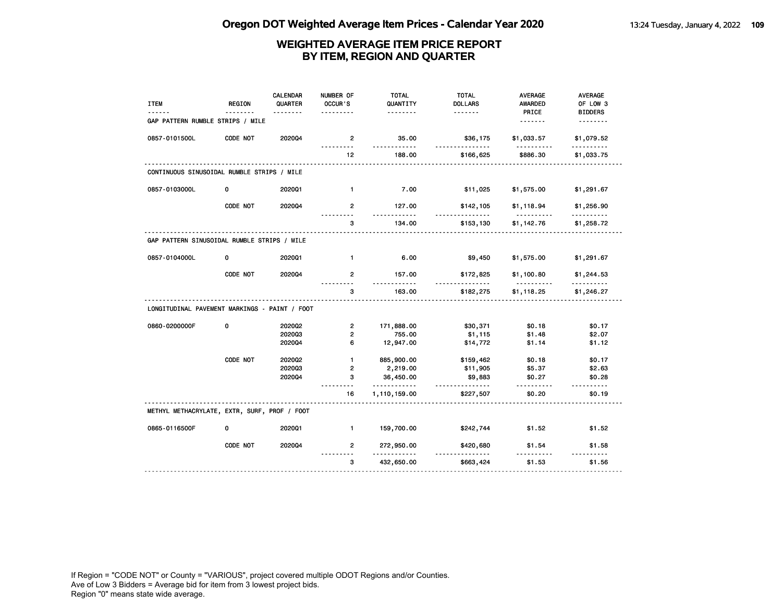| <b>ITEM</b>                                   | <b>REGION</b> | CALENDAR<br>QUARTER<br>. | NUMBER OF<br>OCCUR'S | <b>TOTAL</b><br>QUANTITY<br>. | <b>TOTAL</b><br><b>DOLLARS</b><br>. | AVERAGE<br><b>AWARDED</b><br>PRICE | <b>AVERAGE</b><br>OF LOW 3<br><b>BIDDERS</b> |
|-----------------------------------------------|---------------|--------------------------|----------------------|-------------------------------|-------------------------------------|------------------------------------|----------------------------------------------|
| GAP PATTERN RUMBLE STRIPS / MILE              |               |                          |                      |                               |                                     | <u>.</u>                           | .                                            |
| 0857-0101500L                                 | CODE NOT      | 202004                   | $\overline{2}$       | 35.00                         | \$36,175                            | \$1,033.57                         | \$1,079.52                                   |
|                                               |               |                          | 12                   | 188.00                        | \$166,625                           | \$886.30                           | \$1,033.75                                   |
| CONTINUOUS SINUSOIDAL RUMBLE STRIPS / MILE    |               |                          |                      |                               |                                     |                                    |                                              |
| 0857-0103000L                                 | 0             | 202001                   | $\mathbf{1}$         | 7.00                          | \$11,025                            | \$1,575.00                         | \$1,291.67                                   |
|                                               | CODE NOT      | 202004                   | $\overline{2}$       | 127.00<br>.                   | \$142,105                           | \$1,118.94<br><u>.</u>             | \$1,256.90<br>.                              |
|                                               |               |                          | 3                    | 134.00                        | \$153,130                           | \$1,142.76                         | \$1,258.72                                   |
| GAP PATTERN SINUSOIDAL RUMBLE STRIPS / MILE   |               |                          |                      |                               |                                     |                                    |                                              |
| 0857-0104000L                                 | 0             | 202001                   | $\blacksquare$       | 6.00                          | \$9,450                             | \$1,575.00                         | \$1,291.67                                   |
|                                               | CODE NOT      | 2020Q4                   | $\overline{2}$       | 157.00<br>.                   | \$172,825<br>.                      | \$1,100.80<br>.                    | \$1,244.53                                   |
|                                               |               |                          | 3                    | 163.00                        | \$182,275                           | \$1,118.25                         | \$1,246.27                                   |
| LONGITUDINAL PAVEMENT MARKINGS - PAINT / FOOT |               |                          |                      |                               |                                     |                                    |                                              |
| 0860-0200000F                                 | 0             | 2020Q2                   | $\overline{2}$       | 171,888.00                    | \$30,371                            | \$0.18                             | \$0.17                                       |
|                                               |               | 202003                   | $\overline{2}$       | 755.00                        | \$1,115                             | \$1.48                             | \$2.07                                       |
|                                               |               | 2020Q4                   | 6                    | 12,947.00                     | \$14,772                            | \$1.14                             | \$1.12                                       |
|                                               | CODE NOT      | 202002                   | $\mathbf{1}$         | 885,900.00                    | \$159,462                           | \$0.18                             | \$0.17                                       |
|                                               |               | 202003                   | 2                    | 2,219.00                      | \$11,905                            | \$5.37                             | \$2.63                                       |
|                                               |               | 2020Q4                   | 3                    | 36,450.00<br>.                | \$9,883<br>.                        | \$0.27<br>.                        | \$0.28<br><u>.</u>                           |
|                                               |               |                          | 16                   | 1,110,159.00                  | \$227,507                           | \$0.20                             | \$0.19                                       |
| METHYL METHACRYLATE, EXTR, SURF, PROF / FOOT  |               |                          |                      |                               |                                     |                                    |                                              |
| 0865-0116500F                                 | 0             | 202001                   | $\blacksquare$       | 159,700.00                    | \$242,744                           | \$1.52                             | \$1.52                                       |
|                                               | CODE NOT      | 2020Q4                   | $\overline{2}$       | 272,950.00                    | \$420,680                           | \$1.54                             | \$1.58                                       |
|                                               |               |                          | 3                    | - - - -<br>432,650.00         | $- - - - -$<br>\$663,424            | \$1.53                             | \$1.56                                       |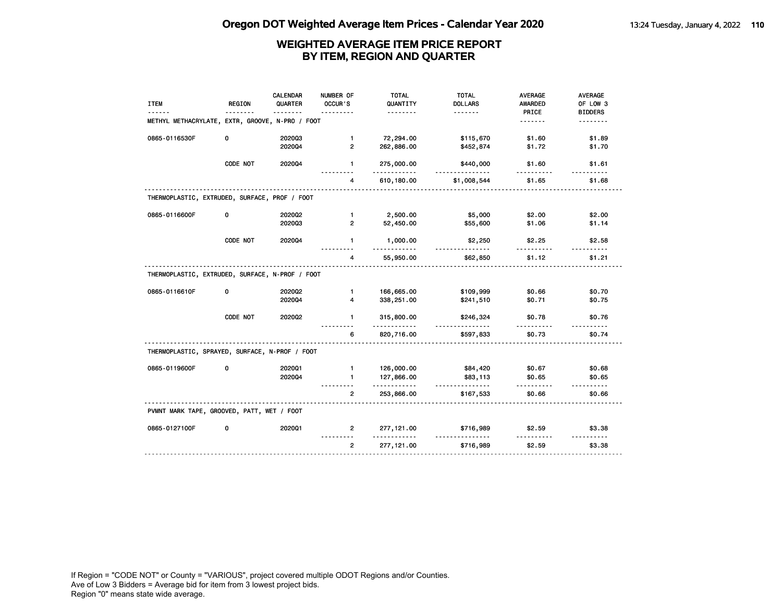| <b>ITEM</b>                                     | <b>REGION</b> | <b>CALENDAR</b><br>QUARTER | NUMBER OF<br>OCCUR'S | <b>TOTAL</b><br>QUANTITY<br>. | <b>TOTAL</b><br><b>DOLLARS</b><br>. | AVERAGE<br>AWARDED<br>PRICE | AVERAGE<br>OF LOW 3<br><b>BIDDERS</b> |
|-------------------------------------------------|---------------|----------------------------|----------------------|-------------------------------|-------------------------------------|-----------------------------|---------------------------------------|
| METHYL METHACRYLATE, EXTR, GROOVE, N-PRO / FOOT |               |                            |                      |                               |                                     | .                           | .                                     |
| 0865-0116530F                                   | 0             | 202003                     | $\mathbf{1}$         | 72,294.00                     | \$115,670                           | \$1.60                      | \$1.89                                |
|                                                 |               | 202004                     | $\overline{2}$       | 262,886.00                    | \$452,874                           | \$1.72                      | \$1.70                                |
|                                                 | CODE NOT      | 202004                     | 1.                   | 275,000.00                    | \$440,000                           | \$1.60                      | \$1.61                                |
|                                                 |               |                            | 4                    | 610,180.00                    | \$1,008,544                         | \$1.65                      | \$1.68                                |
| THERMOPLASTIC, EXTRUDED, SURFACE, PROF / FOOT   |               |                            |                      |                               |                                     |                             |                                       |
| 0865-0116600F                                   | 0             | 2020Q2                     | $\blacksquare$       | 2,500.00                      | \$5,000                             | \$2.00                      | \$2.00                                |
|                                                 |               | 202003                     | $\overline{2}$       | 52,450.00                     | \$55,600                            | \$1.06                      | \$1.14                                |
|                                                 | CODE NOT      | 2020Q4                     | $\mathbf{1}$         | 1,000.00                      | \$2,250                             | \$2.25                      | \$2.58                                |
|                                                 |               |                            | 4                    | 55,950.00                     | \$62,850                            | \$1.12                      | \$1.21                                |
| THERMOPLASTIC, EXTRUDED, SURFACE, N-PROF / FOOT |               |                            |                      |                               |                                     |                             |                                       |
| 0865-0116610F                                   | 0             | 2020Q2                     | $\mathbf{1}$         | 166,665.00                    | \$109,999                           | \$0.66                      | \$0.70                                |
|                                                 |               | 2020Q4                     | 4                    | 338,251.00                    | \$241,510                           | \$0.71                      | \$0.75                                |
|                                                 | CODE NOT      | 2020Q2                     | $\mathbf{1}$         | 315,800.00                    | \$246,324                           | \$0.78                      | \$0.76                                |
|                                                 |               |                            | 6                    | 820,716.00                    | \$597,833                           | \$0.73                      | \$0.74                                |
| THERMOPLASTIC, SPRAYED, SURFACE, N-PROF / FOOT  |               |                            |                      |                               |                                     |                             |                                       |
| 0865-0119600F                                   | 0             | 202001                     | $\blacksquare$       | 126,000.00                    | \$84,420                            | \$0.67                      | \$0.68                                |
|                                                 |               | 202004                     | $\mathbf{1}$         | 127,866.00<br><u>.</u>        | \$83,113<br>.                       | \$0.65                      | \$0.65<br>-----                       |
|                                                 |               |                            | $\overline{2}$       | 253,866.00                    | \$167,533                           | \$0.66                      | \$0.66                                |
|                                                 |               |                            |                      |                               |                                     |                             |                                       |
| PVMNT MARK TAPE, GROOVED, PATT, WET / FOOT      |               |                            |                      |                               |                                     |                             |                                       |
| 0865-0127100F                                   | 0             | 202001                     | $\overline{2}$       | 277, 121.00                   | \$716,989                           | \$2.59                      | \$3.38                                |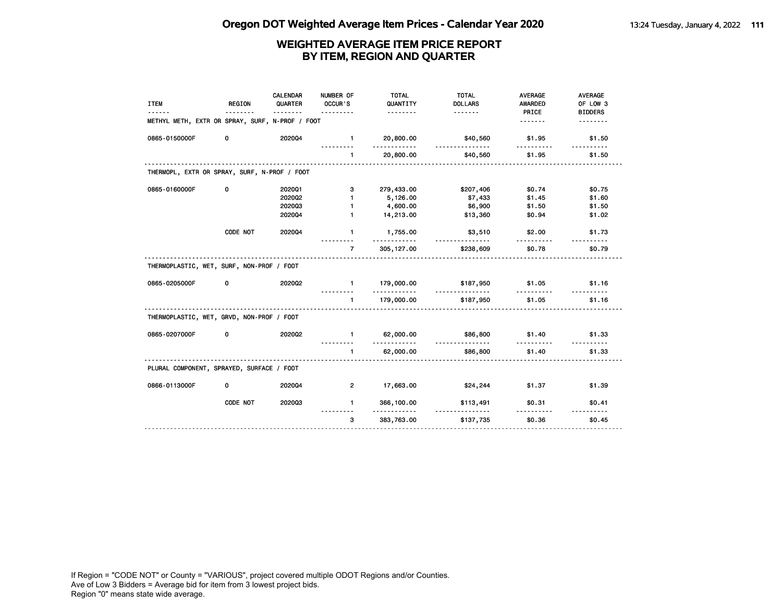|                                                 |          | <b>CALENDAR</b> | NUMBER OF      | <b>TOTAL</b>              | <b>TOTAL</b>         | <b>AVERAGE</b>   | <b>AVERAGE</b>             |
|-------------------------------------------------|----------|-----------------|----------------|---------------------------|----------------------|------------------|----------------------------|
| <b>ITEM</b>                                     | REGION   | QUARTER         | OCCUR'S        | QUANTITY<br><u>.</u>      | <b>DOLLARS</b>       | AWARDED<br>PRICE | OF LOW 3<br><b>BIDDERS</b> |
| METHYL METH, EXTR OR SPRAY, SURF, N-PROF / FOOT |          |                 |                |                           |                      | .                |                            |
| 0865-0150000F                                   | 0        | 202004          | $\blacksquare$ | 20,800.00<br>. . <b>.</b> | \$40,560             | \$1.95           | \$1.50                     |
|                                                 |          |                 | $\blacksquare$ | 20,800.00                 | <u>.</u><br>\$40,560 | .<br>\$1.95      | \$1.50                     |
| THERMOPL, EXTR OR SPRAY, SURF, N-PROF / FOOT    |          |                 |                |                           |                      |                  |                            |
| 0865-0160000F                                   | 0        | 202001          | 3              | 279,433.00                | \$207,406            | \$0.74           | \$0.75                     |
|                                                 |          | 2020Q2          | $\mathbf{1}$   | 5,126.00                  | \$7,433              | \$1.45           | \$1.60                     |
|                                                 |          | 202003          | $\mathbf{1}$   | 4,600.00                  | \$6,900              | \$1.50           | \$1.50                     |
|                                                 |          | 202004          | $\mathbf{1}$   | 14,213.00                 | \$13,360             | \$0.94           | \$1.02                     |
|                                                 | CODE NOT | 2020Q4          | $\mathbf{1}$   | 1,755.00                  | \$3,510              | \$2.00           | \$1.73                     |
|                                                 |          |                 | $\overline{7}$ | 305, 127.00               | \$238,609            | \$0.78           | \$0.79                     |
| THERMOPLASTIC, WET, SURF, NON-PROF / FOOT       |          |                 |                |                           |                      |                  |                            |
| 0865-0205000F                                   | 0        | 202002          | $\blacksquare$ | 179,000.00<br>.           | \$187,950<br>.       | \$1.05           | \$1.16                     |
|                                                 |          |                 | $\blacksquare$ | 179,000.00                | \$187,950            | \$1.05           | \$1.16                     |
| THERMOPLASTIC, WET, GRVD, NON-PROF / FOOT       |          |                 |                |                           |                      |                  |                            |
| 0865-0207000F                                   | 0        | 2020Q2          | $\mathbf{1}$   | 62,000.00<br>.            | \$86,800<br><u>.</u> | \$1.40           | \$1.33                     |
|                                                 |          |                 | $\mathbf{1}$   | 62,000.00                 | \$86,800             | \$1.40           | \$1.33                     |
| PLURAL COMPONENT, SPRAYED, SURFACE / FOOT       |          |                 |                |                           |                      |                  |                            |
| 0866-0113000F                                   | 0        | 202004          | $\overline{2}$ | 17,663.00                 | \$24,244             | \$1.37           | \$1.39                     |
|                                                 | CODE NOT | 202003          | $\mathbf{1}$   | 366,100.00                | \$113,491            | \$0.31           | \$0.41                     |
|                                                 |          |                 | 3              | 383,763.00                | \$137,735            | \$0.36           | \$0.45                     |
|                                                 |          |                 |                |                           |                      |                  |                            |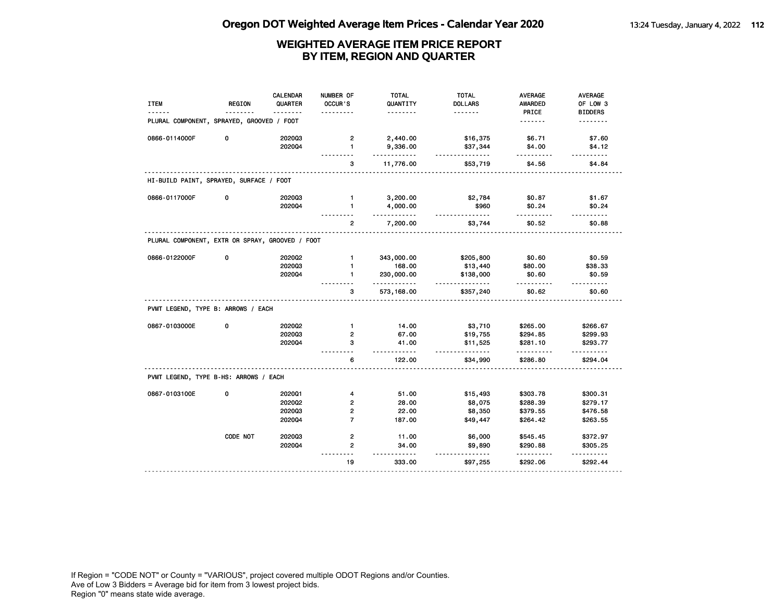| <b>ITEM</b>                                     | <b>REGION</b> | <b>CALENDAR</b><br>QUARTER | NUMBER OF<br>OCCUR'S | <b>TOTAL</b><br>QUANTITY<br><u>.</u> | <b>TOTAL</b><br><b>DOLLARS</b><br>. | <b>AVERAGE</b><br><b>AWARDED</b><br>PRICE | <b>AVERAGE</b><br>OF LOW 3<br><b>BIDDERS</b> |
|-------------------------------------------------|---------------|----------------------------|----------------------|--------------------------------------|-------------------------------------|-------------------------------------------|----------------------------------------------|
| PLURAL COMPONENT, SPRAYED, GROOVED / FOOT       |               |                            |                      |                                      |                                     | <u>.</u>                                  | <u>.</u>                                     |
| 0866-0114000F                                   | 0             | 202003                     | $\overline{2}$       | 2,440.00                             | \$16,375                            | \$6.71                                    | \$7.60                                       |
|                                                 |               | 202004                     | $\mathbf{1}$         | 9,336.00<br>$- - - - - -$            | \$37,344<br>.                       | \$4.00                                    | \$4.12                                       |
|                                                 |               |                            | з                    | 11,776.00                            | \$53,719                            | \$4.56                                    | \$4.84                                       |
| HI-BUILD PAINT, SPRAYED, SURFACE / FOOT         |               |                            |                      |                                      |                                     |                                           |                                              |
| 0866-0117000F                                   | 0             | 202003                     | $\mathbf{1}$         | 3,200.00                             | \$2,784                             | \$0.87                                    | \$1.67                                       |
|                                                 |               | 202004                     | $\mathbf{1}$         | 4,000.00<br><u>.</u>                 | \$960<br><u>.</u>                   | \$0.24<br>.                               | \$0.24<br>$- - - - - -$                      |
|                                                 |               |                            | 2                    | 7,200.00                             | \$3,744                             | \$0.52                                    | \$0.88                                       |
| PLURAL COMPONENT, EXTR OR SPRAY, GROOVED / FOOT |               |                            |                      |                                      |                                     |                                           |                                              |
| 0866-0122000F                                   | 0             | 2020Q2                     | $\mathbf{1}$         | 343,000.00                           | \$205,800                           | \$0.60                                    | \$0.59                                       |
|                                                 |               | 202003                     | $\mathbf{1}$         | 168.00                               | \$13,440                            | \$80.00                                   | \$38.33                                      |
|                                                 |               | 202004                     | 1                    | 230,000.00                           | \$138,000                           | \$0.60                                    | \$0.59<br>1.1.1.1.1                          |
|                                                 |               |                            | 3                    | .<br>573,168.00                      | .<br>\$357,240                      | .<br>\$0.62                               | \$0.60                                       |
| PVMT LEGEND, TYPE B: ARROWS / EACH              |               |                            |                      |                                      |                                     |                                           |                                              |
| 0867-0103000E                                   | 0             | 202002                     | $\mathbf{1}$         | 14.00                                | \$3,710                             | \$265.00                                  | \$266.67                                     |
|                                                 |               | 202003                     | $\overline{2}$       | 67.00                                | \$19,755                            | \$294.85                                  | \$299.93                                     |
|                                                 |               | 202004                     | 3                    | 41.00                                | \$11,525<br>.                       | \$281.10                                  | \$293.77                                     |
|                                                 |               |                            | 6                    | .<br>122.00                          | \$34,990                            | \$286.80                                  | \$294.04                                     |
| PVMT LEGEND, TYPE B-HS: ARROWS / EACH           |               |                            |                      |                                      |                                     |                                           |                                              |
| 0867-0103100E                                   | 0             | 202001                     | 4                    | 51.00                                | \$15,493                            | \$303.78                                  | \$300.31                                     |
|                                                 |               | 202002                     | $\mathbf{2}$         | 28.00                                | \$8,075                             | \$288.39                                  | \$279.17                                     |
|                                                 |               | 202003                     | 2                    | 22.00                                | \$8,350                             | \$379.55                                  | \$476.58                                     |
|                                                 |               | 202004                     | $\overline{7}$       | 187.00                               | \$49,447                            | \$264.42                                  | \$263.55                                     |
|                                                 | CODE NOT      | 202003                     | $\mathbf{2}$         | 11.00                                | \$6,000                             | \$545.45                                  | \$372.97                                     |
|                                                 |               | 202004                     | $\overline{2}$       | 34.00                                | \$9,890                             | \$290.88                                  | \$305.25                                     |
|                                                 |               |                            | 19                   | 333.00                               | \$97,255                            | \$292.06                                  | \$292.44                                     |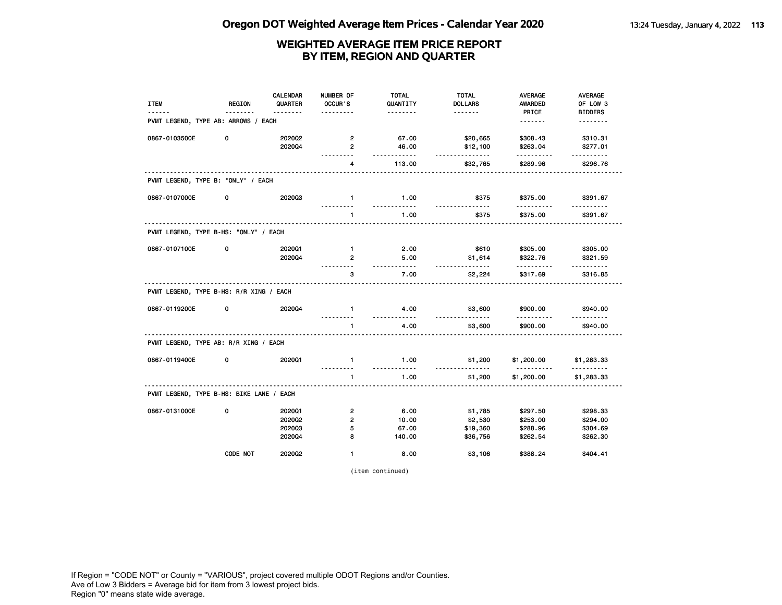| <b>ITEM</b>                              | <b>REGION</b> | CALENDAR<br>QUARTER | NUMBER OF<br>OCCUR'S   | <b>TOTAL</b><br>QUANTITY | <b>TOTAL</b><br><b>DOLLARS</b> | <b>AVERAGE</b><br><b>AWARDED</b> | AVERAGE<br>OF LOW 3        |
|------------------------------------------|---------------|---------------------|------------------------|--------------------------|--------------------------------|----------------------------------|----------------------------|
| PVMT LEGEND, TYPE AB: ARROWS / EACH      |               | <u>.</u>            | .                      | .                        | <u>.</u>                       | PRICE<br><u>.</u>                | <b>BIDDERS</b><br><u>.</u> |
|                                          |               |                     |                        |                          |                                |                                  |                            |
| 0867-0103500E                            | 0             | 202002              | 2                      | 67.00                    | \$20,665                       | \$308.43                         | \$310.31                   |
|                                          |               | 202004              | $\mathbf{2}$<br>------ | 46.00<br>$- - - -$       | \$12,100<br><u>.</u>           | \$263.04                         | \$277.01<br>.              |
|                                          |               |                     | $\overline{4}$         | 113.00                   | \$32,765                       | \$289.96                         | \$296.76                   |
| PVMT LEGEND, TYPE B: "ONLY" / EACH       |               |                     |                        |                          |                                |                                  |                            |
| 0867-0107000E                            | 0             | 202003              | $\mathbf{1}$           | 1.00<br><u>.</u>         | \$375<br><u>.</u>              | \$375.00<br>.                    | \$391.67<br><u>-------</u> |
|                                          |               |                     | $\blacksquare$         | 1.00                     | \$375                          | \$375.00                         | \$391.67                   |
| PVMT LEGEND, TYPE B-HS: "ONLY" / EACH    |               |                     |                        |                          |                                |                                  |                            |
| 0867-0107100E                            | 0             | 2020Q1              | $\mathbf{1}$           | 2.00                     | \$610                          | \$305.00                         | \$305.00                   |
|                                          |               | 202004              | $\overline{2}$<br>.    | 5.00<br>.                | \$1,614<br>.                   | \$322.76<br>.                    | \$321.59<br><u>.</u>       |
|                                          |               |                     | 3                      | 7.00                     | \$2,224                        | \$317.69                         | \$316.85                   |
| PVMT LEGEND, TYPE B-HS: R/R XING / EACH  |               |                     |                        |                          |                                |                                  |                            |
| 0867-0119200E                            | 0             | 202004              | $\mathbf{1}$           | 4.00<br><u>.</u>         | \$3,600<br>.                   | \$900.00<br><u>.</u>             | \$940.00                   |
|                                          |               |                     | $\mathbf{1}$           | 4.00                     | \$3,600                        | \$900.00                         | \$940.00                   |
| PVMT LEGEND, TYPE AB: R/R XING / EACH    |               |                     |                        |                          |                                |                                  |                            |
| 0867-0119400E                            | 0             | 2020Q1              | $\mathbf{1}$<br>.      | 1.00<br><u>.</u>         | \$1,200                        | \$1,200.00<br>.                  | \$1,283.33<br>.            |
|                                          |               |                     | $\mathbf{1}$           | 1.00                     | \$1,200                        | \$1,200.00                       | \$1,283.33                 |
| PVMT LEGEND, TYPE B-HS: BIKE LANE / EACH |               |                     |                        |                          |                                |                                  |                            |
| 0867-0131000E                            | 0             | 202001              | $\overline{2}$         | 6.00                     | \$1,785                        | \$297.50                         | \$298.33                   |
|                                          |               | 2020Q2              | $\overline{2}$         | 10.00                    | \$2,530                        | \$253.00                         | \$294.00                   |
|                                          |               | 202003              | 5                      | 67.00                    | \$19,360                       | \$288.96                         | \$304.69                   |
|                                          |               | 202004              | 8                      | 140.00                   | \$36,756                       | \$262.54                         | \$262.30                   |
|                                          | CODE NOT      | 202002              | $\mathbf{1}$           | 8.00                     | \$3,106                        | \$388.24                         | \$404.41                   |

(item continued)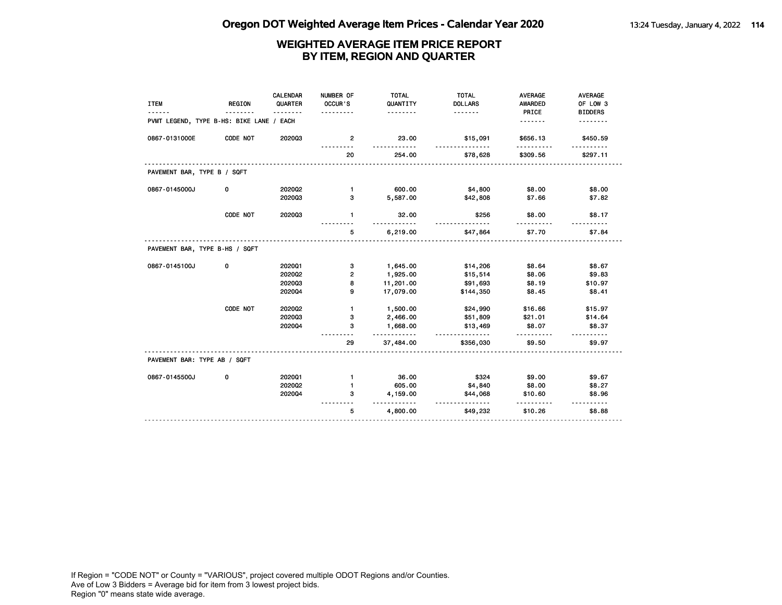| <b>ITEM</b>                              | <b>REGION</b> | CALENDAR<br>QUARTER<br><u>.</u> | NUMBER OF<br>OCCUR'S    | <b>TOTAL</b><br>QUANTITY<br>. | <b>TOTAL</b><br><b>DOLLARS</b><br><u>.</u> | <b>AVERAGE</b><br><b>AWARDED</b> | <b>AVERAGE</b><br>OF LOW 3 |
|------------------------------------------|---------------|---------------------------------|-------------------------|-------------------------------|--------------------------------------------|----------------------------------|----------------------------|
| PVMT LEGEND, TYPE B-HS: BIKE LANE / EACH |               |                                 | .                       |                               |                                            | PRICE<br>.                       | <b>BIDDERS</b>             |
| 0867-0131000E                            | CODE NOT      | 202003                          | $\overline{2}$          | 23.00                         | \$15,091                                   | \$656.13                         | \$450.59                   |
|                                          |               |                                 | 20                      | 254.00                        | \$78,628                                   | \$309.56                         | \$297.11                   |
| PAVEMENT BAR, TYPE B / SQFT              |               |                                 |                         |                               |                                            |                                  |                            |
| 0867-0145000J                            | 0             | 2020Q2                          | $\mathbf{1}$            | 600.00                        | \$4,800                                    | \$8.00                           | \$8.00                     |
|                                          |               | 202003                          | 3                       | 5,587.00                      | \$42,808                                   | \$7.66                           | \$7.82                     |
|                                          | CODE NOT      | 202003                          | $\mathbf{1}$            | 32.00                         | \$256                                      | \$8.00                           | \$8.17                     |
|                                          |               |                                 | 5                       | 6,219.00                      | \$47,864                                   | \$7.70                           | \$7.84                     |
| PAVEMENT BAR, TYPE B-HS / SQFT           |               |                                 |                         |                               |                                            |                                  |                            |
| 0867-0145100J                            | 0             | 202001                          | з                       | 1,645.00                      | \$14,206                                   | \$8.64                           | \$8.67                     |
|                                          |               | 2020Q2                          | $\overline{\mathbf{2}}$ | 1,925.00                      | \$15,514                                   | \$8.06                           | \$9.83                     |
|                                          |               | 202003                          | 8                       | 11,201.00                     | \$91,693                                   | \$8.19                           | \$10.97                    |
|                                          |               | 202004                          | 9                       | 17,079.00                     | \$144,350                                  | \$8.45                           | \$8.41                     |
|                                          | CODE NOT      | 2020Q2                          | $\mathbf{1}$            | 1,500.00                      | \$24,990                                   | \$16.66                          | \$15.97                    |
|                                          |               | 202003                          | з                       | 2,466.00                      | \$51,809                                   | \$21.01                          | \$14.64                    |
|                                          |               | 202004                          | 3                       | 1,668.00<br><u>.</u>          | \$13,469<br>.                              | \$8.07                           | \$8.37                     |
|                                          |               |                                 | 29                      | 37,484.00                     | \$356,030                                  | \$9.50                           | \$9.97                     |
| PAVEMENT BAR: TYPE AB / SQFT             |               |                                 |                         |                               |                                            |                                  |                            |
| 0867-0145500J                            | 0             | 202001                          | $\mathbf{1}$            | 36.00                         | \$324                                      | \$9.00                           | \$9.67                     |
|                                          |               | 2020Q2                          | $\mathbf{1}$            | 605.00                        | \$4,840                                    | \$8.00                           | \$8.27                     |
|                                          |               | 202004                          | з                       | 4,159.00<br>.                 | \$44,068<br><u>.</u>                       | \$10.60                          | \$8.96<br><u>.</u>         |
|                                          |               |                                 | 5                       | 4,800.00                      | \$49,232                                   | \$10.26                          | \$8.88                     |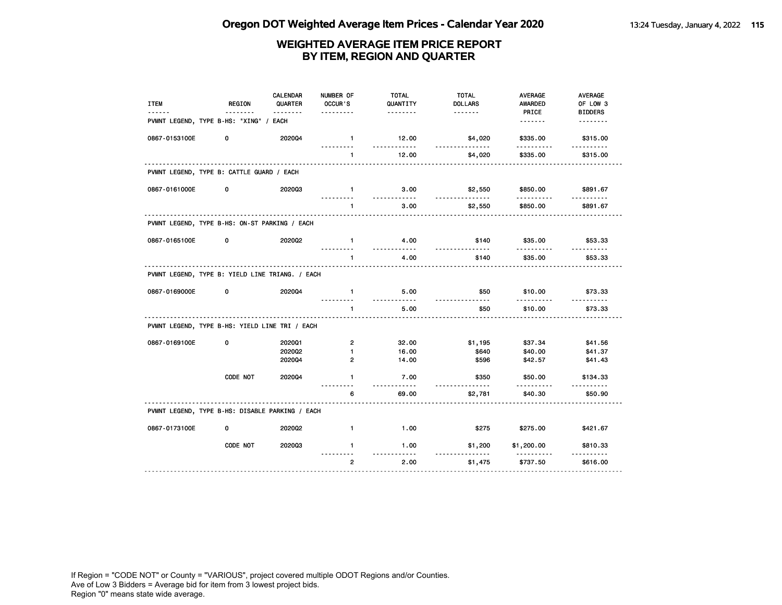| <b>ITEM</b>                                     | <b>REGION</b><br>$- - -$ | CALENDAR<br>QUARTER<br><u>.</u> | NUMBER OF<br>OCCUR'S<br>. | <b>TOTAL</b><br>QUANTITY<br>. | <b>TOTAL</b><br><b>DOLLARS</b><br><u>.</u> | AVERAGE<br><b>AWARDED</b><br>PRICE | AVERAGE<br>OF LOW 3<br><b>BIDDERS</b> |
|-------------------------------------------------|--------------------------|---------------------------------|---------------------------|-------------------------------|--------------------------------------------|------------------------------------|---------------------------------------|
| PVMNT LEGEND, TYPE B-HS: "XING" / EACH          |                          |                                 |                           |                               |                                            | . <b>.</b>                         | .                                     |
| 0867-0153100E                                   | 0                        | 202004                          | $\mathbf{1}$              | 12.00                         | \$4,020                                    | \$335.00                           | \$315.00                              |
|                                                 |                          |                                 | $\mathbf{1}$              | 12.00                         | \$4,020                                    | \$335.00                           | \$315.00                              |
| PVMNT LEGEND, TYPE B: CATTLE GUARD / EACH       |                          |                                 |                           |                               |                                            |                                    |                                       |
| 0867-0161000E                                   | 0                        | 202003                          | $\mathbf{1}$              | 3.00                          | \$2,550                                    | \$850.00                           | \$891.67                              |
|                                                 |                          |                                 | $\mathbf{1}$              | 3.00                          | \$2,550                                    | \$850.00                           | \$891.67                              |
| PVMNT LEGEND, TYPE B-HS: ON-ST PARKING / EACH   |                          |                                 |                           |                               |                                            |                                    |                                       |
| 0867-0165100E                                   | 0                        | 202002                          | $\mathbf{1}$              | 4.00                          | \$140                                      | \$35.00                            | \$53.33                               |
|                                                 |                          |                                 | $\mathbf{1}$              | 4.00                          | \$140                                      | \$35.00                            | \$53.33                               |
| PVMNT LEGEND, TYPE B: YIELD LINE TRIANG. / EACH |                          |                                 |                           |                               |                                            |                                    |                                       |
| 0867-0169000E                                   | 0                        | 202004                          | $\blacksquare$            | 5.00                          | \$50                                       | \$10.00                            | \$73.33                               |
|                                                 |                          |                                 | $\mathbf{1}$              | 5.00                          | \$50                                       | \$10.00                            | \$73.33                               |
| PVMNT LEGEND, TYPE B-HS: YIELD LINE TRI / EACH  |                          |                                 |                           |                               |                                            |                                    |                                       |
| 0867-0169100E                                   | 0                        | 2020Q1                          | $\overline{2}$            | 32.00                         | \$1,195                                    | \$37.34                            | \$41.56                               |
|                                                 |                          | 202002                          | $\mathbf{1}$              | 16.00                         | \$640                                      | \$40.00                            | \$41.37                               |
|                                                 |                          | 202004                          | $\overline{2}$            | 14.00                         | \$596                                      | \$42.57                            | \$41.43                               |
|                                                 | CODE NOT                 | 2020Q4                          | 1                         | 7.00<br><u>.</u>              | \$350<br>-----                             | \$50.00<br>.                       | \$134.33                              |
|                                                 |                          |                                 | 6                         | 69.00                         | \$2,781                                    | \$40.30                            | \$50.90                               |
| PVMNT LEGEND, TYPE B-HS: DISABLE PARKING / EACH |                          |                                 |                           |                               |                                            |                                    |                                       |
| 0867-0173100E                                   | 0                        | 2020Q2                          | $\mathbf{1}$              | 1.00                          | \$275                                      | \$275.00                           | \$421.67                              |
|                                                 | CODE NOT                 | 202003                          | $\blacksquare$            | 1.00                          | \$1,200                                    | \$1,200.00                         | \$810.33                              |
|                                                 |                          |                                 | $\overline{2}$            | $- - -$<br>2.00               | \$1,475                                    | \$737.50                           | \$616.00                              |
|                                                 |                          |                                 |                           |                               |                                            |                                    |                                       |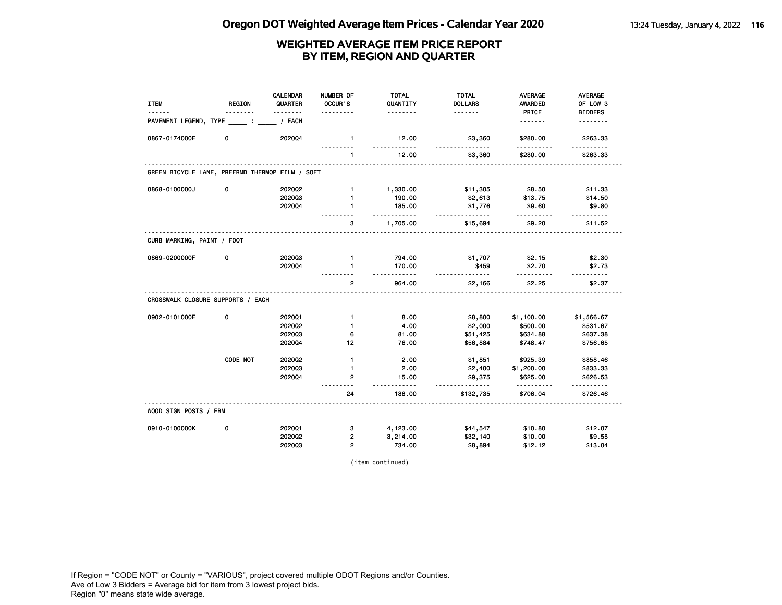| <b>ITEM</b>                                     | <b>REGION</b> | CALENDAR<br>QUARTER | NUMBER OF<br>OCCUR'S   | <b>TOTAL</b><br>QUANTITY | <b>TOTAL</b><br><b>DOLLARS</b> | <b>AVERAGE</b><br>AWARDED | <b>AVERAGE</b><br>OF LOW 3 |
|-------------------------------------------------|---------------|---------------------|------------------------|--------------------------|--------------------------------|---------------------------|----------------------------|
|                                                 |               | .                   |                        | .                        | <u>.</u>                       | PRICE                     | <b>BIDDERS</b>             |
| PAVEMENT LEGEND, TYPE                           |               | / EACH              |                        |                          |                                | <u>.</u>                  | <u>.</u>                   |
| 0867-0174000E                                   | 0             | 2020Q4              | $\mathbf{1}$           | 12.00<br>.               | \$3,360<br>.                   | \$280.00<br><u>.</u>      | \$263.33<br>.              |
|                                                 |               |                     | $\mathbf{1}$           | 12.00                    | \$3,360                        | \$280.00                  | \$263.33                   |
| GREEN BICYCLE LANE, PREFRMD THERMOP FILM / SQFT |               |                     |                        |                          |                                |                           |                            |
| 0868-0100000J                                   | 0             | 2020Q2              | $\mathbf{1}$           | 1,330.00                 | \$11,305                       | \$8.50                    | \$11.33                    |
|                                                 |               | 202003              | $\mathbf{1}$           | 190.00                   | \$2,613                        | \$13.75                   | \$14.50                    |
|                                                 |               | 202004              | 1                      | 185.00<br>$\ldots$ .     | \$1,776<br>.                   | \$9.60<br>.               | \$9.80                     |
|                                                 |               |                     | з                      | 1,705.00                 | \$15,694                       | \$9.20                    | .<br>\$11.52               |
| CURB MARKING, PAINT / FOOT                      |               |                     |                        |                          |                                |                           |                            |
| 0869-0200000F                                   | 0             | 202003              | $\mathbf{1}$           | 794.00                   | \$1,707                        | \$2.15                    | \$2.30                     |
|                                                 |               | 202004              | $\mathbf{1}$           | 170.00<br><u>.</u>       | \$459<br><u>.</u>              | \$2.70<br>.               | \$2.73<br><u>.</u>         |
|                                                 |               |                     | $\overline{2}$         | 964.00                   | \$2,166                        | \$2.25                    | \$2.37                     |
| CROSSWALK CLOSURE SUPPORTS / EACH               |               |                     |                        |                          |                                |                           |                            |
| 0902-0101000E                                   | 0             | 202001              | $\mathbf{1}$           | 8.00                     | \$8,800                        | \$1,100.00                | \$1,566.67                 |
|                                                 |               | 2020Q2              | $\mathbf{1}$           | 4.00                     | \$2,000                        | \$500.00                  | \$531.67                   |
|                                                 |               | 202003              | 6                      | 81.00                    | \$51,425                       | \$634.88                  | \$637.38                   |
|                                                 |               | 202004              | 12                     | 76.00                    | \$56,884                       | \$748.47                  | \$756.65                   |
|                                                 | CODE NOT      | 202002              | $\mathbf{1}$           | 2.00                     | \$1,851                        | \$925.39                  | \$858.46                   |
|                                                 |               | 202003              | $\mathbf{1}$           | 2.00                     | \$2,400                        | \$1,200.00                | \$833.33                   |
|                                                 |               | 202004              | $\overline{2}$<br>$ -$ | 15.00<br>$- - -$         | \$9,375                        | \$625.00<br><u>.</u>      | \$626.53                   |
|                                                 |               |                     | 24                     | 188.00                   | \$132,735                      | \$706.04                  | \$726.46                   |
| WOOD SIGN POSTS / FBM                           |               |                     |                        |                          |                                |                           |                            |
| 0910-0100000K                                   | 0             | 202001              | з                      | 4,123.00                 | \$44,547                       | \$10.80                   | \$12.07                    |
|                                                 |               | 202002              | 2                      | 3,214.00                 | \$32,140                       | \$10.00                   | \$9.55                     |
|                                                 |               | 202003              | $\overline{2}$         | 734.00                   | \$8,894                        | \$12.12                   | \$13.04                    |

(item continued)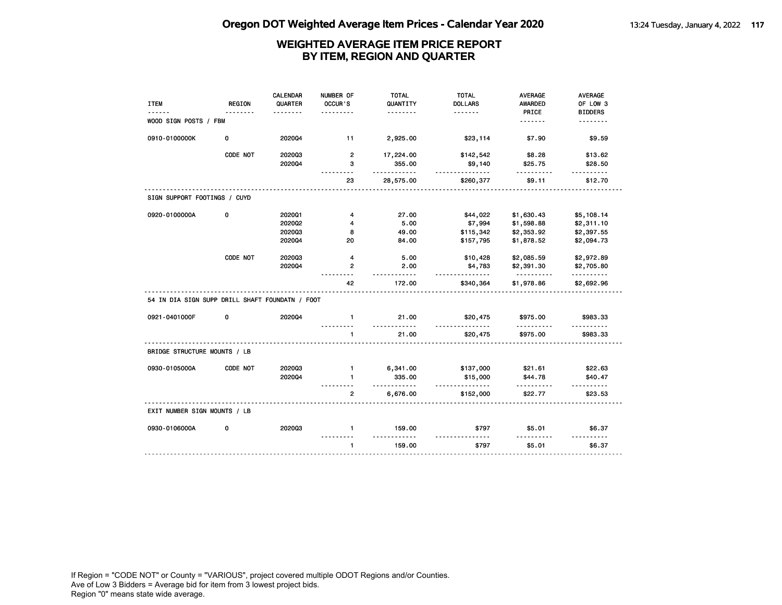| <b>ITEM</b>                                     | <b>REGION</b> | <b>CALENDAR</b><br>QUARTER | NUMBER OF<br>OCCUR'S | <b>TOTAL</b><br>QUANTITY | <b>TOTAL</b><br><b>DOLLARS</b> | <b>AVERAGE</b><br>AWARDED | AVERAGE<br>OF LOW 3      |
|-------------------------------------------------|---------------|----------------------------|----------------------|--------------------------|--------------------------------|---------------------------|--------------------------|
|                                                 |               |                            | .                    | .                        | <u>.</u>                       | PRICE                     | <b>BIDDERS</b>           |
| WOOD SIGN POSTS / FBM                           |               |                            |                      |                          |                                | .                         | .                        |
| 0910-0100000K                                   | 0             | 202004                     | 11                   | 2,925.00                 | \$23,114                       | \$7.90                    | \$9.59                   |
|                                                 | CODE NOT      | 202003                     | $\overline{2}$       | 17,224.00                | \$142,542                      | \$8.28                    | \$13.62                  |
|                                                 |               | 2020Q4                     | з                    | 355.00<br>.              | \$9,140<br>.                   | \$25.75                   | \$28.50                  |
|                                                 |               |                            | 23                   | 28,575.00                | \$260,377                      | \$9.11                    | \$12.70                  |
| SIGN SUPPORT FOOTINGS / CUYD                    |               |                            |                      |                          |                                |                           |                          |
| 0920-0100000A                                   | 0             | 202001                     | 4                    | 27.00                    | \$44,022                       | \$1,630.43                | \$5,108.14               |
|                                                 |               | 2020Q2                     | 4                    | 5.00                     | \$7,994                        | \$1,598.88                | \$2,311.10               |
|                                                 |               | 202003                     | 8                    | 49.00                    | \$115,342                      | \$2,353.92                | \$2,397.55               |
|                                                 |               | 2020Q4                     | 20                   | 84.00                    | \$157,795                      | \$1,878.52                | \$2,094.73               |
|                                                 | CODE NOT      | 202003                     | 4                    | 5.00                     | \$10,428                       | \$2,085.59                | \$2,972.89               |
|                                                 |               | 202004                     | $\overline{2}$       | 2.00                     | \$4,783                        | \$2,391.30                | \$2,705.80               |
|                                                 |               |                            | 42                   | $- - - -$<br>172.00      | .<br>\$340,364                 | .<br>\$1,978.86           | .<br>\$2,692.96          |
| 54 IN DIA SIGN SUPP DRILL SHAFT FOUNDATN / FOOT |               |                            |                      |                          |                                |                           |                          |
| 0921-0401000F                                   | 0             | 202004                     | $\mathbf{1}$         | 21.00<br>.               | \$20,475                       | \$975.00                  | \$983.33                 |
|                                                 |               |                            | $\mathbf{1}$         | 21.00                    | \$20,475                       | \$975.00                  | \$983.33                 |
| BRIDGE STRUCTURE MOUNTS / LB                    |               |                            |                      |                          |                                |                           |                          |
| 0930-0105000A                                   | CODE NOT      | 202003                     | $\mathbf{1}$         | 6,341.00                 | \$137,000                      | \$21.61                   | \$22.63                  |
|                                                 |               | 202004                     | $\blacksquare$       | 335.00<br>$- - - - - -$  | \$15,000                       | \$44.78<br>.              | \$40.47                  |
|                                                 |               |                            | $\overline{2}$       | 6,676.00                 | <u>.</u><br>\$152,000          | \$22.77                   | $- - - - - -$<br>\$23.53 |
| EXIT NUMBER SIGN MOUNTS / LB                    |               |                            |                      |                          |                                |                           |                          |
| 0930-0106000A                                   | 0             | 202003                     | $\mathbf{1}$         | 159.00                   | \$797                          | \$5.01                    | \$6.37                   |
|                                                 |               |                            | $\mathbf{1}$         | 159.00                   | \$797                          | \$5.01                    | \$6.37                   |
|                                                 |               |                            |                      |                          |                                |                           |                          |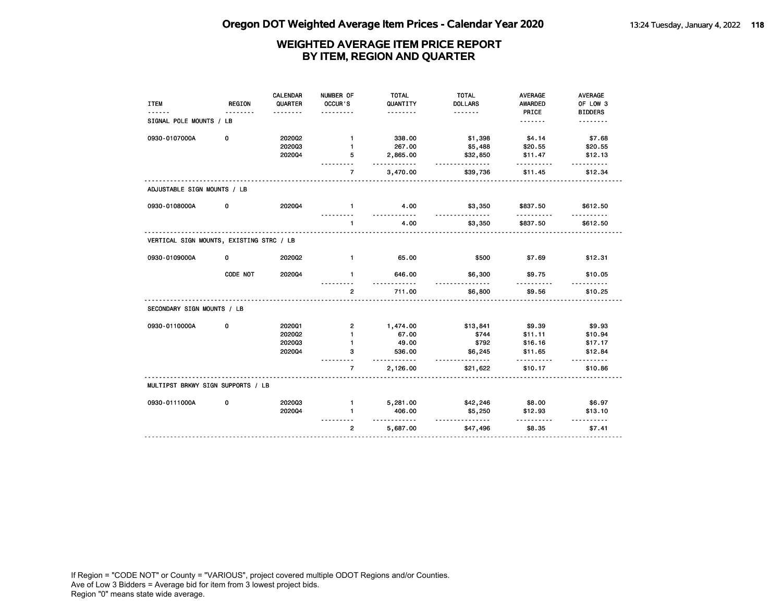|                                          |               | <b>CALENDAR</b> | NUMBER OF      | <b>TOTAL</b>         | <b>TOTAL</b>         | <b>AVERAGE</b> | AVERAGE                  |
|------------------------------------------|---------------|-----------------|----------------|----------------------|----------------------|----------------|--------------------------|
| <b>ITEM</b>                              | <b>REGION</b> | QUARTER         | OCCUR'S        | QUANTITY             | <b>DOLLARS</b>       | AWARDED        | OF LOW 3                 |
|                                          |               |                 |                | .                    | <u>.</u>             | PRICE          | <b>BIDDERS</b>           |
| SIGNAL POLE MOUNTS / LB                  |               |                 |                |                      |                      | <u>.</u>       | .                        |
| 0930-0107000A                            | 0             | 202002          | $\mathbf{1}$   | 338.00               | \$1,398              | \$4.14         | \$7.68                   |
|                                          |               | 202003          | 1              | 267.00               | \$5,488              | \$20.55        | \$20.55                  |
|                                          |               | 202004          | 5              | 2,865.00             | \$32,850             | \$11.47        | \$12.13                  |
|                                          |               |                 | $\overline{7}$ | .<br>3,470.00        | <u>.</u><br>\$39,736 | .<br>\$11.45   | $- - - - - -$<br>\$12.34 |
| ADJUSTABLE SIGN MOUNTS / LB              |               |                 |                |                      |                      |                |                          |
| 0930-0108000A                            | 0             | 202004          | $\mathbf{1}$   | 4.00                 | \$3,350              | \$837.50       | \$612.50                 |
|                                          |               |                 | $\mathbf{1}$   | 4.00                 | \$3,350              | \$837.50       | \$612.50                 |
| VERTICAL SIGN MOUNTS, EXISTING STRC / LB |               |                 |                |                      |                      |                |                          |
| 0930-0109000A                            | 0             | 2020Q2          | $\mathbf{1}$   | 65.00                | \$500                | \$7.69         | \$12.31                  |
|                                          | CODE NOT      | 202004          | $\mathbf{1}$   | 646.00               | \$6,300              | \$9.75         | \$10.05                  |
|                                          |               |                 | $\overline{2}$ | $\cdots$<br>711.00   | \$6,800              | \$9.56         | \$10.25                  |
| SECONDARY SIGN MOUNTS / LB               |               |                 |                |                      |                      |                |                          |
| 0930-0110000A                            | 0             | 202001          | $\mathbf{2}$   | 1,474.00             | \$13,841             | \$9.39         | \$9.93                   |
|                                          |               | 2020Q2          | $\mathbf{1}$   | 67.00                | \$744                | \$11.11        | \$10.94                  |
|                                          |               | 202003          | 1              | 49.00                | \$792                | \$16.16        | \$17.17                  |
|                                          |               | 202004          | 3              | 536.00<br>$- - -$    | \$6,245              | \$11.65<br>.   | \$12.84<br>------        |
|                                          |               |                 | $\overline{7}$ | 2,126.00             | \$21,622             | \$10.17        | \$10.86                  |
| MULTIPST BRKWY SIGN SUPPORTS / LB        |               |                 |                |                      |                      |                |                          |
| 0930-0111000A                            | 0             | 202003          | $\mathbf{1}$   | 5,281.00             | \$42,246             | \$8.00         | \$6.97                   |
|                                          |               | 202004          | $\mathbf{1}$   | 406.00               | \$5,250              | \$12.93        | \$13.10                  |
|                                          |               |                 | $\overline{2}$ | <u>.</u><br>5,687.00 | --------<br>\$47,496 | \$8.35         | \$7.41                   |
|                                          |               |                 |                |                      |                      |                |                          |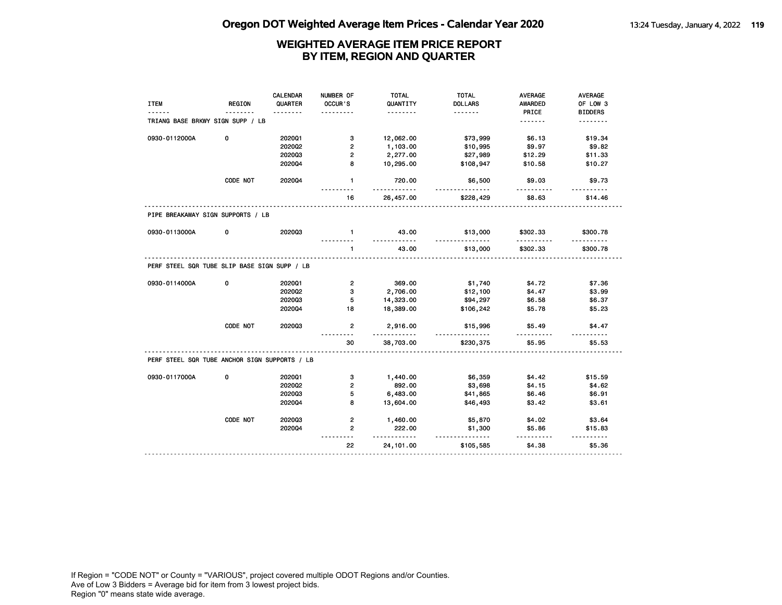| <b>ITEM</b>                                                    | <b>REGION</b> | <b>CALENDAR</b><br>QUARTER<br><u>.</u> | NUMBER OF<br>OCCUR'S<br>. | TOTAL<br>QUANTITY<br>. | TOTAL<br><b>DOLLARS</b><br><u>.</u> | <b>AVERAGE</b><br><b>AWARDED</b><br>PRICE | AVERAGE<br>OF LOW 3<br><b>BIDDERS</b> |
|----------------------------------------------------------------|---------------|----------------------------------------|---------------------------|------------------------|-------------------------------------|-------------------------------------------|---------------------------------------|
| TRIANG BASE BRKWY SIGN SUPP / LB                               |               |                                        |                           |                        |                                     | <u>.</u>                                  | <u>.</u>                              |
| 0930-0112000A                                                  | 0             | 202001                                 | 3                         | 12,062.00              | \$73,999                            | \$6.13                                    | \$19.34                               |
|                                                                |               | 2020Q2                                 | $\overline{2}$            | 1,103.00               | \$10,995                            | \$9.97                                    | \$9.82                                |
|                                                                |               | 202003                                 | $\overline{2}$            | 2,277.00               | \$27,989                            | \$12.29                                   | \$11.33                               |
|                                                                |               | 2020Q4                                 | 8                         | 10,295.00              | \$108,947                           | \$10.58                                   | \$10.27                               |
|                                                                | CODE NOT      | 2020Q4                                 | $\mathbf{1}$              | 720.00<br>.            | \$6,500                             | \$9.03<br>.                               | \$9.73                                |
|                                                                |               |                                        | 16                        | 26,457.00              | \$228,429                           | \$8.63                                    | \$14.46                               |
| PIPE BREAKAWAY SIGN SUPPORTS / LB                              |               |                                        |                           |                        |                                     |                                           |                                       |
| 0930-0113000A                                                  | 0             | 202003                                 | $\blacksquare$            | 43.00<br><u>.</u>      | \$13,000<br><u>.</u>                | \$302.33<br>.                             | \$300.78                              |
|                                                                |               |                                        | $\mathbf{1}$              | 43.00                  | \$13,000                            | \$302.33                                  | \$300.78                              |
| PERF STEEL SQR TUBE SLIP BASE SIGN SUPP / LB                   |               |                                        |                           |                        |                                     |                                           |                                       |
| 0930-0114000A                                                  | 0             | 202001                                 | 2 <sup>1</sup>            | 369.00                 | \$1,740                             | \$4.72                                    | \$7.36                                |
|                                                                |               | 202002                                 | 3                         | 2,706.00               | \$12,100                            | \$4.47                                    | \$3.99                                |
|                                                                |               | 202003                                 | 5                         | 14,323.00              | \$94,297                            | \$6.58                                    | \$6.37                                |
|                                                                |               | 202004                                 | 18                        | 18,389.00              | \$106,242                           | \$5.78                                    | \$5.23                                |
|                                                                |               |                                        |                           |                        |                                     |                                           |                                       |
|                                                                | CODE NOT      | 202003                                 | $\overline{2}$            | 2,916.00               | \$15,996                            | \$5.49                                    | \$4.47                                |
|                                                                |               |                                        | 30                        | .<br>38,703.00         | <u>.</u><br>\$230,375               | .<br>\$5.95                               | \$5.53                                |
|                                                                |               |                                        |                           |                        |                                     |                                           |                                       |
|                                                                | 0             | 202001                                 | 3                         | 1,440.00               | \$6,359                             | \$4.42                                    | \$15.59                               |
|                                                                |               | 2020Q2                                 | $\overline{2}$            | 892.00                 | \$3,698                             | \$4.15                                    | \$4.62                                |
|                                                                |               | 202003                                 | 5                         | 6,483.00               | \$41,865                            | \$6.46                                    | \$6.91                                |
|                                                                |               | 2020Q4                                 | 8                         | 13,604.00              | \$46,493                            | \$3.42                                    | \$3.61                                |
|                                                                | CODE NOT      | 202003                                 | $\overline{2}$            | 1,460.00               | \$5,870                             | \$4.02                                    | \$3.64                                |
| PERF STEEL SQR TUBE ANCHOR SIGN SUPPORTS / LB<br>0930-0117000A |               | 2020Q4                                 | 2                         | 222.00<br><u>.</u>     | \$1,300<br>.                        | \$5.86                                    | \$15.83<br><u>.</u>                   |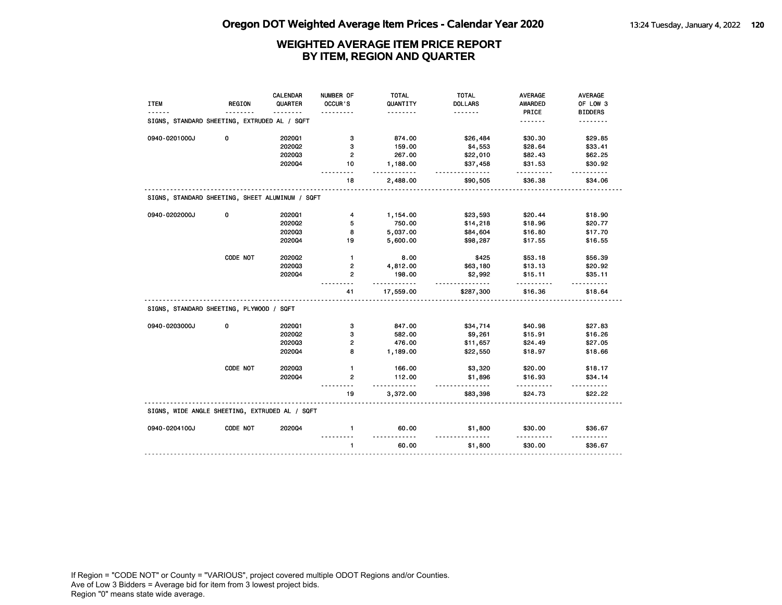|                                                 | <b>REGION</b> | CALENDAR<br>QUARTER | NUMBER OF<br>OCCUR'S | <b>TOTAL</b><br>QUANTITY | <b>TOTAL</b><br><b>DOLLARS</b> | <b>AVERAGE</b><br><b>AWARDED</b> | <b>AVERAGE</b><br>OF LOW 3 |
|-------------------------------------------------|---------------|---------------------|----------------------|--------------------------|--------------------------------|----------------------------------|----------------------------|
| <b>ITEM</b>                                     |               | ----                |                      | .                        | <u>.</u>                       | PRICE                            | <b>BIDDERS</b>             |
| SIGNS, STANDARD SHEETING, EXTRUDED AL / SQFT    |               |                     |                      |                          |                                | .                                | .                          |
| 0940-0201000J                                   | 0             | 202001              | з                    | 874.00                   | \$26,484                       | \$30.30                          | \$29.85                    |
|                                                 |               | 2020Q2              | 3                    | 159.00                   | \$4,553                        | \$28.64                          | \$33.41                    |
|                                                 |               | 202003              | $\overline{2}$       | 267.00                   | \$22,010                       | \$82.43                          | \$62.25                    |
|                                                 |               | 202004              | 10                   | 1,188.00<br>.            | \$37,458<br>.                  | \$31.53                          | \$30.92                    |
|                                                 |               |                     | 18                   | 2,488.00                 | \$90,505                       | \$36.38                          | \$34.06                    |
| SIGNS, STANDARD SHEETING, SHEET ALUMINUM / SQFT |               |                     |                      |                          |                                |                                  |                            |
| 0940-0202000J                                   | 0             | 202001              | 4                    | 1,154.00                 | \$23,593                       | \$20.44                          | \$18.90                    |
|                                                 |               | 2020Q2              | 5                    | 750.00                   | \$14,218                       | \$18.96                          | \$20.77                    |
|                                                 |               | 202003              | 8                    | 5,037.00                 | \$84,604                       | \$16.80                          | \$17.70                    |
|                                                 |               | 2020Q4              | 19                   | 5,600.00                 | \$98,287                       | \$17.55                          | \$16.55                    |
|                                                 | CODE NOT      | 2020Q2              | $\mathbf{1}$         | 8.00                     | \$425                          | \$53.18                          | \$56.39                    |
|                                                 |               | 202003              | $\overline{2}$       | 4,812.00                 | \$63,180                       | \$13.13                          | \$20.92                    |
|                                                 |               | 202004              | $\mathbf{2}$         | 198.00<br><u></u>        | \$2,992<br><u>.</u>            | \$15.11<br>.                     | \$35.11<br>$- - - - - -$   |
|                                                 |               |                     | 41                   | 17,559.00                | \$287,300                      | \$16.36                          | \$18.64                    |
| SIGNS, STANDARD SHEETING, PLYWOOD / SQFT        |               |                     |                      |                          |                                |                                  |                            |
|                                                 |               |                     |                      |                          |                                |                                  |                            |
| 0940-0203000J                                   | 0             | 2020Q1              | 3                    | 847.00                   | \$34,714                       | \$40.98                          | \$27.83                    |
|                                                 |               | 202002              | 3                    | 582.00                   | \$9,261                        | \$15.91                          | \$16.26                    |
|                                                 |               | 202003              | 2                    | 476.00                   | \$11,657                       | \$24.49                          | \$27.05                    |
|                                                 |               | 202004              | 8                    | 1,189.00                 | \$22,550                       | \$18.97                          | \$18.66                    |
|                                                 | CODE NOT      | 202003              | $\mathbf{1}$         | 166.00                   | \$3,320                        | \$20.00                          | \$18.17                    |
|                                                 |               | 202004              | $\mathbf{2}$         | 112.00                   | \$1,896                        | \$16.93                          | \$34.14                    |
|                                                 |               |                     | 19                   | .<br>3,372.00            | .<br>\$83,398                  | .<br>\$24.73                     | $- - - - - -$<br>\$22.22   |
| SIGNS, WIDE ANGLE SHEETING, EXTRUDED AL / SQFT  |               |                     |                      |                          |                                |                                  |                            |
| 0940-0204100J                                   | CODE NOT      | 2020Q4              | $\mathbf{1}$         | 60.00                    | \$1,800                        | \$30.00                          | \$36.67                    |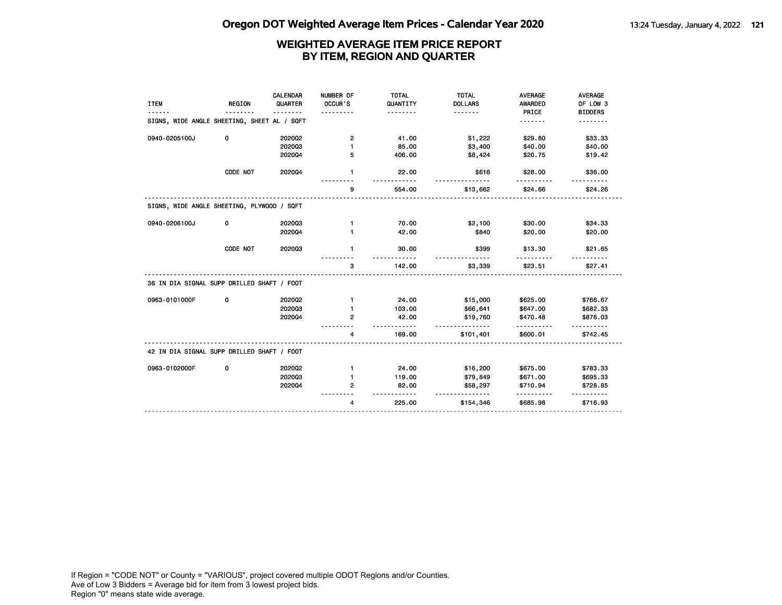| <b>ITEM</b>                                 | REGION   | <b>CALENDAR</b><br>QUARTER | NUMBER OF<br>OCCUR'S | <b>TOTAL</b><br>QUANTITY | <b>TOTAL</b><br><b>DOLLARS</b> | <b>AVERAGE</b><br><b>AWARDED</b> | <b>AVERAGE</b><br>OF LOW 3 |
|---------------------------------------------|----------|----------------------------|----------------------|--------------------------|--------------------------------|----------------------------------|----------------------------|
| SIGNS, WIDE ANGLE SHEETING, SHEET AL / SQFT |          |                            |                      | .                        | <u>.</u>                       | PRICE<br>.                       | <b>BIDDERS</b>             |
| 0940-0205100J                               | 0        | 202002                     | 2                    | 41.00                    | \$1,222                        | \$29.80                          | \$33.33                    |
|                                             |          | 202003                     | 1                    | 85.00                    | \$3,400                        | \$40.00                          | \$40.00                    |
|                                             |          | 202004                     | 5                    | 406.00                   | \$8,424                        | \$20.75                          | \$19.42                    |
|                                             | CODE NOT | 202004                     | $\mathbf{1}$         | 22.00                    | \$616                          | \$28.00                          | \$36.00                    |
|                                             |          |                            | 9                    | 554.00                   | \$13,662                       | \$24.66                          | \$24.26                    |
| SIGNS, WIDE ANGLE SHEETING, PLYWOOD / SQFT  |          |                            |                      |                          |                                |                                  |                            |
| 0940-0206100J                               | 0        | 202003                     | $\mathbf{1}$         | 70.00                    | \$2,100                        | \$30.00                          | \$34.33                    |
|                                             |          | 202004                     | 1                    | 42.00                    | \$840                          | \$20.00                          | \$20.00                    |
|                                             | CODE NOT | 202003                     | $\blacksquare$       | 30.00                    | \$399                          | \$13.30                          | \$21.65                    |
|                                             |          |                            | 3                    | 142.00                   | \$3,339                        | \$23.51                          | \$27.41                    |
| 36 IN DIA SIGNAL SUPP DRILLED SHAFT / FOOT  |          |                            |                      |                          |                                |                                  |                            |
| 0963-0101000F                               | 0        | 202002                     | 1                    | 24.00                    | \$15,000                       | \$625.00                         | \$766.67                   |
|                                             |          | 202003                     | 1                    | 103.00                   | \$66,641                       | \$647.00                         | \$682.33                   |
|                                             |          | 202004                     | 2                    | 42.00                    | \$19,760<br>.                  | \$470.48                         | \$876.03                   |
|                                             |          |                            | 4                    | 169.00                   | \$101,401                      | \$600.01                         | \$742.45                   |
| 42 IN DIA SIGNAL SUPP DRILLED SHAFT / FOOT  |          |                            |                      |                          |                                |                                  |                            |
| 0963-0102000F                               | 0        | 202002                     | 1                    | 24.00                    | \$16,200                       | \$675.00                         | \$783.33                   |
|                                             |          | 202003                     |                      | 119.00                   | \$79,849                       | \$671.00                         | \$695.33                   |
|                                             |          | 202004                     | 2                    | 82.00                    | \$58,297<br><u>.</u>           | \$710.94<br>.                    | \$728.85                   |
|                                             |          |                            | 4                    | 225.00                   | \$154,346                      | \$685.98                         | \$716.93                   |
|                                             |          |                            |                      |                          |                                |                                  |                            |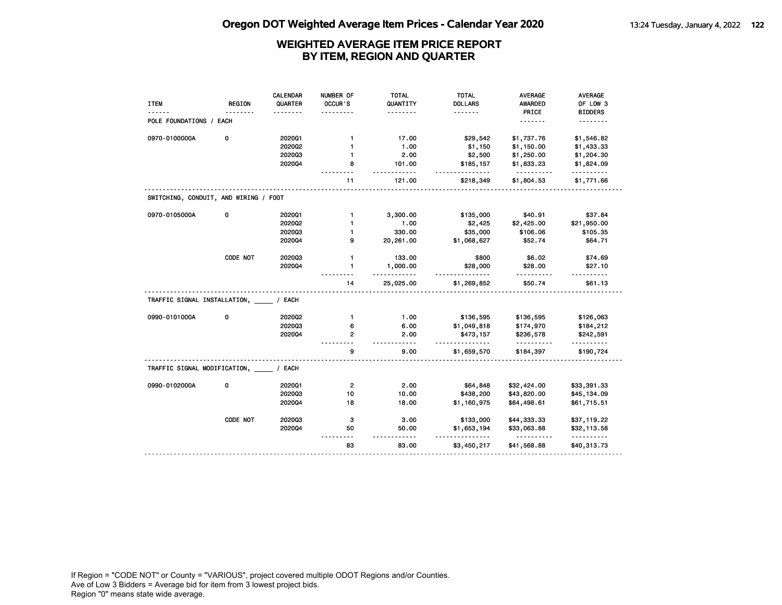|                                           |               | CALENDAR | NUMBER OF      | <b>TOTAL</b>        | <b>TOTAL</b>               | <b>AVERAGE</b>          | <b>AVERAGE</b>             |
|-------------------------------------------|---------------|----------|----------------|---------------------|----------------------------|-------------------------|----------------------------|
| <b>ITEM</b>                               | <b>REGION</b> | QUARTER  | OCCUR'S        | QUANTITY            | <b>DOLLARS</b><br><u>.</u> | <b>AWARDED</b><br>PRICE | OF LOW 3<br><b>BIDDERS</b> |
| POLE FOUNDATIONS / EACH                   |               |          |                |                     |                            | .                       | .                          |
| 0970-0100000A                             | 0             | 202001   | 1              | 17.00               | \$29,542                   | \$1,737.76              | \$1,546.82                 |
|                                           |               | 2020Q2   | $\mathbf{1}$   | 1.00                | \$1,150                    | \$1,150.00              | \$1,433.33                 |
|                                           |               | 202003   | $\mathbf{1}$   | 2.00                | \$2,500                    | \$1,250.00              | \$1,204.30                 |
|                                           |               | 2020Q4   | 8              | 101.00<br>.         | \$185,157<br>$- - - - -$   | \$1,833.23              | \$1,824.09<br><u>.</u>     |
|                                           |               |          | 11             | 121.00              | \$218,349                  | \$1,804.53              | \$1,771.66                 |
| SWITCHING, CONDUIT, AND WIRING / FOOT     |               |          |                |                     |                            |                         |                            |
| 0970-0105000A                             | 0             | 2020Q1   | $\mathbf{1}$   | 3,300.00            | \$135,000                  | \$40.91                 | \$37.84                    |
|                                           |               | 2020Q2   | $\mathbf{1}$   | 1.00                | \$2,425                    | \$2,425.00              | \$21,950.00                |
|                                           |               | 202003   | $\mathbf{1}$   | 330.00              | \$35,000                   | \$106.06                | \$105.35                   |
|                                           |               | 2020Q4   | 9              | 20,261.00           | \$1,068,627                | \$52.74                 | \$64.71                    |
|                                           | CODE NOT      | 202003   | $\mathbf{1}$   | 133.00              | \$800                      | \$6.02                  | \$74.69                    |
|                                           |               | 202004   | $\mathbf{1}$   | 1,000.00<br>.       | \$28,000<br><u>.</u>       | \$28.00<br>.            | \$27.10<br>.               |
|                                           |               |          | 14             | 25,025.00           | \$1,269,852                | \$50.74                 | \$61.13                    |
| TRAFFIC SIGNAL INSTALLATION, / EACH       |               |          |                |                     |                            |                         |                            |
| 0990-0101000A                             | 0             | 2020Q2   | $\mathbf{1}$   | 1.00                | \$136,595                  | \$136,595               | \$126,063                  |
|                                           |               | 202003   | 6              | 6.00                | \$1,049,818                | \$174,970               | \$184,212                  |
|                                           |               | 202004   | $\overline{2}$ | 2.00<br>$- - - - -$ | \$473,157                  | \$236,578<br><u>.</u>   | \$242,591<br>.             |
|                                           |               |          | g              | 9.00                | \$1,659,570                | \$184,397               | \$190,724                  |
| TRAFFIC SIGNAL MODIFICATION, _____ / EACH |               |          |                |                     |                            |                         |                            |
| 0990-0102000A                             | 0             | 2020Q1   | $\overline{2}$ | 2.00                | \$64,848                   | \$32,424.00             | \$33,391.33                |
|                                           |               | 202003   | 10             | 10.00               | \$438,200                  | \$43,820.00             | \$45,134.09                |
|                                           |               | 2020Q4   | 18             | 18.00               | \$1,160,975                | \$64,498.61             | \$61,715.51                |
|                                           | CODE NOT      | 202003   | з              | 3.00                | \$133,000                  | \$44,333.33             | \$37,119.22                |
|                                           |               | 2020Q4   | 50             | 50.00               | \$1,653,194                | \$33,063.88             | \$32,113.58<br>.           |
|                                           |               |          | 83             | 83.00               | \$3,450,217                | \$41,568.88             | \$40,313.73                |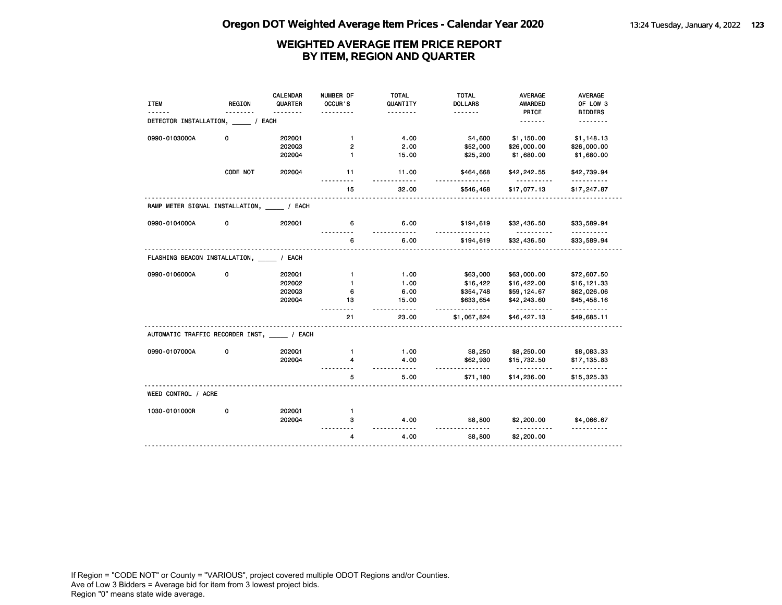|                                              |               | <b>CALENDAR</b> | NUMBER OF      | <b>TOTAL</b>         | <b>TOTAL</b>          | <b>AVERAGE</b>                             | AVERAGE          |
|----------------------------------------------|---------------|-----------------|----------------|----------------------|-----------------------|--------------------------------------------|------------------|
| <b>ITEM</b>                                  | <b>REGION</b> | QUARTER         | OCCUR'S        | QUANTITY             | <b>DOLLARS</b>        | <b>AWARDED</b>                             | OF LOW 3         |
|                                              |               |                 |                | .                    | <u>.</u>              | PRICE                                      | <b>BIDDERS</b>   |
| DETECTOR INSTALLATION,                       |               | / EACH          |                |                      |                       | <u>.</u>                                   |                  |
| 0990-0103000A                                | 0             | 202001          | $\mathbf{1}$   | 4.00                 | \$4,600               | \$1,150.00                                 | \$1,148.13       |
|                                              |               | 202003          | $\overline{2}$ | 2.00                 | \$52,000              | \$26,000.00                                | \$26,000.00      |
|                                              |               | 202004          | $\mathbf{1}$   | 15.00                | \$25,200              | \$1,680.00                                 | \$1,680.00       |
|                                              | CODE NOT      | 2020Q4          | 11             | 11.00                | \$464,668             | \$42,242.55                                | \$42,739.94      |
|                                              |               |                 | 15             | 32.00                | \$546,468             | \$17,077.13                                | \$17,247.87      |
| RAMP METER SIGNAL INSTALLATION, _____ / EACH |               |                 |                |                      |                       |                                            |                  |
| 0990-0104000A                                | 0             | 202001          | 6              | 6.00<br><u>.</u>     | \$194,619<br>.        | \$32,436.50<br>.                           | \$33,589.94<br>. |
|                                              |               |                 | 6              | 6.00                 | \$194,619             | \$32,436.50                                | \$33,589.94      |
| FLASHING BEACON INSTALLATION, _____ / EACH   |               |                 |                |                      |                       |                                            |                  |
| 0990-0106000A                                | 0             | 202001          | $\mathbf{1}$   | 1.00                 | \$63,000              | \$63,000.00                                | \$72,607.50      |
|                                              |               | 2020Q2          | $\mathbf{1}$   | 1.00                 | \$16,422              | \$16,422.00                                | \$16,121.33      |
|                                              |               | 202003          | 6              | 6.00                 | \$354,748             | \$59,124.67                                | \$62,026.06      |
|                                              |               | 2020Q4          | 13             | 15.00<br>$- - - - -$ | \$633,654<br><u>.</u> | \$42,243.60<br><u> - - - - - - - - - -</u> | \$45,458.16<br>. |
|                                              |               |                 | 21             | 23.00                | \$1,067,824           | \$46,427.13                                | \$49,685.11      |
| AUTOMATIC TRAFFIC RECORDER INST, / EACH      |               |                 |                |                      |                       |                                            |                  |
| 0990-0107000A                                | 0             | 202001          | $\mathbf{1}$   | 1.00                 | \$8,250               | \$8,250.00                                 | \$8,083.33       |
|                                              |               | 202004          | 4              | 4.00<br>- - - - -    | \$62,930<br><u>.</u>  | \$15,732.50<br><u>.</u>                    | \$17,135.83<br>. |
|                                              |               |                 | 5              | 5.00                 | \$71,180              | \$14,236.00                                | \$15,325.33      |
| WEED CONTROL / ACRE                          |               |                 |                |                      |                       |                                            |                  |
| 1030-0101000R                                | 0             | 202001          | $\mathbf{1}$   |                      |                       |                                            |                  |
|                                              |               | 202004          | 3              | 4.00<br>$- - - -$    | \$8,800               | \$2,200.00<br>.                            | \$4,066.67       |
|                                              |               |                 | 4              | 4.00                 | \$8,800               | \$2,200.00                                 |                  |
|                                              |               |                 |                |                      |                       |                                            |                  |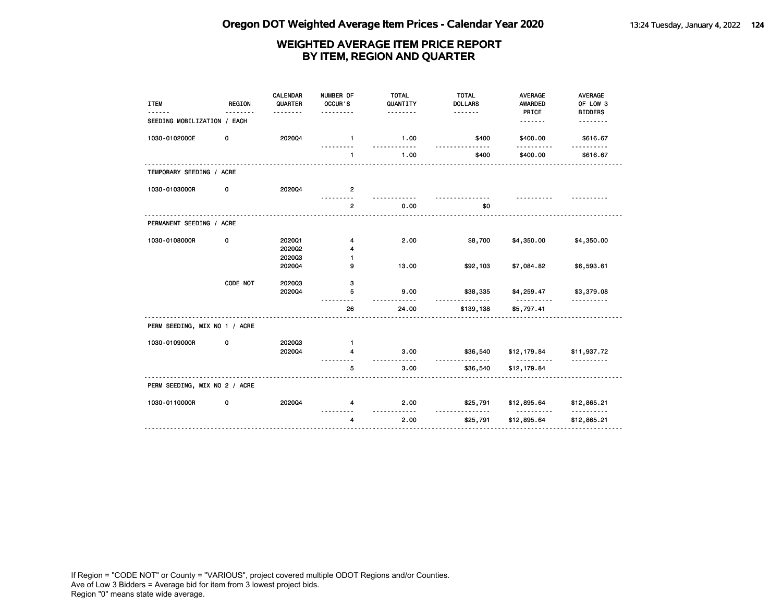| <b>ITEM</b>                   | <b>REGION</b> | <b>CALENDAR</b><br>QUARTER<br>. | NUMBER OF<br>OCCUR'S<br>. | <b>TOTAL</b><br>QUANTITY<br>. | <b>TOTAL</b><br><b>DOLLARS</b> | <b>AVERAGE</b><br>AWARDED<br>PRICE | AVERAGE<br>OF LOW 3<br><b>BIDDERS</b> |
|-------------------------------|---------------|---------------------------------|---------------------------|-------------------------------|--------------------------------|------------------------------------|---------------------------------------|
| SEEDING MOBILIZATION / EACH   |               |                                 |                           |                               |                                | . <b>.</b>                         | .                                     |
| 1030-0102000E                 | 0             | 202004                          | $\blacksquare$            | 1.00                          | \$400                          | \$400.00                           | \$616.67                              |
|                               |               |                                 | 1                         | <u>.</u><br>1.00              | \$400                          | \$400.00                           | \$616.67                              |
| TEMPORARY SEEDING / ACRE      |               |                                 |                           |                               |                                |                                    |                                       |
| 1030-0103000R                 | 0             | 202004                          | $\overline{2}$            |                               |                                |                                    |                                       |
|                               |               |                                 | $\overline{2}$            | 0.00                          | \$0                            | <u>.</u>                           |                                       |
| PERMANENT SEEDING / ACRE      |               |                                 |                           |                               |                                |                                    |                                       |
| 1030-0108000R                 | 0             | 202001<br>2020Q2                | 4<br>4                    | 2.00                          | \$8,700                        | \$4,350.00                         | \$4,350.00                            |
|                               |               | 202003<br>202004                | 1<br>9                    | 13.00                         | \$92,103                       | \$7,084.82                         | \$6,593.61                            |
|                               | CODE NOT      | 202003<br>202004                | з<br>5                    | 9.00                          | \$38,335                       | \$4,259.47                         | \$3,379.08                            |
|                               |               |                                 | 26                        | $- - - - - -$<br>24.00        | .<br>\$139,138                 | .<br>\$5,797.41                    |                                       |
| PERM SEEDING, MIX NO 1 / ACRE |               |                                 |                           |                               |                                |                                    |                                       |
| 1030-0109000R                 | 0             | 202003<br>202004                | $\mathbf{1}$<br>4         | 3.00<br><u>.</u>              | \$36,540                       | \$12,179.84<br>-----------         | \$11,937.72<br><u>.</u>               |
|                               |               |                                 | 5                         | 3.00                          | \$36,540                       | \$12,179.84                        |                                       |
| PERM SEEDING, MIX NO 2 / ACRE |               |                                 |                           |                               |                                |                                    |                                       |
| 1030-0110000R                 | 0             | 202004                          | 4                         | 2.00<br>.                     | \$25,791                       | \$12,895.64<br><u>.</u>            | \$12,865.21<br><u>.</u>               |
|                               |               |                                 | 4                         | 2.00                          | \$25,791                       | \$12,895.64                        | \$12,865.21                           |
|                               |               |                                 |                           |                               |                                |                                    |                                       |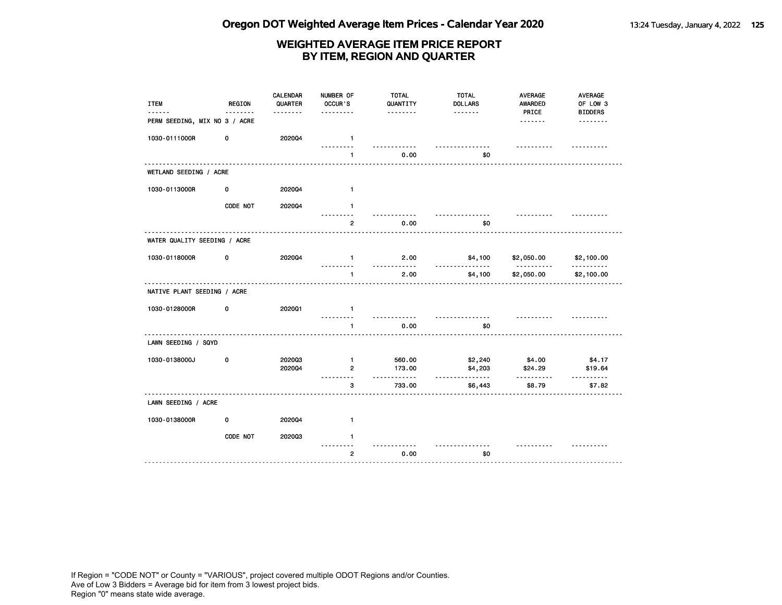| <b>ITEM</b>                   | <b>REGION</b> | CALENDAR<br>QUARTER | NUMBER OF<br>OCCUR'S           | <b>TOTAL</b><br>QUANTITY | <b>TOTAL</b><br><b>DOLLARS</b> | <b>AVERAGE</b><br>AWARDED | <b>AVERAGE</b><br>OF LOW 3 |
|-------------------------------|---------------|---------------------|--------------------------------|--------------------------|--------------------------------|---------------------------|----------------------------|
| PERM SEEDING, MIX NO 3 / ACRE |               | <u>.</u>            | .                              | <u>.</u>                 |                                | PRICE                     | <b>BIDDERS</b>             |
| 1030-0111000R                 | 0             | 202004              | $\mathbf{1}$                   |                          |                                | ----------                |                            |
|                               |               |                     | $\blacksquare$                 | 0.00                     | \$0                            |                           |                            |
| WETLAND SEEDING / ACRE        |               |                     |                                |                          |                                |                           |                            |
| 1030-0113000R                 | 0             | 2020Q4              | $\mathbf{1}$                   |                          |                                |                           |                            |
|                               | CODE NOT      | 2020Q4              | $\blacksquare$                 |                          |                                |                           |                            |
|                               |               |                     | $\overline{2}$                 | 0.00                     | \$0                            |                           |                            |
| WATER QUALITY SEEDING / ACRE  |               |                     |                                |                          |                                |                           |                            |
| 1030-0118000R                 | 0             | 202004              | $\mathbf{1}$                   | 2.00<br>.                | \$4,100<br><u>.</u>            | \$2,050.00<br>.           | \$2,100.00<br><u>.</u>     |
|                               |               |                     | $\mathbf{1}$                   | 2.00                     | \$4,100                        | \$2,050.00                | \$2,100.00                 |
| NATIVE PLANT SEEDING / ACRE   |               |                     |                                |                          |                                |                           |                            |
| 1030-0128000R                 | 0             | 2020Q1              | $\mathbf{1}$<br><u>.</u>       |                          | .                              |                           |                            |
|                               |               |                     | $\blacksquare$                 | 0.00                     | \$0                            |                           |                            |
| LAWN SEEDING / SQYD           |               |                     |                                |                          |                                |                           |                            |
| 1030-0138000J                 | 0             | 202003<br>202004    | $\mathbf{1}$<br>$\overline{2}$ | 560.00<br>173.00         | \$2,240<br>\$4,203             | \$4.00<br>\$24.29         | \$4.17<br>\$19.64          |
|                               |               |                     | з                              | .<br>733.00              | .<br>\$6,443                   | .<br>\$8.79               | .<br>\$7.82                |
| LAWN SEEDING / ACRE           |               |                     |                                |                          |                                |                           |                            |
|                               | 0             |                     |                                |                          |                                |                           |                            |
| 1030-0138000R                 |               | 2020Q4              | $\mathbf{1}$<br>$\blacksquare$ |                          |                                |                           |                            |
|                               | CODE NOT      | 202003              |                                |                          |                                |                           |                            |
|                               |               |                     | $\mathbf{2}$                   | 0.00                     | \$0                            |                           |                            |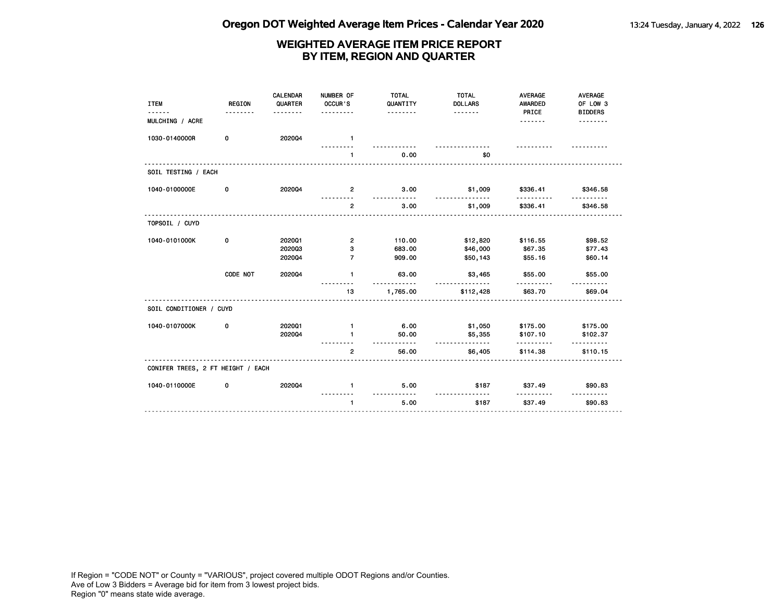| <b>ITEM</b><br>.                  | <b>REGION</b><br>. | CALENDAR<br>QUARTER<br>. | NUMBER OF<br>OCCUR'S<br>.    | <b>TOTAL</b><br>QUANTITY<br><u>.</u> | <b>TOTAL</b><br><b>DOLLARS</b><br>. | <b>AVERAGE</b><br>AWARDED<br>PRICE | AVERAGE<br>OF LOW 3<br><b>BIDDERS</b> |
|-----------------------------------|--------------------|--------------------------|------------------------------|--------------------------------------|-------------------------------------|------------------------------------|---------------------------------------|
| MULCHING / ACRE                   |                    |                          |                              |                                      |                                     | .                                  | --------                              |
| 1030-0140000R                     | 0                  | 202004                   | $\blacksquare$               |                                      |                                     |                                    |                                       |
|                                   |                    |                          | $\mathbf{1}$                 | 0.00                                 | \$0                                 | .                                  |                                       |
| SOIL TESTING / EACH               |                    |                          |                              |                                      |                                     |                                    |                                       |
| 1040-0100000E                     | 0                  | 202004                   | $\overline{2}$               | 3.00                                 | \$1,009<br><u>.</u>                 | \$336.41                           | \$346.58                              |
|                                   |                    |                          | $\overline{2}$               | 3.00                                 | \$1,009                             | \$336.41                           | \$346.58                              |
| TOPSOIL / CUYD                    |                    |                          |                              |                                      |                                     |                                    |                                       |
| 1040-0101000K                     | 0                  | 202001<br>202003         | $\overline{\mathbf{2}}$<br>з | 110.00<br>683.00                     | \$12,820<br>\$46,000                | \$116.55<br>\$67.35                | \$98.52<br>\$77.43                    |
|                                   |                    | 202004                   | $\overline{7}$               | 909.00                               | \$50,143                            | \$55.16                            | \$60.14                               |
|                                   | CODE NOT           | 202004                   | $\mathbf{1}$                 | 63.00<br><u>---------</u>            | \$3,465<br><u>.</u>                 | \$55.00                            | \$55.00                               |
|                                   |                    |                          | 13                           | 1,765.00                             | \$112,428                           | \$63.70                            | \$69.04                               |
| SOIL CONDITIONER / CUYD           |                    |                          |                              |                                      |                                     |                                    |                                       |
| 1040-0107000K                     | 0                  | 202001<br>202004         | $\mathbf{1}$<br>1            | 6.00<br>50.00                        | \$1,050<br>\$5,355                  | \$175.00<br>\$107.10               | \$175.00<br>\$102.37                  |
|                                   |                    |                          | $\overline{2}$               | <u>.</u><br>56.00                    | <u>.</u><br>\$6,405                 | .<br>\$114.38                      | \$110.15                              |
| CONIFER TREES, 2 FT HEIGHT / EACH |                    |                          |                              |                                      |                                     |                                    |                                       |
| 1040-0110000E                     | 0                  | 202004                   | $\mathbf{1}$                 | 5.00                                 | \$187                               | \$37.49                            | \$90.83                               |
|                                   |                    |                          | $\mathbf{1}$                 | -----<br>5.00                        | <u>.</u><br>\$187                   | .<br>\$37.49                       | <u>.</u><br>\$90.83                   |
|                                   |                    |                          |                              |                                      |                                     |                                    |                                       |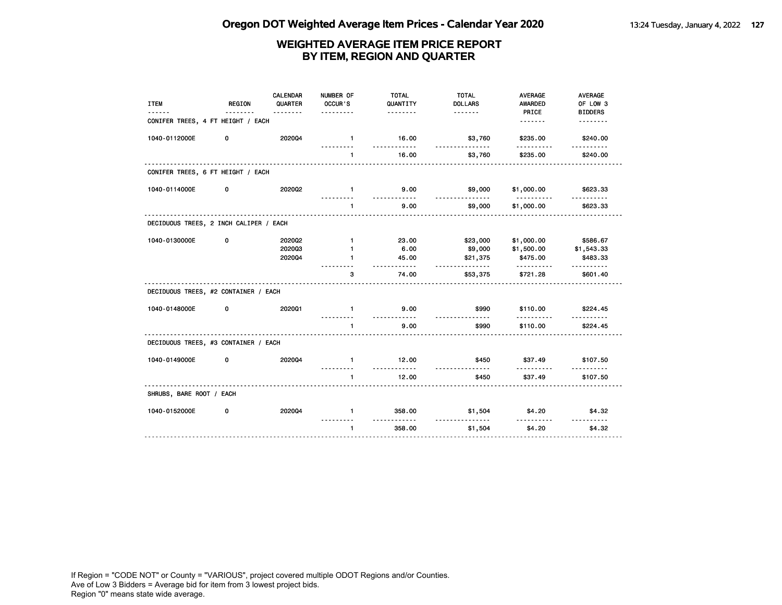| <b>ITEM</b>                            | <b>REGION</b> | CALENDAR<br>QUARTER<br>. | NUMBER OF<br>OCCUR'S<br>.    | <b>TOTAL</b><br>QUANTITY<br><u>.</u> | <b>TOTAL</b><br><b>DOLLARS</b> | <b>AVERAGE</b><br>AWARDED<br>PRICE | AVERAGE<br>OF LOW 3<br><b>BIDDERS</b> |
|----------------------------------------|---------------|--------------------------|------------------------------|--------------------------------------|--------------------------------|------------------------------------|---------------------------------------|
| CONIFER TREES, 4 FT HEIGHT / EACH      |               |                          |                              |                                      |                                |                                    | .                                     |
| 1040-0112000E                          | 0             | 202004                   | $\mathbf{1}$                 | 16.00<br><u>.</u>                    | \$3,760                        | \$235.00<br>.                      | \$240.00                              |
|                                        |               |                          | $\mathbf{1}$                 | 16.00                                | \$3,760                        | \$235.00                           | <u>.</u><br>\$240.00                  |
| CONIFER TREES, 6 FT HEIGHT / EACH      |               |                          |                              |                                      |                                |                                    |                                       |
| 1040-0114000E                          | 0             | 2020Q2                   | $\mathbf{1}$                 | 9.00                                 | \$9,000                        | \$1,000.00                         | \$623.33                              |
|                                        |               |                          | $\mathbf{1}$                 | 9.00                                 | .<br>\$9,000                   | \$1,000.00                         | \$623.33                              |
| DECIDUOUS TREES, 2 INCH CALIPER / EACH |               |                          |                              |                                      |                                |                                    |                                       |
| 1040-0130000E                          | 0             | 2020Q2<br>202003         | $\mathbf{1}$<br>$\mathbf{1}$ | 23.00<br>6.00                        | \$23,000<br>\$9,000            | \$1,000.00<br>\$1,500.00           | \$586.67<br>\$1,543.33                |
|                                        |               | 202004                   | $\mathbf{1}$                 | 45.00                                | \$21,375                       | \$475.00                           | \$483.33                              |
|                                        |               |                          | 3                            | <u>.</u><br>74.00                    | .<br>\$53,375                  | .<br>\$721.28                      | <u>.</u><br>\$601.40                  |
| DECIDUOUS TREES, #2 CONTAINER / EACH   |               |                          |                              |                                      |                                |                                    |                                       |
| 1040-0148000E                          | 0             | 202001                   | $\mathbf{1}$                 | 9.00<br><u>.</u>                     | \$990                          | \$110.00                           | \$224.45                              |
|                                        |               |                          | $\mathbf{1}$                 | 9.00                                 | \$990                          | \$110.00                           | \$224.45                              |
| DECIDUOUS TREES, #3 CONTAINER / EACH   |               |                          |                              |                                      |                                |                                    |                                       |
| 1040-0149000E                          | 0             | 202004                   | $\mathbf{1}$                 | 12.00<br><u>.</u>                    | \$450                          | \$37.49                            | \$107.50                              |
|                                        |               |                          | $\mathbf{1}$                 | 12.00                                | <u>.</u><br>\$450              | .<br>\$37.49                       | <u>.</u><br>\$107.50                  |
| SHRUBS, BARE ROOT / EACH               |               |                          |                              |                                      |                                |                                    |                                       |
| 1040-0152000E                          | 0             | 202004                   | $\mathbf{1}$                 | 358.00                               | \$1,504                        | \$4.20                             | \$4.32                                |
|                                        |               |                          | $\mathbf{1}$                 | <u>.</u><br>358.00                   | \$1,504                        | \$4.20                             | ----------<br>\$4.32                  |
|                                        |               |                          |                              |                                      |                                |                                    |                                       |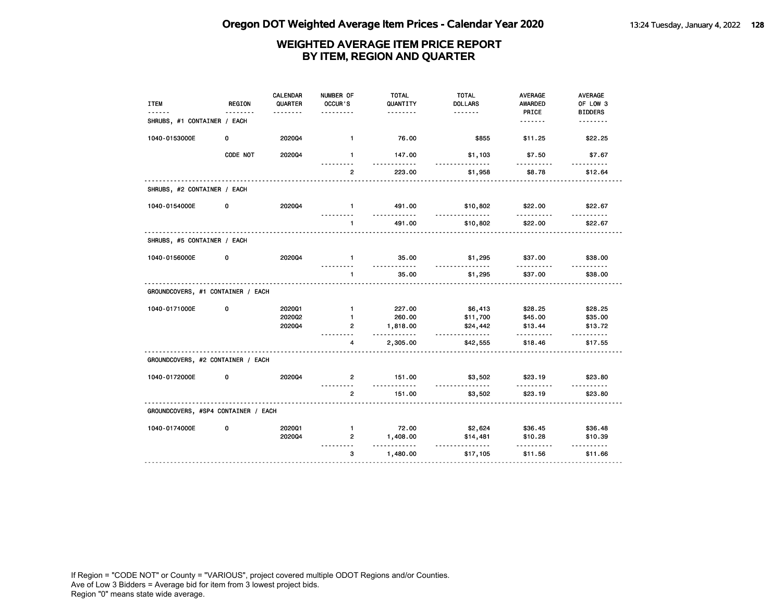| <b>ITEM</b>                         | <b>REGION</b> | CALENDAR<br>QUARTER | NUMBER OF<br>OCCUR'S | <b>TOTAL</b><br>QUANTITY<br>. | <b>TOTAL</b><br><b>DOLLARS</b><br><u>.</u> | <b>AVERAGE</b><br><b>AWARDED</b><br>PRICE | AVERAGE<br>OF LOW 3<br><b>BIDDERS</b> |
|-------------------------------------|---------------|---------------------|----------------------|-------------------------------|--------------------------------------------|-------------------------------------------|---------------------------------------|
| SHRUBS, #1 CONTAINER / EACH         |               |                     |                      |                               |                                            | <u>.</u>                                  | <u>.</u>                              |
| 1040-0153000E                       | 0             | 202004              | $\mathbf{1}$         | 76.00                         | \$855                                      | \$11.25                                   | \$22.25                               |
|                                     | CODE NOT      | 2020Q4              | $\mathbf{1}$         | 147.00<br>.                   | \$1,103<br>.                               | \$7.50                                    | \$7.67                                |
|                                     |               |                     | $\overline{2}$       | 223.00                        | \$1,958                                    | \$8.78                                    | \$12.64                               |
| SHRUBS, #2 CONTAINER / EACH         |               |                     |                      |                               |                                            |                                           |                                       |
| 1040-0154000E                       | 0             | 202004              | $\blacksquare$       | 491.00<br>.                   | \$10,802<br><u>.</u>                       | \$22.00                                   | \$22.67                               |
|                                     |               |                     | $\mathbf{1}$         | 491.00                        | \$10,802                                   | \$22.00                                   | \$22.67                               |
| SHRUBS, #5 CONTAINER / EACH         |               |                     |                      |                               |                                            |                                           |                                       |
| 1040-0156000E                       | 0             | 2020Q4              | $\mathbf{1}$         | 35.00                         | \$1,295<br>.                               | \$37.00                                   | \$38.00                               |
|                                     |               |                     | $\blacksquare$       | 35.00                         | \$1,295                                    | \$37.00                                   | \$38.00                               |
| GROUNDCOVERS, #1 CONTAINER / EACH   |               |                     |                      |                               |                                            |                                           |                                       |
| 1040-0171000E                       | 0             | 202001              | $\mathbf{1}$         | 227.00                        | \$6,413                                    | \$28.25                                   | \$28.25                               |
|                                     |               | 2020Q2              | $\mathbf{1}$         | 260.00                        | \$11,700                                   | \$45.00                                   | \$35.00                               |
|                                     |               | 202004              | $\mathbf{2}$         | 1,818.00                      | \$24,442                                   | \$13.44                                   | \$13.72                               |
|                                     |               |                     | 4                    | .<br>2,305.00                 | <u>.</u><br>\$42,555                       | \$18.46                                   | .<br>\$17.55                          |
| GROUNDCOVERS, #2 CONTAINER / EACH   |               |                     |                      |                               |                                            |                                           |                                       |
| 1040-0172000E                       | 0             | 202004              | $\overline{2}$       | 151.00                        | \$3,502                                    | \$23.19                                   | \$23.80                               |
|                                     |               |                     | $\mathbf{2}$         | 151.00                        | \$3,502                                    | \$23.19                                   | \$23.80                               |
| GROUNDCOVERS, #SP4 CONTAINER / EACH |               |                     |                      |                               |                                            |                                           |                                       |
| 1040-0174000E                       | 0             | 202001              | $\mathbf{1}$         | 72.00                         | \$2,624                                    | \$36.45                                   | \$36.48                               |
|                                     |               | 2020Q4              | $\overline{2}$       | 1,408.00<br>.                 | \$14,481<br><u>.</u>                       | \$10.28<br>.                              | \$10.39                               |
|                                     |               |                     | 3                    | 1,480.00                      | \$17,105                                   | \$11.56                                   | \$11.66                               |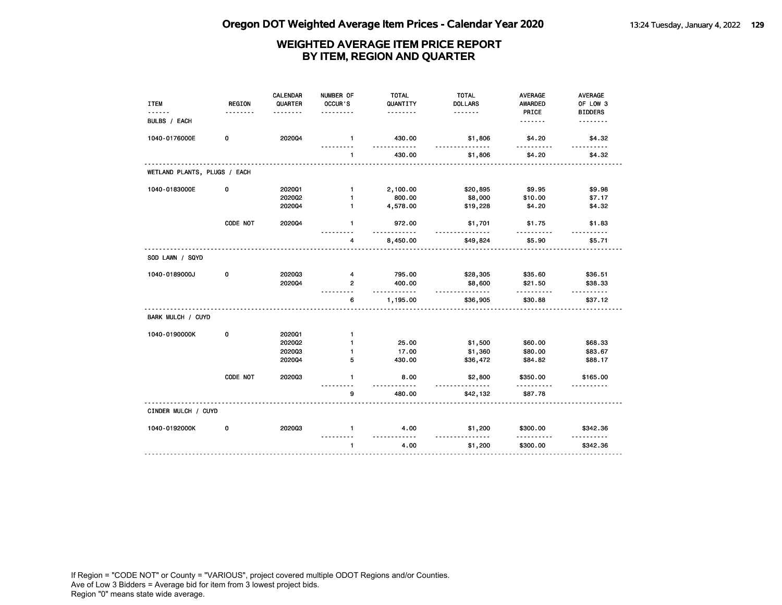| <b>ITEM</b>                  | <b>REGION</b> | <b>CALENDAR</b><br>QUARTER | NUMBER OF<br>OCCUR'S      | <b>TOTAL</b><br>QUANTITY | <b>TOTAL</b><br><b>DOLLARS</b> | <b>AVERAGE</b><br>AWARDED | AVERAGE<br>OF LOW 3  |
|------------------------------|---------------|----------------------------|---------------------------|--------------------------|--------------------------------|---------------------------|----------------------|
|                              |               |                            |                           | .                        |                                | PRICE                     | <b>BIDDERS</b>       |
| BULBS / EACH                 |               |                            |                           |                          |                                |                           | <u>.</u>             |
| 1040-0176000E                | 0             | 202004                     | $\mathbf{1}$<br>--------- | 430.00<br>.              | \$1,806<br>.                   | \$4.20<br>.               | \$4.32<br><u>.</u>   |
|                              |               |                            | $\mathbf{1}$              | 430.00                   | \$1,806                        | \$4.20                    | \$4.32               |
| WETLAND PLANTS, PLUGS / EACH |               |                            |                           |                          |                                |                           |                      |
| 1040-0183000E                | 0             | 202001                     | $\mathbf{1}$              | 2,100.00                 | \$20,895                       | \$9.95                    | \$9.98               |
|                              |               | 2020Q2                     | $\mathbf{1}$              | 800.00                   | \$8,000                        | \$10.00                   | \$7.17               |
|                              |               | 2020Q4                     | $\mathbf{1}$              | 4,578.00                 | \$19,228                       | \$4.20                    | \$4.32               |
|                              | CODE NOT      | 2020Q4                     | $\mathbf{1}$              | 972.00<br>$- - -$        | \$1,701                        | \$1.75                    | \$1.83               |
|                              |               |                            | 4                         | 8,450.00                 | \$49,824                       | \$5.90                    | \$5.71               |
| SOD LAWN / SQYD              |               |                            |                           |                          |                                |                           |                      |
| 1040-0189000J                | 0             | 202003                     | 4                         | 795.00                   | \$28,305                       | \$35.60                   | \$36.51              |
|                              |               | 202004                     | $\overline{2}$            | 400.00<br>.              | \$8,600<br><u>.</u>            | \$21.50                   | \$38.33              |
|                              |               |                            | 6                         | 1,195.00                 | \$36,905                       | \$30.88                   | \$37.12              |
| BARK MULCH / CUYD            |               |                            |                           |                          |                                |                           |                      |
| 1040-0190000K                | 0             | 2020Q1                     | $\mathbf{1}$              |                          |                                |                           |                      |
|                              |               | 202002                     | $\mathbf{1}$              | 25.00                    | \$1,500                        | \$60.00                   | \$68.33              |
|                              |               | 202003                     | $\mathbf{1}$              | 17.00                    | \$1,360                        | \$80.00                   | \$83.67              |
|                              |               | 2020Q4                     | 5                         | 430.00                   | \$36,472                       | \$84.82                   | \$88.17              |
|                              | CODE NOT      | 202003                     | $\mathbf{1}$              | 8.00                     | \$2,800<br><u>.</u>            | \$350.00                  | \$165.00<br><u>.</u> |
|                              |               |                            | 9                         | 480.00                   | \$42,132                       | \$87.78                   |                      |
| CINDER MULCH / CUYD          |               |                            |                           |                          |                                |                           |                      |
| 1040-0192000K                | 0             | 202003                     | $\mathbf{1}$              | 4.00<br><u>.</u>         | \$1,200                        | \$300.00                  | \$342.36             |
|                              |               |                            | $\mathbf{1}$              | 4.00                     | \$1,200                        | \$300.00                  | \$342.36             |
|                              |               |                            |                           |                          |                                |                           |                      |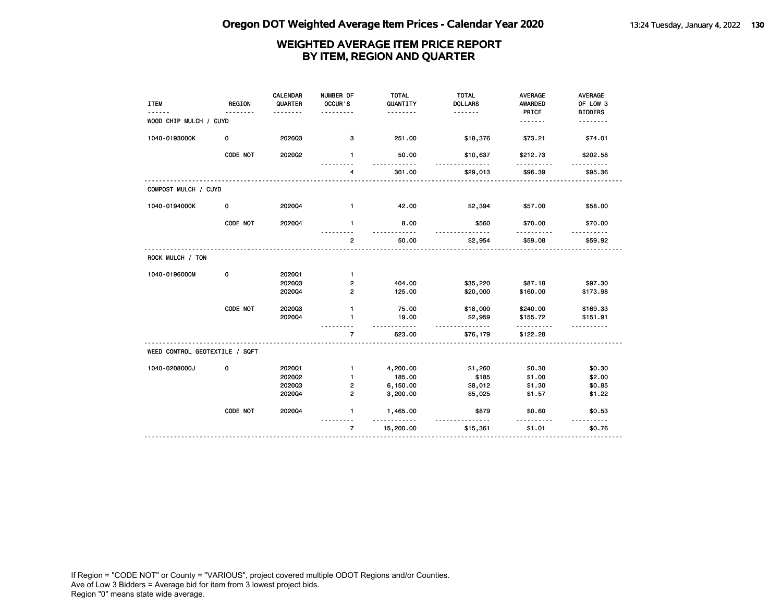| <b>ITEM</b>                    | <b>REGION</b> | <b>CALENDAR</b><br>QUARTER<br>------- | NUMBER OF<br>OCCUR'S<br>. | <b>TOTAL</b><br>QUANTITY<br>. | <b>TOTAL</b><br><b>DOLLARS</b><br>. | <b>AVERAGE</b><br><b>AWARDED</b><br>PRICE | <b>AVERAGE</b><br>OF LOW 3<br><b>BIDDERS</b> |
|--------------------------------|---------------|---------------------------------------|---------------------------|-------------------------------|-------------------------------------|-------------------------------------------|----------------------------------------------|
| WOOD CHIP MULCH / CUYD         |               |                                       |                           |                               |                                     | .                                         | .                                            |
| 1040-0193000K                  | 0             | 202003                                | 3                         | 251.00                        | \$18,376                            | \$73.21                                   | \$74.01                                      |
|                                | CODE NOT      | 202002                                | $\mathbf{1}$              | 50.00<br>$- - -$              | \$10,637<br>$- - -$                 | \$212.73<br>.                             | \$202.58                                     |
|                                |               |                                       | 4                         | 301.00                        | \$29,013                            | \$96.39                                   | \$95.36                                      |
| COMPOST MULCH / CUYD           |               |                                       |                           |                               |                                     |                                           |                                              |
| 1040-0194000K                  | 0             | 202004                                | $\mathbf{1}$              | 42.00                         | \$2,394                             | \$57.00                                   | \$58.00                                      |
|                                | CODE NOT      | 202004                                | $\mathbf{1}$              | 8.00<br>.                     | \$560                               | \$70.00                                   | \$70.00                                      |
|                                |               |                                       | $\overline{2}$            | 50.00                         | \$2,954                             | \$59.08                                   | \$59.92                                      |
| ROCK MULCH / TON               |               |                                       |                           |                               |                                     |                                           |                                              |
| 1040-0196000M                  | 0             | 2020Q1                                | $\mathbf{1}$              |                               |                                     |                                           |                                              |
|                                |               | 202003<br>202004                      | 2<br>$\overline{2}$       | 404.00<br>125.00              | \$35,220<br>\$20,000                | \$87.18<br>\$160.00                       | \$97.30<br>\$173.98                          |
|                                | CODE NOT      | 202003                                | $\mathbf{1}$              | 75.00                         | \$18,000                            | \$240.00                                  | \$169.33                                     |
|                                |               | 202004                                | 1                         | 19.00<br>$- - - -$            | \$2,959<br><u>.</u>                 | \$155.72<br>.                             | \$151.91                                     |
|                                |               |                                       | $\overline{7}$            | 623.00                        | \$76,179                            | \$122.28                                  |                                              |
| WEED CONTROL GEOTEXTILE / SQFT |               |                                       |                           |                               |                                     |                                           |                                              |
| 1040-0208000J                  | 0             | 202001                                | $\mathbf{1}$              | 4,200.00                      | \$1,260                             | \$0.30                                    | \$0.30                                       |
|                                |               | 202002                                | $\mathbf{1}$              | 185.00                        | \$185                               | \$1.00                                    | \$2.00                                       |
|                                |               | 202003                                | 2                         | 6,150.00                      | \$8,012                             | \$1.30                                    | \$0.85                                       |
|                                |               | 202004                                | $\overline{2}$            | 3,200.00                      | \$5,025                             | \$1.57                                    | \$1.22                                       |
|                                | CODE NOT      | 202004                                | 1                         | 1,465.00<br>.                 | \$879                               | \$0.60                                    | \$0.53                                       |
|                                |               |                                       | $\overline{7}$            | 15,200.00                     | \$15,361                            | \$1.01                                    | \$0.76                                       |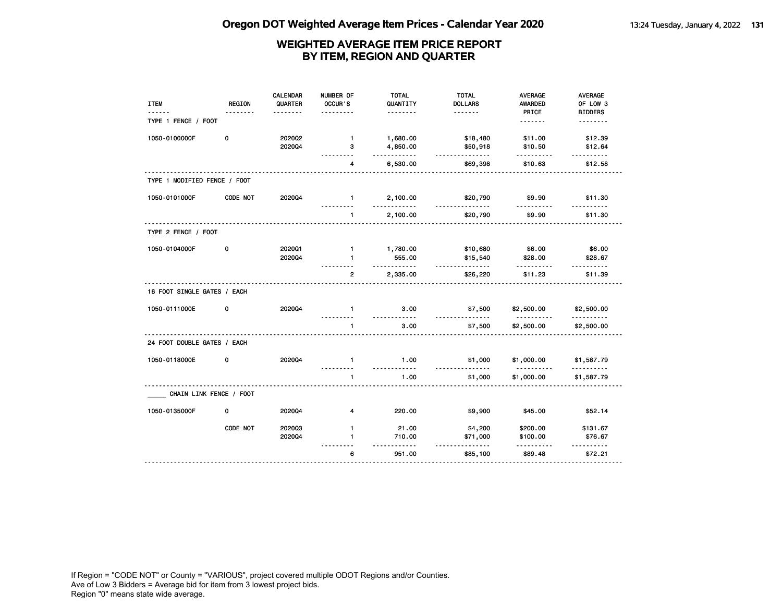| <b>ITEM</b>                  | <b>REGION</b>           | CALENDAR<br>QUARTER | NUMBER OF<br>OCCUR'S         | <b>TOTAL</b><br>QUANTITY | <b>TOTAL</b><br><b>DOLLARS</b>   | <b>AVERAGE</b><br><b>AWARDED</b> | AVERAGE<br>OF LOW 3        |
|------------------------------|-------------------------|---------------------|------------------------------|--------------------------|----------------------------------|----------------------------------|----------------------------|
| TYPE 1 FENCE / FOOT          |                         |                     |                              | .                        |                                  | PRICE<br><u>.</u>                | <b>BIDDERS</b><br><u>.</u> |
| 1050-0100000F                | 0                       | 2020Q2<br>202004    | $\mathbf{1}$<br>з            | 1,680.00<br>4,850.00     | \$18,480<br>\$50,918             | \$11.00<br>\$10.50               | \$12.39<br>\$12.64         |
|                              |                         |                     | 4                            | .<br>6,530.00            | .<br>\$69,398                    | \$10.63                          | \$12.58                    |
| TYPE 1 MODIFIED FENCE / FOOT |                         |                     |                              |                          |                                  |                                  |                            |
| 1050-0101000F                | CODE NOT                | 2020Q4              | $\mathbf{1}$                 | 2,100.00                 | \$20,790<br><u>.</u>             | \$9.90                           | \$11.30                    |
|                              |                         |                     | $\mathbf{1}$                 | 2,100.00                 | \$20,790                         | \$9.90                           | \$11.30                    |
| TYPE 2 FENCE / FOOT          |                         |                     |                              |                          |                                  |                                  |                            |
| 1050-0104000F                | 0                       | 202001<br>202004    | $\mathbf{1}$<br>$\mathbf{1}$ | 1,780.00<br>555.00<br>.  | \$10,680<br>\$15,540<br><u>.</u> | \$6.00<br>\$28.00                | \$6.00<br>\$28.67          |
|                              |                         |                     | $\overline{2}$               | 2,335.00                 | \$26,220                         | \$11.23                          | \$11.39                    |
| 16 FOOT SINGLE GATES / EACH  |                         |                     |                              |                          |                                  |                                  |                            |
| 1050-0111000E                | 0                       | 202004              | $\mathbf{1}$                 | 3.00<br>.                | \$7,500<br>.                     | \$2,500.00<br>.                  | \$2,500.00<br>.            |
|                              |                         |                     | $\mathbf{1}$                 | 3.00                     | \$7,500                          | \$2,500.00                       | \$2,500.00                 |
| 24 FOOT DOUBLE GATES / EACH  |                         |                     |                              |                          |                                  |                                  |                            |
| 1050-0118000E                | 0                       | 202004              | $\mathbf{1}$<br>.            | 1.00<br>.                | \$1,000<br><u>.</u>              | \$1,000.00<br>.                  | \$1,587.79<br><u>.</u>     |
|                              |                         |                     | $\mathbf{1}$                 | 1.00                     | \$1,000                          | \$1,000.00                       | \$1,587.79                 |
|                              | CHAIN LINK FENCE / FOOT |                     |                              |                          |                                  |                                  |                            |
| 1050-0135000F                | 0                       | 2020Q4              | 4                            | 220.00                   | \$9,900                          | \$45.00                          | \$52.14                    |
|                              | CODE NOT                | 202003              | $\mathbf{1}$                 | 21.00                    | \$4,200                          | \$200.00                         | \$131.67                   |
|                              |                         | 2020Q4              | 1.                           | 710.00<br>.              | \$71,000<br><u>.</u>             | \$100.00<br>.                    | \$76.67                    |
|                              |                         |                     | 6                            | 951.00                   | \$85,100                         | \$89.48                          | \$72.21                    |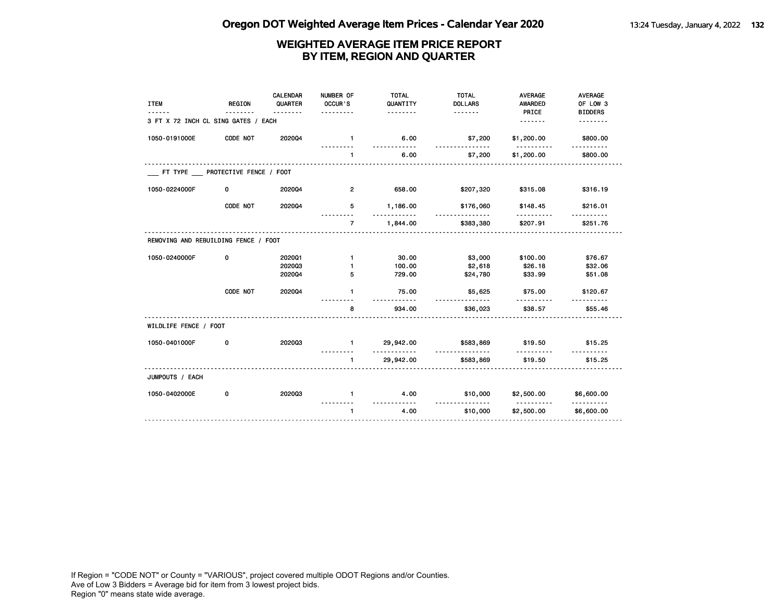| <b>ITEM</b>                          | <b>REGION</b>                   | <b>CALENDAR</b><br>QUARTER<br>. | NUMBER OF<br>OCCUR'S<br>. | <b>TOTAL</b><br>QUANTITY<br>. | <b>TOTAL</b><br><b>DOLLARS</b><br><u>.</u> | <b>AVERAGE</b><br><b>AWARDED</b><br>PRICE | <b>AVERAGE</b><br>OF LOW 3<br><b>BIDDERS</b> |
|--------------------------------------|---------------------------------|---------------------------------|---------------------------|-------------------------------|--------------------------------------------|-------------------------------------------|----------------------------------------------|
| 3 FT X 72 INCH CL SING GATES / EACH  |                                 |                                 |                           |                               |                                            | <u>.</u>                                  | .                                            |
| 1050-0191000E                        | CODE NOT                        | 202004                          | $\mathbf{1}$              | 6.00                          | \$7,200                                    | \$1,200.00                                | \$800.00                                     |
|                                      |                                 |                                 | $\mathbf{1}$              | 6.00                          | \$7,200                                    | \$1,200.00                                | \$800.00                                     |
|                                      | FT TYPE PROTECTIVE FENCE / FOOT |                                 |                           |                               |                                            |                                           |                                              |
| 1050-0224000F                        | 0                               | 202004                          | $\overline{2}$            | 658.00                        | \$207,320                                  | \$315.08                                  | \$316.19                                     |
|                                      | CODE NOT                        | 202004                          | 5                         | 1,186.00                      | \$176,060                                  | \$148.45                                  | \$216.01                                     |
|                                      |                                 |                                 | $\overline{7}$            | 1,844.00                      | \$383,380                                  | .<br>\$207.91                             | \$251.76                                     |
| REMOVING AND REBUILDING FENCE / FOOT |                                 |                                 |                           |                               |                                            |                                           |                                              |
| 1050-0240000F                        | 0                               | 202001                          | $\mathbf{1}$              | 30.00                         | \$3,000                                    | \$100.00                                  | \$76.67                                      |
|                                      |                                 | 202003                          | 1                         | 100.00                        | \$2,618                                    | \$26.18                                   | \$32.06                                      |
|                                      |                                 | 202004                          | 5                         | 729.00                        | \$24,780                                   | \$33.99                                   | \$51.08                                      |
|                                      | CODE NOT                        | 202004                          | $\mathbf{1}$              | 75.00<br>.                    | \$5,625                                    | \$75.00                                   | \$120.67                                     |
|                                      |                                 |                                 | 8                         | 934.00                        | \$36,023                                   | \$38.57                                   | \$55.46                                      |
| WILDLIFE FENCE / FOOT                |                                 |                                 |                           |                               |                                            |                                           |                                              |
| 1050-0401000F                        | 0                               | 202003                          | $\mathbf{1}$              | 29,942.00<br>.                | \$583,869<br><u>.</u>                      | \$19.50                                   | \$15.25                                      |
|                                      |                                 |                                 | $\mathbf{1}$              | 29,942.00                     | \$583,869                                  | \$19.50                                   | \$15.25                                      |
| JUMPOUTS / EACH                      |                                 |                                 |                           |                               |                                            |                                           |                                              |
| 1050-0402000E                        | 0                               | 202003                          | $\mathbf{1}$              | 4.00<br><u>.</u>              | \$10,000<br><u>.</u>                       | \$2,500.00<br><u>.</u>                    | \$6,600.00<br>.                              |
|                                      |                                 |                                 | $\mathbf{1}$              | 4.00                          | \$10,000                                   | \$2,500.00                                | \$6,600.00                                   |
|                                      |                                 |                                 |                           |                               |                                            |                                           |                                              |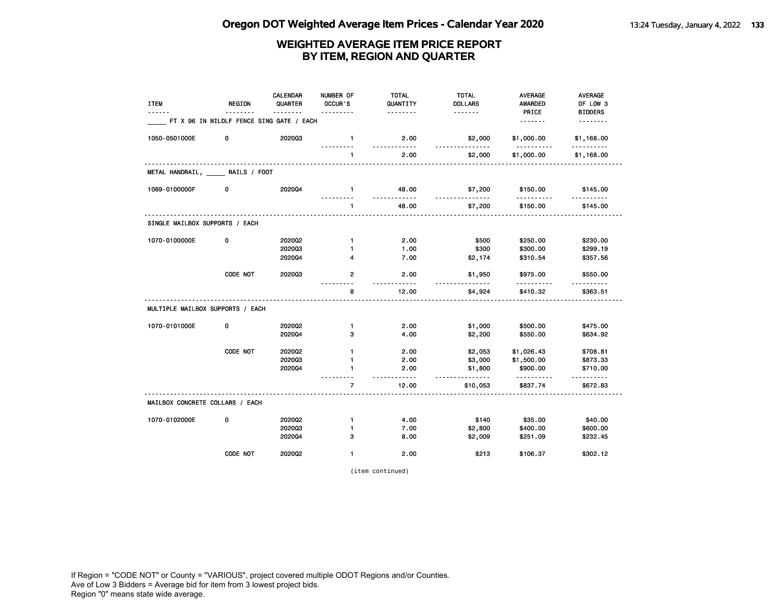| <b>ITEM</b><br>------            | <b>REGION</b>                            | CALENDAR<br>QUARTER | NUMBER OF<br>OCCUR'S<br>. | <b>TOTAL</b><br>QUANTITY<br>. | <b>TOTAL</b><br><b>DOLLARS</b><br><u>.</u> | <b>AVERAGE</b><br><b>AWARDED</b><br>PRICE | AVERAGE<br>OF LOW 3        |
|----------------------------------|------------------------------------------|---------------------|---------------------------|-------------------------------|--------------------------------------------|-------------------------------------------|----------------------------|
|                                  | FT X 96 IN WILDLF FENCE SING GATE / EACH |                     |                           |                               |                                            | <u>.</u>                                  | <b>BIDDERS</b><br><u>.</u> |
| 1050-0501000E                    | 0                                        | 202003              | $\mathbf{1}$              | 2.00<br>$- - - - -$           | \$2,000<br><u>.</u>                        | \$1,000.00<br>.                           | \$1,168.00<br>.            |
|                                  |                                          |                     | $\mathbf{1}$              | 2.00                          | \$2,000                                    | \$1,000.00                                | \$1,168.00                 |
| METAL HANDRAIL, RAILS / FOOT     |                                          |                     |                           |                               |                                            |                                           |                            |
| 1069-0100000F                    | 0                                        | 2020Q4              | $\mathbf{1}$              | 48.00<br><u>.</u>             | \$7,200<br><u>.</u>                        | \$150.00<br>.                             | \$145.00<br><u>.</u>       |
|                                  |                                          |                     | $\mathbf{1}$              | 48.00                         | \$7,200                                    | \$150.00                                  | \$145.00                   |
| SINGLE MAILBOX SUPPORTS / EACH   |                                          |                     |                           |                               |                                            |                                           |                            |
| 1070-0100000E                    | 0                                        | 2020Q2              | $\mathbf{1}$              | 2.00                          | \$500                                      | \$250.00                                  | \$230.00                   |
|                                  |                                          | 202003              | 1                         | 1.00                          | \$300                                      | \$300.00                                  | \$299.19                   |
|                                  |                                          | 2020Q4              | 4                         | 7.00                          | \$2,174                                    | \$310.54                                  | \$357.56                   |
|                                  | CODE NOT                                 | 202003              | $\overline{2}$            | 2.00<br>$-1 - 1 - 1 - 1$      | \$1,950<br><u>.</u>                        | \$975.00                                  | \$550.00                   |
|                                  |                                          |                     | 8                         | 12.00                         | \$4,924                                    | \$410.32                                  | \$363.51                   |
| MULTIPLE MAILBOX SUPPORTS / EACH |                                          |                     |                           |                               |                                            |                                           |                            |
| 1070-0101000E                    | 0                                        | 2020Q2              | $\mathbf{1}$              | 2.00                          | \$1,000                                    | \$500.00                                  | \$475.00                   |
|                                  |                                          | 202004              | 3                         | 4.00                          | \$2,200                                    | \$550.00                                  | \$634.92                   |
|                                  | CODE NOT                                 | 2020Q2              | $\mathbf{1}$              | 2.00                          | \$2,053                                    | \$1,026.43                                | \$708.81                   |
|                                  |                                          | 202003              | 1                         | 2.00                          | \$3,000                                    | \$1,500.00                                | \$873.33                   |
|                                  |                                          | 2020Q4              | 1                         | 2.00<br>.                     | \$1,800                                    | \$900.00<br>.                             | \$710.00<br>.              |
|                                  |                                          |                     | $\overline{7}$            | 12.00                         | \$10,053                                   | \$837.74                                  | \$672.83                   |
| MAILBOX CONCRETE COLLARS / EACH  |                                          |                     |                           |                               |                                            |                                           |                            |
| 1070-0102000E                    | 0                                        | 2020Q2              | $\mathbf{1}$              | 4.00                          | \$140                                      | \$35.00                                   | \$40.00                    |
|                                  |                                          | 202003              | $\mathbf{1}$              | 7.00                          | \$2,800                                    | \$400.00                                  | \$600.00                   |
|                                  |                                          | 202004              | з                         | 8.00                          | \$2,009                                    | \$251.09                                  | \$232.45                   |
|                                  | CODE NOT                                 | 202002              | $\mathbf{1}$              | 2.00                          | \$213                                      | \$106.37                                  | \$302.12                   |

(item continued)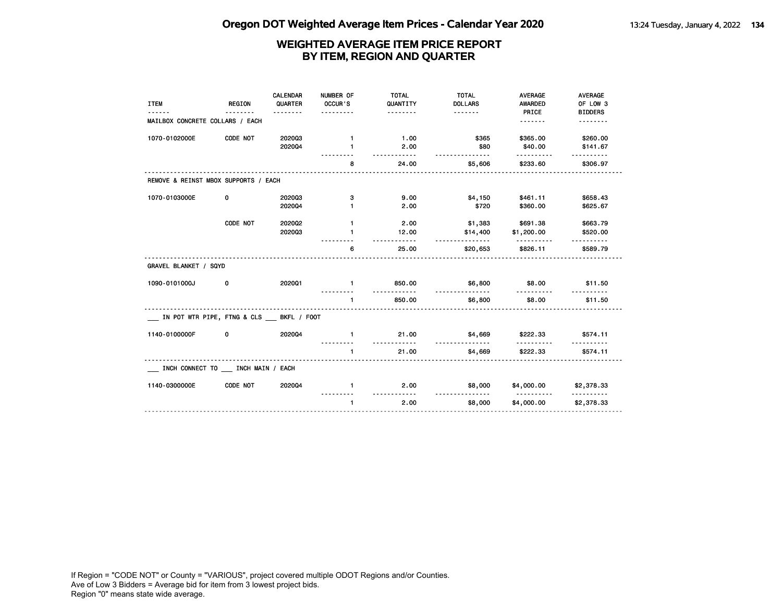| <b>ITEM</b><br>------                   | <b>REGION</b><br>. | <b>CALENDAR</b><br>QUARTER<br>. | NUMBER OF<br>OCCUR'S<br><u>.</u> | <b>TOTAL</b><br>QUANTITY<br><u>.</u> | <b>TOTAL</b><br><b>DOLLARS</b><br><u>.</u> | <b>AVERAGE</b><br><b>AWARDED</b><br>PRICE | <b>AVERAGE</b><br>OF LOW 3<br><b>BIDDERS</b> |
|-----------------------------------------|--------------------|---------------------------------|----------------------------------|--------------------------------------|--------------------------------------------|-------------------------------------------|----------------------------------------------|
| MAILBOX CONCRETE COLLARS / EACH         |                    |                                 |                                  |                                      |                                            | <u>.</u>                                  | .                                            |
| 1070-0102000E                           | CODE NOT           | 202003                          | $\mathbf{1}$                     | 1.00                                 | \$365                                      | \$365.00                                  | \$260.00                                     |
|                                         |                    | 202004                          | $\mathbf{1}$                     | 2.00<br>.                            | \$80<br>.                                  | \$40.00                                   | \$141.67                                     |
|                                         |                    |                                 | 8                                | 24.00                                | \$5,606                                    | \$233.60                                  | \$306.97                                     |
| REMOVE & REINST MBOX SUPPORTS / EACH    |                    |                                 |                                  |                                      |                                            |                                           |                                              |
| 1070-0103000E                           | 0                  | 202003                          | з                                | 9.00                                 | \$4,150                                    | \$461.11                                  | \$658.43                                     |
|                                         |                    | 202004                          | 1                                | 2.00                                 | \$720                                      | \$360.00                                  | \$625.67                                     |
|                                         | CODE NOT           | 2020Q2                          | $\mathbf{1}$                     | 2.00                                 | \$1,383                                    | \$691.38                                  | \$663.79                                     |
|                                         |                    | 202003                          | 1                                | 12.00<br>$- - - - - -$               | \$14,400<br><u>.</u>                       | \$1,200.00                                | \$520.00                                     |
|                                         |                    |                                 | 6                                | 25.00                                | \$20,653                                   | \$826.11                                  | \$589.79                                     |
| GRAVEL BLANKET / SQYD                   |                    |                                 |                                  |                                      |                                            |                                           |                                              |
| 1090-0101000J                           | 0                  | 202001                          | $\mathbf{1}$                     | 850.00<br>.                          | \$6,800<br>.                               | \$8.00                                    | \$11.50                                      |
|                                         |                    |                                 | $\mathbf{1}$                     | 850.00                               | \$6,800                                    | \$8.00                                    | \$11.50                                      |
| IN POT WTR PIPE, FTNG & CLS BKFL / FOOT |                    |                                 |                                  |                                      |                                            |                                           |                                              |
| 1140-0100000F                           | 0                  | 202004                          | $\mathbf{1}$                     | 21.00<br><u>.</u>                    | \$4,669<br><u>.</u>                        | \$222.33                                  | \$574.11                                     |
|                                         |                    |                                 | $\mathbf{1}$                     | 21.00                                | \$4,669                                    | \$222.33                                  | \$574.11                                     |
| INCH CONNECT TO __ INCH MAIN / EACH     |                    |                                 |                                  |                                      |                                            |                                           |                                              |
| 1140-0300000E                           | CODE NOT           | 202004                          | $\mathbf{1}$                     | 2.00<br><u>.</u>                     | \$8,000<br><u>.</u>                        | \$4,000.00<br><u>----------</u>           | \$2,378.33<br><u>.</u>                       |
|                                         |                    |                                 | $\mathbf{1}$                     | 2.00                                 | \$8,000                                    | \$4,000.00                                | \$2,378.33                                   |
|                                         |                    |                                 |                                  |                                      |                                            |                                           |                                              |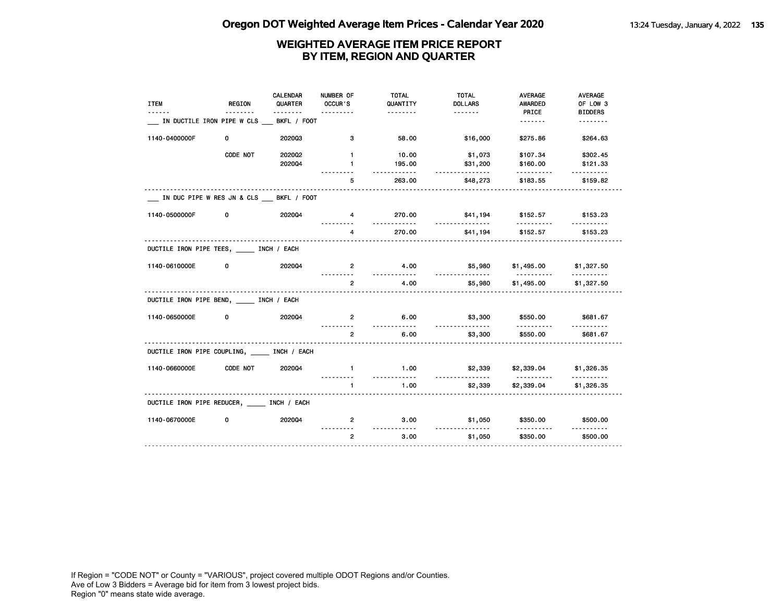|                                               |                                        | <b>CALENDAR</b> | NUMBER OF           | <b>TOTAL</b>     | <b>TOTAL</b>         | <b>AVERAGE</b>                             | AVERAGE              |
|-----------------------------------------------|----------------------------------------|-----------------|---------------------|------------------|----------------------|--------------------------------------------|----------------------|
| <b>ITEM</b>                                   | REGION                                 | QUARTER         | OCCUR'S             | QUANTITY         | <b>DOLLARS</b>       | <b>AWARDED</b>                             | OF LOW 3             |
|                                               | <u>.</u>                               |                 |                     | <u>.</u>         | <u>.</u>             | PRICE                                      | <b>BIDDERS</b>       |
|                                               | IN DUCTILE IRON PIPE W CLS             | BKFL / FOOT     |                     |                  |                      | <u>.</u>                                   | <u>.</u>             |
| 1140-0400000F                                 | 0                                      | 202003          | 3                   | 58.00            | \$16,000             | \$275.86                                   | \$264.63             |
|                                               | CODE NOT                               | 202002          | $\mathbf{1}$        | 10.00            | \$1,073              | \$107.34                                   | \$302.45             |
|                                               |                                        | 202004          | $\mathbf{1}$        | 195.00           | \$31,200<br><u></u>  | \$160.00                                   | \$121.33             |
|                                               |                                        |                 | 5                   | 263.00           | \$48,273             | \$183.55                                   | \$159.82             |
|                                               | IN DUC PIPE W RES JN & CLS BKFL / FOOT |                 |                     |                  |                      |                                            |                      |
| 1140-0500000F                                 | 0                                      | 2020Q4          | 4                   | 270.00<br>.      | \$41,194<br><u>.</u> | \$152.57<br>.                              | \$153.23<br>.        |
|                                               |                                        |                 | 4<br>.              | 270.00           | \$41,194             | \$152.57                                   | \$153.23             |
| DUCTILE IRON PIPE TEES, INCH / EACH           |                                        |                 |                     |                  |                      |                                            |                      |
| 1140-0610000E                                 | 0                                      | 202004          | $\overline{2}$      | 4.00<br>.        | \$5,980<br><u>.</u>  | \$1,495.00 \$1,327.50<br><u>----------</u> |                      |
|                                               |                                        |                 | $\overline{2}$      | 4.00             | \$5,980              | \$1,495.00                                 | \$1,327.50           |
| DUCTILE IRON PIPE BEND, INCH / EACH           |                                        |                 |                     |                  |                      |                                            |                      |
| 1140-0650000E                                 | 0                                      | 2020Q4          | $\mathbf{2}$        | 6.00<br><u>.</u> | \$3,300<br>.         | \$550.00<br>.                              | \$681.67<br><u>.</u> |
|                                               |                                        |                 | $\overline{2}$<br>. | 6.00             | \$3,300              | \$550.00                                   | \$681.67             |
| DUCTILE IRON PIPE COUPLING, _____ INCH / EACH |                                        |                 |                     |                  |                      |                                            |                      |
| 1140-0660000E                                 | CODE NOT                               | 202004          | $\mathbf{1}$        | 1.00<br><u>.</u> | \$2,339              | \$2,339.04 \$1,326.35<br><u>.</u>          | <u>.</u>             |
|                                               |                                        |                 | $\mathbf{1}$        | 1.00             | \$2,339              | \$2,339.04                                 | \$1,326.35           |
| DUCTILE IRON PIPE REDUCER, MINCH / EACH       |                                        |                 |                     |                  |                      |                                            |                      |
| 1140-0670000E                                 | 0                                      | 202004          | $\mathbf{2}$        | 3.00<br><u></u>  | \$1,050<br><u>.</u>  | \$350.00<br>.                              | \$500.00<br>.        |
|                                               |                                        |                 | $\overline{2}$      | 3.00             | \$1,050              | \$350.00                                   | \$500.00             |
|                                               |                                        |                 |                     |                  |                      |                                            |                      |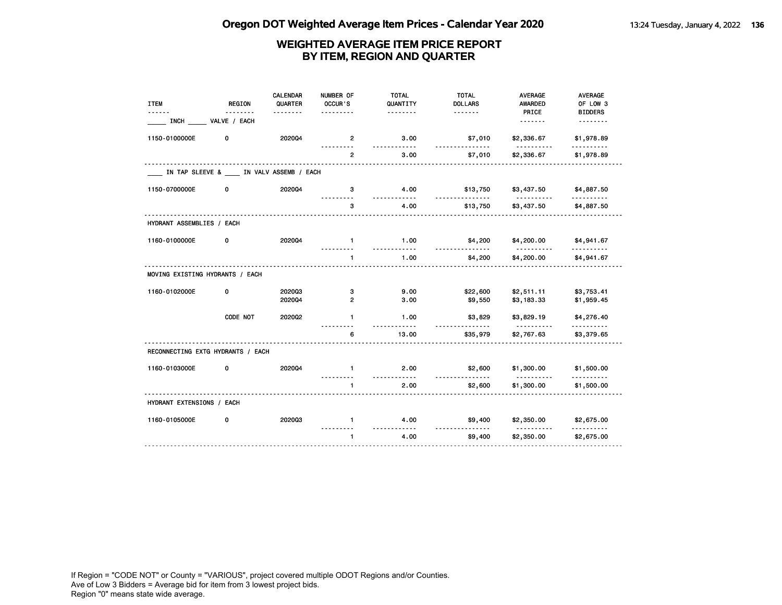| <b>ITEM</b>                       | <b>REGION</b>                              | <b>CALENDAR</b><br>QUARTER | NUMBER OF<br>OCCUR'S | <b>TOTAL</b><br>QUANTITY | <b>TOTAL</b><br><b>DOLLARS</b> | <b>AVERAGE</b><br><b>AWARDED</b> | <b>AVERAGE</b><br>OF LOW 3 |
|-----------------------------------|--------------------------------------------|----------------------------|----------------------|--------------------------|--------------------------------|----------------------------------|----------------------------|
| <u>.</u><br><b>INCH</b>           | VALVE / EACH                               | <u>.</u>                   | .                    | .                        |                                | PRICE                            | <b>BIDDERS</b>             |
| 1150-0100000E                     | 0                                          | 202004                     | $\overline{2}$       | 3.00<br><u>.</u>         | \$7,010<br><u>.</u>            | \$2,336.67                       | \$1,978.89                 |
|                                   |                                            |                            | .<br>$\mathbf{2}$    | 3.00                     | \$7,010                        | .<br>\$2,336.67                  | <u>.</u><br>\$1,978.89     |
|                                   | IN TAP SLEEVE & ____ IN VALV ASSEMB / EACH |                            |                      |                          |                                |                                  |                            |
| 1150-0700000E                     | 0                                          | 202004                     | 3                    | 4.00                     | \$13,750                       | \$3,437.50                       | \$4,887.50                 |
|                                   |                                            |                            | 3                    | 4.00                     | \$13,750                       | \$3,437.50                       | \$4,887.50                 |
| HYDRANT ASSEMBLIES / EACH         |                                            |                            |                      |                          |                                |                                  |                            |
| 1160-0100000E                     | 0                                          | 2020Q4                     | $\mathbf{1}$         | 1.00                     | \$4,200                        | \$4,200.00                       | \$4,941.67                 |
|                                   |                                            |                            | $\mathbf{1}$         | 1.00                     | \$4,200                        | \$4,200.00                       | \$4,941.67                 |
| MOVING EXISTING HYDRANTS / EACH   |                                            |                            |                      |                          |                                |                                  |                            |
| 1160-0102000E                     | 0                                          | 202003                     | 3                    | 9.00                     | \$22,600                       | \$2,511.11                       | \$3,753.41                 |
|                                   |                                            | 202004                     | $\overline{2}$       | 3.00                     | \$9,550                        | \$3,183.33                       | \$1,959.45                 |
|                                   | CODE NOT                                   | 2020Q2                     | $\mathbf{1}$         | 1.00<br>- - - -          | \$3,829                        | \$3,829.19<br><u>.</u>           | \$4,276.40<br>.            |
|                                   |                                            |                            | 6                    | 13.00                    | \$35,979                       | \$2,767.63                       | \$3,379.65                 |
| RECONNECTING EXTG HYDRANTS / EACH |                                            |                            |                      |                          |                                |                                  |                            |
| 1160-0103000E                     | 0                                          | 2020Q4                     | $\mathbf{1}$         | 2.00<br>$\overline{a}$   | \$2,600                        | \$1,300.00<br><u>.</u>           | \$1,500.00<br>.            |
|                                   |                                            |                            | 1                    | 2.00                     | \$2,600                        | \$1,300.00                       | \$1,500.00                 |
| HYDRANT EXTENSIONS / EACH         |                                            |                            |                      |                          |                                |                                  |                            |
| 1160-0105000E                     | 0                                          | 202003                     | $\mathbf{1}$         | 4.00<br>.                | \$9,400                        | \$2,350.00                       | \$2,675.00                 |
|                                   |                                            |                            | $\mathbf{1}$         | 4.00                     | \$9,400                        | \$2,350.00                       | \$2,675.00                 |
|                                   |                                            |                            |                      |                          |                                |                                  |                            |